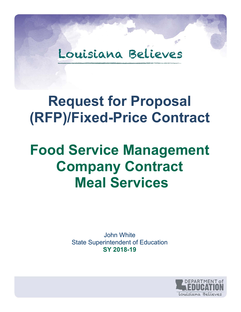# Louisiana Believes

# **Request for Proposal (RFP)/Fixed-Price Contract**

# **Food Service Management Company Contract Meal Services**

John White State Superintendent of Education **SY 2018-19** 

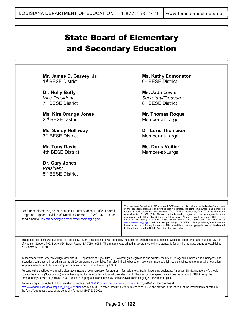# State Board of Elementary and Secondary Education

**Mr. James D. Garvey, Jr.**  1<sup>st</sup> BESE District

**Dr. Holly Boffy**  *Vice President*  7th BESE District

**Ms. Kira Orange Jones**  2<sup>nd</sup> BESE District

**Ms. Sandy Hollaway**  3rd BESE District

**Mr. Tony Davis**  4th BESE District

**Dr. Gary Jones**  *President*  5th BESE District **Ms. Kathy Edmonston**  6<sup>th</sup> BESE District

**Ms. Jada Lewis**  *Secretary/Treasurer*  8<sup>th</sup> BESE District

**Mr. Thomas Roque**  Member-at-Large

**Dr. Lurie Thomason**  Member-at-Large

**Ms. Doris Voitier**  Member-at-Large

For further information, please contact Dr. Judy Stracener, Office Federal Programs Support, Division of Nutrition Support at (225) 342-3720 or send email to judy.stracener@la.gov or cyndi.nobles@la.gov.

The Louisiana Department of Education (LDOE) does not discriminate on the basis of sex in any of the education programs or activities that it operates, including employment and admission<br>related to such programs and activities. The LDOE is required by Title IX of the Education<br>Amendments of 1972 (Title IX) and its discrimination. LDOE's Title IX Coord. is Chris Fruge, Attorney, Legal Services, LDOE, Exec.<br>Office of the Supt.; P.O. Box 94064, Baton Rouge, LA 70804-9064; 877-453-2721 or<br><u>customerservice@la.gov</u>. All inquiries pertaini based on sex or to the requirements of Title IX and its implementing regulations can be directed to Chris Fruge or to the USDE, Asst. Sec. for Civil Rights.

This public document was published at a cost of \$246.00. This document was printed by the Louisiana Department of Education, Office of Federal Programs Support, Division of Nutrition Support; P.O. Box 94064; Baton Rouge, LA 70804-9064. This material was printed in accordance with the standards for printing by State agencies established pursuant to R. S. 43:31.

In accordance with Federal civil rights law and U.S. Department of Agriculture (USDA) civil rights regulations and policies, the USDA, its Agencies, offices, and employees, and institutions participating in or administering USDA programs are prohibited from discriminating based on race, color, national origin, sex, disability, age, or reprisal or retaliation for prior civil rights activity in any program or activity conducted or funded by USDA.

Persons with disabilities who require alternative means of communication for program information (e.g. Braille, large print, audiotape, American Sign Language, etc.), should contact the Agency (State or local) where they applied for benefits. Individuals who are deaf, hard of hearing or have speech disabilities may contact USDA through the Federal Relay Service at (800) 877-8339. Additionally, program information may be made available in languages other than English.

To file a program complaint of discrimination, complete the USDA Program Discrimination Complaint Form, (AD-3027) found online at: http://www.ascr.usda.gov/complaint\_filing\_cust.html, and at any USDA office, or write a letter addressed to USDA and provide in the letter all of the information requested in the form. To request a copy of the complaint form, call (866) 632-9992.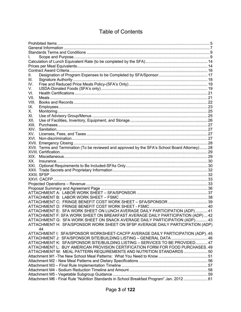# Table of Contents

| L.    |                                                                                                 |  |
|-------|-------------------------------------------------------------------------------------------------|--|
|       |                                                                                                 |  |
|       |                                                                                                 |  |
|       |                                                                                                 |  |
| Ш.    |                                                                                                 |  |
| III.  |                                                                                                 |  |
| IV.   |                                                                                                 |  |
| V.    |                                                                                                 |  |
| VI.   |                                                                                                 |  |
| VII.  |                                                                                                 |  |
| VIII. |                                                                                                 |  |
| IX.   |                                                                                                 |  |
| Х.    |                                                                                                 |  |
| XI.   |                                                                                                 |  |
| XII.  |                                                                                                 |  |
| XIII. |                                                                                                 |  |
| XIV.  |                                                                                                 |  |
| XV.   |                                                                                                 |  |
| XVI.  |                                                                                                 |  |
|       |                                                                                                 |  |
|       | XVII. Terms and Termination (To be reviewed and approved by the SFA's School Board Attorney) 28 |  |
|       |                                                                                                 |  |
| XIX.  |                                                                                                 |  |
| XX.   |                                                                                                 |  |
| XXI.  |                                                                                                 |  |
|       |                                                                                                 |  |
|       |                                                                                                 |  |
|       |                                                                                                 |  |
|       |                                                                                                 |  |
|       |                                                                                                 |  |
|       |                                                                                                 |  |
|       |                                                                                                 |  |
|       |                                                                                                 |  |
|       |                                                                                                 |  |
|       | ATTACHMENT E: SFA WORK SHEET ON LUNCH AVERAGE DAILY PARTICIPATION (ADP)  41                     |  |
|       | ATTACHMENT F: SFA WORK SHEET ON BREAKFAST AVERAGE DAILY PARTICIPATION (ADP)  42                 |  |
|       | ATTACHMENT G: SFA WORK SHEET ON SNACK AVERAGE DAILY PARTICIPATION (ADP) 43                      |  |
|       | ATTACHMENT H: SFA/SPONSOR WORK SHEET ON SFSP AVERAGE DAILY PARTICIPATION (ADP)                  |  |
|       | 44                                                                                              |  |
|       | ATTACHMENT I: SFA/SPONSOR WORKSHEET-CACFP AVERAGE DAILY PARTICIPATION (ADP). 45                 |  |
|       | ATTACHMENT J: SFA/SPONSOR SITE/BUILDING LISTING - GENERAL DATA  46                              |  |
|       | ATTACHMENT K: SFA/SPONSOR SITE/BUILDING LISTING - SERVICES TO BE PROVIDED 47                    |  |
|       | ATTACHMENT L: BUY AMERICAN PROVISION CERTIFICATION FORM FOR FOOD PURCHASES. 49                  |  |
|       | ATTACHMENT M: MEAL PATTERN REQUIREMENTS AND NUTRITION STANDARDS 50                              |  |
|       |                                                                                                 |  |
|       |                                                                                                 |  |
|       |                                                                                                 |  |
|       |                                                                                                 |  |
|       |                                                                                                 |  |
|       | Attachment M6 - Final Rule "Nutrition Standards in School Breakfast Program" Jan. 2012 61       |  |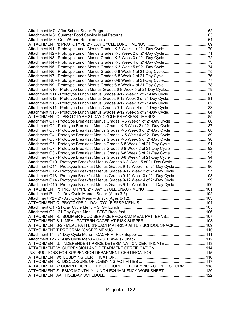| Attachment N12 - Prototype Lunch Menus Grades 9-12 Week 2 of 21-Day Cycle 81       |  |
|------------------------------------------------------------------------------------|--|
| Attachment N13 - Prototype Lunch Menus Grades 9-12 Week 3 of 21-Day Cycle 82       |  |
| 83. Attachment N14 - Prototype Lunch Menus Grades 9-12 Week 4 of 21-Day Cycle      |  |
| Attachment N15 - Prototype Lunch Menus Grades 9-12 Week 5 of 21-Day Cycle 84       |  |
|                                                                                    |  |
| Attachment O1 - Prototype Breakfast Menus Grades K-5 Week 1 of 21-Day Cycle 86     |  |
| Attachment O2 - Prototype Breakfast Menus Grades K-5 Week 2 of 21-Day Cycle 87     |  |
| Attachment O3 - Prototype Breakfast Menus Grades K-5 Week 3 of 21-Day Cycle88      |  |
| Attachment O4 - Prototype Breakfast Menus Grades K-5 Week 4 of 21-Day Cycle89      |  |
| Attachment O5 - Prototype Breakfast Menus Grades K-5 Week 5 of 21-Day Cycle 90     |  |
| Attachment O6 - Prototype Breakfast Menus Grades 6-8 Week 1 of 21-Day Cycle  91    |  |
| Attachment O7 - Prototype Breakfast Menus Grades 6-8 Week 2 of 21-Day Cycle  92    |  |
| Attachment O8 - Prototype Breakfast Menus Grades 6-8 Week 3 of 21-Day Cycle  93    |  |
| Attachment O9 - Prototype Breakfast Menus Grades 6-8 Week 4 of 21-Day Cycle  94    |  |
| Attachment O10 - Prototype Breakfast Menus Grades 6-8 Week 5 of 21-Day Cycle  95   |  |
| Attachment O11 - Prototype Breakfast Menus Grades 9-12 Week 1 of 21-Day Cycle  96  |  |
| Attachment O12 - Prototype Breakfast Menus Grades 9-12 Week 2 of 21-Day Cycle  97  |  |
| Attachment O13 - Prototype Breakfast Menus Grades 9-12 Week 3 of 21-Day Cycle  98  |  |
| Attachment O14 - Prototype Breakfast Menus Grades 9-12 Week 4 of 21-Day Cycle  99  |  |
| Attachment O15 - Prototype Breakfast Menus Grades 9-12 Week 5 of 21-Day Cycle  100 |  |
|                                                                                    |  |
|                                                                                    |  |
|                                                                                    |  |
|                                                                                    |  |
|                                                                                    |  |
|                                                                                    |  |
|                                                                                    |  |
|                                                                                    |  |
| ATTACHMENT S-2 - MEAL PATTERN-CACFP AT-RISK AFTER SCHOOL SNACK 109                 |  |
|                                                                                    |  |
|                                                                                    |  |
|                                                                                    |  |
|                                                                                    |  |
|                                                                                    |  |
|                                                                                    |  |
|                                                                                    |  |
|                                                                                    |  |
| ATTACHMENT Y: COMPLETION OF DISCLOSURE OF LOBBYING ACTIVITIES FORM 118             |  |
|                                                                                    |  |
|                                                                                    |  |
|                                                                                    |  |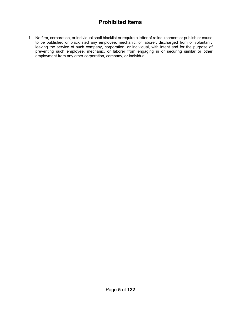# **Prohibited Items**

1. No firm, corporation, or individual shall blacklist or require a letter of relinquishment or publish or cause to be published or blacklisted any employee, mechanic, or laborer, discharged from or voluntarily leaving the service of such company, corporation, or individual, with intent and for the purpose of preventing such employee, mechanic, or laborer from engaging in or securing similar or other employment from any other corporation, company, or individual.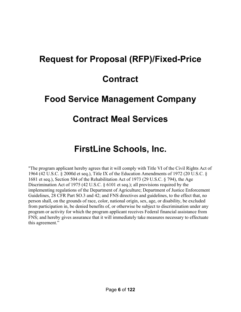# **Request for Proposal (RFP)/Fixed-Price**

# **Contract**

# **Food Service Management Company**

# **Contract Meal Services**

# **FirstLine Schools, Inc.**

"The program applicant hereby agrees that it will comply with Title VI of the Civil Rights Act of 1964 (42 U.S.C. § 2000d et seq.), Title IX of the Education Amendments of 1972 (20 U.S.C. § 1681 et seq.), Section 504 of the Rehabilitation Act of 1973 (29 U.S.C. § 794), the Age Discrimination Act of 1975 (42 U.S.C. § 6101 et seq.); all provisions required by the implementing regulations of the Department of Agriculture; Department of Justice Enforcement Guidelines, 28 CFR Part SO.3 and 42; and FNS directives and guidelines, to the effect that, no person shall, on the grounds of race, color, national origin, sex, age, or disability, be excluded from participation in, be denied benefits of, or otherwise be subject to discrimination under any program or activity for which the program applicant receives Federal financial assistance from FNS; and hereby gives assurance that it will immediately take measures necessary to effectuate this agreement."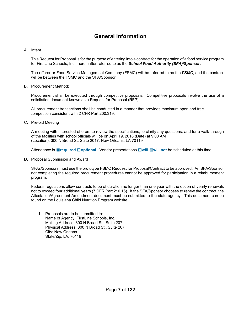# **General Information**

#### A. Intent

This Request for Proposal is for the purpose of entering into a contract for the operation of a food service program for FirstLine Schools, Inc., hereinafter referred to as the *School Food Authority (SFA)/Sponsor.*

The offeror or Food Service Management Company (FSMC) will be referred to as the *FSMC*, and the contract will be between the FSMC and the SFA/Sponsor.

#### B. Procurement Method:

Procurement shall be executed through competitive proposals. Competitive proposals involve the use of a solicitation document known as a Request for Proposal (RFP).

All procurement transactions shall be conducted in a manner that provides maximum open and free competition consistent with 2 CFR Part 200.319.

C. Pre-bid Meeting

A meeting with interested offerers to review the specifications, to clarify any questions, and for a walk-through of the facilities with school officials will be on April 19, 2018 (Date) at 9:00 AM (Location): 300 N Broad St. Suite 2017, New Orleans, LA 70119

Attendance is ☒**required** ☐**optional**. Vendor presentations ☐**will** ☒**will not** be scheduled at this time.

D. Proposal Submission and Award

SFAs/Sponsors must use the prototype FSMC Request for Proposal/Contract to be approved. An SFA/Sponsor not completing the required procurement procedures cannot be approved for participation in a reimbursement program.

Federal regulations allow contracts to be of duration no longer than one year with the option of yearly renewals not to exceed four additional years (7 CFR Part 210.16). If the SFA/Sponsor chooses to renew the contract, the Attestation/Agreement Amendment document must be submitted to the state agency. This document can be found on the Louisiana Child Nutrition Program website.

1. Proposals are to be submitted to: Name of Agency: FirstLine Schools, Inc. Mailing Address: 300 N Broad St., Suite 207 Physical Address: 300 N Broad St., Suite 207 City: New Orleans State/Zip: LA, 70119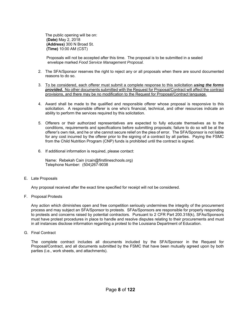The public opening will be on: **(Date)** May 2, 2018  **(Address)** 300 N Broad St.  **(Time)** 10:00 AM (CST)

Proposals will not be accepted after this time. The proposal is to be submitted in a sealed envelope marked *Food Service Management Proposal.* 

- 2. The SFA/Sponsor reserves the right to reject any or all proposals when there are sound documented reasons to do so.
- 3. To be considered, each offerer must submit a complete response to this solicitation *using the forms provided.* No other documents submitted with the Request for Proposal/Contract will affect the contract provisions, and there may be no modification to the Request for Proposal/Contract language.
- 4. Award shall be made to the qualified and responsible offerer whose proposal is responsive to this solicitation. A responsible offerer is one who's financial, technical, and other resources indicate an ability to perform the services required by this solicitation.
- 5. Offerers or their authorized representatives are expected to fully educate themselves as to the conditions, requirements and specifications before submitting proposals; failure to do so will be at the offerer's own risk, and he or she cannot secure relief on the plea of error. The SFA/Sponsor is not liable for any cost incurred by the offerer prior to the signing of a contract by all parties. Paying the FSMC from the Child Nutrition Program (CNP) funds is prohibited until the contract is signed.
- 6. If additional information is required, please contact:

Name: Rebekah Cain (rcain@firstlineschools.org) Telephone Number: (504)267-9038

E. Late Proposals

Any proposal received after the exact time specified for receipt will not be considered.

F. Proposal Protests

Any action which diminishes open and free competition seriously undermines the integrity of the procurement process and may subject an SFA/Sponsor to protests. SFAs/Sponsors are responsible for properly responding to protests and concerns raised by potential contractors. Pursuant to 2 CFR Part 200.318(k), SFAs/Sponsors must have protest procedures in place to handle and resolve disputes relating to their procurements and must in all instances disclose information regarding a protest to the Louisiana Department of Education.

G. Final Contract

The complete contract includes all documents included by the SFA/Sponsor in the Request for Proposal/Contract, and all documents submitted by the FSMC that have been mutually agreed upon by both parties (i.e., work sheets, and attachments).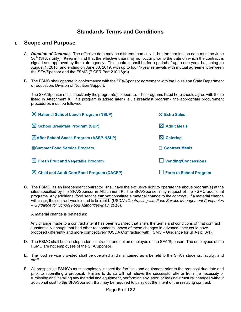# **Standards Terms and Conditions**

### **I. Scope and Purpose**

- A. *Duration of Contract.* The effective date may be different than July 1, but the termination date must be June 30<sup>th</sup> (SFA's only). Keep in mind that the effective date may not occur prior to the date on which the contract is signed and approved by the state agency. This contract shall be for a period of up to one year, beginning on August 1, 2018, and ending on June 30, 2019, with up to four 1-year renewals with mutual agreement between the SFA/Sponsor and the FSMC (7 CFR Part 210.16(d)).
- B. The FSMC shall operate in conformance with the SFA/Sponsor agreement with the Louisiana State Department of Education, Division of Nutrition Support.

The SFA/Sponsor must check only the program(s) to operate. The programs listed here should agree with those listed in Attachment K. If a program is added later (i.e., a breakfast program), the appropriate procurement procedures must be followed.

| $\boxtimes$ National School Lunch Program (NSLP)      | $\boxtimes$ Extra Sales       |
|-------------------------------------------------------|-------------------------------|
| $\boxtimes$ School Breakfast Program (SBP)            | $\boxtimes$ Adult Meals       |
| <b>After School Snack Program (ASSP-NSLP)</b>         | $\boxtimes$ Catering          |
| ⊠Summer Food Service Program                          | $\boxtimes$ Contract Meals    |
| $\boxtimes$ Fresh Fruit and Vegetable Program         | $\Box$ Vending/Concessions    |
| $\boxtimes$ Child and Adult Care Food Program (CACFP) | $\Box$ Farm to School Program |

C. The FSMC, as an independent contractor, shall have the exclusive right to operate the above program(s) at the sites specified by the SFA/Sponsor in Attachment K. The SFA/Sponsor may request of the FSMC additional programs. Any additional food service **cannot** constitute a material change to the contract. If a material change will occur, the contract would need to be rebid. (USDA's *Contracting with Food Service Management Companies – Guidance for School Food Authorities-May, 2016*).

A material change is defined as:

 Any change made to a contract after it has been awarded that alters the terms and conditions of that contract substantially enough that had other respondents known of these changes in advance, they could have proposed differently and more competitively (USDA Contracting with FSMC – Guidance for SFAs p. 8-1).

- D. The FSMC shall be an independent contractor and not an employee of the SFA/Sponsor. The employees of the FSMC are not employees of the SFA/Sponsor.
- E. The food service provided shall be operated and maintained as a benefit to the SFA's students, faculty, and staff.
- F. All prospective FSMC's must completely inspect the facilities and equipment prior to the proposal due date and prior to submitting a proposal. Failure to do so will not relieve the successful offeror from the necessity of furnishing and installing any material and equipment, performing any labor, or making structural changes without additional cost to the SFA/Sponsor, that may be required to carry out the intent of the resulting contract.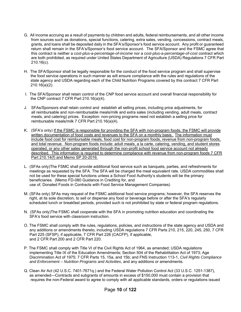- G. All income accruing as a result of payments by children and adults, federal reimbursements, and all other income from sources such as donations, special functions, catering, extra sales, vending, concessions, contract meals, grants, and loans shall be deposited daily in the SFA's/Sponsor's food service account. Any profit or guaranteed return shall remain in the SFA's/Sponsor's food service account. The SFA/Sponsor and the FSMC agree that this contract is neither a *cost-plus-a-percentage-of-income* nor a *cost-plus-a-percentage-of-cost* contract which are both prohibited, as required under United States Department of Agriculture (USDA) Regulations 7 CFR Part 210.16(c).
- H. The SFA/Sponsor shall be legally responsible for the conduct of the food service program and shall supervise the food service operations in such manner as will ensure compliance with the rules and regulations of the state agency and USDA regarding each of the Child Nutrition Programs covered by this contract 7 CFR Part 210.16(a)(2).
- I. The SFA/Sponsor shall retain control of the CNP food service account and overall financial responsibility for the CNP contract 7 CFR Part 210.16(a)(4).
- J. SFAs/Sponsors shall retain control and establish all selling prices, including price adjustments, for all reimbursable and non-reimbursable meals/milk and extra sales (including vending, adult meals, contract meals, and catering) prices. Exception: non-pricing programs need not establish a selling price for reimbursable meals/milk 7 CFR Part 210.16(a)(4).
- K. (SFA's only) If the FSMC is responsible for providing the SFA with non-program foods, the FSMC will provide written documentation of food costs and revenues to the SFA on a monthly basis. The information must include food cost for reimbursable meals, food cost for non-program foods, revenue from non-program foods, and total revenue. Non-program foods include: adult meals, a la carte, catering, vending, and student stores operated, or any other sales generated through the non-profit school food service account not already described. This information is required to determine compliance with revenue from non-program foods 7 CFR Part 210.14(f) and Memo SP 20-2016.
- L. (SFAs only)The FSMC shall provide additional food service such as banquets, parties, and refreshments for meetings as requested by the SFA. The SFA will be charged the meal equivalent rate. USDA commodities shall not be used for these special functions unless a School Food Authority's students will be the primary beneficiaries. (Memo FD-080 Guidance in Crediting for, and use of, Donated Foods in Contracts with Food Service Management Companies)
- M. (SFAs only) SFAs may request of the FSMC additional food service programs; however, the SFA reserves the right, at its sole discretion, to sell or dispense any food or beverage before or after the SFA's regularly scheduled lunch or breakfast periods, provided such is not prohibited by state or federal program regulations.
- N. (SFAs only)The FSMC shall cooperate with the SFA in promoting nutrition education and coordinating the SFA's food service with classroom instruction.
- O. The FSMC shall comply with the rules, regulations, policies, and instructions of the state agency and USDA and any additions or amendments thereto, including USDA regulations 7 CFR Parts 210, 215, 220, 245, 250, 7 CFR Part 225 (SFSP), if applicable, 7 CFR Part 226 (CACFP), if applicable, and 2 CFR Part 200 and 2 CFR Part 220.
- P. The FSMC shall comply with Title VI of the Civil Rights Act of 1964, as amended; USDA regulations implementing Title IX of the Education Amendments; Section 504 of the Rehabilitation Act of 1973; Age Discrimination Act of 1975; 7 CFR Parts 15, 15a, and 15b; and FNS Instruction 113-1, *Civil Rights Compliance and Enforcement – Nutrition Programs and Activities*, and any additions or amendments.
- Q. Clean Air Act (42 U.S.C. 7401-7671q.) and the Federal Water Pollution Control Act (33 U.S.C. 1251-1387), as amended—Contracts and subgrants of amounts in excess of \$150,000 must contain a provision that requires the non-Federal award to agree to comply with all applicable standards, orders or regulations issued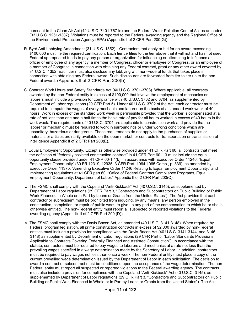pursuant to the Clean Air Act (42 U.S.C. 7401-7671q) and the Federal Water Pollution Control Act as amended (33 U.S.C. 1251-1387). Violations must be reported to the Federal awarding agency and the Regional Office of the Environmental Protection Agency (EPA) (Appendix ll of 2 CFR Part 200(G)).

- R. Byrd Anti-Lobbying Amendment (31 U.S.C. 1352)—Contractors that apply or bid for an award exceeding \$100,000 must file the required certification. Each tier certifies to the tier above that it will not and has not used Federal appropriated funds to pay any person or organization for influencing or attempting to influence an officer or employee of any agency, a member of Congress, officer or employee of Congress, or an employee of a member of Congress in connection with obtaining any Federal contract, grant or any other award covered by 31 U.S.C. 1352. Each tier must also disclose any lobbying with non-Federal funds that takes place in connection with obtaining any Federal award. Such disclosures are forwarded from tier to tier up to the non- Federal award. (Appendix ll of 2 CFR Part 200(l)).
- S. Contract Work Hours and Safety Standards Act (40 U.S.C. 3701-3708). Where applicable, all contracts awarded by the non-Federal entity in excess of \$100,000 that involve the employment of mechanics or laborers must include a provision for compliance with 40 U.S.C. 3702 and 3704, as supplemented by Department of Labor regulations (29 CFR Part 5). Under 40 U.S.C. 3702 of the Act, each contractor must be required to compute the wages of every mechanic and laborer on the basis of a standard work week of 40 hours. Work in excess of the standard work week is permissible provided that the worker is compensated at a rate of not less than one and a half times the basic rate of pay for all hours worked in excess of 40 hours in the work week. The requirements of 40 U.S.C. 3704 are applicable to construction work and provide that no laborer or mechanic must be required to work in surroundings or under working conditions which are unsanitary, hazardous or dangerous. These requirements do not apply to the purchases of supplies or materials or articles ordinarily available on the open market, or contracts for transportation or transmission of intelligence Appendix II of 2 CFR Part 200(E).
- T. Equal Employment Opportunity. Except as otherwise provided under 41 CFR Part 60, all contracts that meet the definition of "federally assisted construction contract" in 41 CFR Part 60-1.3 must include the equal opportunity clause provided under 41 CFR 60-1.4(b), in accordance with Executive Order 11246, "Equal Employment Opportunity" (30 FR 12319, 12935, 3 CFR Part, 1964-1965 Comp., p. 339), as amended by Executive Order 11375, "Amending Executive Order 11246 Relating to Equal Employment Opportunity," and implementing regulations at 41 CFR part 60, "Office of Federal Contract Compliance Programs, Equal Employment Opportunity, Department of Labor." Appendix II of 2 CFR Part 200(C)
- U. The FSMC shall comply with the Copeland "Anti-Kickback" Act (40 U.S.C. 3145), as supplemented by Department of Labor regulations (29 CFR Part 3, "Contractors and Subcontractors on Public Building or Public Work Financed in Whole or in Part by Loans or Grants from the United States"). The Act provides that each contractor or subrecipient must be prohibited from inducing, by any means, any person employed in the construction, completion, or repair of public work, to give up any part of the compensation to which he or she is otherwise entitled. The non-Federal entity must report all suspected or reported violations to the Federal awarding agency (Appendix II of 2 CFR Part 200 (D)).
- V. The FSMC shall comply with the Davis-Bacon Act, as amended (40 U.S.C. 3141-3148). When required by Federal program legislation, all prime construction contracts in excess of \$2,000 awarded by non-Federal entities must include a provision for compliance with the Davis-Bacon Act (40 U.S.C. 3141-3144, and 3146- 3148) as supplemented by Department of Labor regulations (29 CFR Part 5, "Labor Standards Provisions Applicable to Contracts Covering Federally Financed and Assisted Construction"). In accordance with the statute, contractors must be required to pay wages to laborers and mechanics at a rate not less than the prevailing wages specified in a wage determination made by the Secretary of Labor. In addition, contractors must be required to pay wages not less than once a week. The non-Federal entity must place a copy of the current prevailing wage determination issued by the Department of Labor in each solicitation. The decision to award a contract or subcontract must be conditioned upon the acceptance of the wage determination. The non- Federal entity must report all suspected or reported violations to the Federal awarding agency. The contracts must also include a provision for compliance with the Copeland "Anti-Kickback" Act (40 U.S.C. 3145), as supplemented by Department of Labor regulations (29 CFR Part 3, "Contractors and Subcontractors on Public Building or Public Work Financed in Whole or in Part by Loans or Grants from the United States"). The Act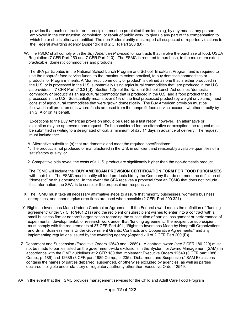provides that each contractor or subrecipient must be prohibited from inducing, by any means, any person employed in the construction, completion, or repair of public work, to give up any part of the compensation to which he or she is otherwise entitled. The non-Federal entity must report all suspected or reported violations to the Federal awarding agency (Appendix II of 2 CFR Part 200 (D)).

W. The FSMC shall comply with the *Buy American Provision* for contracts that involve the purchase of food, USDA Regulation (7 CFR Part 250 and 7 CFR Part 210). The FSMC is required to purchase, to the maximum extent practicable, domestic commodities and products.

 The SFA participates in the National School Lunch Program and School Breakfast Program and is required to use the nonprofit food service funds, to the maximum extent practical, to buy domestic commodities or products for Program meals. A "domestic commodity or product" is defined as one that is either produced in the U.S. or is processed in the U.S. substantially using agricultural commodities that are produced in the U.S. as provided in 7 CFR Part 210.21(d). Section 12(n) of the National School Lunch Act defines "domestic commodity or product" as an agricultural commodity that is produced in the U.S. and a food product that is processed in the U.S. Substantially means over 51% of the final processed product (by weight or volume) must consist of agricultural commodities that were grown domestically. The Buy American provision must be followed in all procurements where funds are used from the nonprofit food service account, whether directly by an SFA or on its behalf.

 Exceptions to the Buy American provision should be used as a last resort; however, an alternative or exception may be approved upon request. To be considered for the alternative or exception, the request must be submitted in writing to a designated official, a minimum of day 14 days in advance of delivery. The request must include the:

A. Alternative substitute (s) that are domestic and meet the required specifications:

1. The product is not produced or manufactured in the U.S. in sufficient and reasonably available quantities of a satisfactory quality; or

2. Competitive bids reveal the costs of a U.S. product are significantly higher than the non-domestic product.

 The FSMC will include the "**BUY AMERICAN PROVISION CERTIFICATION FORM FOR FOOD PURCHASES** with their bid. The FSMC must identify all food products bid by the Company that do not meet the definition of "domestic" on this document. In the event the SFA receives a proposal from an FSMC that does not include this Information, the SFA is to consider the proposal non-responsive.

- X. The FSMC must take all necessary affirmative steps to assure that minority businesses, women's business enterprises, and labor surplus area firms are used when possible (2 CFR Part 200.321)
- Y. Rights to Inventions Made Under a Contract or Agreement. If the Federal award meets the definition of "funding agreement" under 37 CFR §401.2 (a) and the recipient or subrecipient wishes to enter into a contract with a small business firm or nonprofit organization regarding the substitution of parties, assignment or performance of experimental, developmental, or research work under that "funding agreement," the recipient or subrecipient must comply with the requirements of 37 CFR Part 401, "Rights to Inventions Made by Nonprofit Organizations and Small Business Firms Under Government Grants, Contracts and Cooperative Agreements," and any implementing regulations issued by the awarding agency (Appendix II of 2 CFR Part 200 (F)).
- Z. Debarment and Suspension (Executive Orders 12549 and 12689)—A contract award (see 2 CFR 180.220) must not be made to parties listed on the government-wide exclusions in the System for Award Management (SAM), in accordance with the OMB guidelines at 2 CFR 180 that implement Executive Orders 12549 (3 CFR part 1986 Comp., p. 189) and 12689 (3 CFR part 1989 Comp., p. 235), "Debarment and Suspension." SAM Exclusions contains the names of parties debarred, suspended, or otherwise excluded by agencies, as well as parties declared ineligible under statutory or regulatory authority other than Executive Order 12549.

AA. In the event that the FSMC provides management services for the Child and Adult Care Food Program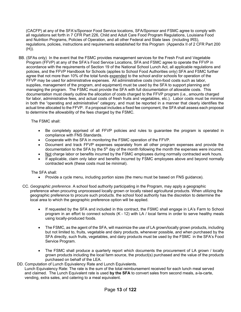(CACFP) at any of the SFA's/Sponsor Food Service locations, SFA/Sponsor and FSMC agree to comply with all regulations set forth in 7 CFR Part 226, Child and Adult Care Food Program Regulations, Louisiana Food and Nutrition Programs, Policies of Operation, and all other Federal and State laws (including IRS), regulations, policies, instructions and requirements established for this Program (Appendix II of 2 CFR Part 200  $(H)$ ).

BB. (SFAs only) In the event that the FSMC provides management services for the Fresh Fruit and Vegetable Program (FFVP) at any of the SFA's Food Service Locations, SFA and FSMC agree to operate the FFVP in accordance with the requirements of Section 19 of the National School Lunch Act, all applicable regulations and policies, and the FFVP Handbook for Schools (applies to School Food Authorities only) SFA and FSMC further agree that not more than 10% of the total funds expended to the school and/or schools for operation of the FFVP may be used for administrative expenses. All administrative costs (non-food costs such as labor, supplies, management of the program, and equipment) must be used by the SFA to support planning and managing the program. The FSMC must provide the SFA with full documentation of allowable costs. This documentation must clearly outline the allocation of costs charged to the FFVP program (i.e., amounts charged for labor, administrative fees, and actual costs of fresh fruits and vegetables, etc.). Labor costs must be minimal in both the "operating and administrative" category, and must be reported in a manner that clearly identifies the actual time allocated to the FFVP. If a proposal includes a fixed fee component, the SFA shall assess each proposal to determine the allowability of the fees charged by the FSMC.

The FSMC shall:

- Be completely apprised of all FFVP policies and rules to guarantee the program is operated in compliance with FNS Standards.
- Cooperate with the SFA in monitoring the FSMC operation of the FFVP.
- Document and track FFVP expenses separately from all other program expenses and provide the documentation to the SFA by the 5<sup>th</sup> day of the month following the month the expenses were incurred.
- Not charge labor or benefits incurred by the FSMC employees during normally contracted work hours.
- If applicable, claim only labor and benefits incurred by FSMC employees above and beyond normally contracted work (these costs must be minimal).

The SFA shall:

- Provide a cycle menu, including portion sizes (the menu must be based on FNS guidance).
- CC. *Geographic preference.* A school food authority participating in the Program, may apply a geographic preference when procuring unprocessed locally grown or locally raised agricultural products. When utilizing the geographic preference to procure such products. the school food authority has the discretion to determine the local area to which the geographic preference option will be applied.
	- If requested by the SFA and included in this contract, the FSMC shall engage in LA's Farm to School program in an effort to connect schools (K - 12) with LA / local farms in order to serve healthy meals using locally-produced foods.
	- The FSMC, as the agent of the SFA, will maximize the use of LA grown/locally grown products, including but not limited to, fruits, vegetable and dairy products, whenever possible, and when purchased by the SFA directly, such fruits, vegetables, and dairy products must be used by the FSMC in the SFA's Food Service Program.
	- The FSMC shall produce a quarterly report which documents the procurement of LA grown / locally grown products including the local farm source, the product(s) purchased and the value of the products purchased on behalf of the LEA.
- DD. Computation of Lunch Equivalency Rate and Lunch Equivalents. Lunch Equivalency Rate: The rate is the sum of the total reimbursement received for each lunch meal served and claimed. The Lunch Equivalent rate is used **by the SFA** to convert sales from second meals, a-la-carte, vending, extra sales, and catering to a meal equivalent.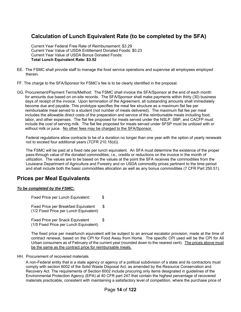# **Calculation of Lunch Equivalent Rate (to be completed by the SFA)**

Current Year Federal Free Rate of Reimbursement: \$3.29 Current Year Value of USDA Entitlement Donated Foods: \$0.23 Current Year Value of USDA Bonus Donated Foods: **Total Lunch Equivalent Rate: \$3.52**

- EE. The FSMC shall provide staff to manage the food service operations and supervise all employees employed therein.
- FF. The charge to the SFA/Sponsor for FSMC's fee is to be clearly identified in the proposal.
- GG. Procurement/Payment Terms/Method: The FSMC shall invoice the SFA/Sponsor at the end of each month for amounts due based on on-site records. The SFA/Sponsor shall make payments within thirty (30) business days of receipt of the invoice. Upon termination of the Agreement, all outstanding amounts shall immediately become due and payable. This prototype specifies the meal fee structure as a maximum flat fee per reimbursable meal served to a student (not number of meals delivered). The maximum flat fee per meal includes the allowable direct costs of the preparation and service of the reimbursable meals including food, labor, and other expenses. The flat fee proposed for meals served under the NSLP, SBP, and CACFP must include the cost of serving milk. The flat fee proposed for meals served under SFSP must be unitized with or without milk or juice. No other fees may be charged to the SFA/Sponsor.

Federal regulations allow contracts to be of a duration no longer than one year with the option of yearly renewals not to exceed four additional years (7CFR 210.16(d)).

The FSMC will be paid at a fixed rate per lunch equivalent. An SFA must determine the existence of the proper pass-through value of the donated commodities; i.e., credits or reductions on the invoice in the month of utilization. The values are to be based on the values at the point the SFA receives the commodities from the Louisiana Department of Agriculture and Forestry and on USDA commodity prices pertinent to the time period and shall include both the basic commodities allocation as well as any bonus commodities (7 CFR Part 250.51).

# **Prices per Meal Equivalents**

#### *To be completed by the FSMC:*

Fixed Price per Lunch Equivalent: \$

Fixed Price per Breakfast Equivalent \$ (1/2 Fixed Price per Lunch Equivalent)

Fixed Price per Snack Equivalent \$ (1/5 Fixed Price per Lunch Equivalent)

The fixed price per meal/lunch equivalent will be subject to an annual escalator provision, made at the time of contract renewal, based on the CPI for Food Away from Home. The specific CPI used will be the CPI for All Urban consumers as of February of the current year (rounded down to the nearest cent). The prices above must be the same as the contract price for reimbursable meals.

HH. Procurement of recovered materials.

A non-Federal entity that is a state agency or agency of a political subdivision of a state and its contractors must comply with section 6002 of the Solid Waste Disposal Act, as amended by the Resource Conservation and Recovery Act. The requirements of Section 6002 include procuring only items designated in guidelines of the Environmental Protection Agency (EPA) at 40 CFR part 247 that contain the highest percentage of recovered materials practicable, consistent with maintaining a satisfactory level of competition, where the purchase price of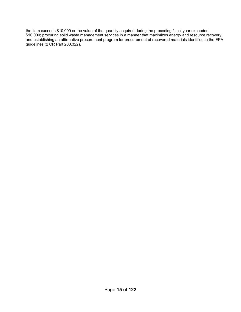the item exceeds \$10,000 or the value of the quantity acquired during the preceding fiscal year exceeded \$10,000; procuring solid waste management services in a manner that maximizes energy and resource recovery; and establishing an affirmative procurement program for procurement of recovered materials identified in the EPA guidelines (2 CR Part 200.322).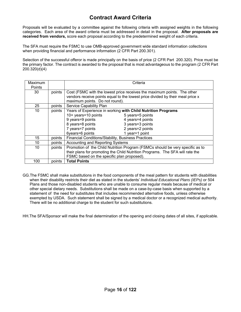# **Contract Award Criteria**

Proposals will be evaluated by a committee against the following criteria with assigned weights in the following categories. Each area of the award criteria must be addressed in detail in the proposal. **After proposals are received from vendors,** score each proposal according to the predetermined weight of each criteria.

The SFA must require the FSMC to use OMB-approved government wide standard information collections when providing financial and performance information (2 CFR Part 200.301).

Selection of the successful offeror is made principally on the basis of price (2 CFR Part 200.320). Price must be the primary factor. The contract is awarded to the proposal that is most advantageous to the program (2 CFR Part 200.320(d)(4)

| Maximum |        | Criteria                                                                      |                                                                                |  |  |  |  |
|---------|--------|-------------------------------------------------------------------------------|--------------------------------------------------------------------------------|--|--|--|--|
| Points  |        |                                                                               |                                                                                |  |  |  |  |
| 30      | points |                                                                               | Cost (FSMC with the lowest price receives the maximum points. The other        |  |  |  |  |
|         |        |                                                                               | vendors receive points equal to the lowest price divided by their meal price x |  |  |  |  |
|         |        | maximum points. Do not round).                                                |                                                                                |  |  |  |  |
| 25      | points | Service Capability Plan                                                       |                                                                                |  |  |  |  |
| 10      | points | Years of Experience in working with Child Nutrition Programs                  |                                                                                |  |  |  |  |
|         |        | 10+ years=10 points<br>5 years=5 points                                       |                                                                                |  |  |  |  |
|         |        | 9 years=9 points<br>4 years=4 points                                          |                                                                                |  |  |  |  |
|         |        | 8 years=8 points<br>3 years=3 points                                          |                                                                                |  |  |  |  |
|         |        | 7 years=7 points                                                              | 2 years=2 points                                                               |  |  |  |  |
|         |        | 6years=6 points<br>1 year=1 point                                             |                                                                                |  |  |  |  |
| 15      | points | Financial Conditions/Stability, Business Practices                            |                                                                                |  |  |  |  |
| 10      | points | Accounting and Reporting Systems                                              |                                                                                |  |  |  |  |
| 10      | points | Promotion of the Child Nutrition Program (FSMCs should be very specific as to |                                                                                |  |  |  |  |
|         |        | their plans for promoting the Child Nutrition Programs. The SFA will rate the |                                                                                |  |  |  |  |
|         |        | FSMC based on the specific plan proposed).                                    |                                                                                |  |  |  |  |
| 100     | points | <b>Total Points</b>                                                           |                                                                                |  |  |  |  |

GG.The FSMC shall make substitutions in the food components of the meal pattern for students with disabilities when their disability restricts their diet as stated in the students' *Individual Educational Plans (IEPs)* or 504 Plans and those non-disabled students who are unable to consume regular meals because of medical or other special dietary needs. Substitutions shall be made on a case-by-case basis when supported by a statement of the need for substitutes that includes recommended alternative foods, unless otherwise exempted by USDA. Such statement shall be signed by a medical doctor or a recognized medical authority. There will be no additional charge to the student for such substitutions.

HH.The SFA/Sponsor will make the final determination of the opening and closing dates of all sites, if applicable.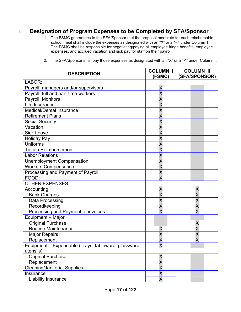# **II. Designation of Program Expenses to be Completed by SFA/Sponsor**

1. The FSMC guarantees to the SFA/Sponsor that the proposal meal rate for each reimbursable school meal shall include the expenses as designated with an "X" or a " $\checkmark$ " under Column 1. The FSMC shall be responsible for negotiating/paying all employee fringe benefits, employee expenses, and accrued vacation and sick pay for staff on their payroll.

| <b>DESCRIPTION</b>                                   | <b>COLUMN I</b><br>(FSMC) | <b>COLUMN II</b><br>(SFA/SPONSOR) |
|------------------------------------------------------|---------------------------|-----------------------------------|
| LABOR:                                               |                           |                                   |
| Payroll, managers and/or supervisors                 | X                         |                                   |
| Payroll, full and part-time workers                  | $\overline{\mathsf{X}}$   |                                   |
| Payroll, Monitors                                    | $\overline{\mathsf{x}}$   |                                   |
| Life Insurance                                       | $\overline{\mathsf{X}}$   |                                   |
| Medical/Dental Insurance                             | $\overline{\mathsf{x}}$   |                                   |
| <b>Retirement Plans</b>                              | $\overline{\mathsf{x}}$   |                                   |
| <b>Social Security</b>                               | $\overline{\mathsf{x}}$   |                                   |
| Vacation                                             | X                         |                                   |
| <b>Sick Leave</b>                                    | X                         |                                   |
| <b>Holiday Pay</b>                                   | $\overline{\mathsf{x}}$   |                                   |
| Uniforms                                             | X                         |                                   |
| <b>Tuition Reimbursement</b>                         | $\overline{\mathsf{X}}$   |                                   |
| <b>Labor Relations</b>                               | X                         |                                   |
| <b>Unemployment Compensation</b>                     | X                         |                                   |
| <b>Workers Compensation</b>                          | X                         |                                   |
| Processing and Payment of Payroll                    | $\overline{\mathsf{x}}$   |                                   |
| FOOD:                                                | $\overline{\mathsf{x}}$   |                                   |
| <b>OTHER EXPENSES:</b>                               |                           |                                   |
| Accounting                                           | X                         | Χ                                 |
| <b>Bank Charges</b>                                  | $\overline{\mathsf{X}}$   | $\overline{\mathsf{x}}$           |
| Data Processing                                      | $\overline{\mathsf{x}}$   | $\overline{\mathsf{x}}$           |
| Recordkeeping                                        | $\overline{\mathsf{X}}$   | $\overline{\mathsf{x}}$           |
| Processing and Payment of invoices                   | X                         | $\overline{\mathsf{x}}$           |
| Equipment - Major                                    |                           |                                   |
| <b>Original Purchase</b>                             |                           | Χ                                 |
| <b>Routine Maintenance</b>                           | X                         | X                                 |
| <b>Major Repairs</b>                                 | X                         | X                                 |
| Replacement                                          | X                         | X                                 |
| Equipment – Expendable (Trays, tableware, glassware, | X                         |                                   |
| utensils)                                            |                           |                                   |
| <b>Original Purchase</b>                             | X                         |                                   |
| Replacement                                          | $\overline{\mathsf{x}}$   |                                   |
| <b>Cleaning/Janitorial Supplies</b>                  | X                         |                                   |
| Insurance                                            | X                         |                                   |
| Liability Insurance                                  | X                         |                                   |

2. The SFA/Sponsor shall pay those expenses as designated with an "X" or a " $\checkmark$ " under Column II.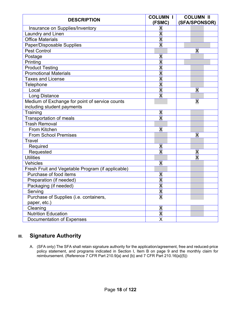| <b>DESCRIPTION</b>                                | <b>COLUMN I</b><br>(FSMC) | <b>COLUMN II</b><br>(SFA/SPONSOR) |  |  |  |
|---------------------------------------------------|---------------------------|-----------------------------------|--|--|--|
| Insurance on Supplies/Inventory                   | Χ                         |                                   |  |  |  |
| Laundry and Linen                                 | X                         |                                   |  |  |  |
| <b>Office Materials</b>                           | X                         |                                   |  |  |  |
| Paper/Disposable Supplies                         | $\overline{\mathsf{x}}$   |                                   |  |  |  |
| <b>Pest Control</b>                               |                           | X                                 |  |  |  |
| Postage                                           | Χ                         |                                   |  |  |  |
| Printing                                          | X                         |                                   |  |  |  |
| <b>Product Testing</b>                            | $\overline{\mathsf{x}}$   |                                   |  |  |  |
| <b>Promotional Materials</b>                      | $\overline{\mathsf{x}}$   |                                   |  |  |  |
| <b>Taxes and License</b>                          | $\overline{\mathsf{x}}$   |                                   |  |  |  |
| Telephone                                         | $\overline{\mathsf{x}}$   |                                   |  |  |  |
| Local                                             | $\overline{\mathsf{x}}$   | X                                 |  |  |  |
| Long Distance                                     | $\overline{\mathsf{x}}$   |                                   |  |  |  |
| Medium of Exchange for point of service counts    |                           | X                                 |  |  |  |
| including student payments                        |                           |                                   |  |  |  |
| Training                                          | Χ                         |                                   |  |  |  |
| <b>Transportation of meals</b>                    | $\overline{\mathsf{X}}$   |                                   |  |  |  |
| <b>Trash Removal</b>                              |                           |                                   |  |  |  |
| From Kitchen                                      | X                         |                                   |  |  |  |
| <b>From School Premises</b>                       |                           | X                                 |  |  |  |
| Travel                                            |                           |                                   |  |  |  |
| Required                                          | X                         |                                   |  |  |  |
| Requested                                         | $\overline{\mathsf{x}}$   | Χ                                 |  |  |  |
| <b>Utilities</b>                                  |                           | X                                 |  |  |  |
| Vehicles                                          | X                         |                                   |  |  |  |
| Fresh Fruit and Vegetable Program (if applicable) |                           |                                   |  |  |  |
| Purchase of food items                            | Χ                         |                                   |  |  |  |
| Preparation (if needed)                           | X                         |                                   |  |  |  |
| Packaging (if needed)                             | X                         |                                   |  |  |  |
| Serving                                           | $\vee$<br>V               |                                   |  |  |  |
| Purchase of Supplies (i.e. containers,            | X                         |                                   |  |  |  |
| paper, etc.)                                      |                           |                                   |  |  |  |
| Cleaning                                          | X                         |                                   |  |  |  |
| <b>Nutrition Education</b>                        | $\overline{\mathsf{x}}$   |                                   |  |  |  |
| Documentation of Expenses                         | X                         |                                   |  |  |  |

# **III.** Signature Authority

A. (SFA only) The SFA shall retain signature authority for the application/agreement, free and reduced-price policy statement, and programs indicated in Section I, Item B on page 9 and the monthly claim for reimbursement. (Reference 7 CFR Part 210.9{a} and {b} and 7 CFR Part 210.16{a}{5})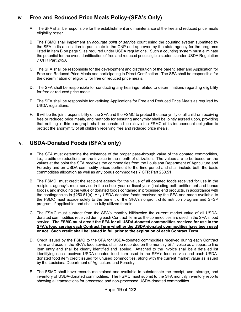# **IV. Free and Reduced Price Meals Policy-(SFA's Only)**

- A. The SFA shall be responsible for the establishment and maintenance of the free and reduced price meals eligibility roster.
- B. The FSMC shall implement an *accurate point of service* count using the counting system submitted by the SFA in its application to participate in the CNP and approved by the state agency for the programs listed in Item B on page 9, as required under USDA regulations. Such a counting system must eliminate the potential for the overt identification of free and reduced price eligible students under USDA Regulation 7 CFR Part 245.8.
- C. The SFA shall be responsible for the development and distribution of the parent letter and Application for Free and Reduced Price Meals and participating in Direct Certification. The SFA shall be responsible for the determination of eligibility for free or reduced price meals.
- D. The SFA shall be responsible for conducting any hearings related to determinations regarding eligibility for free or reduced price meals.
- E. The SFA shall be responsible for verifying Applications for Free and Reduced Price Meals as required by USDA regulations.
- F. It will be the joint responsibility of the SFA and the FSMC to protect the anonymity of all children receiving free or reduced price meals, and methods for ensuring anonymity shall be jointly agreed upon, providing that nothing in this paragraph shall be construed to relieve the FSMC of its independent obligation to protect the anonymity of all children receiving free and reduced price meals.

# **V. USDA-Donated Foods (SFA's only)**

- A. The SFA must determine the existence of the proper pass-through value of the donated commodities, i.e., credits or reductions on the invoice in the month of utilization. The values are to be based on the values at the point the SFA receives the commodities from the Louisiana Department of Agriculture and Forestry and on USDA commodity prices pertinent to the time period and shall include both the basic commodities allocation as well as any bonus commodities 7 CFR Part 250.51.
- B. The FSMC must credit the recipient agency for the value of all donated foods received for use in the recipient agency's meal service in the school year or fiscal year (including both entitlement and bonus foods), and including the value of donated foods contained in processed end products, in accordance with the contingencies in §250.51(a). Any USDA-donated foods received by the SFA and made available to the FSMC must accrue solely to the benefit of the SFA's nonprofit child nutrition program and SFSP program, if applicable, and shall be fully utilized therein.
- C. The FSMC must subtract from the SFA's monthly bill/invoice the current market value of all USDAdonated commodities received during each Contract Term as the commodities are used in the SFA's food service. **The FSMC must credit the SFA for all USDA-donated commodities received for use in the SFA's food service each Contract Term whether the USDA-donated commodities have been used or not. Such credit shall be issued in full prior to the expiration of each Contract Term.**
- D. Credit issued by the FSMC to the SFA for USDA-donated commodities received during each Contract Term and used in the SFA's food service shall be recorded on the monthly bill/invoice as a separate line item entry and shall be clearly identified and labeled. Attached to the invoice shall be a detailed list identifying each received USDA-donated food item used in the SFA's food service and each USDAdonated food item credit issued for unused commodities, along with the current market value as issued by the Louisiana Department of Agriculture and Forestry.
- E. The FSMC shall have records maintained and available to substantiate the receipt, use, storage, and inventory of USDA-donated commodities. The FSMC must submit to the SFA monthly inventory reports showing all transactions for processed and non-processed USDA-donated commodities.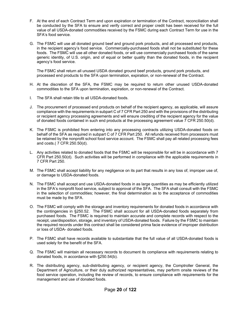- F. At the end of each Contract Term and upon expiration or termination of the Contract, reconciliation shall be conducted by the SFA to ensure and verify correct and proper credit has been received for the full value of all USDA-donated commodities received by the FSMC during each Contract Term for use in the SFA's food service.
- G. The FSMC will use all donated ground beef and ground pork products, and all processed end products, in the recipient agency's food service. Commercially-purchased foods shall not be substituted for these foods. The FSMC will use all other donated foods, or will use commercially purchased foods of the same generic identity, of U.S. origin, and of equal or better quality than the donated foods, in the recipient agency's food service.

The FSMC shall return all unused USDA donated ground beef products, ground pork products, and processed end products to the SFA upon termination, expiration, or non-renewal of the Contract.

- H. At the discretion of the SFA, the FSMC may be required to return other unused USDA-donated commodities to the SFA upon termination, expiration, or non-renewal of the Contract.
- I. The SFA shall retain title to all USDA-donated foods.
- J. The procurement of processed end products on behalf of the recipient agency, as applicable, will assure compliance with the requirements in subpart C of 7 CFR Part 250 and with the provisions of the distributing or recipient agency processing agreements and will ensure crediting of the recipient agency for the value of donated foods contained in such end products at the processing agreement value 7 CFR 250.50(d).
- K. The FSMC is prohibited from entering into any processing contracts utilizing USDA-donated foods on behalf of the SFA as required in subpart C of 7 CFR Part 250. All refunds received from processors must be retained by the nonprofit school food service account. The FSMC shall pay all related processing fees and costs.( 7 CFR 250.50(d).
- L. Any activities related to donated foods that the FSMC will be responsible for will be in accordance with 7 CFR Part 250.50(d). Such activities will be performed in compliance with the applicable requirements in 7 CFR Part 250.
- M. The FSMC shall accept liability for any negligence on its part that results in any loss of, improper use of, or damage to USDA-donated foods.
- N. The FSMC shall accept and use USDA-donated foods in as large quantities as may be efficiently utilized in the SFA's nonprofit food service, subject to approval of the SFA. The SFA shall consult with the FSMC in the selection of commodities; however, the final determination as to the acceptance of commodities must be made by the SFA.
- O. The FSMC will comply with the storage and inventory requirements for donated foods in accordance with the contingencies in §250.52. The FSMC shall account for all USDA-donated foods separately from purchased foods. The FSMC is required to maintain accurate and complete records with respect to the receipt, use/disposition, storage, and inventory of USDA-donated foods. Failure by the FSMC to maintain the required records under this contract shall be considered prima facie evidence of improper distribution or loss of USDA- donated foods.
- P. The FSMC shall have records available to substantiate that the full value of all USDA-donated foods is used solely for the benefit of the SFA.
- Q. The FSMC will maintain all necessary records to document its compliance with requirements relating to donated foods, in accordance with §250.54(b).
- R. The distributing agency, sub-distributing agency, or recipient agency, the Comptroller General, the Department of Agriculture, or their duly authorized representatives, may perform onsite reviews of the food service operation, including the review of records, to ensure compliance with requirements for the management and use of donated foods.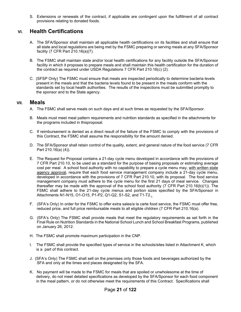S. Extensions or renewals of the contract, if applicable are contingent upon the fulfillment of all contract provisions relating to donated foods.

# **VI. Health Certifications**

- A. The SFA/Sponsor shall maintain all applicable health certifications on its facilities and shall ensure that all state and local regulations are being met by the FSMC preparing or serving meals at any SFA/Sponsor facility (7 CFR Part 210.16(a)(7).
- B. The FSMC shall maintain state and/or local health certifications for any facility outside the SFA/Sponsor facility in which it proposes to prepare meals and shall maintain this health certification for the duration of the contract as required under USDA Regulations 7 CFR Part 210.16(c) (2).
- C. (SFSP Only) The FSMC must ensure that meals are inspected periodically to determine bacteria levels present in the meals and that the bacteria levels found to be present in the meals conform with the standards set by local health authorities. The results of the inspections must be submitted promptly to the sponsor and to the State agency.

#### **VII. Meals**

- A. The FSMC shall serve meals on such days and at such times as requested by the SFA/Sponsor.
- B. Meals must meet meal pattern requirements and nutrition standards as specified in the attachments for the programs included in thisproposal.
- C. If reimbursement is denied as a direct result of the failure of the FSMC to comply with the provisions of this Contract, the FSMC shall assume the responsibility for the amount denied.
- D. The SFA/Sponsor shall retain control of the quality, extent, and general nature of the food service (7 CFR Part 210.16(a) (4)).
- E. The Request for Proposal contains a 21-day cycle menu developed in accordance with the provisions of 7 CFR Part 210.10, to be used as a standard for the purpose of basing proposals or estimating average cost per meal. A school food authority with no capability to prepare a cycle menu may, with written state agency approval, require that each food service management company include a 21-day cycle menu, developed in accordance with the provisions of 7 CFR Part 210.10, with its proposal. The food service management company must adhere to the cycle menu for the first 21 days of meal service. Changes thereafter may be made with the approval of the school food authority (7 CFR Part 210.16(b)(1)). The FSMC shall adhere to the 21-day cycle menus and portion sizes specified by the SFA/Sponsor in Attachments N1-N15, O1-O15, P1-P2, Q1-Q2, S1-S2, and T1-T2..
- F. (SFA's Only) In order for the FSMC to offer extra sales/a la carte food service, the FSMC must offer free, reduced price, and full price reimbursable meals to all eligible children (7 CFR Part 210.16(a).
- G. (SFA's Only) The FSMC shall provide meals that meet the regulatory requirements as set forth in the Final Rule on Nutrition Standards in the National School Lunch and School Breakfast Programs, published on January 26, 2012.
- H. The FSMC shall promote maximum participation in the CNP.
- I. The FSMC shall provide the specified types of service in the schools/sites listed in Attachment K, which is a part of this contract.
- J. (SFA's Only) The FSMC shall sell on the premises only those foods and beverages authorized by the SFA and only at the times and places designated by the SFA.
- K. No payment will be made to the FSMC for meals that are spoiled or unwholesome at the time of delivery, do not meet detailed specifications as developed by the SFA/Sponsor for each food component in the meal pattern, or do not otherwise meet the requirements of this Contract. Specifications shall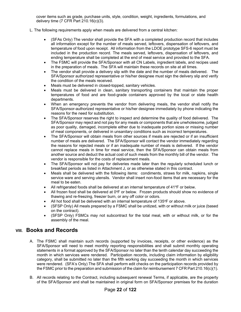cover items such as grade, purchase units, style, condition, weight, ingredients, formulations, and delivery time (7 CFR Part 210.16(c)(3).

- L. The following requirements apply when meals are delivered from a central kitchen:
	- (SFAs Only) The vendor shall provide the SFA with a completed production record that includes all information except for the number of meals served, leftovers, dispensation of leftovers, and temperature of food upon receipt. All information from the LDOE prototype SFS-6 report must be included in the production record. The meals served, leftovers, dispensation of leftovers, and ending temperature shall be completed at the end of meal service and provided to the SFA.
	- The FSMC will provide the SFA/Sponsor with all CN Labels, ingredient labels, and recipes used in the preparation of meals. The SFA will maintain these records on site at all times.
	- The vendor shall provide a delivery slip with the date and the number of meals delivered. The SFA/Sponsor authorized representative or his/her designee must sign the delivery slip and verify the condition of the meals received.
	- Meals must be delivered in closed-topped, sanitary vehicles.
	- Meals must be delivered in clean, sanitary transporting containers that maintain the proper temperatures of food and are food-grade containers approved by the local or state health departments.
	- When an emergency prevents the vendor from delivering meals, the vendor shall notify the SFA/Sponsor-authorized representative or his/her designee immediately by phone indicating the reasons for the need for substitution.
	- The SFA/Sponsor reserves the right to inspect and determine the quality of food delivered. The SFA/Sponsor may reject and not pay for any meals or components that are unwholesome, judged as poor quality, damaged, incomplete either due to inadequate portion sizes or missing number of meal components, or delivered in unsanitary conditions such as incorrect temperatures.
	- The SFA/Sponsor will obtain meals from other sources if meals are rejected or if an insufficient number of meals are delivered. The SFA/Sponsor will contact the vendor immediately regarding the reasons for rejected meals or if an inadequate number of meals is delivered. If the vendor cannot replace meals in time for meal service, then the SFA/Sponsor can obtain meals from another source and deduct the actual cost of such meals from the monthly bill of the vendor. The vendor is responsible for the costs of replacement meals.
	- The SFA/Sponsor will not pay for deliveries made later than the regularly scheduled lunch or breakfast periods as listed in Attachment J, or as otherwise stated in this contract.
	- Meals shall be delivered with the following items: condiments, straws for milk, napkins, single service ware and serving utensils. Vendor shall insert non-food items that are necessary for the meal to be eaten.
	- All refrigerated foods shall be delivered at an internal temperature of  $41^{\circ}$ F or below.
	- All frozen food shall be delivered at  $0^{\circ}$ F or below. Frozen products should show no evidence of thawing and re-freezing, freezer burn, or any off color or odors.
	- All hot food shall be delivered with an internal temperature of 135°F or above.
	- (SFSP Only) All meals prepared by a FSMC shall be unitized, with or without milk or juice (based on the contract).
	- (SFSP Only) FSMCs may not subcontract for the total meal, with or without milk, or for the assembly of the meal.

### **VIII. Books and Records**

- A. The FSMC shall maintain such records (supported by invoices, receipts, or other evidence) as the SFA/Sponsor will need to meet monthly reporting responsibilities and shall submit monthly operating statements in a format approved by the SFA/Sponsor no later than the tenth calendar day succeeding the month in which services were rendered. Participation records, including claim information by eligibility category, shall be submitted no later than the fifth working day succeeding the month in which services were rendered. (SFA's Only) The SFA shall perform edit checks on the participation records provided by the FSMC prior to the preparation and submission of the claim for reimbursement 7 CFR Part 210.16(c)(1).
- B. All records relating to the Contract, including subsequent renewal Terms, if applicable, are the property of the SFA/Sponsor and shall be maintained in original form on SFA/Sponsor premises for the duration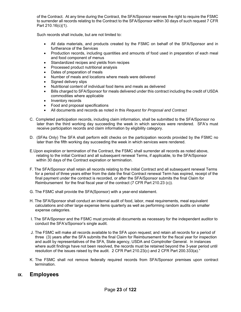of the Contract. At any time during the Contract, the SFA/Sponsor reserves the right to require the FSMC to surrender all records relating to the Contract to the SFA/Sponsor within 30 days of such request 7 CFR Part 210.16(c)(1).

Such records shall include, but are not limited to:

- All data materials, and products created by the FSMC on behalf of the SFA/Sponsor and in furtherance of the Services
- Production records, including quantities and amounts of food used in preparation of each meal and food component of menus
- Standardized recipes and yields from recipes
- Processed product nutritional analysis
- Dates of preparation of meals
- Number of meals and locations where meals were delivered
- Signed delivery slips
- Nutritional content of individual food items and meals as delivered
- Bills charged to SFA/Sponsor for meals delivered under this contract including the credit of USDA commodities where applicable
- Inventory records
- Food and proposal specifications
- All documents and records as noted in this *Request for Proposal and Contract*
- C. Completed participation records, including claim information, shall be submitted to the SFA/Sponsor no later than the third working day succeeding the week in which services were rendered. SFA's must receive participation records and claim information by eligibility category.
- D. (SFAs Only) The SFA shall perform edit checks on the participation records provided by the FSMC no later than the fifth working day succeeding the week in which services were rendered.
- E.Upon expiration or termination of the Contract, the FSMC shall surrender all records as noted above, relating to the initial Contract and all subsequent renewal Terms, if applicable, to the SFA/Sponsor within 30 days of the Contract expiration or termination.
- F. The SFA/Sponsor shall retain all records relating to the initial Contract and all subsequent renewal Terms for a period of three years either from the date the final Contract renewal Term has expired, receipt of the final payment under the contract is recorded, or after the SFA/Sponsor submits the final Claim for Reimbursement for the final fiscal year of the contract (7 CFR Part 210.23 (c)).
- G. The FSMC shall provide the SFA(Sponsor) with a year-end statement.
- H. The SFA/Sponsor shall conduct an internal audit of food, labor, meal requirements, meal equivalent calculations and other large expense items quarterly as well as performing random audits on smaller expense categories.
- I. The SFA/Sponsor and the FSMC must provide all documents as necessary for the independent auditor to conduct the SFA's/Sponsor's single audit.
- J. The FSMC will make all records available to the SFA upon request; and retain all records for a period of three (3) years after the SFA submits the final Claim for Reimbursement for the fiscal year for inspection and audit by representatives of the SFA, State agency, USDA and Comptroller General. In instances where audit findings have not been resolved, the records must be retained beyond the 3-year period until resolution of the issues raised by the audit. 2 CFR Part 210.23(c) and 2 CFR Part 200.333(a)."
- K. The FSMC shall not remove federally required records from SFA/Sponsor premises upon contract termination.

# **IX. Employees**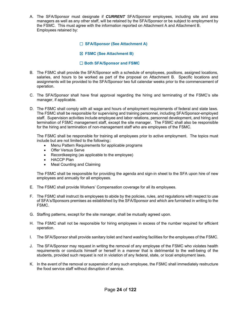A. The SFA/Sponsor must designate if *CURRENT* SFA/Sponsor employees, including site and area managers as well as any other staff, will be retained by the SFA/Sponsor or be subject to employment by the FSMC. This must agree with the information reported on Attachment A and Attachment B. Employees retained by:

#### ☐ **SFA/Sponsor (See Attachment A)**

#### ☒ **FSMC (See Attachment B)**

#### ☐ **Both SFA/Sponsor and FSMC**

- B. The FSMC shall provide the SFA/Sponsor with a schedule of employees, positions, assigned locations, salaries, and hours to be worked as part of the proposal on Attachment B. Specific locations and assignments will be provided to the SFA/Sponsor two full calendar weeks prior to the commencement of operation.
- C. The SFA/Sponsor shall have final approval regarding the hiring and terminating of the FSMC's site manager, if applicable.
- D. The FSMC shall comply with all wage and hours of employment requirements of federal and state laws. The FSMC shall be responsible for supervising and training personnel, including SFA/Sponsor-employed staff. Supervision activities include employee and labor relations, personnel development, and hiring and termination of FSMC management staff, except the site manager. The FSMC shall also be responsible for the hiring and termination of non-management staff who are employees of the FSMC.

The FSMC shall be responsible for training all employees prior to active employment. The topics must include but are not limited to the following::

- Menu Pattern Requirements for applicable programs
- Offer Versus Serve
- Recordkeeping (as applicable to the employee)
- HACCP Plan
- Meal Counting and Claiming

The FSMC shall be responsible for providing the agenda and sign-in sheet to the SFA upon hire of new employees and annually for all employees.

- E. The FSMC shall provide Workers' Compensation coverage for all its employees.
- F. The FSMC shall instruct its employees to abide by the policies, rules, and regulations with respect to use of SFA's/Sponsors premises as established by the SFA/Sponsor and which are furnished in writing to the FSMC.
- G. Staffing patterns, except for the site manager, shall be mutually agreed upon.
- H. The FSMC shall not be responsible for hiring employees in excess of the number required for efficient operation.
- I. The SFA/Sponsor shall provide sanitary toilet and hand washing facilities for the employees of the FSMC.
- J. The SFA/Sponsor may request in writing the removal of any employee of the FSMC who violates health requirements or conducts himself or herself in a manner that is detrimental to the well-being of the students, provided such request is not in violation of any federal, state, or local employment laws.
- K. In the event of the removal or suspension of any such employee, the FSMC shall immediately restructure the food service staff without disruption of service.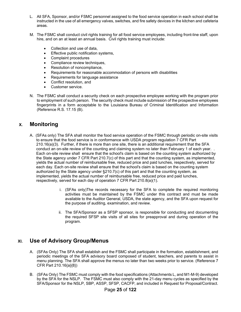- L. All SFA, Sponsor, and/or FSMC personnel assigned to the food service operation in each school shall be instructed in the use of all emergency valves, switches, and fire safety devices in the kitchen and cafeteria areas.
- M. The FSMC shall conduct civil rights training for all food service employees, including front-line staff, upon hire, and on an at least an annual basis. Civil rights training must include:
	- Collection and use of data,
	- **Effective public notification systems,**
	- Complaint procedures
	- Compliance review techniques,
	- Resolution of noncompliance,
	- Requirements for reasonable accommodation of persons with disabilities
	- Requirements for language assistance
	- Conflict resolution, and
	- Customer service.
- N. The FSMC shall conduct a security check on each prospective employee working with the program prior to employment of such person. The security check must include submission of the prospective employees fingerprints in a form acceptable to the Louisiana Bureau of Criminal Identification and Information (Reference R.S. 17.15 (B).

# **X. Monitoring**

- A. (SFAs only) The SFA shall monitor the food service operation of the FSMC through periodic on-site visits to ensure that the food service is in conformance with USDA program regulation 7 CFR Part 210.16(a)(3). Further, if there is more than one site, there is an additional requirement that the SFA conduct an on-site review of the counting and claiming system no later than February 1 of each year. . Each on-site review shall ensure that the school's claim is based on the counting system authorized by the State agency under 7 CFR Part 210.7(c) of this part and that the counting system, as implemented, yields the actual number of reimbursable free, reduced price and paid lunches, respectively, served for each day. Each on-site review shall ensure that the school's claim is based on the counting system authorized by the State agency under §210.7(c) of this part and that the counting system, as implemented, yields the actual number of reimbursable free, reduced price and paid lunches, respectively, served for each day of operation 7 CFR Part 210.8(a)(1).
	- i. (SFAs only)The records necessary for the SFA to complete the required monitoring activities must be maintained by the FSMC under this contract and must be made available to the Auditor General, USDA, the state agency, and the SFA upon request for the purpose of auditing, examination, and review.
	- ii. The SFA/Sponsor as a SFSP sponsor, is responsible for conducting and documenting the required SFSP site visits of all sites for preapproval and during operation of the program.

# **XI. Use of Advisory Group/Menus**

- A. (SFAs Only) The SFA shall establish and the FSMC shall participate in the formation, establishment, and periodic meetings of the SFA advisory board composed of student, teachers, and parents to assist in menu planning. The SFA shall approve the menus no later than two weeks prior to service. (Reference 7 CFR Part 210.16{a}{8})
- B. (SFAs Only) The FSMC must comply with the food specifications (Attachments L, and M1-M-9) developed by the SFA for the NSLP. The FSMC must also comply with the 21-day menu cycles as specified by the SFA/Sponsor for the NSLP, SBP, ASSP, SFSP, CACFP, and included in Request for Proposal/Contract.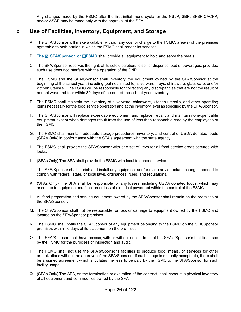Any changes made by the FSMC after the first initial menu cycle for the NSLP, SBP, SFSP,CACFP, and/or ASSP may be made only with the approval of the SFA.

# **XII. Use of Facilities, Inventory, Equipment, and Storage**

- A. The SFA/Sponsor will make available, without any cost or charge to the FSMC, area(s) of the premises agreeable to both parties in which the FSMC shall render its services.
- B. **The ⊠ SFA/Sponsor or □FSMC** shall provide all equipment to hold and serve the meals.
- C. The SFA/Sponsor reserves the right, at its sole discretion, to sell or dispense food or beverages, provided such use does not interfere with the operation of the CNP.
- D. The FSMC and the SFA/Sponsor shall inventory the equipment owned by the SFA/Sponsor at the beginning of the school year, including (but not limited to) silverware, trays, chinaware, glassware, and/or kitchen utensils. The FSMC will be responsible for correcting any discrepancies that are not the result of normal wear and tear within 30 days of the end-of-the-school-year inventory.
- E. The FSMC shall maintain the inventory of silverware, chinaware, kitchen utensils, and other operating items necessary for the food service operation and at the inventory level as specified by the SFA/Sponsor.
- F. The SFA/Sponsor will replace expendable equipment and replace, repair, and maintain nonexpendable equipment except when damages result from the use of less than reasonable care by the employees of the FSMC.
- G. The FSMC shall maintain adequate storage procedures, inventory, and control of USDA donated foods (SFAs Only) in conformance with the SFA's agreement with the state agency.
- H. The FSMC shall provide the SFA/Sponsor with one set of keys for all food service areas secured with locks.
- I. (SFAs Only) The SFA shall provide the FSMC with local telephone service.
- J. The SFA/Sponsor shall furnish and install any equipment and/or make any structural changes needed to comply with federal, state, or local laws, ordinances, rules, and regulations.
- K. (SFAs Only) The SFA shall be responsible for any losses, including USDA donated foods, which may arise due to equipment malfunction or loss of electrical power not within the control of the FSMC.
- L. All food preparation and serving equipment owned by the SFA/Sponsor shall remain on the premises of the SFA/Sponsor.
- M. The SFA/Sponsor shall not be responsible for loss or damage to equipment owned by the FSMC and located on the SFA/Sponsor premises.
- N. The FSMC shall notify the SFA/Sponsor of any equipment belonging to the FSMC on the SFA/Sponsor premises within 10 days of its placement on the premises.
- O. The SFA/Sponsor shall have access, with or without notice, to all of the SFA's/Sponsor's facilities used by the FSMC for the purposes of inspection and audit.
- P. The FSMC shall not use the SFA's/Sponsor's facilities to produce food, meals, or services for other organizations without the approval of the SFA/Sponsor. If such usage is mutually acceptable, there shall be a signed agreement which stipulates the fees to be paid by the FSMC to the SFA/Sponsor for such facility usage.
- Q. (SFAs Only) The SFA, on the termination or expiration of the contract, shall conduct a physical inventory of all equipment and commodities owned by the SFA.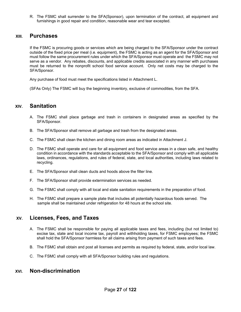R. The FSMC shall surrender to the SFA(Sponsor), upon termination of the contract, all equipment and furnishings in good repair and condition, reasonable wear and tear excepted.

#### **XIII. Purchases**

If the FSMC is procuring goods or services which are being charged to the SFA/Sponsor under the contract outside of the fixed price per meal (i.e. equipment), the FSMC is acting as an agent for the SFA/Sponsor and must follow the same procurement rules under which the SFA/Sponsor must operate and the FSMC may not serve as a vendor. Any rebates, discounts, and applicable credits associated in any manner with purchases must be returned to the nonprofit school food service account. Only net costs may be charged to the SFA/Sponsor.

Any purchase of food must meet the specifications listed in Attachment L.

(SFAs Only) The FSMC will buy the beginning inventory, exclusive of commodities, from the SFA.

### **XIV. Sanitation**

- A. The FSMC shall place garbage and trash in containers in designated areas as specified by the SFA/Sponsor.
- B. The SFA/Sponsor shall remove all garbage and trash from the designated areas.
- C. The FSMC shall clean the kitchen and dining room areas as indicated in Attachment J.
- D. The FSMC shall operate and care for all equipment and food service areas in a clean safe, and healthy condition in accordance with the standards acceptable to the SFA/Sponsor and comply with all applicable laws, ordinances, regulations, and rules of federal, state, and local authorities, including laws related to recycling.
- E. The SFA/Sponsor shall clean ducts and hoods above the filter line.
- F. The SFA/Sponsor shall provide extermination services as needed.
- G. The FSMC shall comply with all local and state sanitation requirements in the preparation of food.
- H. The FSMC shall prepare a sample plate that includes all potentially hazardous foods served. The sample shall be maintained under refrigeration for 48 hours at the school site.

### **XV. Licenses, Fees, and Taxes**

- A. The FSMC shall be responsible for paying all applicable taxes and fees, including (but not limited to) excise tax, state and local income tax, payroll and withholding taxes, for FSMC employees; the FSMC shall hold the SFA/Sponsor harmless for all claims arising from payment of such taxes and fees.
- B. The FSMC shall obtain and post all licenses and permits as required by federal, state, and/or local law.
- C. The FSMC shall comply with all SFA/Sponsor building rules and regulations.

#### **XVI. Non-discrimination**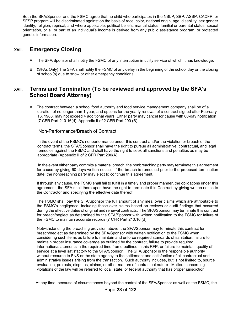Both the SFA/Sponsor and the FSMC agree that no child who participates in the NSLP, SBP. ASSP, CACFP, or SFSP program will be discriminated against on the basis of race, color, national origin, age, disability, sex gender identity, religion, reprisal, and where applicable, political beliefs, marital status, familial or parental status, sexual orientation, or all or part of an individual's income is derived from any public assistance program, or protected genetic information.

# **XVII. Emergency Closing**

- A. The SFA/Sponsor shall notify the FSMC of any interruption in utility service of which it has knowledge.
- B. (SFAs Only) The SFA shall notify the FSMC of any delay in the beginning of the school day or the closing of school(s) due to snow or other emergency conditions.

# **XVII. Terms and Termination (To be reviewed and approved by the SFA's School Board Attorney)**

A. The contract between a school food authority and food service management company shall be of a duration of no longer than 1 year; and options for the yearly renewal of a contract signed after February 16, 1988, may not exceed 4 additional years. Either party may cancel for cause with 60-day notification (7 CFR Part 210.16(d), Appendix II of 2 CFR Part 200 (B).

#### Non-Performance/Breach of Contract

 In the event of the FSMC's nonperformance under this contract and/or the violation or breach of the contract terms, the SFA/Sponsor shall have the right to pursue all administrative, contractual, and legal remedies against the FSMC and shall have the right to seek all sanctions and penalties as may be appropriate (Appendix II of 2 CFR Part 200(A).

 In the event either party commits a material breach, the nonbreaching party may terminate this agreement for cause by giving 60 days written notice. If the breach is remedied prior to the proposed termination date, the nonbreaching party may elect to continue this agreement.

If through any cause, the FSMC shall fail to fulfill in a timely and proper manner, the obligations under this agreement, the SFA shall there upon have the right to terminate this Contract by giving written notice to the Contractor and specifying the effective date thereof.

The FSMC shall pay the SFA/Sponsor the full amount of any meal over claims which are attributable to the FSMC's negligence, including those over claims based on reviews or audit findings that occurred during the effective dates of original and renewal contracts. The SFA/Sponsor may terminate this contract for breach/neglect as determined by the SFA/Sponsor with written notification to the FSMC for failure of the FSMC to maintain accurate records (7 CFR Part 210.16 (d).

Notwithstanding the breaching provision above, the SFA/Sponsor may terminate this contract for breach/neglect as determined by the SFA/Sponsor with written notification to the FSMC when considering such items as failure to maintain and enforce required standards of sanitation, failure to maintain proper insurance coverage as outlined by the contract, failure to provide required information/statements in the required time frame outlined in this RFP, or failure to maintain quality of service at a level satisfactory to the SFA/Sponsor. The SFA/Sponsor is the responsible authority without recourse to FNS or the state agency to the settlement and satisfaction of all contractual and administrative issues arising from the transaction. Such authority includes, but is not limited to, source evaluation, protests, disputes, claims, or other matters of contractual nature. Matters concerning violations of the law will be referred to local, state, or federal authority that has proper jurisdiction.

At any time, because of circumstances beyond the control of the SFA/Sponsor as well as the FSMC, the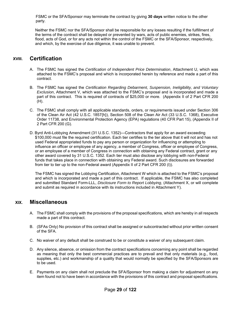FSMC or the SFA/Sponsor may terminate the contract by giving **30 days** written notice to the other party.

 Neither the FSMC nor the SFA/Sponsor shall be responsible for any losses resulting if the fulfillment of the terms of the contract shall be delayed or prevented by wars, acts of public enemies, strikes, fires, flood, acts of God, or for any acts not within the control of the FSMC or the SFA/Sponsor, respectively, and which, by the exercise of due diligence, it was unable to prevent.

### **XVIII. Certification**

- A. The FSMC has signed the *Certification of Independent Price Determination*, Attachment U, which was attached to the FSMC's proposal and which is incorporated herein by reference and made a part of this contract.
- B. The FSMC has signed the *Certification Regarding Debarment, Suspension, Ineligibility, and Voluntary Exclusion*, Attachment V, which was attached to the FSMC's proposal and is incorporated and made a part of this contract. This is required of contracts of \$25,000 or more. (Appendix II of 2 Part CFR 200 (H).
- C. The FSMC shall comply with all applicable standards, orders, or requirements issued under Section 306 of the Clean Air Act (42 U.S.C. 1857{h}), Section 508 of the Clean Air Act (33 U.S.C. 1368), Executive Order 11738, and Environmental Protection Agency (EPA) regulations (40 CFR Part 15), (Appendix II of 2 Part CFR 200 (G).
- D. Byrd Anti-Lobbying Amendment (31 U.S.C. 1352)—Contractors that apply for an award exceeding \$100,000 must file the required certification. Each tier certifies to the tier above that it will not and has not used Federal appropriated funds to pay any person or organization for influencing or attempting to influence an officer or employee of any agency, a member of Congress, officer or employee of Congress, or an employee of a member of Congress in connection with obtaining any Federal contract, grant or any other award covered by 31 U.S.C. 1352. Each tier must also disclose any lobbying with non-Federal funds that takes place in connection with obtaining any Federal award. Such disclosures are forwarded from tier to tier up to the non-Federal award (Appendix II of 2 Part CFR 200 (I)).

The FSMC has signed the Lobbying Certification, Attachment W which is attached to the FSMC's proposal and which is incorporated and made a part of this contract. If applicable, the FSMC has also completed and submitted Standard Form-LLL, *Disclosure Form to Report Lobbying*, (Attachment X, or will complete and submit as required in accordance with its instructions included in Attachment Y).

# **XIX. Miscellaneous**

- A. The FSMC shall comply with the provisions of the proposal specifications, which are hereby in all respects made a part of this contract.
- B. (SFAs Only) No provision of this contract shall be assigned or subcontracted without prior written consent of the SFA.
- C. No waiver of any default shall be construed to be or constitute a waiver of any subsequent claim.
- D. Any silence, absence, or omission from the contract specifications concerning any point shall be regarded as meaning that only the best commercial practices are to prevail and that only materials (e.g., food, supplies, etc.) and workmanship of a quality that would normally be specified by the SFA/Sponsors are to be used.
- E. Payments on any claim shall not preclude the SFA/Sponsor from making a claim for adjustment on any item found not to have been in accordance with the provisions of this contract and proposal specifications.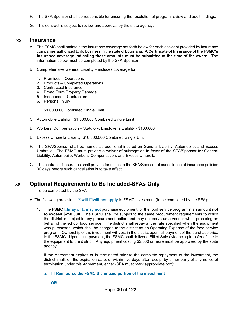- F. The SFA/Sponsor shall be responsible for ensuring the resolution of program review and audit findings.
- G. This contract is subject to review and approval by the state agency.

#### **XX. Insurance**

- A. The FSMC shall maintain the insurance coverage set forth below for each accident provided by insurance companies authorized to do business in the state of Louisiana. **A Certificate of Insurance of the FSMC's insurance coverage indicating these amounts must be submitted at the time of the award.** The information below must be completed by the SFA/Sponsor.
- B. Comprehensive General Liability includes coverage for:
	- 1. Premises Operations
	- 2. Products Completed Operations
	- 3. Contractual Insurance
	- 4. Broad Form Property Damage
	- 5. Independent Contractors
	- 6. Personal Injury

\$1,000,000 Combined Single Limit

- C. Automobile Liability: \$1,000,000 Combined Single Limit
- D. Workers' Compensation Statutory; Employer's Liability \$100,000
- E. Excess Umbrella Liability: \$10,000,000 Combined Single Unit
- F. The SFA/Sponsor shall be named as additional insured on General Liability, Automobile, and Excess Umbrella. The FSMC must provide a waiver of subrogation in favor of the SFA/Sponsor for General Liability, Automobile, Workers' Compensation, and Excess Umbrella.
- G. The contract of insurance shall provide for notice to the SFA/Sponsor of cancellation of insurance policies 30 days before such cancellation is to take effect.

# **XXI. Optional Requirements to Be Included-SFAs Only**

To be completed by the SFA

A. The following provisions ⊠will □will not apply to FSMC investment (to be completed by the SFA):

1. **The FSMC** ☒**may or** ☐**may not** purchase equipment for the food service program in an amount **not to exceed \$250,000**. The FSMC shall be subject to the same procurement requirements to which the district is subject in any procurement action and may not serve as a vendor when procuring on behalf of the school food service. The district shall repay at the rate specified when the equipment was purchased, which shall be charged to the district as an Operating Expense of the food service program. Ownership of the investment will vest in the district upon full payment of the purchase price to the FSMC. Upon such payment, the FSMC shall deliver a Bill of Sale evidencing transfer of title to the equipment to the district. Any equipment costing \$2,500 or more must be approved by the state agency.

If the Agreement expires or is terminated prior to the complete repayment of the investment, the district shall, on the expiration date, or within five days after receipt by either party of any notice of termination under this Agreement, either (SFA must mark appropriate box):

- a. ☐ **Reimburse the FSMC the unpaid portion of the investment**
	- **OR**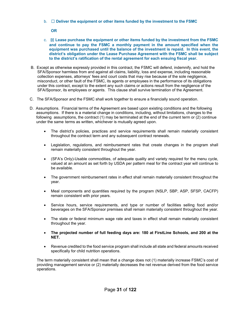b. ☐ **Deliver the equipment or other items funded by the investment to the FSMC**

**OR** 

- c. ☒ **Lease purchase the equipment or other items funded by the investment from the FSMC and continue to pay the FSMC a monthly payment in the amount specified when the equipment was purchased until the balance of the investment is repaid. In this event, the district's obligation under the Lease Purchase Agreement with the FSMC shall be subject to the district's ratification of the rental agreement for each ensuing fiscal year.**
- B. Except as otherwise expressly provided in this contract, the FSMC will defend, indemnify, and hold the SFA/Sponsor harmless from and against all claims, liability, loss and expense, including reasonable collection expenses, attorneys' fees and court costs that may rise because of the sole negligence, misconduct, or other fault of the FSMC, its agents or employees in the performance of its obligations under this contract, except to the extent any such claims or actions result from the negligence of the SFA/Sponsor, its employees or agents. This clause shall survive termination of the Agreement.
- C. The SFA/Sponsor and the FSMC shall work together to ensure a financially sound operation.
- D. Assumptions. Financial terms of the Agreement are based upon existing conditions and the following assumptions. If there is a material change in conditions, including, without limitations, changes to the following assumptions, the contract (1) may be terminated at the end of the current term or (2) continue under the same terms as written, whichever is mutually agreed upon.
	- The district's policies, practices and service requirements shall remain materially consistent throughout the contract term and any subsequent contract renewals.
	- Legislation, regulations, and reimbursement rates that create changes in the program shall remain materially consistent throughout the year.
	- (SFA's Only)-Usable commodities, of adequate quality and variety required for the menu cycle, valued at an amount as set forth by USDA per pattern meal for the contract year will continue to be available.
	- The government reimbursement rates in effect shall remain materially consistent throughout the year.
	- Meal components and quantities required by the program (NSLP, SBP, ASP, SFSP, CACFP) remain consistent with prior years.
	- Service hours, service requirements, and type or number of facilities selling food and/or beverages on the SFA/Sponsor premises shall remain materially consistent throughout the year.
	- The state or federal minimum wage rate and taxes in effect shall remain materially consistent throughout the year.
	- **The projected number of full feeding days are: 180 at FirstLine Schools, and 200 at the NET.**
	- Revenue credited to the food service program shall include all state and federal amounts received specifically for child nutrition operations.

The term materially consistent shall mean that a change does not (1) materially increase FSMC's cost of providing management service or (2) materially decreases the net revenue derived from the food service operations.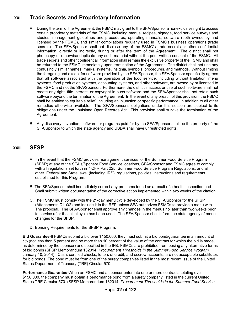# **XXII. Trade Secrets and Proprietary Information**

- A. During the term of the Agreement, the FSMC may grant to the SFA/Sponsor a nonexclusive right to access certain proprietary materials of the FSMC, including menus, recipes, signage, food service surveys and studies, management guidelines and procedures, operating manuals, software (both owned by and licensed by the FSMC), and similar compilations regularly used in FSMC's business operations (trade secrets). The SFA/Sponsor shall not disclose any of the FSMC's trade secrets or other confidential information, directly or indirectly, during or after the term of the Agreement. The district shall not photocopy or otherwise duplicate any such material without the prior written consent of the FSMC. All trade secrets and other confidential information shall remain the exclusive property of the FSMC and shall be returned to the FSMC immediately upon termination of the Agreement. The district shall not use any confusingly similar names, marks, systems, insignia, symbols, procedures, and methods. Without limiting the foregoing and except for software provided by the SFA/Sponsor, the SFA/Sponsor specifically agrees that all software associated with the operation of the food service, including without limitation, menu systems, food production systems, accounting systems, and other software, are owned by or licensed to the FSMC and not the SFA/Sponsor. Furthermore, the district's access or use of such software shall not create any right, title interest, or copyright in such software and the SFA/Sponsor shall not retain such software beyond the termination of the Agreement. In the event of any breach of this provision, the FSMC shall be entitled to equitable relief, including an injunction or specific performance, in addition to all other remedies otherwise available. The SFA/Sponsor's obligations under this section are subject to its obligations under the Louisiana Open Records Act. This provision shall survive the termination of the Agreement.
- B. Any discovery, invention, software, or programs paid for by the SFA/Sponsor shall be the property of the SFA/Sponsor to which the state agency and USDA shall have unrestricted rights.

# **XXIII. SFSP**

- A. In the event that the FSMC provides management services for the Summer Food Service Program (SFSP) at any of the SFA's/Sponsor Food Service locations, SFA/Sponsor and FSMC agree to comply with all regulations set forth in 7 CFR Part 225, Summer Food Service Program Regulations, and all other Federal and State laws (including IRS), regulations, policies, instructions and requirements established for this Program.
- B. The SFA/Sponsor shall immediately correct any problems found as a result of a health inspection and Shall submit written documentation of the corrective action implemented within two weeks of the citation.
- C. The FSMC must comply with the 21-day menu cycle developed by the SFA/Sponsor for the SFSP (Attachments Q1-Q2) and include it in the RFP unless SFA authorizes FSMCs to provide a menu with The proposal. The SFA/Sponsor shall approve any changes in the menus no later than two weeks prior to service after the initial cycle has been used. The SFA/Sponsor shall inform the state agency of menu changes for the SFSP.
- D. Bonding Requirements for the SFSP Program:

**Bid Guarantee**-If FSMCs submit a bid over \$150,000, they must submit a bid bond/guarantee in an amount of 5% (not less than 5 percent and no more than 10 percent of the value of the contract for which the bid is made, as determined by the sponsor) and specified in the IFB. FSMCs are prohibited from posing any alternative forms of bid bonds (SFSP Memorandum 132014: *Procurement Thresholds in the Summer Food Service Program,*  January 10, 2014). Cash, certified checks, letters of credit, and escrow accounts, are not acceptable substitutes for bid bonds. The bond must be from one of the surety companies listed in the most recent issue of the United States Department of Treasury (TRE) Circular 570.

**Performance Guarantee-**When an FSMC and a sponsor enter into one or more contracts totaling over \$150,000, the company must obtain a performance bond from a surety company listed in the current United States TRE Circular 570. (SFSP Memorandum 132014: *Procurement Thresholds in the Summer Food Service*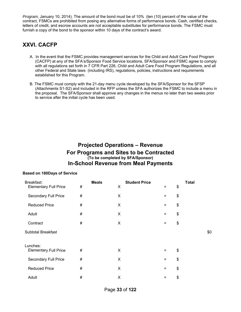*Program*, January 10, 2014). The amount of the bond must be of 10% (ten (10) percent of the value of the contract, FSMCs are prohibited from posing any alternative forms of performance bonds. Cash, certified checks, letters of credit, and escrow accounts are not acceptable substitutes for performance bonds. The FSMC must furnish a copy of the bond to the sponsor within 10 days of the contract's award.

# **XXVI. CACFP**

- A. In the event that the FSMC provides management services for the Child and Adult Care Food Program (CACFP) at any of the SFA's/Sponsor Food Service locations, SFA/Sponsor and FSMC agree to comply with all regulations set forth in 7 CFR Part 226, Child and Adult Care Food Program Regulations, and all other Federal and State laws (including IRS), regulations, policies, instructions and requirements established for this Program.
- B. The FSMC must comply with the 21-day menu cycle developed by the SFA/Sponsor for the SFSP (Attachments S1-S2) and included in the RFP unless the SFA authorizes the FSMC to include a menu in the proposal. The SFA/Sponsor shall approve any changes in the menus no later than two weeks prior to service after the initial cycle has been used.

# **Projected Operations – Revenue For Programs and Sites to be Contracted (To be completed by SFA/Sponsor) In-School Revenue from Meal Payments**

#### **Based on 180Days of Service**

| Breakfast:                   |      | <b>Meals</b> |   | <b>Student Price</b> |          | <b>Total</b> |     |
|------------------------------|------|--------------|---|----------------------|----------|--------------|-----|
| <b>Elementary Full Price</b> | #    |              | X |                      | $=$      | \$           |     |
| Secondary Full Price         | #    |              | X |                      | $=$      | \$           |     |
| <b>Reduced Price</b>         | #    |              | X |                      | $=$      | \$           |     |
| Adult                        | $\#$ |              | X |                      | $=$      | \$           |     |
| Contract                     | #    |              | X |                      | $\equiv$ | \$           |     |
| <b>Subtotal Breakfast</b>    |      |              |   |                      |          |              | \$0 |
| Lunches:                     |      |              |   |                      |          |              |     |
| <b>Elementary Full Price</b> | #    |              | X |                      | $=$      | \$           |     |
| Secondary Full Price         | #    |              | X |                      | $=$      | \$           |     |
| <b>Reduced Price</b>         | #    |              | X |                      | $=$      | \$           |     |
| Adult                        | #    |              | X |                      | $=$      | \$           |     |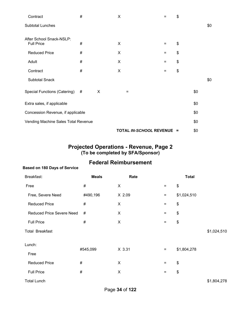| Contract                                      | #    |   | X |                         | =   | \$  |     |     |
|-----------------------------------------------|------|---|---|-------------------------|-----|-----|-----|-----|
| Subtotal Lunches                              |      |   |   |                         |     |     |     | \$0 |
| After School Snack-NSLP:<br><b>Full Price</b> | #    |   | X |                         | $=$ | \$  |     |     |
| <b>Reduced Price</b>                          | #    |   | X |                         | $=$ | \$  |     |     |
| Adult                                         | $\#$ |   | X |                         | $=$ | \$  |     |     |
| Contract                                      | #    |   | X |                         | $=$ | \$  |     |     |
| <b>Subtotal Snack</b>                         |      |   |   |                         |     |     |     | \$0 |
| Special Functions (Catering)                  | #    | X | = |                         |     |     | \$0 |     |
| Extra sales, if applicable                    |      |   |   |                         |     |     | \$0 |     |
| Concession Revenue, if applicable             |      |   |   |                         |     |     | \$0 |     |
| Vending Machine Sales Total Revenue           |      |   |   |                         |     |     | \$0 |     |
|                                               |      |   |   | TOTAL IN-SCHOOL REVENUE |     | $=$ | \$0 |     |

### **Projected Operations - Revenue, Page 2 (To be completed by SFA/Sponsor)**

# **Federal Reimbursement**

# **Based on 180 Days of Service**

| Breakfast:                       | <b>Meals</b> | Rate           |                   | <b>Total</b> |             |
|----------------------------------|--------------|----------------|-------------------|--------------|-------------|
| Free                             | #            | X              | $=$               | \$           |             |
| Free, Severe Need                | #490,196     | X 2.09         | $\equiv$          | \$1,024,510  |             |
| <b>Reduced Price</b>             | #            | X              | $\equiv$          | \$           |             |
| <b>Reduced Price Severe Need</b> | #            | X              | $=$               | \$           |             |
| <b>Full Price</b>                | #            | X              | $=$               | \$           |             |
| <b>Total Breakfast</b>           |              |                |                   |              | \$1,024,510 |
| Lunch:                           |              |                |                   |              |             |
| Free                             | #545,099     | X 3.31         | $\equiv$          | \$1,804,278  |             |
| <b>Reduced Price</b>             | $\#$         | $\pmb{\times}$ | $\qquad \qquad =$ | \$           |             |
| <b>Full Price</b>                | #            | $\pmb{\times}$ | $\qquad \qquad =$ | \$           |             |
| <b>Total Lunch</b>               |              |                |                   |              | \$1,804,278 |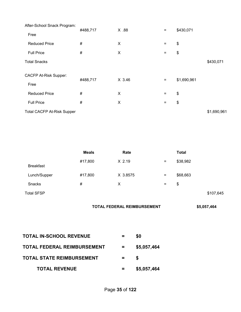| After-School Snack Program:       |          |        |          |             |             |
|-----------------------------------|----------|--------|----------|-------------|-------------|
| Free                              | #488,717 | X .88  | $\equiv$ | \$430,071   |             |
| <b>Reduced Price</b>              | $\#$     | X      | $\equiv$ | \$          |             |
| <b>Full Price</b>                 | #        | X      | $=$      | \$          |             |
| <b>Total Snacks</b>               |          |        |          |             | \$430,071   |
| <b>CACFP At-Risk Supper:</b>      |          | X 3.46 |          |             |             |
| Free                              | #488,717 |        | $=$      | \$1,690,961 |             |
| <b>Reduced Price</b>              | #        | X      | $=$      | \$          |             |
| <b>Full Price</b>                 | #        | X      | $\equiv$ | \$          |             |
| <b>Total CACFP At-Risk Supper</b> |          |        |          |             | \$1,690,961 |

|                   | <b>Meals</b> | Rate     |                   | <b>Total</b> |           |
|-------------------|--------------|----------|-------------------|--------------|-----------|
| <b>Breakfast</b>  | #17,800      | $X$ 2.19 | $\qquad \qquad =$ | \$38,982     |           |
| Lunch/Supper      | #17,800      | X 3.8575 | $\equiv$          | \$68,663     |           |
| Snacks            | #            | X        | $\equiv$          | \$           |           |
| <b>Total SFSP</b> |              |          |                   |              | \$107,645 |

| TOTAL FEDERAL REIMBURSEMENT | \$5,057,464 |
|-----------------------------|-------------|
|-----------------------------|-------------|

| <b>TOTAL IN-SCHOOL REVENUE</b>     |          | \$0         |  |
|------------------------------------|----------|-------------|--|
| <b>TOTAL FEDERAL REIMBURSEMENT</b> | $\equiv$ | \$5,057,464 |  |
| <b>TOTAL STATE REIMBURSEMENT</b>   |          | S           |  |
| <b>TOTAL REVENUE</b>               |          | \$5,057,464 |  |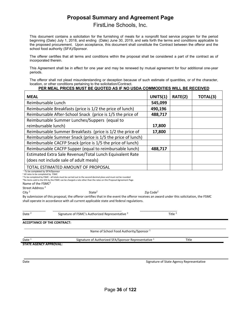# **Proposal Summary and Agreement Page**

FirstLine Schools, Inc.

This document contains a solicitation for the furnishing of meals for a nonprofit food service program for the period beginning (Date) July 1, 2018, and ending (Date) June 30, 2019, and sets forth the terms and conditions applicable to the proposed procurement. Upon acceptance, this document shall constitute the Contract between the offeror and the school food authority (SFA)/Sponsor.

The offerer certifies that all terms and conditions within the proposal shall be considered a part of the contract as of incorporated therein.

This Agreement shall be in effect for one year and may be renewed by mutual agreement for four additional one-year periods.

The offeror shall not plead misunderstanding or deception because of such estimate of quantities, or of the character, location, or other conditions pertaining to the solicitation/Contract.

#### **PER MEAL PRICES MUST BE QUOTED AS IF NO USDA COMMODITIES WILL BE RECEIVED**

| <b>MEAL</b>                                                 | UNITS(1) | RATE(2) | TOTAL(3) |
|-------------------------------------------------------------|----------|---------|----------|
| Reimbursable Lunch                                          | 545,099  |         |          |
| Reimbursable Breakfasts (price is 1/2 the price of lunch)   | 490,196  |         |          |
| Reimbursable After-School Snack (price is 1/5 the price of  | 488,717  |         |          |
| Reimbursable Summer Lunches/Suppers (equal to               |          |         |          |
| reimbursable lunch)                                         | 17,800   |         |          |
| Reimbursable Summer Breakfasts (price is 1/2 the price of   | 17,800   |         |          |
| Reimbursable Summer Snack (price is 1/5 the price of lunch) |          |         |          |
| Reimbursable CACFP Snack (price is 1/5 the price of lunch)  |          |         |          |
| Reimbursable CACFP Supper (equal to reimbursable lunch)     | 488,717  |         |          |
| Estimated Extra Sale Revenue/Total Lunch Equivalent Rate    |          |         |          |
| (does not include sale of adult meals)                      |          |         |          |
| TOTAL ESTIMATED AMOUNT OF PROPOSAL                          |          |         |          |

<sup>2</sup> All rates to be completed by FSMC

<sup>3</sup> To be completed by FSMC - all totals must be carried out to the second decimal place and must not be rounded

\*No items sold to the SFA by the FSMC can be charged a rate other than the rates on this Proposal Agreement Page

Name of the FSMC<sup>2</sup>

Street Address <sup>2</sup>

City <sup>2</sup> State2 Zip Code2 By submission of this proposal, the offeror certifies that in the event the offeror receives an award under this solicitation, the FSMC shall operate in accordance with all current applicable state and federal regulations.

Date <sup>2</sup> Signature of FSMC's Authorized Representative <sup>2</sup> Title <sup>2</sup>

\_\_\_\_\_\_\_\_\_\_\_\_\_ \_\_\_\_\_\_\_\_\_\_\_\_\_\_\_\_\_\_\_\_\_\_\_\_\_\_\_\_\_\_\_\_\_\_\_\_\_\_\_ \_\_\_\_\_\_\_\_\_\_\_\_\_\_\_\_\_\_\_\_\_

**ACCEPTANCE OF THE CONTRACT:**

Name of School Food Authority/Sponsor<sup>1</sup>

Date <sup>1</sup> 5ignature of Authorized SFA/Sponsor Representative <sup>1</sup> Title

**STATE AGENCY APPROVAL:**

Date **Date and Contract Contract Contract Contract Contract Contract Contract Contract Contract Contract Contract Contract Contract Contract Contract Contract Contract Contract Contract Contract Contract Contract Contract**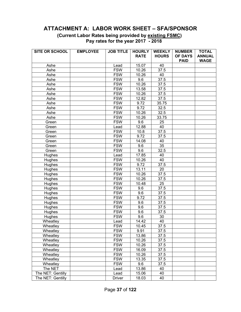## **ATTACHMENT A: LABOR WORK SHEET – SFA/SPONSOR**

 **(Current Labor Rates being provided by existing FSMC) Pay rates for the year 2017 - 2018** 

| SITE OR SCHOOL    | <b>EMPLOYEE</b> | <b>JOB TITLE</b> | <b>HOURLY</b> | <b>WEEKLY</b>     | <b>NUMBER</b>  | <b>TOTAL</b>  |
|-------------------|-----------------|------------------|---------------|-------------------|----------------|---------------|
|                   |                 |                  | <b>RATE</b>   | <b>HOURS</b>      | <b>OF DAYS</b> | <b>ANNUAL</b> |
|                   |                 |                  |               |                   | <b>PAID</b>    | <b>WAGE</b>   |
| Ashe              |                 | Lead             | 15.07         | 40                |                |               |
| Ashe              |                 | <b>FSW</b>       | 10.26         | 37.5              |                |               |
| Ashe              |                 | <b>FSW</b>       | 10.26         | 40                |                |               |
| Ashe              |                 | <b>FSW</b>       | 9.6           | 37.5              |                |               |
| Ashe              |                 | <b>FSW</b>       | 10.26         | 37.5              |                |               |
| Ashe              |                 | <b>FSW</b>       | 13.58         | 37.5              |                |               |
| Ashe              |                 | <b>FSW</b>       | 10.26         | $\overline{37.5}$ |                |               |
| Ashe              |                 | <b>FSW</b>       | 12.82         | 37.5              |                |               |
| Ashe              |                 | <b>FSW</b>       | 9.72          | 35.75             |                |               |
| Ashe              |                 | <b>FSW</b>       | 9.72          | 32.5              |                |               |
| Ashe              |                 | <b>FSW</b>       | 10.26         | 32.5              |                |               |
| Ashe              |                 | <b>FSW</b>       | 10.26         | 33.75             |                |               |
| Green             |                 | <b>FSW</b>       | 9.6           | 25                |                |               |
| Green             |                 | Lead             | 12.88         | 40                |                |               |
| Green             |                 | <b>FSW</b>       | 10.8          | 37.5              |                |               |
| Green             |                 | <b>FSW</b>       | 9.72          | 37.5              |                |               |
| Green             |                 | <b>FSW</b>       | 14.08         | 40                |                |               |
| Green             |                 | <b>FSW</b>       | 9.6           | $\overline{35}$   |                |               |
| Green             |                 | <b>FSW</b>       | 9.6           | 32.5              |                |               |
| Hughes            |                 | Lead             | 17.85         | 40                |                |               |
| Hughes            |                 | <b>FSW</b>       | 10.26         | 40                |                |               |
| Hughes            |                 | <b>FSW</b>       | 9.72          | 37.5              |                |               |
| Hughes            |                 | <b>FSW</b>       | 13.11         | 20                |                |               |
| Hughes            |                 | <b>FSW</b>       | 10.26         | 37.5              |                |               |
| Hughes            |                 | <b>FSW</b>       | 10.26         | 37.5              |                |               |
| Hughes            |                 | <b>FSW</b>       | 10.48         | 25                |                |               |
| Hughes            |                 | <b>FSW</b>       | 9.6           | 37.5              |                |               |
| Hughes            |                 | <b>FSW</b>       | 9.6           | 37.5              |                |               |
| Hughes            |                 | <b>FSW</b>       | 9.72          | 37.5              |                |               |
| Hughes            |                 | <b>FSW</b>       | 9.6           | 37.5              |                |               |
| Hughes            |                 | <b>FSW</b>       | 9.6           | 37.5              |                |               |
| Hughes            |                 | <b>FSW</b>       | 9.6           | 37.5              |                |               |
| Hughes            |                 | <b>FSW</b>       | 9.6           | 30                |                |               |
| Wheatley          |                 | Lead             | 14.42         | 40                |                |               |
| Wheatley          |                 | <b>FSW</b>       | 10.45         | 37.5              |                |               |
| Wheatley          |                 | <b>FSW</b>       | 9.91          | 37.5              |                |               |
| Wheatley          |                 | <b>FSW</b>       | 13.86         | 37.5              |                |               |
| Wheatley          |                 | <b>FSW</b>       | 10.26         | 37.5              |                |               |
| Wheatley          |                 | <b>FSW</b>       | 10.26         | 37.5              |                |               |
| Wheatley          |                 | <b>FSW</b>       | 16.09         | 37.5              |                |               |
| Wheatley          |                 | <b>FSW</b>       | 10.26         | 37.5              |                |               |
| Wheatley          |                 | <b>FSW</b>       | 13.35         | 37.5              |                |               |
| Wheatley          |                 | <b>FSW</b>       | 9.6           | 37.5              |                |               |
| The NET           |                 | Lead             | 13.86         | 40                |                |               |
| The NET: Gentilly |                 | Lead             | 15.06         | 40                |                |               |
| The NET: Gentilly |                 | <b>Driver</b>    | 18.03         | 40                |                |               |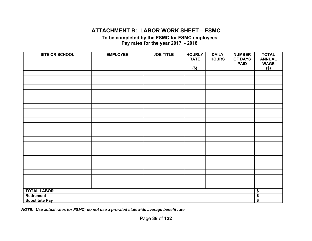## **ATTACHMENT B: LABOR WORK SHEET – FSMC**

**To be completed by the FSMC for FSMC employees Pay rates for the year 2017 - 2018** 

| <b>SITE OR SCHOOL</b> | <b>EMPLOYEE</b> | <b>JOB TITLE</b> | <b>HOURLY</b><br><b>RATE</b><br>\$) | <b>DAILY</b><br><b>HOURS</b> | <b>NUMBER</b><br><b>OF DAYS</b><br><b>PAID</b> | <b>TOTAL</b><br><b>ANNUAL</b><br><b>WAGE</b><br>$($)$ |  |  |  |
|-----------------------|-----------------|------------------|-------------------------------------|------------------------------|------------------------------------------------|-------------------------------------------------------|--|--|--|
|                       |                 |                  |                                     |                              |                                                |                                                       |  |  |  |
|                       |                 |                  |                                     |                              |                                                |                                                       |  |  |  |
|                       |                 |                  |                                     |                              |                                                |                                                       |  |  |  |
|                       |                 |                  |                                     |                              |                                                |                                                       |  |  |  |
|                       |                 |                  |                                     |                              |                                                |                                                       |  |  |  |
|                       |                 |                  |                                     |                              |                                                |                                                       |  |  |  |
|                       |                 |                  |                                     |                              |                                                |                                                       |  |  |  |
|                       |                 |                  |                                     |                              |                                                |                                                       |  |  |  |
|                       |                 |                  |                                     |                              |                                                |                                                       |  |  |  |
|                       |                 |                  |                                     |                              |                                                |                                                       |  |  |  |
|                       |                 |                  |                                     |                              |                                                |                                                       |  |  |  |
|                       |                 |                  |                                     |                              |                                                |                                                       |  |  |  |
|                       |                 |                  |                                     |                              |                                                |                                                       |  |  |  |
|                       |                 |                  |                                     |                              |                                                |                                                       |  |  |  |
|                       |                 |                  |                                     |                              |                                                |                                                       |  |  |  |
|                       |                 |                  |                                     |                              |                                                |                                                       |  |  |  |
|                       |                 |                  |                                     |                              |                                                |                                                       |  |  |  |
|                       |                 |                  |                                     |                              |                                                |                                                       |  |  |  |
|                       |                 |                  |                                     |                              |                                                |                                                       |  |  |  |
|                       |                 |                  |                                     |                              |                                                |                                                       |  |  |  |
|                       |                 |                  |                                     |                              |                                                |                                                       |  |  |  |
|                       |                 |                  |                                     |                              |                                                |                                                       |  |  |  |
|                       |                 |                  |                                     |                              |                                                |                                                       |  |  |  |
|                       |                 |                  |                                     |                              |                                                |                                                       |  |  |  |
|                       |                 |                  |                                     |                              |                                                | $\overline{\bullet}$                                  |  |  |  |
| <b>TOTAL LABOR</b>    |                 |                  |                                     |                              |                                                |                                                       |  |  |  |
| Retirement            |                 |                  |                                     |                              |                                                | $\overline{\$}$                                       |  |  |  |
| <b>Substitute Pay</b> |                 |                  |                                     |                              |                                                | $\overline{\boldsymbol{\mathsf{s}}}$                  |  |  |  |

*NOTE: Use actual rates for FSMC; do not use a prorated statewide average benefit rate.*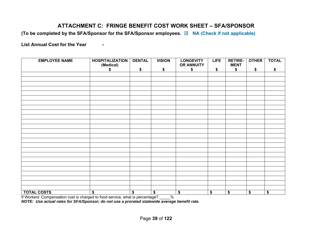# **ATTACHMENT C: FRINGE BENEFIT COST WORK SHEET – SFA/SPONSOR**

**(To be completed by the SFA/Sponsor for the SFA/Sponsor employees.** ☒ **NA (Check if not applicable)** 

List Annual Cost for the Year -

| <b>EMPLOYEE NAME</b> | <b>HOSPITALIZATION</b><br>(Medical) | <b>DENTAL</b> | <b>VISION</b> | <b>LONGEVITY</b><br><b>OR ANNUITY</b> | <b>LIFE</b> | <b>RETIRE-</b><br><b>MENT</b> | <b>OTHER</b> | <b>TOTAL</b> |
|----------------------|-------------------------------------|---------------|---------------|---------------------------------------|-------------|-------------------------------|--------------|--------------|
|                      | \$                                  | \$            | \$            | \$                                    | \$          | \$                            | \$           | \$           |
|                      |                                     |               |               |                                       |             |                               |              |              |
|                      |                                     |               |               |                                       |             |                               |              |              |
|                      |                                     |               |               |                                       |             |                               |              |              |
|                      |                                     |               |               |                                       |             |                               |              |              |
|                      |                                     |               |               |                                       |             |                               |              |              |
|                      |                                     |               |               |                                       |             |                               |              |              |
|                      |                                     |               |               |                                       |             |                               |              |              |
|                      |                                     |               |               |                                       |             |                               |              |              |
|                      |                                     |               |               |                                       |             |                               |              |              |
|                      |                                     |               |               |                                       |             |                               |              |              |
|                      |                                     |               |               |                                       |             |                               |              |              |
|                      |                                     |               |               |                                       |             |                               |              |              |
|                      |                                     |               |               |                                       |             |                               |              |              |
|                      |                                     |               |               |                                       |             |                               |              |              |
|                      |                                     |               |               |                                       |             |                               |              |              |
|                      |                                     |               |               |                                       |             |                               |              |              |
|                      |                                     |               |               |                                       |             |                               |              |              |
|                      |                                     |               |               |                                       |             |                               |              |              |
|                      |                                     |               |               |                                       |             |                               |              |              |
|                      |                                     |               |               |                                       |             |                               |              |              |
|                      |                                     |               |               |                                       |             |                               |              |              |
|                      |                                     |               |               |                                       |             |                               |              |              |
|                      |                                     |               |               |                                       |             |                               |              |              |
|                      |                                     |               |               |                                       |             |                               |              |              |
|                      |                                     |               |               |                                       |             |                               |              |              |
| <b>TOTAL COSTS</b>   | \$                                  | \$            | \$            | \$                                    | \$          | \$                            | \$           | \$           |

If Workers' Compensation cost is charged to food service, what is percentage? \_\_\_\_\_%

*NOTE: Use actual rates for SFA/Sponsor; do not use a prorated statewide average benefit rate.*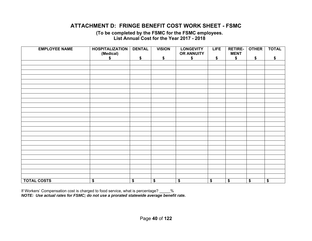# **ATTACHMENT D: FRINGE BENEFIT COST WORK SHEET - FSMC**

**(To be completed by the FSMC for the FSMC employees. List Annual Cost for the Year 2017 - 2018** 

| <b>EMPLOYEE NAME</b> | <b>HOSPITALIZATION</b><br>(Medical)<br>\$ | <b>DENTAL</b><br>\$ | <b>VISION</b><br>\$ | <b>LONGEVITY</b><br>OR ANNUITY<br>\$ | <b>LIFE</b><br>\$    | <b>RETIRE-</b><br><b>MENT</b><br>\$ | <b>OTHER</b><br>\$ | <b>TOTAL</b><br>\$ |
|----------------------|-------------------------------------------|---------------------|---------------------|--------------------------------------|----------------------|-------------------------------------|--------------------|--------------------|
|                      |                                           |                     |                     |                                      |                      |                                     |                    |                    |
|                      |                                           |                     |                     |                                      |                      |                                     |                    |                    |
|                      |                                           |                     |                     |                                      |                      |                                     |                    |                    |
|                      |                                           |                     |                     |                                      |                      |                                     |                    |                    |
|                      |                                           |                     |                     |                                      |                      |                                     |                    |                    |
|                      |                                           |                     |                     |                                      |                      |                                     |                    |                    |
|                      |                                           |                     |                     |                                      |                      |                                     |                    |                    |
|                      |                                           |                     |                     |                                      |                      |                                     |                    |                    |
|                      |                                           |                     |                     |                                      |                      |                                     |                    |                    |
|                      |                                           |                     |                     |                                      |                      |                                     |                    |                    |
|                      |                                           |                     |                     |                                      |                      |                                     |                    |                    |
|                      |                                           |                     |                     |                                      |                      |                                     |                    |                    |
|                      |                                           |                     |                     |                                      |                      |                                     |                    |                    |
|                      |                                           |                     |                     |                                      |                      |                                     |                    |                    |
|                      |                                           |                     |                     |                                      |                      |                                     |                    |                    |
|                      |                                           |                     |                     |                                      |                      |                                     |                    |                    |
|                      |                                           |                     |                     |                                      |                      |                                     |                    |                    |
|                      |                                           |                     |                     |                                      |                      |                                     |                    |                    |
|                      |                                           |                     |                     |                                      |                      |                                     |                    |                    |
|                      |                                           |                     |                     |                                      |                      |                                     |                    |                    |
|                      |                                           |                     |                     |                                      |                      |                                     |                    |                    |
|                      |                                           |                     |                     |                                      |                      |                                     |                    |                    |
|                      |                                           |                     |                     |                                      |                      |                                     |                    |                    |
|                      |                                           |                     |                     |                                      |                      |                                     |                    |                    |
|                      |                                           |                     |                     |                                      |                      |                                     |                    |                    |
| <b>TOTAL COSTS</b>   | $\overline{\bullet}$                      | \$                  | \$                  | \$                                   | $\overline{\bullet}$ | \$                                  | \$                 | \$                 |

If Workers' Compensation cost is charged to food service, what is percentage? \_\_\_\_\_% *NOTE: Use actual rates for FSMC; do not use a prorated statewide average benefit rate.*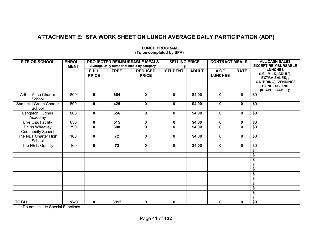# **ATTACHMENT E: SFA WORK SHEET ON LUNCH AVERAGE DAILY PARTICIPATION (ADP)**

| <b>SITE OR SCHOOL</b>                       | <b>ENROLL-</b><br><b>MENT</b> |                             |                 | PROJECTED REIMBURSABLE MEALS<br>Average Daily number of meals by category | <b>SELLING PRICE</b> |              | <b>CONTRACT MEALS</b>  |              | <b>ALL CASH SALES</b><br><b>EXCEPT REIMBURSABLE</b>                                                                                   |  |  |  |
|---------------------------------------------|-------------------------------|-----------------------------|-----------------|---------------------------------------------------------------------------|----------------------|--------------|------------------------|--------------|---------------------------------------------------------------------------------------------------------------------------------------|--|--|--|
|                                             |                               | <b>FULL</b><br><b>PRICE</b> | <b>FREE</b>     | <b>REDUCED</b><br><b>PRICE</b>                                            | <b>STUDENT</b>       | <b>ADULT</b> | # OF<br><b>LUNCHES</b> | <b>RATE</b>  | <b>LUNCHES</b><br>(I.E., MILK, ADULT,<br><b>EXTRA SALES,,</b><br><b>CATERING), VENDING/</b><br><b>CONCESSIONS</b><br>(IF APPLICABLE)* |  |  |  |
| <b>Arthur Ashe Charter</b><br>School        | 800                           | 0                           | 664             | $\mathbf 0$                                                               | 0                    | \$4.00       | $\mathbf 0$            | $\mathbf 0$  | \$0                                                                                                                                   |  |  |  |
| Samuel J Green Charter<br>School            | 500                           | $\mathbf 0$                 | 425             | $\mathbf 0$                                                               | $\mathbf 0$          | \$4.00       | $\mathbf 0$            | $\mathbf{0}$ | $\overline{50}$                                                                                                                       |  |  |  |
| Langston Hughes<br>Academy                  | 800                           | 0                           | 656             | $\mathbf 0$                                                               | $\mathbf 0$          | \$4.00       | $\mathbf 0$            | $\mathbf 0$  | \$0                                                                                                                                   |  |  |  |
| Live Oak Facility                           | 630                           | $\mathbf 0$                 | 515             | $\mathbf 0$                                                               | $\mathbf 0$          | \$4.00       | $\mathbf 0$            | $\mathbf 0$  | \$0                                                                                                                                   |  |  |  |
| Phillis Wheatley<br><b>Community School</b> | 790                           | $\mathbf{0}$                | 608             | $\mathbf 0$                                                               | $\mathbf 0$          | \$4.00       | 0                      | $\mathbf 0$  | $\overline{30}$                                                                                                                       |  |  |  |
| The NET Charter High<br>School              | 160                           | 0                           | $\overline{72}$ | $\mathbf 0$                                                               | $\mathbf 0$          | \$4.00       | $\mathbf 0$            | $\mathbf 0$  | \$0                                                                                                                                   |  |  |  |
| The NET: Gentilly                           | 160                           | $\mathbf{0}$                | 72              | $\mathbf 0$                                                               | $\mathbf 0$          | \$4.00       | $\mathbf 0$            | $\mathbf 0$  | \$0                                                                                                                                   |  |  |  |
|                                             |                               |                             |                 |                                                                           |                      |              |                        |              | \$                                                                                                                                    |  |  |  |
|                                             |                               |                             |                 |                                                                           |                      |              |                        |              | \$                                                                                                                                    |  |  |  |
|                                             |                               |                             |                 |                                                                           |                      |              |                        |              | \$                                                                                                                                    |  |  |  |
|                                             |                               |                             |                 |                                                                           |                      |              |                        |              | \$                                                                                                                                    |  |  |  |
|                                             |                               |                             |                 |                                                                           |                      |              |                        |              | \$                                                                                                                                    |  |  |  |
|                                             |                               |                             |                 |                                                                           |                      |              |                        |              | \$                                                                                                                                    |  |  |  |
|                                             |                               |                             |                 |                                                                           |                      |              |                        |              | \$                                                                                                                                    |  |  |  |
|                                             |                               |                             |                 |                                                                           |                      |              |                        |              | \$                                                                                                                                    |  |  |  |
|                                             |                               |                             |                 |                                                                           |                      |              |                        |              | \$<br>\$                                                                                                                              |  |  |  |
|                                             |                               |                             |                 |                                                                           |                      |              |                        |              | \$                                                                                                                                    |  |  |  |
| <b>TOTAL</b>                                | 3840                          | 0                           | 3012            | $\mathbf 0$                                                               | $\mathbf 0$          |              | $\mathbf 0$            | $\mathbf{0}$ | \$0                                                                                                                                   |  |  |  |

#### **LUNCH PROGRAM (To be completed by SFA)**

\*Do not include Special Functions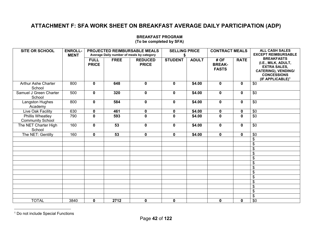# **ATTACHMENT F: SFA WORK SHEET ON BREAKFAST AVERAGE DAILY PARTICIPATION (ADP)**

| <b>SITE OR SCHOOL</b>                       | <b>ENROLL-</b><br><b>MENT</b> |                             |                 | PROJECTED REIMBURSABLE MEALS<br>Average Daily number of meals by category | <b>SELLING PRICE</b><br>S |              | <b>CONTRACT MEALS</b>                |              | <b>ALL CASH SALES</b><br><b>EXCEPT REIMBURSABLE</b>                                                                                                 |  |  |
|---------------------------------------------|-------------------------------|-----------------------------|-----------------|---------------------------------------------------------------------------|---------------------------|--------------|--------------------------------------|--------------|-----------------------------------------------------------------------------------------------------------------------------------------------------|--|--|
|                                             |                               | <b>FULL</b><br><b>PRICE</b> | <b>FREE</b>     | <b>REDUCED</b><br><b>PRICE</b>                                            | <b>STUDENT</b>            | <b>ADULT</b> | #OF<br><b>BREAK-</b><br><b>FASTS</b> | <b>RATE</b>  | <b>BREAKFASTS</b><br>(I.E., MILK, ADULT,<br><b>EXTRA SALES,</b><br><b>CATERING), VENDING/</b><br><b>CONCESSIONS</b><br>(IF APPLICABLE) <sup>1</sup> |  |  |
| Arthur Ashe Charter<br>School               | 800                           | $\mathbf 0$                 | 648             | $\mathbf 0$                                                               | $\mathbf 0$               | \$4.00       | $\mathbf 0$                          | $\mathbf 0$  | \$0                                                                                                                                                 |  |  |
| Samuel J Green Charter<br>School            | 500                           | $\mathbf 0$                 | 320             | $\mathbf 0$                                                               | $\mathbf 0$               | \$4.00       | $\mathbf 0$                          | $\mathbf 0$  | \$0                                                                                                                                                 |  |  |
| Langston Hughes<br>Academy                  | 800                           | $\mathbf 0$                 | 584             | $\mathbf 0$                                                               | $\mathbf 0$               | \$4.00       | $\mathbf 0$                          | $\mathbf 0$  | \$0                                                                                                                                                 |  |  |
| Live Oak Facility                           | 630                           | $\mathbf 0$                 | 461             | $\mathbf 0$                                                               | $\mathbf 0$               | \$4.00       | $\mathbf 0$                          | $\mathbf 0$  | \$0                                                                                                                                                 |  |  |
| Phillis Wheatley<br><b>Community School</b> | 790                           | $\mathbf 0$                 | 593             | $\mathbf 0$                                                               | $\bf{0}$                  | \$4.00       | 0                                    | $\mathbf{0}$ | \$0                                                                                                                                                 |  |  |
| The NET Charter High<br>School              | 160                           | $\mathbf 0$                 | $\overline{53}$ | $\mathbf 0$                                                               | $\mathbf 0$               | \$4.00       | $\mathbf 0$                          | $\mathbf 0$  | $\overline{50}$                                                                                                                                     |  |  |
| The NET: Gentilly                           | 160                           | $\pmb{0}$                   | 53              | $\mathbf 0$                                                               | $\mathbf 0$               | \$4.00       | $\mathbf 0$                          | $\mathbf 0$  | \$0                                                                                                                                                 |  |  |
|                                             |                               |                             |                 |                                                                           |                           |              |                                      |              | \$                                                                                                                                                  |  |  |
|                                             |                               |                             |                 |                                                                           |                           |              |                                      |              | \$                                                                                                                                                  |  |  |
|                                             |                               |                             |                 |                                                                           |                           |              |                                      |              | \$                                                                                                                                                  |  |  |
|                                             |                               |                             |                 |                                                                           |                           |              |                                      |              | \$                                                                                                                                                  |  |  |
|                                             |                               |                             |                 |                                                                           |                           |              |                                      |              | \$                                                                                                                                                  |  |  |
|                                             |                               |                             |                 |                                                                           |                           |              |                                      |              | \$                                                                                                                                                  |  |  |
|                                             |                               |                             |                 |                                                                           |                           |              |                                      |              | \$                                                                                                                                                  |  |  |
|                                             |                               |                             |                 |                                                                           |                           |              |                                      |              | \$                                                                                                                                                  |  |  |
|                                             |                               |                             |                 |                                                                           |                           |              |                                      |              | \$                                                                                                                                                  |  |  |
|                                             |                               |                             |                 |                                                                           |                           |              |                                      |              | \$                                                                                                                                                  |  |  |
|                                             |                               |                             |                 |                                                                           |                           |              |                                      |              | \$                                                                                                                                                  |  |  |
|                                             |                               |                             |                 |                                                                           |                           |              |                                      |              | \$                                                                                                                                                  |  |  |
|                                             |                               |                             |                 |                                                                           |                           |              |                                      |              | \$                                                                                                                                                  |  |  |
| <b>TOTAL</b>                                | 3840                          | $\mathbf 0$                 | 2712            | $\mathbf 0$                                                               | $\mathbf 0$               |              | $\mathbf 0$                          | $\mathbf 0$  | $\overline{50}$                                                                                                                                     |  |  |

## **BREAKFAST PROGRAM**

**(To be completed by SFA)** 

<sup>1</sup> Do not include Special Functions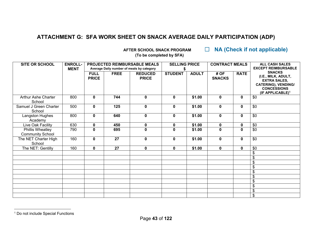# **ATTACHMENT G: SFA WORK SHEET ON SNACK AVERAGE DAILY PARTICIPATION (ADP)**

 **AFTER SCHOOL SNACK PROGRAM** ☐ **NA (Check if not applicable)**

**(To be completed by SFA)** 

| <b>SITE OR SCHOOL</b>                       | <b>ENROLL-</b><br><b>MENT</b> |                             |             | PROJECTED REIMBURSABLE MEALS<br>Average Daily number of meals by category | <b>SELLING PRICE</b>    |              | <b>CONTRACT MEALS</b>   |              | <b>ALL CASH SALES</b><br><b>EXCEPT REIMBURSABLE</b>                                                                                             |  |  |
|---------------------------------------------|-------------------------------|-----------------------------|-------------|---------------------------------------------------------------------------|-------------------------|--------------|-------------------------|--------------|-------------------------------------------------------------------------------------------------------------------------------------------------|--|--|
|                                             |                               | <b>FULL</b><br><b>PRICE</b> | <b>FREE</b> | <b>REDUCED</b><br><b>PRICE</b>                                            | <b>STUDENT</b>          | <b>ADULT</b> | # OF<br><b>SNACKS</b>   | <b>RATE</b>  | <b>SNACKS</b><br>(I.E., MILK, ADULT,<br><b>EXTRA SALES,</b><br><b>CATERING), VENDING/</b><br><b>CONCESSIONS</b><br>(IF APPLICABLE) <sup>1</sup> |  |  |
| Arthur Ashe Charter<br>School               | 800                           | 0                           | 744         | $\mathbf 0$                                                               | 0                       | \$1.00       | $\mathbf 0$             | 0            | \$0                                                                                                                                             |  |  |
| Samuel J Green Charter<br>School            | 500                           | 0                           | 125         | $\bf{0}$                                                                  | 0                       | \$1.00       | $\mathbf{0}$            | $\mathbf{0}$ | \$0                                                                                                                                             |  |  |
| Langston Hughes<br>Academy                  | 800                           | 0                           | 640         | $\mathbf 0$                                                               | 0                       | \$1.00       | $\mathbf 0$             | $\mathbf{0}$ | \$0                                                                                                                                             |  |  |
| Live Oak Facility                           | 630                           | 0                           | 450         | 0                                                                         | 0                       | \$1.00       | 0                       | 0            | \$0                                                                                                                                             |  |  |
| Phillis Wheatley<br><b>Community School</b> | 790                           | $\overline{\mathbf{0}}$     | 695         | $\mathbf{0}$                                                              | $\overline{\mathbf{0}}$ | \$1.00       | $\overline{\mathbf{0}}$ | $\mathbf{0}$ | $\overline{50}$                                                                                                                                 |  |  |
| The NET Charter High<br>School              | 160                           | 0                           | 27          | $\mathbf{0}$                                                              | $\mathbf 0$             | \$1.00       | $\mathbf 0$             | $\mathbf 0$  | \$0                                                                                                                                             |  |  |
| The NET: Gentilly                           | 160                           | $\mathbf 0$                 | 27          | $\mathbf 0$                                                               | 0                       | \$1.00       | $\mathbf 0$             | $\mathbf 0$  | \$0                                                                                                                                             |  |  |
|                                             |                               |                             |             |                                                                           |                         |              |                         |              | \$                                                                                                                                              |  |  |
|                                             |                               |                             |             |                                                                           |                         |              |                         |              |                                                                                                                                                 |  |  |
|                                             |                               |                             |             |                                                                           |                         |              |                         |              | \$                                                                                                                                              |  |  |
|                                             |                               |                             |             |                                                                           |                         |              |                         |              | \$                                                                                                                                              |  |  |
|                                             |                               |                             |             |                                                                           |                         |              |                         |              | \$                                                                                                                                              |  |  |
|                                             |                               |                             |             |                                                                           |                         |              |                         |              | \$                                                                                                                                              |  |  |
|                                             |                               |                             |             |                                                                           |                         |              |                         |              | \$                                                                                                                                              |  |  |
|                                             |                               |                             |             |                                                                           |                         |              |                         |              | \$                                                                                                                                              |  |  |
|                                             |                               |                             |             |                                                                           |                         |              |                         |              | \$                                                                                                                                              |  |  |
|                                             |                               |                             |             |                                                                           |                         |              |                         |              | \$                                                                                                                                              |  |  |

<sup>&</sup>lt;sup>1</sup> Do not include Special Functions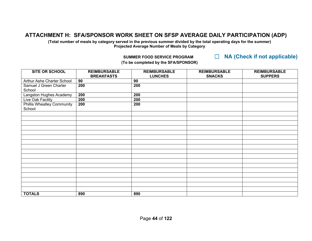# **ATTACHMENT H: SFA/SPONSOR WORK SHEET ON SFSP AVERAGE DAILY PARTICIPATION (ADP)**

**(Total number of meals by category served in the previous summer divided by the total operating days for the summer) Projected Average Number of Meals by Category** 

 **SUMMER FOOD SERVICE PROGRAM** ☐ **NA (Check if not applicable)**

| <b>SITE OR SCHOOL</b>                       | <b>REIMBURSABLE</b><br><b>BREAKFASTS</b> | <b>REIMBURSABLE</b><br><b>LUNCHES</b> | <b>REIMBURSABLE</b><br><b>SNACKS</b> | <b>REIMBURSABLE</b><br><b>SUPPERS</b> |
|---------------------------------------------|------------------------------------------|---------------------------------------|--------------------------------------|---------------------------------------|
| Arthur Ashe Charter School                  | 90                                       | 90                                    |                                      |                                       |
| Samuel J Green Charter<br>School            | 200                                      | 200                                   |                                      |                                       |
| Langston Hughes Academy                     | 200                                      | 200                                   |                                      |                                       |
| Live Oak Facility                           | 200                                      | 200                                   |                                      |                                       |
| <b>Phillis Wheatley Community</b><br>School | 200                                      | 200                                   |                                      |                                       |
|                                             |                                          |                                       |                                      |                                       |
|                                             |                                          |                                       |                                      |                                       |
|                                             |                                          |                                       |                                      |                                       |
|                                             |                                          |                                       |                                      |                                       |
|                                             |                                          |                                       |                                      |                                       |
|                                             |                                          |                                       |                                      |                                       |
|                                             |                                          |                                       |                                      |                                       |
|                                             |                                          |                                       |                                      |                                       |
|                                             |                                          |                                       |                                      |                                       |
|                                             |                                          |                                       |                                      |                                       |
|                                             |                                          |                                       |                                      |                                       |
|                                             |                                          |                                       |                                      |                                       |
|                                             |                                          |                                       |                                      |                                       |
|                                             |                                          |                                       |                                      |                                       |
|                                             |                                          |                                       |                                      |                                       |
|                                             |                                          |                                       |                                      |                                       |
|                                             |                                          |                                       |                                      |                                       |
| <b>TOTALS</b>                               | 890                                      | 890                                   |                                      |                                       |

**(To be completed by the SFA/SPONSOR)**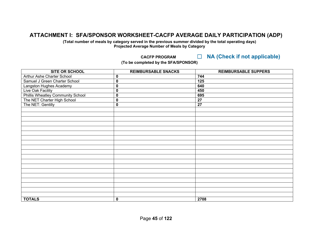## **ATTACHMENT I: SFA/SPONSOR WORKSHEET-CACFP AVERAGE DAILY PARTICIPATION (ADP)**

**(Total number of meals by category served in the previous summer divided by the total operating days) Projected Average Number of Meals by Category** 

 **CACFP PROGRAM** ☐ **NA (Check if not applicable)**

**(To be completed by the SFA/SPONSOR)** 

| <b>SITE OR SCHOOL</b>                    | <b>REIMBURSABLE SNACKS</b> | <b>REIMBURSABLE SUPPERS</b> |
|------------------------------------------|----------------------------|-----------------------------|
| Arthur Ashe Charter School               | $\bf{0}$                   | 744                         |
| Samuel J Green Charter School            | $\pmb{0}$                  | 125                         |
| Langston Hughes Academy                  | $\mathbf 0$                | 640                         |
| Live Oak Facility                        | $\mathbf 0$                | 450                         |
| <b>Phillis Wheatley Community School</b> | $\pmb{0}$                  | 695                         |
| The NET Charter High School              | $\mathbf 0$                | 27                          |
| The NET: Gentilly                        | $\pmb{0}$                  | $\overline{27}$             |
|                                          |                            |                             |
|                                          |                            |                             |
|                                          |                            |                             |
|                                          |                            |                             |
|                                          |                            |                             |
|                                          |                            |                             |
|                                          |                            |                             |
|                                          |                            |                             |
|                                          |                            |                             |
|                                          |                            |                             |
|                                          |                            |                             |
|                                          |                            |                             |
|                                          |                            |                             |
|                                          |                            |                             |
|                                          |                            |                             |
|                                          |                            |                             |
|                                          |                            |                             |
|                                          |                            |                             |
|                                          |                            |                             |
| <b>TOTALS</b>                            | $\pmb{0}$                  | 2708                        |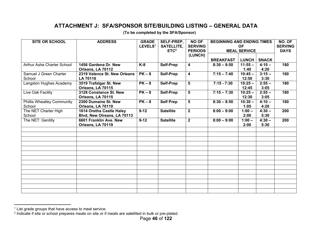# **ATTACHMENT J: SFA/SPONSOR SITE/BUILDING LISTING – GENERAL DATA**

| <b>SITE OR SCHOOL</b>             | <b>ADDRESS</b>               | <b>GRADE</b>        | <b>SELF-PREP,</b> | <b>NO OF</b>            | <b>BEGINNING AND ENDING TIMES</b> | NO. OF              |              |                |
|-----------------------------------|------------------------------|---------------------|-------------------|-------------------------|-----------------------------------|---------------------|--------------|----------------|
|                                   |                              | LEVELS <sup>1</sup> | <b>SATELLITE,</b> | <b>SERVING</b>          |                                   | <b>OF</b>           |              | <b>SERVING</b> |
|                                   |                              |                     | ETC <sup>2</sup>  | <b>PERIODS</b>          |                                   | <b>MEAL SERVICE</b> |              | <b>DAYS</b>    |
|                                   |                              |                     |                   | (LUNCH)                 |                                   |                     |              |                |
|                                   |                              |                     |                   |                         | <b>BREAKFAST</b>                  | <b>LUNCH</b>        | <b>SNACK</b> |                |
| Arthur Ashe Charter School        | 1456 Gardena Dr. New         | $K-8$               | Self-Prep         | 4                       | $8:30 - 8:50$                     | $11:55 -$           | $4:10 -$     | 180            |
|                                   | Orleans, LA 70112            |                     |                   |                         |                                   | 1:40                | 4:20         |                |
| Samuel J Green Charter            | 2319 Valence St. New Orleans | $PK-8$              | Self-Prep         | 4                       | $7:15 - 7:40$                     | $10:45 -$           | $3:15 -$     | 180            |
| School                            | <b>LA 70116</b>              |                     |                   |                         |                                   | 12:50               | 3:30         |                |
| Langston Hughes Academy           | 3519 Trafalgar St. New       | $PK-8$              | <b>Self-Prep</b>  | 5                       | $7:15 - 7:30$                     | $10:25 -$           | $2:55 -$     | 180            |
|                                   | Orleans, LA 70115            |                     |                   |                         |                                   | 12:45               | 3:05         |                |
| Live Oak Facility                 | 3128 Constance St. New       | $PK-8$              | Self-Prep         | 5                       | $7:15 - 7:30$                     | $10:25 -$           | $2:55 -$     | 180            |
|                                   | Orleans, LA 70115            |                     |                   |                         |                                   | 12:30               | 3:05         |                |
| <b>Phillis Wheatley Community</b> | 2300 Dumaine St. New         | $PK-8$              | <b>Self Prep</b>  | 5                       | $8:30 - 8:50$                     | $10:30 -$           | $4:10 -$     | 180            |
| School                            | Orleans, LA 70119            |                     |                   |                         |                                   | 1:05                | 4:20         |                |
| The NET Charter High              | 1614 Oretha Castle Haley     | $9-12$              | <b>Satellite</b>  | $\overline{\mathbf{2}}$ | $8:00 - 9:00$                     | $1:00 -$            | $4:30 -$     | 200            |
| School                            | Blvd, New Olreans, LA 70113  |                     |                   |                         |                                   | 2:00                | 5:30         |                |
| The NET: Gentilly                 | 6601 Franklin Ave. New       | $9-12$              | <b>Satellite</b>  | $\mathbf{2}$            | $8:00 - 9:00$                     | $1:00 -$            | $4:30 -$     | 200            |
|                                   | Orleans, LA 70119            |                     |                   |                         |                                   | 2:00                | 5:30         |                |
|                                   |                              |                     |                   |                         |                                   |                     |              |                |
|                                   |                              |                     |                   |                         |                                   |                     |              |                |
|                                   |                              |                     |                   |                         |                                   |                     |              |                |
|                                   |                              |                     |                   |                         |                                   |                     |              |                |
|                                   |                              |                     |                   |                         |                                   |                     |              |                |
|                                   |                              |                     |                   |                         |                                   |                     |              |                |
|                                   |                              |                     |                   |                         |                                   |                     |              |                |
|                                   |                              |                     |                   |                         |                                   |                     |              |                |
|                                   |                              |                     |                   |                         |                                   |                     |              |                |
|                                   |                              |                     |                   |                         |                                   |                     |              |                |
|                                   |                              |                     |                   |                         |                                   |                     |              |                |
|                                   |                              |                     |                   |                         |                                   |                     |              |                |
|                                   |                              |                     |                   |                         |                                   |                     |              |                |
|                                   |                              |                     |                   |                         |                                   |                     |              |                |

**(To be completed by the SFA/Sponsor)** 

<sup>&</sup>lt;sup>1</sup> List grade groups that have access to meal service.

<sup>&</sup>lt;sup>2</sup> Indicate if site or school prepares meals on site or if meals are satellited in bulk or pre-plated.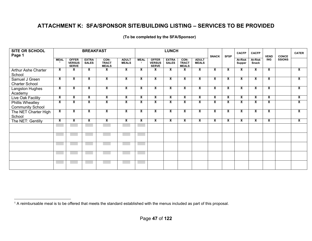# **ATTACHMENT K: SFA/SPONSOR SITE/BUILDING LISTING – SERVICES TO BE PROVIDED**

| SITE OR SCHOOL<br>Page 1                    |             | <b>BREAKFAST</b>                              |                              |                                      |                              |             |                                               | <b>LUNCH</b>                 |                                      |                              | <b>SNACK</b> | <b>SFSP</b> | <b>CACFP</b>      | <b>CACFP</b>            | <b>VEND</b> | <b>CONCE</b>  | <b>CATER</b> |
|---------------------------------------------|-------------|-----------------------------------------------|------------------------------|--------------------------------------|------------------------------|-------------|-----------------------------------------------|------------------------------|--------------------------------------|------------------------------|--------------|-------------|-------------------|-------------------------|-------------|---------------|--------------|
|                                             | <b>MEAL</b> | <b>OFFER</b><br><b>VERSUS</b><br><b>SERVE</b> | <b>EXTRA</b><br><b>SALES</b> | CON-<br><b>TRACT</b><br><b>MEALS</b> | <b>ADULT</b><br><b>MEALS</b> | <b>MEAL</b> | <b>OFFER</b><br><b>VERSUS</b><br><b>SERVE</b> | <b>EXTRA</b><br><b>SALES</b> | CON-<br><b>TRACT</b><br><b>MEALS</b> | <b>ADULT</b><br><b>MEALS</b> |              |             | At-Risk<br>Supper | At-Risk<br>Snack        | <b>ING</b>  | <b>SSIONS</b> |              |
| Arthur Ashe Charter<br>School               | x           | x                                             | X                            | X                                    | X                            | X           | X                                             | x                            | x                                    | X                            | X            | X           | X                 | x                       | X           |               | X            |
| Samuel J Green<br><b>Charter School</b>     | X           | X                                             | X                            | ×                                    | X                            | x           | X                                             | X                            | x                                    | X                            | X            | X           | X                 | X                       | X           |               | X            |
| Langston Hughes<br>Academy                  | X           | X                                             | X                            | X                                    | X                            | X           | X                                             | X                            | X                                    | X                            | X            | X           | X                 | X                       | X           |               | X            |
| Live Oak Facility                           | x           | X                                             | X                            | X                                    | x                            | x           | X                                             | X                            | X                                    | x                            | x            | x           | X                 | X                       | X           |               | X            |
| Phillis Wheatley<br><b>Community School</b> | x           | X                                             | x                            | x                                    | X                            | X           | X                                             | X                            | x                                    | X                            | X            | X           | X                 | X                       | X           |               | X            |
| The NET Charter High<br>School              | X           | X                                             | X                            | X                                    | X                            | X           | X                                             | X                            | x                                    | X                            | X            | X           | X                 | x                       | X           |               | X            |
| The NET: Gentilly                           | X           | X                                             | X                            | X                                    | X                            | X           | X                                             | X                            | x                                    | X                            | X            | X           | X                 | $\overline{\mathbf{x}}$ | X           |               | X            |
|                                             |             |                                               |                              |                                      |                              |             |                                               |                              |                                      |                              |              |             |                   |                         |             |               |              |
|                                             |             |                                               |                              |                                      |                              |             |                                               |                              |                                      |                              |              |             |                   |                         |             |               |              |
|                                             |             |                                               |                              |                                      |                              |             |                                               |                              |                                      |                              |              |             |                   |                         |             |               |              |
|                                             |             |                                               |                              |                                      |                              |             |                                               |                              |                                      |                              |              |             |                   |                         |             |               |              |
|                                             |             |                                               |                              |                                      |                              |             |                                               |                              |                                      |                              |              |             |                   |                         |             |               |              |

#### **(To be completed by the SFA/Sponsor)**

<sup>1</sup> A reimbursable meal is to be offered that meets the standard established with the menus included as part of this proposal.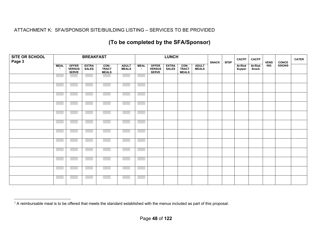## ATTACHMENT K: SFA/SPONSOR SITE/BUILDING LISTING – SERVICES TO BE PROVIDED

# **(To be completed by the SFA/Sponsor)**

| SITE OR SCHOOL<br>Page 3 | <b>BREAKFAST</b> |                                 |                       |                                       |                        |                             |                                 | <b>LUNCH</b>          |                                      |                              | <b>SNACK</b> | <b>SFSP</b> | <b>CACFP</b>      | <b>CACFP</b>            | <b>VEND</b> | <b>CONCE</b><br>SSIONS | <b>CATER</b> |
|--------------------------|------------------|---------------------------------|-----------------------|---------------------------------------|------------------------|-----------------------------|---------------------------------|-----------------------|--------------------------------------|------------------------------|--------------|-------------|-------------------|-------------------------|-------------|------------------------|--------------|
|                          | <b>MEAL</b>      | OFFER<br>VERSUS<br><b>SERVE</b> | <b>EXTRA</b><br>SALES | <b>CON-<br/>TRACT</b><br><b>MEALS</b> | <b>ADULT<br/>MEALS</b> | <b>MEAL</b><br>$\mathbf{1}$ | OFFER<br>VERSUS<br><b>SERVE</b> | <b>EXTRA</b><br>SALES | CON-<br><b>TRACT</b><br><b>MEALS</b> | <b>ADULT</b><br><b>MEALS</b> |              |             | At-Risk<br>Supper | <b>At-Risk</b><br>Snack | <b>ING</b>  |                        |              |
|                          |                  |                                 |                       |                                       |                        |                             |                                 |                       |                                      |                              |              |             |                   |                         |             |                        |              |
|                          |                  |                                 |                       |                                       |                        |                             |                                 |                       |                                      |                              |              |             |                   |                         |             |                        |              |
|                          |                  |                                 |                       |                                       |                        |                             |                                 |                       |                                      |                              |              |             |                   |                         |             |                        |              |
|                          |                  |                                 |                       |                                       |                        |                             |                                 |                       |                                      |                              |              |             |                   |                         |             |                        |              |
|                          |                  |                                 |                       |                                       |                        |                             |                                 |                       |                                      |                              |              |             |                   |                         |             |                        |              |
|                          |                  |                                 |                       |                                       |                        |                             |                                 |                       |                                      |                              |              |             |                   |                         |             |                        |              |
|                          |                  |                                 |                       |                                       |                        |                             |                                 |                       |                                      |                              |              |             |                   |                         |             |                        |              |
|                          | <b>Contract</b>  |                                 |                       |                                       |                        |                             |                                 |                       |                                      |                              |              |             |                   |                         |             |                        |              |
|                          |                  |                                 |                       |                                       |                        |                             |                                 |                       |                                      |                              |              |             |                   |                         |             |                        |              |
|                          |                  |                                 |                       |                                       |                        |                             |                                 |                       |                                      |                              |              |             |                   |                         |             |                        |              |
|                          |                  |                                 |                       |                                       |                        |                             |                                 |                       |                                      |                              |              |             |                   |                         |             |                        |              |
|                          |                  |                                 |                       |                                       |                        |                             |                                 |                       |                                      |                              |              |             |                   |                         |             |                        |              |

<sup>1</sup> A reimbursable meal is to be offered that meets the standard established with the menus included as part of this proposal.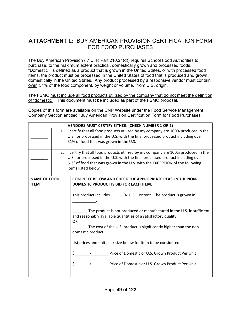## **ATTACHMENT L:** BUY AMERICAN PROVISION CERTIFICATION FORM FOR FOOD PURCHASES

The Buy American Provision ( 7 CFR Part 210.21(d)) requires School Food Authorities to purchase, to the maximum extent practical, domestically grown and processed foods. "Domestic" is defined as a product that is grown in the United States, or with processed food items, the product must be processed in the United States of food that is produced and grown domestically in the United States. Any product processed by a responsive vendor must contain over 51% of the food component, by weight or volume, from U.S. origin.

The FSMC must include all food products utilized by the company that do not meet the definition of "domestic". This document must be included as part of the FSMC proposal.

Copies of this form are available on the CNP Website under the Food Service Management Company Section entitled "Buy American Provision Certification Form for Food Purchases.

|                     |                | <b>VENDORS MUST CERTIFY EITHER: (CHECK NUMBER 1 OR 2)</b>                        |  |  |  |  |  |  |  |
|---------------------|----------------|----------------------------------------------------------------------------------|--|--|--|--|--|--|--|
|                     | 1 <sup>1</sup> | I certify that all food products utilized by my company are 100% produced in the |  |  |  |  |  |  |  |
|                     |                | U.S., or processed in the U.S. with the final processed product including over   |  |  |  |  |  |  |  |
|                     |                | 51% of food that was grown in the U.S.                                           |  |  |  |  |  |  |  |
|                     |                |                                                                                  |  |  |  |  |  |  |  |
|                     | 2.             | I certify that all food products utilized by my company are 100% produced in the |  |  |  |  |  |  |  |
|                     |                | U.S., or processed in the U.S. with the final processed product including over   |  |  |  |  |  |  |  |
|                     |                | 51% of food that was grown in the U.S. with the EXCEPTION of the following       |  |  |  |  |  |  |  |
|                     |                | items listed below                                                               |  |  |  |  |  |  |  |
|                     |                |                                                                                  |  |  |  |  |  |  |  |
| <b>NAME OF FOOD</b> |                | <b>COMPLETE BELOW AND CHECK THE APPROPRIATE REASON THE NON-</b>                  |  |  |  |  |  |  |  |
| <b>ITEM</b>         |                | DOMESTIC PRODUCT IS BID FOR EACH ITEM.                                           |  |  |  |  |  |  |  |
|                     |                |                                                                                  |  |  |  |  |  |  |  |
|                     |                | This product includes _______% U.S. Content. The product is grown in             |  |  |  |  |  |  |  |
|                     |                |                                                                                  |  |  |  |  |  |  |  |
|                     |                |                                                                                  |  |  |  |  |  |  |  |
|                     |                | The product is not produced or manufactured in the U.S. in sufficient            |  |  |  |  |  |  |  |
|                     |                | and reasonably available quantities of a satisfactory quality.                   |  |  |  |  |  |  |  |
|                     |                | <b>OR</b>                                                                        |  |  |  |  |  |  |  |
|                     |                | The cost of the U.S. product is significantly higher than the non-               |  |  |  |  |  |  |  |
|                     |                | domestic product.                                                                |  |  |  |  |  |  |  |
|                     |                |                                                                                  |  |  |  |  |  |  |  |
|                     |                | List prices and unit pack size below for item to be considered:                  |  |  |  |  |  |  |  |
|                     |                |                                                                                  |  |  |  |  |  |  |  |
|                     |                | \$<br>Price of Domestic or U.S. Grown Product Per Unit                           |  |  |  |  |  |  |  |
|                     |                |                                                                                  |  |  |  |  |  |  |  |
|                     |                | \$.<br>Price of Domestic or U.S. Grown Product Per Unit                          |  |  |  |  |  |  |  |
|                     |                |                                                                                  |  |  |  |  |  |  |  |
|                     |                |                                                                                  |  |  |  |  |  |  |  |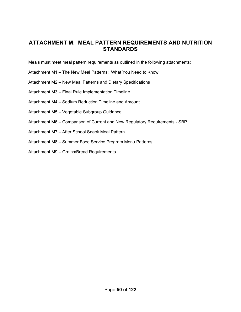## **ATTACHMENT M: MEAL PATTERN REQUIREMENTS AND NUTRITION STANDARDS**

Meals must meet meal pattern requirements as outlined in the following attachments:

- Attachment M1 The New Meal Patterns: What You Need to Know
- Attachment M2 New Meal Patterns and Dietary Specifications
- Attachment M3 Final Rule Implementation Timeline
- Attachment M4 Sodium Reduction Timeline and Amount
- Attachment M5 Vegetable Subgroup Guidance
- Attachment M6 Comparison of Current and New Regulatory Requirements SBP
- Attachment M7 After School Snack Meal Pattern
- Attachment M8 Summer Food Service Program Menu Patterns
- Attachment M9 Grains/Bread Requirements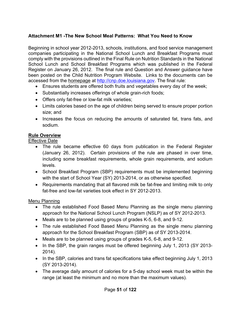## **Attachment M1 -The New School Meal Patterns: What You Need to Know**

Beginning in school year 2012-2013, schools, institutions, and food service management companies participating in the National School Lunch and Breakfast Programs must comply with the provisions outlined in the Final Rule on Nutrition Standards in the National School Lunch and School Breakfast Programs which was published in the Federal Register on January 26, 2012. The final rule and Question and Answer guidance have been posted on the Child Nutrition Program Website. Links to the documents can be accessed from the homepage at http://cnp.doe.louisiana.gov. The final rule:

- Ensures students are offered both fruits and vegetables every day of the week;
- Substantially increases offerings of whole grain-rich foods;
- Offers only fat-free or low-fat milk varieties;
- Limits calories based on the age of children being served to ensure proper portion size; and
- Increases the focus on reducing the amounts of saturated fat, trans fats, and sodium.

#### **Rule Overview**

Effective Date

- The rule became effective 60 days from publication in the Federal Register (January 26, 2012). Certain provisions of the rule are phased in over time, including some breakfast requirements, whole grain requirements, and sodium levels.
- School Breakfast Program (SBP) requirements must be implemented beginning with the start of School Year (SY) 2013-2014, or as otherwise specified.
- Requirements mandating that all flavored milk be fat-free and limiting milk to only fat-free and low-fat varieties took effect in SY 2012-2013.

#### Menu Planning

- The rule established Food Based Menu Planning as the single menu planning approach for the National School Lunch Program (NSLP) as of SY 2012-2013.
- Meals are to be planned using groups of grades K-5, 6-8, and 9-12.
- The rule established Food Based Menu Planning as the single menu planning approach for the School Breakfast Program (SBP) as of SY 2013-2014.
- Meals are to be planned using groups of grades K-5, 6-8, and 9-12.
- In the SBP, the grain ranges must be offered beginning July 1, 2013 (SY 2013-2014).
- In the SBP, calories and trans fat specifications take effect beginning July 1, 2013 (SY 2013-2014).
- The average daily amount of calories for a 5-day school week must be within the range (at least the minimum and no more than the maximum values).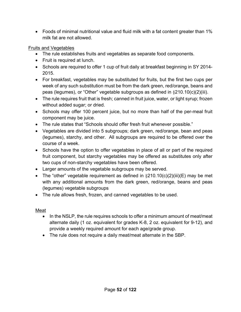Foods of minimal nutritional value and fluid milk with a fat content greater than 1% milk fat are not allowed.

## Fruits and Vegetables

- The rule establishes fruits and vegetables as separate food components.
- Fruit is required at lunch.
- Schools are required to offer 1 cup of fruit daily at breakfast beginning in SY 2014-2015.
- For breakfast, vegetables may be substituted for fruits, but the first two cups per week of any such substitution must be from the dark green, red/orange, beans and peas (legumes), or "Other" vegetable subgroups as defined in §210.10(c)(2)(iii).
- The rule requires fruit that is fresh; canned in fruit juice, water, or light syrup; frozen without added sugar; or dried.
- Schools may offer 100 percent juice, but no more than half of the per-meal fruit component may be juice.
- The rule states that "Schools should offer fresh fruit whenever possible."
- Vegetables are divided into 5 subgroups; dark green, red/orange, bean and peas (legumes), starchy, and other. All subgroups are required to be offered over the course of a week.
- Schools have the option to offer vegetables in place of all or part of the required fruit component, but starchy vegetables may be offered as substitutes only after two cups of non-starchy vegetables have been offered.
- Larger amounts of the vegetable subgroups may be served.
- The "other" vegetable requirement as defined in  $\S210.10(c)(2)(iii)(E)$  may be met with any additional amounts from the dark green, red/orange, beans and peas (legumes) vegetable subgroups
- The rule allows fresh, frozen, and canned vegetables to be used.

## Meat

- In the NSLP, the rule requires schools to offer a minimum amount of meat/meat alternate daily (1 oz. equivalent for grades K-8, 2 oz. equivalent for 9-12), and provide a weekly required amount for each age/grade group.
- The rule does not require a daily meat/meat alternate in the SBP.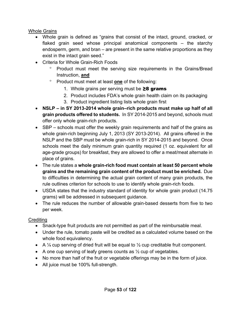## Whole Grains

- Whole grain is defined as "grains that consist of the intact, ground, cracked, or flaked grain seed whose principal anatomical components – the starchy endosperm, germ, and bran – are present in the same relative proportions as they exist in the intact grain seed."
- Criteria for Whole Grain-Rich Foods
	- Product must meet the serving size requirements in the Grains/Bread Instruction, **and**
	- Product must meet at least **one** of the following:
		- 1. Whole grains per serving must be  $\geq 8$  grams
		- 2. Product includes FDA's whole grain health claim on its packaging
		- 3. Product ingredient listing lists whole grain first
- **NSLP in SY 2013-2014 whole grain–rich products must make up half of all grain products offered to students.** In SY 2014-2015 and beyond, schools must offer only whole grain-rich products.
- SBP schools must offer the weekly grain requirements and half of the grains as whole grain-rich beginning July 1, 2013 (SY 2013-2014). All grains offered in the NSLP and the SBP must be whole grain-rich in SY 2014-2015 and beyond. Once schools meet the daily minimum grain quantity required (1 oz. equivalent for all age-grade groups) for breakfast, they are allowed to offer a meat/meat alternate in place of grains.
- The rule states a **whole grain-rich food must contain at least 50 percent whole grains and the remaining grain content of the product must be enriched.** Due to difficulties in determining the actual grain content of many grain products, the rule outlines criterion for schools to use to identify whole grain-rich foods.
- USDA states that the industry standard of identity for whole grain product (14.75 grams) will be addressed in subsequent guidance.
- The rule reduces the number of allowable grain-based desserts from five to two per week.

## **Crediting**

- Snack-type fruit products are not permitted as part of the reimbursable meal.
- Under the rule, tomato paste will be credited as a calculated volume based on the whole food equivalency.
- A  $\frac{1}{4}$  cup serving of dried fruit will be equal to  $\frac{1}{2}$  cup creditable fruit component.
- A one cup serving of leafy greens counts as  $\frac{1}{2}$  cup of vegetables.
- No more than half of the fruit or vegetable offerings may be in the form of juice.
- All juice must be 100% full-strength.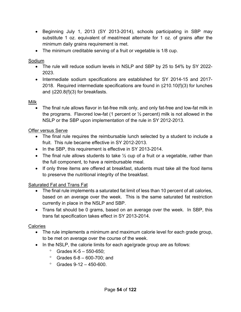- Beginning July 1, 2013 (SY 2013-2014), schools participating in SBP may substitute 1 oz. equivalent of meat/meat alternate for 1 oz. of grains after the minimum daily grains requirement is met.
- The minimum creditable serving of a fruit or vegetable is 1/8 cup.

#### Sodium

- The rule will reduce sodium levels in NSLP and SBP by 25 to 54% by SY 2022- 2023.
- Intermediate sodium specifications are established for SY 2014-15 and 2017-2018. Required intermediate specifications are found in §210.10(f)(3) for lunches and §220.8(f)(3) for breakfasts.

#### Milk

 The final rule allows flavor in fat-free milk only, and only fat-free and low-fat milk in the programs. Flavored low-fat (1 percent or  $\frac{1}{2}$  percent) milk is not allowed in the NSLP or the SBP upon implementation of the rule in SY 2012-2013.

#### Offer versus Serve

- The final rule requires the reimbursable lunch selected by a student to include a fruit. This rule became effective in SY 2012-2013.
- In the SBP, this requirement is effective in SY 2013-2014.
- The final rule allows students to take  $\frac{1}{2}$  cup of a fruit or a vegetable, rather than the full component, to have a reimbursable meal.
- If only three items are offered at breakfast, students must take all the food items to preserve the nutritional integrity of the breakfast.

## Saturated Fat and Trans Fat

- The final rule implements a saturated fat limit of less than 10 percent of all calories, based on an average over the week. This is the same saturated fat restriction currently in place in the NSLP and SBP.
- Trans fat should be 0 grams, based on an average over the week. In SBP, this trans fat specification takes effect in SY 2013-2014.

## **Calories**

- The rule implements a minimum and maximum calorie level for each grade group, to be met on average over the course of the week.
- In the NSLP, the calorie limits for each age/grade group are as follows:
	- $^{\circ}$  Grades K-5 550-650;
	- $\degree$  Grades 6-8 600-700; and
	- $\degree$  Grades 9-12 450-600.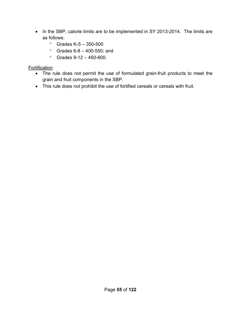- In the SBP, calorie limits are to be implemented in SY 2013-2014. The limits are as follows:
	- Grades K-5 350-500
	- Grades  $6 8 400 550$ ; and
	- $\degree$  Grades 9-12 450-600.

## Fortification

- The rule does not permit the use of formulated grain-fruit products to meet the grain and fruit components in the SBP.
- This rule does not prohibit the use of fortified cereals or cereals with fruit.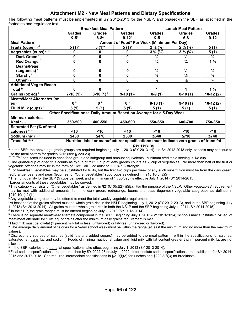#### **Attachment M2 - New Meal Patterns and Dietary Specifications**

The following meal patterns must be implemented in SY 2012-2013 for the NSLP, and phased-in the SBP as specified in the footnotes and regulatory text.

|                                   |                | <b>Breakfast Meal Pattern</b> |                |                                                                                      | <b>Lunch Meal Pattern</b>   |                          |  |  |
|-----------------------------------|----------------|-------------------------------|----------------|--------------------------------------------------------------------------------------|-----------------------------|--------------------------|--|--|
|                                   | <b>Grades</b>  | <b>Grades</b>                 | <b>Grades</b>  | <b>Grades</b>                                                                        | <b>Grades</b>               | <b>Grades</b>            |  |  |
|                                   | $K-5^a$        | $6-8a$                        | $9-12^a$       | $K-5$                                                                                | $6-8$                       | $9 - 12$                 |  |  |
| <b>Meal Pattern</b>               |                |                               |                | Amount of Food <sup>b</sup> Per Week (Minimum Per Day)                               |                             |                          |  |  |
| Fruits (cups) c, d                | $5(1)^e$       | $5(1)^e$                      | $5(1)^e$       | $2\frac{1}{2}(\frac{1}{2})$                                                          | $2\frac{1}{2}(\frac{1}{2})$ | 5(1)                     |  |  |
| Vegetables (cups) <sup>c, d</sup> | 0              | 0                             | 0              | $3\frac{3}{4}\binom{3}{4}$                                                           | $3\frac{3}{4}\binom{3}{4}$  | 5(1)                     |  |  |
| Dark Green <sup>f</sup>           | 0              | $\mathbf 0$                   | 0              | $\frac{1}{2}$                                                                        | $\frac{1}{2}$               | $\frac{1}{2}$            |  |  |
| Red Orange <sup>f</sup>           | 0              | $\mathbf 0$                   | 0              | $^{3}/_{4}$                                                                          | $^{3}/_{4}$                 | $1\frac{1}{4}$           |  |  |
| <b>Beans/Peas</b>                 |                |                               |                |                                                                                      |                             |                          |  |  |
| (Legumes) <sup>f</sup>            | 0              | 0                             | 0              | $\frac{1}{2}$                                                                        | $\frac{1}{2}$               | $\frac{1}{2}$            |  |  |
| Starchy <sup>f</sup>              | 0              | 0                             | 0              | $\overline{\frac{1}{2}}$                                                             | $\frac{1}{2}$               | $\overline{\frac{1}{2}}$ |  |  |
| Other <sup>f, g</sup>             | 0              | 0                             | 0              | $\frac{1}{2}$                                                                        | $\frac{1}{2}$               | $\frac{3}{4}$            |  |  |
| <b>Additional Veg to Reach</b>    |                |                               |                |                                                                                      |                             |                          |  |  |
| Total <sup>h</sup>                | 0              | $\mathbf{0}$                  | 0              |                                                                                      |                             | $1\frac{1}{2}$           |  |  |
| Grains (oz eq) i                  | 7-10 $(1)^j$   | $8-10(1)^j$                   | $9-10(1)^{j}$  | $8-9(1)$                                                                             | $8-10(1)$                   | $10-12(2)$               |  |  |
| <b>Meats/Meat Alternates (oz</b>  |                |                               |                |                                                                                      |                             |                          |  |  |
| eq)                               | 0 <sup>k</sup> | 0 <sup>k</sup>                | 0 <sup>k</sup> | $8-10(1)$                                                                            | $9-10(1)$                   | $10-12(2)$               |  |  |
| Fluid Milk (cups) <sup>1</sup>    | 5(1)           | 5(1)                          | 5(1)           | 5(1)                                                                                 | 5(1)                        | 5(1)                     |  |  |
|                                   |                |                               |                | Other Specifications: Daily Amount Based on Average for a 5-Day Week                 |                             |                          |  |  |
| <b>Min-max calories</b>           |                |                               |                |                                                                                      |                             |                          |  |  |
| Kcal m, n, o                      | 350-500        | 400-550                       | 450-600        | 550-650                                                                              | 600-700                     | 750-850                  |  |  |
| <b>Saturated Fat (% of total</b>  |                |                               |                |                                                                                      |                             |                          |  |  |
| calories) n, o                    | $<$ 10         | $<$ 10                        | $10$           | $10$                                                                                 | $10$                        | $10$                     |  |  |
| Sodium (mg) $n, p$                | $≤430$         | $≤470$                        | $≤500$         | $≤640$                                                                               | $≤710$                      | $≤740$                   |  |  |
| Trans fat n, o                    |                |                               |                | Nutrition label or manufacturer specifications must indicate zero grams of trans fat |                             |                          |  |  |
|                                   |                |                               |                | per serving                                                                          |                             |                          |  |  |

<sup>a</sup> In the SBP, the above age-grade groups are required beginning July 1, 2013 (SY 2013-14). In SY 2012-2013 only, schools may continue to

use the meal pattern for grades K-12 (see § 220.23).

° One quarter-cup of dried fruit counts as 1/2 cup of fruit; 1 cup of leafy greens counts as 1/2 cup of vegetables. No more than half of the fruit or vegetable offerings may be in the form of juice. All juice must be 100%

<sup>d</sup> For breakfast, vegetables may be substituted for fruits, but the first two cups per week of any such substitution must be from the dark green, red/orange, beans and peas (legumes) or "Other vegetables" subgroups as defined in §210.10(c)(2)(iii).<br>
<sup>e</sup> The fruit quantity for the SBP (5 cups per week and a minimum of 1 cup/day) is effective July 1, 2014 (SY 2014-201

Larger amounts of these vegetables may be served.

g This category consists of "Other vegetables" as defined in §210.10(c)(2)(iii)(E). For the purpose of the NSLP, "Other vegetables" requirement may be met with additional amounts from the dark green, red/orange, beans and peas (legumes) vegetable subgroups as defined in §210.10(c)(2)(iii).

h Any vegetable subgroup may be offered to meet the total weekly vegetable requirement.

<sup>1</sup>At least half of the grains offered must be whole grain-rich in the NSLP beginning July 1, 2012 (SY 2012-2013), and in the SBP beginning July 1, 2013 (SY 2013-2014). All grains must be whole grain-rich in both the NSLP and the SBP beginning July 1, 2014 (SY 2014-2015).<br><sup>J</sup> In the SBP, the grain ranges must be offered beginning July 1, 2013 (SY 2013-2014).<br><sup>K</sup> Th

meat/meat alternate for 1 oz. eq. of grains after the minimum daily grains requirement is met.<br><sup>|</sup> Fluid milk must be low-fat (1 percent milk fat or less, unflavored) or fat-free (unflavored or flavored).

"The average daily amount of calories for a 5-day school week must be within the range (at least the minimum and no more than the maximum values).

n Discretionary sources of calories (solid fats and added sugars) may be added to the meal pattern if within the specifications for calories, saturated fat, trans fat, and sodium. Foods of minimal nutritional value and fluid milk with fat content greater than 1 percent milk fat are not allowed.

° In the SBP, calories and <u>trans</u> fat specifications take effect beginning July 1, 2013 (SY 2013-2014).<br>P Final sodium specifications are to be reached by SY 2022-23 or July 1, 2022. Intermediate sodium specifications are 2015 and 2017-2018. See required intermediate specifications in §210(f)(3) for lunches and §220.8(f)(3) for breakfasts.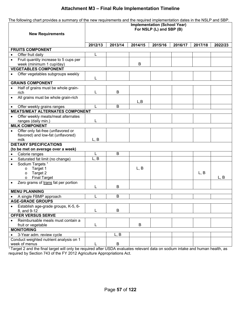#### **Attachment M3 – Final Rule Implementation Timeline**

| The following chart provides a summary of the new requirements and the required implementation dates in the NSLP and SBP. |                                     |         |         |                          |         |         |         |  |
|---------------------------------------------------------------------------------------------------------------------------|-------------------------------------|---------|---------|--------------------------|---------|---------|---------|--|
|                                                                                                                           | <b>Implementation (School Year)</b> |         |         |                          |         |         |         |  |
|                                                                                                                           |                                     |         |         | For NSLP (L) and SBP (B) |         |         |         |  |
| <b>New Requirements</b>                                                                                                   |                                     |         |         |                          |         |         |         |  |
|                                                                                                                           | 2012/13                             | 2013/14 | 2014/15 | 2015/16                  | 2016/17 | 2017/18 | 2022/23 |  |
| <b>FRUITS COMPONENT</b>                                                                                                   |                                     |         |         |                          |         |         |         |  |
| Offer fruit daily<br>$\bullet$                                                                                            | L                                   |         |         |                          |         |         |         |  |
| Fruit quantity increase to 5 cups per<br>$\bullet$                                                                        |                                     |         |         |                          |         |         |         |  |
| week (minimum 1 cup/day)                                                                                                  |                                     |         | B       |                          |         |         |         |  |
| <b>VEGETABLES COMPONENT</b>                                                                                               |                                     |         |         |                          |         |         |         |  |
| Offer vegetables subgroups weekly<br>$\bullet$                                                                            |                                     |         |         |                          |         |         |         |  |
| <b>GRAINS COMPONENT</b>                                                                                                   | L                                   |         |         |                          |         |         |         |  |
|                                                                                                                           |                                     |         |         |                          |         |         |         |  |
| Half of grains must be whole grain-<br>rich                                                                               | L                                   | B       |         |                          |         |         |         |  |
| All grains must be whole grain-rich<br>$\bullet$                                                                          |                                     |         |         |                          |         |         |         |  |
|                                                                                                                           |                                     |         | L, B    |                          |         |         |         |  |
| Offer weekly grains ranges                                                                                                | L                                   | B       |         |                          |         |         |         |  |
| <b>MEATS/MEAT ALTERNATES COMPONENT</b>                                                                                    |                                     |         |         |                          |         |         |         |  |
| Offer weekly meats/meat alternates<br>$\bullet$                                                                           |                                     |         |         |                          |         |         |         |  |
| ranges (daily min.)                                                                                                       | L                                   |         |         |                          |         |         |         |  |
| <b>MILK COMPONENT</b>                                                                                                     |                                     |         |         |                          |         |         |         |  |
| Offer only fat-free (unflavored or<br>$\bullet$                                                                           |                                     |         |         |                          |         |         |         |  |
| flavored) and low-fat (unflavored)                                                                                        |                                     |         |         |                          |         |         |         |  |
| milk<br><b>DIETARY SPECIFICATIONS</b>                                                                                     | L, B                                |         |         |                          |         |         |         |  |
| (to be met on average over a week)                                                                                        |                                     |         |         |                          |         |         |         |  |
| Calorie ranges<br>$\bullet$                                                                                               |                                     | B       |         |                          |         |         |         |  |
| Saturated fat limit (no change)<br>$\bullet$                                                                              | L, B                                |         |         |                          |         |         |         |  |
| Sodium Targets <sup>1</sup><br>$\bullet$                                                                                  |                                     |         |         |                          |         |         |         |  |
| Target 1<br>$\circ$                                                                                                       |                                     |         | L, B    |                          |         |         |         |  |
| Target 2<br>$\circ$                                                                                                       |                                     |         |         |                          |         | L, B    |         |  |
| <b>Final Target</b><br>$\circ$                                                                                            |                                     |         |         |                          |         |         | L, B    |  |
| Zero grams of trans fat per portion                                                                                       | L                                   | B       |         |                          |         |         |         |  |
| <b>MENU PLANNING</b>                                                                                                      |                                     |         |         |                          |         |         |         |  |
| A single FBMP approach                                                                                                    | L                                   | B       |         |                          |         |         |         |  |
| <b>AGE-GRADE GROUPS</b>                                                                                                   |                                     |         |         |                          |         |         |         |  |
| Establish age-grade groups, K-5, 6-                                                                                       |                                     |         |         |                          |         |         |         |  |
| 8, and 9-12                                                                                                               | L                                   | B       |         |                          |         |         |         |  |
| <b>OFFER VERSUS SERVE</b>                                                                                                 |                                     |         |         |                          |         |         |         |  |
| Reimbursable meals must contain a                                                                                         |                                     |         |         |                          |         |         |         |  |
| fruit or vegetable                                                                                                        | L                                   |         | B       |                          |         |         |         |  |
| <b>MONITORING</b>                                                                                                         |                                     |         |         |                          |         |         |         |  |
| 3-Year adm. review cycle                                                                                                  |                                     | L, B    |         |                          |         |         |         |  |
| Conduct weighted nutrient analysis on 1                                                                                   |                                     |         |         |                          |         |         |         |  |
| week of menus                                                                                                             |                                     | B       |         |                          |         |         |         |  |

<sup>1</sup> Target 2 and the final target will only be required after USDA evaluates relevant data on sodium intake and human health, as required by Section 743 of the FY 2012 Agriculture Appropriations Act.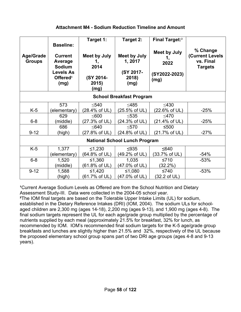| <b>Age/Grade</b><br><b>Groups</b>    | <b>Baseline:</b><br><b>Current</b><br>Average<br><b>Sodium</b><br><b>Levels As</b><br>Offered <sup>1</sup><br>(mg) | Target 1:<br><b>Meet by July</b><br>1,<br>2014<br>(SY 2014-<br>2015)<br>(mg) | Target 2:<br><b>Meet by July</b><br>1, 2017<br>(SY 2017-<br>2018)<br>(mg) | Final Target: <sup>2</sup><br><b>Meet by July</b><br>1,<br>2022<br>(SY2022-2023)<br>(mg) | % Change<br><b>(Current Levels</b><br>vs. Final<br><b>Targets</b> |  |  |  |  |  |
|--------------------------------------|--------------------------------------------------------------------------------------------------------------------|------------------------------------------------------------------------------|---------------------------------------------------------------------------|------------------------------------------------------------------------------------------|-------------------------------------------------------------------|--|--|--|--|--|
| <b>School Breakfast Program</b>      |                                                                                                                    |                                                                              |                                                                           |                                                                                          |                                                                   |  |  |  |  |  |
|                                      | 573                                                                                                                | $\leq 540$                                                                   | $\leq$ 485                                                                | $\leq$ 430                                                                               |                                                                   |  |  |  |  |  |
| $K-5$                                | (elementary)                                                                                                       | (28.4% of UL)                                                                | (25.5% of UL)                                                             | (22.6% of UL)                                                                            | $-25%$                                                            |  |  |  |  |  |
|                                      | 629                                                                                                                | < 600                                                                        | < 535                                                                     | $<$ 470                                                                                  |                                                                   |  |  |  |  |  |
| $6-8$                                | (middle)                                                                                                           | (27.3% of UL)                                                                | (24.3% of UL)                                                             | (21.4% of UL)                                                                            | $-25%$                                                            |  |  |  |  |  |
|                                      | 686                                                                                                                | < 640                                                                        | $\leq 570$                                                                | $≤500$                                                                                   |                                                                   |  |  |  |  |  |
| $9 - 12$                             | (high)                                                                                                             | (27.8% of UL)                                                                | (24.8% of UL)                                                             | (21.7% of UL)                                                                            | $-27%$                                                            |  |  |  |  |  |
| <b>National School Lunch Program</b> |                                                                                                                    |                                                                              |                                                                           |                                                                                          |                                                                   |  |  |  |  |  |
| $K-5$                                | 1,377                                                                                                              | ≤1,230                                                                       | $\leq$ 935                                                                | $≤640$                                                                                   |                                                                   |  |  |  |  |  |
|                                      | (elementary)                                                                                                       | (64.8% of UL)                                                                | (49.2% of UL)                                                             | (33.7% of UL)                                                                            | $-54%$                                                            |  |  |  |  |  |
| $6 - 8$                              | 1,520                                                                                                              | ≤1,360                                                                       | 1,035                                                                     | $≤710$                                                                                   | $-53%$                                                            |  |  |  |  |  |
|                                      | (middle)                                                                                                           | (61.8% of UL)                                                                | (47.0% of UL)                                                             | $(32.2\%)$                                                                               |                                                                   |  |  |  |  |  |
| $9 - 12$                             | 1,588                                                                                                              | ≤1,420                                                                       | ≤1,080                                                                    | $≤740$                                                                                   | $-53%$                                                            |  |  |  |  |  |
|                                      | (high)                                                                                                             | (61.7% of UL)                                                                | (47.0% of UL)                                                             | (32.2 of UL)                                                                             |                                                                   |  |  |  |  |  |

<sup>1</sup>Current Average Sodium Levels as Offered are from the School Nutrition and Dietary Assessment Study-III. Data were collected in the 2004-05 school year.

**²**The IOM final targets are based on the Tolerable Upper Intake Limits (UL) for sodium, established in the Dietary Reference Intakes (DRI) (IOM, 2004). The sodium ULs for schoolaged children are 2,300 mg (ages 14-18), 2,200 mg (ages 9-13), and 1,900 mg (ages 4-8). The final sodium targets represent the UL for each age/grade group multiplied by the percentage of nutrients supplied by each meal (approximately 21.5% for breakfast, 32% for lunch, as recommended by IOM. IOM's recommended final sodium targets for the K-5 age/grade group breakfasts and lunches are slightly higher than 21.5% and 32%, respectively of the UL because the proposed elementary school group spans part of two DRI age groups (ages 4-8 and 9-13 years).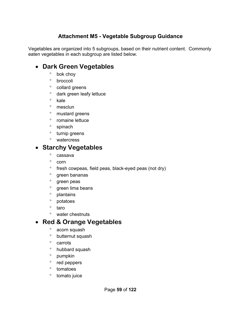# **Attachment M5 - Vegetable Subgroup Guidance**

Vegetables are organized into 5 subgroups, based on their nutrient content. Commonly eaten vegetables in each subgroup are listed below.

# **Dark Green Vegetables**

- <sup>o</sup> bok choy
- <sup>o</sup> broccoli
- $\degree$  collard greens
- dark green leafy lettuce
- $\degree$  kale
- <sup>o</sup> mesclun
- <sup>o</sup> mustard greens
- <sup>o</sup> romaine lettuce
- <sup>o</sup> spinach
- <sup>o</sup> turnip greens
- <sup>o</sup> watercress

# **Starchy Vegetables**

- ° cassava
- $\degree$  corn
- $\degree$  fresh cowpeas, field peas, black-eyed peas (not dry)
- <sup>o</sup> green bananas
- ° green peas
- <sup>o</sup> green lima beans
- <sup>o</sup> plantains
- ° potatoes
- ° taro
- water chestnuts

# **Red & Orange Vegetables**

- acorn squash
- butternut squash
- ° carrots
- hubbard squash
- $^{\circ}$  pumpkin
- $\degree$  red peppers
- <sup>o</sup> tomatoes
- <sup>o</sup> tomato juice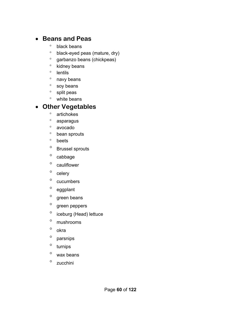# **Beans and Peas**

- black beans
- black-eyed peas (mature, dry)
- <sup>o</sup> garbanzo beans (chickpeas)
- <sup>o</sup> kidney beans
- <sup>o</sup> lentils
- <sup>o</sup> navy beans
- ° soy beans
- <sup>o</sup> split peas
- <sup>o</sup> white beans

# **Other Vegetables**

- artichokes
- asparagus
- avocado
- bean sprouts
- beets
- Brussel sprouts
- $\degree$  cabbage
- <sup>o</sup> cauliflower
- $^{\circ}$  celery
- $\degree$  cucumbers
- <sup>o</sup> eggplant
- $^{\circ}$  green beans
- <sup>o</sup> green peppers
- <sup>o</sup> iceburg (Head) lettuce
- mushrooms
- ° okra
- $^{\circ}$  parsnips
- <sup>o</sup> turnips
- $\degree$  wax beans
- <sup>o</sup> zucchini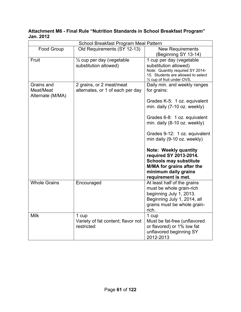#### **Attachment M6 - Final Rule "Nutrition Standards in School Breakfast Program" Jan. 2012**

| School Breakfast Program Meal Pattern       |                                                              |                                                                                                                                                                                                                                                                                                                                                                                                                    |  |  |  |  |  |  |
|---------------------------------------------|--------------------------------------------------------------|--------------------------------------------------------------------------------------------------------------------------------------------------------------------------------------------------------------------------------------------------------------------------------------------------------------------------------------------------------------------------------------------------------------------|--|--|--|--|--|--|
| Food Group                                  | Old Requirements (SY 12-13)                                  | <b>New Requirements</b><br>(Beginning SY 13-14)                                                                                                                                                                                                                                                                                                                                                                    |  |  |  |  |  |  |
| Fruit                                       | 1/2 cup per day (vegetable<br>substitution allowed)          | 1 cup per day (vegetable<br>substitution allowed)<br>Note: Quantity required SY 2014-<br>15. Students are allowed to select<br>1/ <sub>2</sub> cup of fruit under OVS.                                                                                                                                                                                                                                             |  |  |  |  |  |  |
| Grains and<br>Meat/Meat<br>Alternate (M/MA) | 2 grains, or 2 meat/meat<br>alternates, or 1 of each per day | Daily min. and weekly ranges<br>for grains:<br>Grades K-5: 1 oz. equivalent<br>min. daily (7-10 oz. weekly)<br>Grades 6-8: 1 oz. equivalent<br>min. daily (8-10 oz. weekly)<br>Grades 9-12: 1 oz. equivalent<br>min daily (9-10 oz. weekly)<br><b>Note: Weekly quantity</b><br>required SY 2013-2014.<br><b>Schools may substitute</b><br>M/MA for grains after the<br>minimum daily grains<br>requirement is met. |  |  |  |  |  |  |
| <b>Whole Grains</b>                         | Encouraged                                                   | At least half of the grains<br>must be whole grain-rich<br>beginning July 1, 2013.<br>Beginning July 1, 2014, all<br>grains must be whole grain-<br>rich.                                                                                                                                                                                                                                                          |  |  |  |  |  |  |
| <b>Milk</b>                                 | 1 cup<br>Variety of fat content; flavor not<br>restricted    | 1 cup<br>Must be fat-free (unflavored<br>or flavored) or 1% low fat<br>unflavored beginning SY<br>2012-2013                                                                                                                                                                                                                                                                                                        |  |  |  |  |  |  |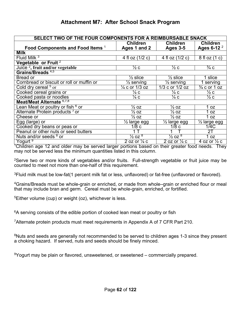## **Attachment M7: After School Snack Program**

| <b>SELECT TWO OF THE FOUR COMPONENTS FOR A REIMBURSABLE SNACK</b> |                                |                                |                                    |  |  |  |  |  |  |
|-------------------------------------------------------------------|--------------------------------|--------------------------------|------------------------------------|--|--|--|--|--|--|
|                                                                   | <b>Children</b>                | <b>Children</b>                | <b>Children</b>                    |  |  |  |  |  |  |
| Food Components and Food Items <sup>1</sup>                       | Ages 1 and 2                   | <b>Ages 3-5</b>                | Ages 6-12 $^2$                     |  |  |  |  |  |  |
| <b>Milk</b>                                                       |                                |                                |                                    |  |  |  |  |  |  |
| Fluid Milk <sup>3</sup>                                           | 4 fl oz (1/2 c)                | 4 fl oz (1/2 c)                | 8 fl oz (1 c)                      |  |  |  |  |  |  |
| Vegetable or Fruit <sup>2</sup>                                   |                                |                                |                                    |  |  |  |  |  |  |
| Juice <sup>2</sup> , fruit and/or vegetable                       | $\frac{1}{2}$ C                | $\frac{1}{2}c$                 | $\frac{3}{4}$ C                    |  |  |  |  |  |  |
| Grains/Breads <sup>4,5</sup>                                      |                                |                                |                                    |  |  |  |  |  |  |
| Bread or                                                          | $\frac{1}{2}$ slice            | $\frac{1}{2}$ slice            | 1 slice                            |  |  |  |  |  |  |
| Cornbread or biscuit or roll or muffin or                         | $\frac{1}{2}$ serving          | $\frac{1}{2}$ serving          | 1 serving                          |  |  |  |  |  |  |
| Cold dry cereal <sup>5</sup> or                                   | $\frac{1}{4}$ c or 1/3 oz      | 1/3 c or 1/2 oz                | $\frac{3}{4}$ c or 1 oz            |  |  |  |  |  |  |
| Cooked cereal grains or                                           | $\frac{1}{4}$ C                | $\frac{1}{4}$ C                | $\frac{1}{2}c$                     |  |  |  |  |  |  |
| Cooked pasta or noodles                                           | $\frac{1}{4}$ C                | $\frac{1}{4}$ C                | $\frac{1}{2}c$                     |  |  |  |  |  |  |
| Meat/Meat Alternate 6,7,8                                         |                                |                                |                                    |  |  |  |  |  |  |
| Lean Meat or poultry or fish <sup>6</sup> or                      | $\frac{1}{2}$ OZ               | $\frac{7}{2}$ OZ               | 0Z                                 |  |  |  |  |  |  |
| Alternate Protein products 7 or                                   | $\frac{1}{2}$ OZ               | $\frac{1}{2}$ OZ               | 1 oz                               |  |  |  |  |  |  |
| Cheese or                                                         | $\frac{1}{2}$ OZ               | $\frac{1}{2}$ OZ               | 0Z                                 |  |  |  |  |  |  |
| Egg (large) or                                                    | $\frac{1}{2}$ large egg        | $\frac{1}{2}$ large egg        | $\overline{\frac{7}{2}}$ large egg |  |  |  |  |  |  |
| Cooked dry beans or peas or                                       | 1/8c                           | 1/8c                           | 1/4C                               |  |  |  |  |  |  |
| Peanut or other nuts or seed butters                              |                                |                                | 2T                                 |  |  |  |  |  |  |
| Nuts and/or seeds <sup>8</sup> or                                 | $\frac{1}{2}$ OZ $\frac{8}{3}$ | $\frac{1}{2}$ 0Z $\frac{8}{3}$ | 1 oz                               |  |  |  |  |  |  |
| Yogurt <sup>9</sup>                                               | 2 oz or $\frac{1}{4}$ c        | 2 oz or $\frac{1}{4}$ c        | 4 oz or $\frac{1}{2}$ c            |  |  |  |  |  |  |

<sup>1</sup>Children age 12 and older may be served larger portions based on their greater food needs. They may not be served less the minimum quantities listed in this column.

<sup>2</sup>Serve two or more kinds of vegetables and/or fruits. Full-strength vegetable or fruit juice may be counted to meet not more than one-half of this requirement.

3Fluid milk must be low-fat(1 percent milk fat or less, unflavored) or fat-free (unflavored or flavored).

4Grains/Breads must be whole-grain or enriched, or made from whole–grain or enriched flour or meal that may include bran and germ. Cereal must be whole-grain, enriched, or fortified.

 ${}^{5}$ Either volume (cup) or weight (oz), whichever is less.

<sup>6</sup>A serving consists of the edible portion of cooked lean meat or poultry or fish

7Alternate protein products must meet requirements in Appendix A of 7 CFR Part 210.

<sup>8</sup>Nuts and seeds are generally not recommended to be served to children ages 1-3 since they present a choking hazard. If served, nuts and seeds should be finely minced.

9Yogurt may be plain or flavored, unsweetened, or sweetened – commercially prepared.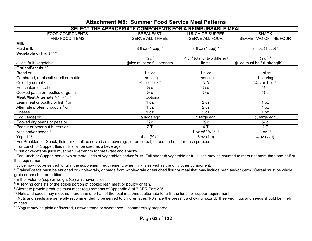## **Attachment M8: Summer Food Service Meal Patterns**

| SELECT THE APPROPRIATE COMPONENTS FOR A REIMBURSABLE MEAL |                                       |                                                      |                               |  |  |  |  |  |  |
|-----------------------------------------------------------|---------------------------------------|------------------------------------------------------|-------------------------------|--|--|--|--|--|--|
| <b>FOOD COMPONENTS</b>                                    | <b>BREAKFAST</b>                      | <b>LUNCH OR SUPPER</b>                               | <b>SNACK</b>                  |  |  |  |  |  |  |
| AND FOOD ITEMS                                            | SERVE ALL THREE                       | <b>SERVE ALL FOUR</b>                                | SERVE TWO OF THE FOUR         |  |  |  |  |  |  |
| Milk $1,2$                                                |                                       |                                                      |                               |  |  |  |  |  |  |
| Fluid milk                                                | 8 fl oz (1 cup) <sup>1</sup>          | 8 fl oz $(1 \text{ cup})^2$                          | 8 fl oz $(1 \text{ cup})^1$   |  |  |  |  |  |  |
| Vegetable or Fruit 3,4,5                                  |                                       |                                                      |                               |  |  |  |  |  |  |
|                                                           | $\frac{1}{2}c^3$                      | $\frac{3}{4}$ c $\frac{4}{4}$ total of two different | $\frac{3}{4}$ C $^{3, 4}$     |  |  |  |  |  |  |
| Juice, fruit, vegetable                                   | (juice must be full-strength          | items                                                | (juice must be full-strength) |  |  |  |  |  |  |
| Grains/Breads <sup>6,7</sup>                              |                                       |                                                      |                               |  |  |  |  |  |  |
| Bread or                                                  | slice                                 | slice                                                | 1 slice                       |  |  |  |  |  |  |
| Cornbread, or biscuit or roll or muffin or                | serving                               | serving                                              | serving                       |  |  |  |  |  |  |
| Cold dry cereal 7                                         | $\frac{3}{4}$ c or 1 oz $\frac{7}{4}$ | N/A                                                  | $\frac{3}{4}$ c or 1 oz $^7$  |  |  |  |  |  |  |
| Hot cooked cereal or                                      | $\frac{1}{2}c$                        | $\frac{1}{2}c$                                       | $\frac{1}{2}c$                |  |  |  |  |  |  |
| Cooked pasta or noodles or grains                         | $\frac{1}{2}c$                        | $\frac{1}{2}c$                                       | $\frac{1}{2}c$                |  |  |  |  |  |  |
| Meat/Meat Alternate 8, 9, 10, 11, 12                      | Optional                              |                                                      |                               |  |  |  |  |  |  |
| Lean meat or poultry or fish <sup>8</sup> or              | 1 oz                                  | 2 oz                                                 | 1 oz                          |  |  |  |  |  |  |
| Alternate protein products <sup>9</sup> or                | 1 oz                                  | 2 oz                                                 | 1 oz                          |  |  |  |  |  |  |
| Cheese                                                    | 1 oz                                  | 2 oz                                                 | 1 oz                          |  |  |  |  |  |  |
| Egg (large) or                                            | $\frac{1}{2}$ large egg               | 1 large egg                                          | $\frac{1}{2}$ large egg       |  |  |  |  |  |  |
| Cooked dry beans or peas or                               | $\frac{1}{4}$ C                       | $\frac{1}{2}c$                                       | $\frac{1}{4}$ C               |  |  |  |  |  |  |
| Peanut or other nut butters or                            | 2T                                    | 4T                                                   | 2T                            |  |  |  |  |  |  |
| Nuts and/or seeds 11                                      | ---                                   | $oz = 50\sqrt{0.10, 11}$                             | 1 oz $11$                     |  |  |  |  |  |  |
| Yogurt <sup>12</sup>                                      | 4 oz $(\frac{1}{2}c)$                 | 8 oz (1 c)                                           | 4 oz $(\frac{1}{2}c)$         |  |  |  |  |  |  |

 $\frac{1}{1}$  For Breakfast or Snack, fluid milk shall be served as a beverage, or on cereal, or use part of it for each purpose.

2 For Lunch or Supper, fluid milk shall be used as a beverage.

<sup>3</sup> Fruit or vegetable juice must be full-strength for breakfast and snacks.

<sup>4</sup> For Lunch or Supper, serve two or more kinds of vegetables and/or fruits, Full strength vegetable or fruit juice may be counted to meet not more than one-half of this requirement

 $^5$  Juice may not be served to fulfill the supplement requirement, when milk is served as the only other component.

6 Grains/Breads must be enriched or whole-grain, or made from whole-grain or enriched flour or meal that may include bran and/or germ. Cereal must be whole grain or enriched or fortified.

 $7$  Either volume (cup) or weight (oz) whichever is less.

<sup>8</sup> A serving consists of the edible portion of cooked lean meat or poultry or fish.

<sup>9</sup> Alternate protein products must meet requirements of Appendix A of 7 CFR Part 225.

<sup>10</sup> Nuts and seeds may meet no more than one-half of the total meat/meat alternate to fulfill the lunch or supper requirement.

 $^{11}$  Nuts and seeds are generally recommended to be served to children ages 1-3 since the present a choking hazard. If served, nuts and seeds should be finely minced.

<sup>12</sup> Yogurt may be plain or flavored, unsweetened or sweetened – commercially prepared.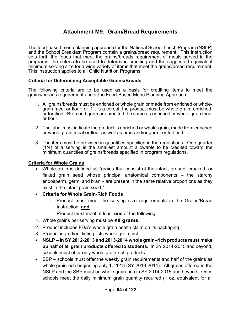## **Attachment M9: Grain/Bread Requirements**

The food-based menu planning approach for the National School Lunch Program (NSLP) and the School Breakfast Program contain a grains/bread requirement. This instruction sets forth the foods that meet the grains/breads requirement of meals served in the programs, the criteria to be used to determine crediting and the suggested equivalent minimum serving size for a wide variety of items that meet the grains/bread requirement. This instruction applies to all Child Nutrition Programs.

#### **Criteria for Determining Acceptable Grains/Breads**

The following criteria are to be used as a basis for crediting items to meet the grains/breads requirement under the Food-Based Menu Planning Approach:

- 1. All grains/breads must be enriched or whole grain or made from enriched or wholegrain meal or flour; or if it is a cereal, the product must be whole-grain, enriched, or fortified. Bran and germ are credited the same as enriched or whole grain meal or flour.
- 2. The label must indicate the product is enriched or whole-grain, made from enriched or whole-grain meal or flour as well as bran and/or germ, or fortified.
- 3. The item must be provided in quantities specified in the regulations. One quarter (1/4) of a serving is the smallest amount allowable to be credited toward the minimum quantities of grains/breads specified in program regulations.

#### **Criteria for Whole Grains**

- Whole grain is defined as "grains that consist of the intact, ground, cracked, or flaked grain seed whose principal anatomical components – the starchy endosperm, germ, and bran – are present in the same relative proportions as they exist in the intact grain seed."
- **Criteria for Whole Grain-Rich Foods** 
	- <sup>o</sup> Product must meet the serving size requirements in the Grains/Bread Instruction, **and**
	- Product must meet at least **one** of the following:
- 1. Whole grains per serving must be  $\geq 8$  grams
- 2. Product includes FDA's whole grain health claim on its packaging
- 3. Product ingredient listing lists whole grain first
- **NSLP in SY 2012-2013 and 2013-2014 whole grain–rich products must make up half of all grain products offered to students.** In SY 2014-2015 and beyond, schools must offer only whole grain-rich products.
- SBP schools must offer the weekly grain requirements and half of the grains as whole grain-rich beginning July 1, 2013 (SY 2013-2014). All grains offered in the NSLP and the SBP must be whole grain-rich in SY 2014-2015 and beyond. Once schools meet the daily minimum grain quantity required (1 oz. equivalent for all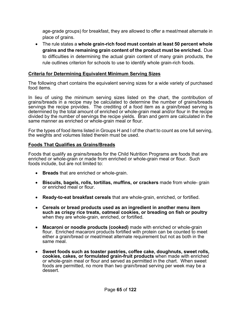age-grade groups) for breakfast, they are allowed to offer a meat/meat alternate in place of grains.

 The rule states a **whole grain-rich food must contain at least 50 percent whole grains and the remaining grain content of the product must be enriched.** Due to difficulties in determining the actual grain content of many grain products, the rule outlines criterion for schools to use to identify whole grain-rich foods.

#### **Criteria for Determining Equivalent Minimum Serving Sizes**

The following chart contains the equivalent serving sizes for a wide variety of purchased food items.

In lieu of using the minimum serving sizes listed on the chart, the contribution of grains/breads in a recipe may be calculated to determine the number of grains/breads servings the recipe provides. The crediting of a food item as a grain/bread serving is determined by the total amount of enriched or whole-grain meal and/or flour in the recipe divided by the number of servings the recipe yields. Bran and germ are calculated in the same manner as enriched or whole-grain meal or flour.

For the types of food items listed in Groups H and I of the chart to count as one full serving, the weights and volumes listed therein must be used.

#### **Foods That Qualifies as Grains/Breads**

Foods that qualify as grains/breads for the Child Nutrition Programs are foods that are enriched or whole-grain or made from enriched or whole-grain meal or flour. Such foods include, but are not limited to:

- **Breads** that are enriched or whole-grain.
- **Biscuits, bagels, rolls, tortillas, muffins, or crackers** made from whole- grain or enriched meal or flour.
- **Ready-to-eat breakfast cereals** that are whole-grain, enriched, or fortified.
- **Cereals or bread products used as an ingredient in another menu item such as crispy rice treats, oatmeal cookies, or breading on fish or poultry**  when they are whole-grain, enriched, or fortified.
- **Macaroni or noodle products (cooked)** made with enriched or whole-grain flour. Enriched macaroni products fortified with protein can be counted to meet either a grain/bread or meat/meat alternate requirement but not as both in the same meal.
- **Sweet foods such as toaster pastries, coffee cake, doughnuts, sweet rolls, cookies, cakes, or formulated grain-fruit products** when made with enriched or whole-grain meal or flour and served as permitted in the chart. When sweet foods are permitted, no more than two grain/bread serving per week may be a dessert.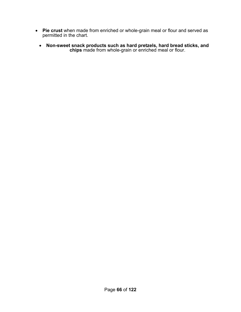- **Pie crust** when made from enriched or whole-grain meal or flour and served as permitted in the chart.
	- **Non-sweet snack products such as hard pretzels, hard bread sticks, and chips** made from whole-grain or enriched meal or flour.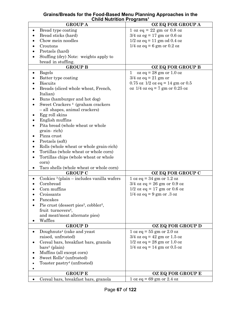#### **Grains/Breads for the Food-Based Menu Planning Approaches in the Child Nutrition Programs<sup>1</sup>**

| <b>GROUP A</b>                                                | OZ EQ FOR GROUP A                                     |
|---------------------------------------------------------------|-------------------------------------------------------|
| Bread type coating<br>$\bullet$                               | $1 \text{ oz } eq = 22 \text{ gm or } 0.8 \text{ oz}$ |
| Bread sticks (hard)                                           | $3/4$ oz eg = 17 gm or 0.6 oz                         |
| Chow mein noodles                                             | $1/2$ oz eq = 11 gm od 0.4 oz                         |
| Croutons                                                      | $1/4$ oz eq = 6 gm or 0.2 oz                          |
| Pretzels (hard)                                               |                                                       |
| Stuffing (dry) Note: weights apply to                         |                                                       |
| bread in stuffing.                                            |                                                       |
| <b>GROUP B</b>                                                | OZ EQ FOR GROUP B                                     |
| <b>Bagels</b>                                                 | $oz$ eq = 28 gm or 1.0 oz<br>1                        |
| $\bullet$                                                     |                                                       |
| Batter type coating                                           | $3/4$ oz eq = 21 gm or                                |
| <b>Biscuits</b>                                               | $0.75$ oz $1/2$ oz eq = 14 gm or $0.5$                |
| Breads (sliced whole wheat, French,                           | oz $1/4$ oz eq = 7 gm or 0.25 oz                      |
| Italian)                                                      |                                                       |
| Buns (hamburger and hot dog)                                  |                                                       |
| Sweet Crackers <sup>4</sup> (graham crackers                  |                                                       |
| - all shapes, animal crackers)                                |                                                       |
| Egg roll skins                                                |                                                       |
| English muffins                                               |                                                       |
| Pita bread (whole wheat or whole                              |                                                       |
| grain-rich)                                                   |                                                       |
| Pizza crust                                                   |                                                       |
| Pretzels (soft)                                               |                                                       |
| Rolls (whole wheat or whole grain-rich)                       |                                                       |
| Tortillas (whole wheat or whole corn)                         |                                                       |
| Tortillas chips (whole wheat or whole                         |                                                       |
| corn)                                                         |                                                       |
| Taco shells (whole wheat or whole corn)                       |                                                       |
| <b>GROUP C</b>                                                | OZ EQ FOR GROUP C                                     |
| Cookies $\frac{3}{2}$ (plain – includes vanilla wafers        | $1 oz eq = 34 gm or 1.2 oz$                           |
| Cornbread                                                     | $3/4$ oz eq = 26 gm or 0.9 oz                         |
| Corn muffins                                                  | $1/2$ oz eq = 17 gm or 0.6 oz                         |
| Croissants                                                    | $1/4$ oz eq = 9 gm or .3 oz                           |
|                                                               |                                                       |
| Pancakes                                                      |                                                       |
| Pie crust (dessert pies <sup>3</sup> , cobbler <sup>3</sup> , |                                                       |
| fruit turnovers <sup>4</sup> ,                                |                                                       |
| and meat/meat alternate pies)                                 |                                                       |
| Waffles                                                       |                                                       |
| <b>GROUP D</b>                                                | OZ EQ FOR GROUP D                                     |
| Doughnuts <sup>4</sup> (cake and yeast                        | $1 \text{ oz } eq = 55 \text{ gm or } 2.0 \text{ oz}$ |
| raised, unfrosted)                                            | $3/4$ oz eq = 42 gm or 1.5 oz                         |
| Cereal bars, breakfast bars, granola                          | $1/2$ oz eq = 28 gm or 1.0 oz                         |
| $bars4$ (plain)                                               | $1/4$ oz eq = 14 gm or 0.5 oz                         |
| Muffins (all except corn)                                     |                                                       |
| Sweet Rolls <sup>4</sup> (unfrosted)                          |                                                       |
| Toaster pastry <sup>4</sup> (unfrosted)                       |                                                       |
|                                                               |                                                       |
| <b>GROUP E</b>                                                | OZ EQ FOR GROUP E                                     |
| Cereal bars, breakfast bars, granola                          | $1 oz eq = 69 gm or 2.4 oz$                           |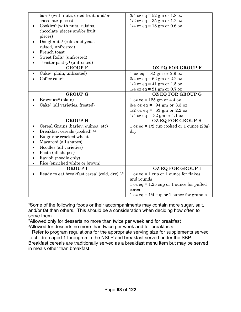| bars <sup>4</sup> (with nuts, dried fruit, and/or        | $3/4$ oz eq = 52 gm or 1.8 oz                                        |
|----------------------------------------------------------|----------------------------------------------------------------------|
| chocolate pieces)                                        | $1/2$ oz eq = 35 gm or 1.2 oz                                        |
| Cookies <sup>3</sup> (with nuts, raisins,                | $1/4$ oz eq = 18 gm or 0.6 oz                                        |
| chocolate pieces and/or fruit                            |                                                                      |
| pieces)                                                  |                                                                      |
| Doughnuts <sup>4</sup> (cake and yeast                   |                                                                      |
| raised, unfrosted)                                       |                                                                      |
| French toast                                             |                                                                      |
| Sweet Rolls <sup>4</sup> (unfrosted)                     |                                                                      |
| Toaster pastry <sup>4</sup> (unfrosted)                  |                                                                      |
| <b>GROUP F</b>                                           | OZ EQ FOR GROUP F                                                    |
| Cake <sup>3</sup> (plain, unfrosted)                     | $1 \text{ oz } eq = 82 \text{ gm or } 2.9 \text{ oz}$                |
| Coffee cake $4$                                          | $3/4$ oz eq = 62 gm or 2.2 oz                                        |
|                                                          | $1/2$ oz eq = 41 gm or 1.5 oz                                        |
|                                                          | $1/4$ oz eq = 21 gm or 0.7 oz                                        |
| <b>GROUP G</b>                                           | OZ EQ FOR GROUP G                                                    |
| Brownies <sup>3</sup> (plain)                            | $1 oz eq = 125 gm or 4.4 oz$                                         |
| Cake <sup>3</sup> (all varieties, frosted)               | $3/4$ oz eq = 94 gm or 3.3 oz                                        |
|                                                          | $1/2$ oz eq = 63 gm or 2.2 oz                                        |
|                                                          | $1/4$ oz eq = 32 gm or 1.1 oz                                        |
| <b>GROUP H</b>                                           | OZ EQ FOR GROUP H                                                    |
| Cereal Grains (barley, quinoa, etc)                      | 1 oz eq = $1/2$ cup cooked or 1 ounce $(28g)$                        |
| Breakfast cereals (cooked) <sup>5,6</sup>                | $\rm{dry}$                                                           |
| Bulgur or cracked wheat                                  |                                                                      |
| Macaroni (all shapes)                                    |                                                                      |
| Noodles (all varieties)                                  |                                                                      |
| Pasta (all shapes)                                       |                                                                      |
| Ravioli (noodle only)                                    |                                                                      |
| Rice (enriched white or brown)                           |                                                                      |
| <b>GROUP I</b>                                           | OZ EQ FOR GROUP I                                                    |
| Ready to eat breakfast cereal (cold, dry) <sup>5,6</sup> | $1 \text{ oz } eq = 1 \text{ cup or } 1 \text{ ounce for flakes}$    |
|                                                          | and rounds                                                           |
|                                                          | $1 oz eq = 1.25 cup or 1 ounce for puffed$                           |
|                                                          | cereal                                                               |
|                                                          | $1 \text{ oz } eq = 1/4 \text{ cup or } 1 \text{ ounce for granola}$ |

<sup>1</sup>Some of the following foods or their accompaniments may contain more sugar, salt, and/or fat than others. This should be a consideration when deciding how often to serve them.

²Allowed only for desserts no more than twice per week and for breakfast <sup>3</sup>Allowed for desserts no more than twice per week and for breakfasts

Refer to program regulations for the appropriate serving size for supplements served to children aged 1 through 5 in the NSLP and breakfast served under the SBP. Breakfast cereals are traditionally served as a breakfast menu item but may be served in meals other than breakfast.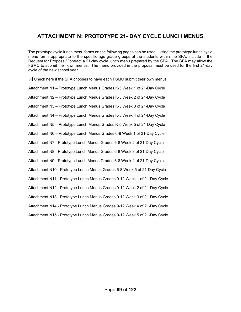## **ATTACHMENT N: PROTOTYPE 21- DAY CYCLE LUNCH MENUS**

The prototype cycle lunch menu forms on the following pages can be used. Using the prototype lunch cycle menu forms appropriate to the specific age grade groups of the students within the SFA, include in the Request for Proposal/Contract a 21-day cycle lunch menu prepared by the SFA. The SFA may allow the FSMC to submit their own menus. The menu provided in the proposal must be used for the first 21-day cycle of the new school year.

 $\boxtimes$  Check here if the SFA chooses to have each FSMC submit their own menus Attachment N1 – Prototype Lunch Menus Grades K-5 Week 1 of 21-Day Cycle Attachment N2 – Prototype Lunch Menus Grades K-5 Week 2 of 21-Day Cycle Attachment N3 – Prototype Lunch Menus Grades K-5 Week 3 of 21-Day Cycle Attachment N4 – Prototype Lunch Menus Grades K-5 Week 4 of 21-Day Cycle Attachment N5 – Prototype Lunch Menus Grades K-5 Week 5 of 21-Day Cycle Attachment N6 – Prototype Lunch Menus Grades 6-8 Week 1 of 21-Day Cycle Attachment N7 - Prototype Lunch Menus Grades 6-8 Week 2 of 21-Day Cycle Attachment N8 - Prototype Lunch Menus Grades 6-8 Week 3 of 21-Day Cycle Attachment N9 - Prototype Lunch Menus Grades 6-8 Week 4 of 21-Day Cycle Attachment N10 - Prototype Lunch Menus Grades 6-8 Week 5 of 21-Day Cycle Attachment N11 - Prototype Lunch Menus Grades 9-12 Week 1 of 21-Day Cycle Attachment N12 - Prototype Lunch Menus Grades 9-12 Week 2 of 21-Day Cycle Attachment N13 - Prototype Lunch Menus Grades 9-12 Week 3 of 21-Day Cycle Attachment N14 - Prototype Lunch Menus Grades 9-12 Week 4 of 21-Day Cycle Attachment N15 - Prototype Lunch Menus Grades 9-12 Week 5 of 21-Day Cycle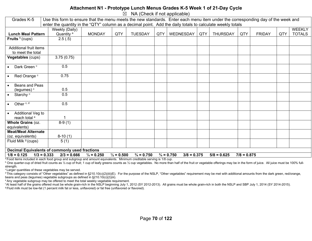#### **Attachment N1 - Prototype Lunch Menus Grades K-5 Week 1 of 21-Day Cycle**

 $\boxtimes$  NA (Check if not applicable)

| Grades K-5                                            |                                | Use this form to ensure that the menu meets the new standards. Enter each menu item under the corresponding day of the week and<br>enter the quantity in the "QTY" column as a decimal point. Add the daily totals to calculate weekly totals |                       |                       |     |                                        |     |                 |               |               |     |               |
|-------------------------------------------------------|--------------------------------|-----------------------------------------------------------------------------------------------------------------------------------------------------------------------------------------------------------------------------------------------|-----------------------|-----------------------|-----|----------------------------------------|-----|-----------------|---------------|---------------|-----|---------------|
|                                                       | Weekly (Daily)                 |                                                                                                                                                                                                                                               |                       |                       |     |                                        |     |                 |               |               |     | <b>WEEKLY</b> |
| <b>Lunch Meal Pattern</b>                             | Quantity <sup>a</sup>          | <b>MONDAY</b>                                                                                                                                                                                                                                 | QTY                   | <b>TUESDAY</b>        | QTY | WEDNESDAY                              | QTY | <b>THURSDAY</b> | QTY           | <b>FRIDAY</b> | QTY | <b>TOTALS</b> |
| Fruits $b$ (cups)                                     | 2.5(.5)                        |                                                                                                                                                                                                                                               |                       |                       |     |                                        |     |                 |               |               |     |               |
|                                                       |                                |                                                                                                                                                                                                                                               |                       |                       |     |                                        |     |                 |               |               |     |               |
| Additional fruit items                                |                                |                                                                                                                                                                                                                                               |                       |                       |     |                                        |     |                 |               |               |     |               |
| to meet the total                                     |                                |                                                                                                                                                                                                                                               |                       |                       |     |                                        |     |                 |               |               |     |               |
| Vegetables (cups)                                     | 3.75(0.75)                     |                                                                                                                                                                                                                                               |                       |                       |     |                                        |     |                 |               |               |     |               |
|                                                       |                                |                                                                                                                                                                                                                                               |                       |                       |     |                                        |     |                 |               |               |     |               |
| Dark Green <sup>c</sup>                               | 0.5                            |                                                                                                                                                                                                                                               |                       |                       |     |                                        |     |                 |               |               |     |               |
|                                                       |                                |                                                                                                                                                                                                                                               |                       |                       |     |                                        |     |                 |               |               |     |               |
| Red Orange <sup>c</sup>                               | 0.75                           |                                                                                                                                                                                                                                               |                       |                       |     |                                        |     |                 |               |               |     |               |
|                                                       |                                |                                                                                                                                                                                                                                               |                       |                       |     |                                        |     |                 |               |               |     |               |
| Beans and Peas                                        |                                |                                                                                                                                                                                                                                               |                       |                       |     |                                        |     |                 |               |               |     |               |
| (legumes) <sup>c</sup>                                | 0.5                            |                                                                                                                                                                                                                                               |                       |                       |     |                                        |     |                 |               |               |     |               |
| Starchy <sup>c</sup>                                  | 0.5                            |                                                                                                                                                                                                                                               |                       |                       |     |                                        |     |                 |               |               |     |               |
|                                                       | 0.5                            |                                                                                                                                                                                                                                               |                       |                       |     |                                        |     |                 |               |               |     |               |
| Other <sup>c, d</sup>                                 |                                |                                                                                                                                                                                                                                               |                       |                       |     |                                        |     |                 |               |               |     |               |
| Additional Veg to                                     |                                |                                                                                                                                                                                                                                               |                       |                       |     |                                        |     |                 |               |               |     |               |
| reach total <sup>e</sup>                              |                                |                                                                                                                                                                                                                                               |                       |                       |     |                                        |     |                 |               |               |     |               |
| Whole Grains (oz.                                     | $8-9(1)$                       |                                                                                                                                                                                                                                               |                       |                       |     |                                        |     |                 |               |               |     |               |
| equivalents)                                          |                                |                                                                                                                                                                                                                                               |                       |                       |     |                                        |     |                 |               |               |     |               |
| <b>Meat/Meat Alternate</b>                            |                                |                                                                                                                                                                                                                                               |                       |                       |     |                                        |     |                 |               |               |     |               |
| (oz. equivalents)                                     | $8-10(1)$                      |                                                                                                                                                                                                                                               |                       |                       |     |                                        |     |                 |               |               |     |               |
| Fluid Milk <sup>9</sup> (cups)                        | 5(1)                           |                                                                                                                                                                                                                                               |                       |                       |     |                                        |     |                 |               |               |     |               |
|                                                       |                                |                                                                                                                                                                                                                                               |                       |                       |     |                                        |     |                 |               |               |     |               |
| <b>Decimal Equivalents of commonly used fractions</b> |                                |                                                                                                                                                                                                                                               |                       |                       |     |                                        |     |                 |               |               |     |               |
| $1/8 = 0.125$                                         | $1/3 = 0.333$<br>$2/3 = 0.666$ | $\frac{1}{4}$ = 0.250                                                                                                                                                                                                                         | $\frac{1}{2} = 0.500$ | $\frac{3}{4}$ = 0.750 |     | $\frac{3}{4}$ = 0.750<br>$3/8 = 0.375$ |     | $5/8 = 0.625$   | $7/8 = 0.875$ |               |     |               |

a Food items included in each food group and subgroup and amount equivalents. Minimum creditable serving is 1/8 cup.

<sup>b</sup> One quarter-cup of dried fruit counts as 1/2 cup of fruit; 1 cup of leafy greens counts as 1/2 cup vegetables. No more than half of the fruit or vegetable offerings may be in the form of juice. All juice must be 100% f strength.

<sup>c</sup> Larger quantities of these vegetables may be served.

<sup>d</sup> This category consists of "Other vegetables" as defined in §210.10(c)(2)(iii)(E). For the purpose of the NSLP, "Other vegetables" requirement may be met with additional amounts from the dark green, red/orange, beans and peas (legumes) vegetable subgroups as defined in §210.10(c)(2)(iii).

e Any vegetable subgroup may be offered to meet the total weekly vegetable requirement.

f At least half of the grains offered must be whole grain-rich in the NSLP beginning July 1, 2012 (SY 2012-2013). All grains must be whole grain-rich in both the NSLP and SBP July 1, 2014 (SY 2014-2015). g Fluid milk must be low-fat (1 percent milk fat or less, unflavored) or fat free (unflavored or flavored).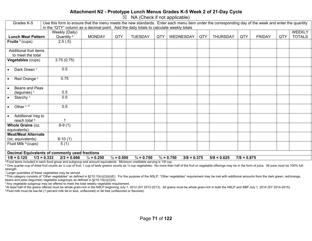## **Attachment N2 - Prototype Lunch Menus Grades K-5 Week 2 of 21-Day Cycle**

 $\boxtimes$  NA (Check if not applicable)

| Grades K-5                                            | Use this form to ensure that the menu meets the new standards. Enter each menu item under the corresponding day of the week and enter the quantity |                       |                       |                       |     |                                        |     |                 |               |               |     |               |
|-------------------------------------------------------|----------------------------------------------------------------------------------------------------------------------------------------------------|-----------------------|-----------------------|-----------------------|-----|----------------------------------------|-----|-----------------|---------------|---------------|-----|---------------|
|                                                       | in the "QTY" column as a decimal point. Add the daily totals to calculate weekly totals                                                            |                       |                       |                       |     |                                        |     |                 |               |               |     |               |
|                                                       | Weekly (Daily)                                                                                                                                     |                       |                       |                       |     |                                        |     |                 |               |               |     | <b>WEEKLY</b> |
| <b>Lunch Meal Pattern</b>                             | Quantity <sup>a</sup>                                                                                                                              | <b>MONDAY</b>         | QTY                   | <b>TUESDAY</b>        | QTY | WEDNESDAY                              | QTY | <b>THURSDAY</b> | QTY           | <b>FRIDAY</b> | QTY | <b>TOTALS</b> |
| Fruits $b$ (cups)                                     | 2.5(.5)                                                                                                                                            |                       |                       |                       |     |                                        |     |                 |               |               |     |               |
|                                                       |                                                                                                                                                    |                       |                       |                       |     |                                        |     |                 |               |               |     |               |
| Additional fruit items                                |                                                                                                                                                    |                       |                       |                       |     |                                        |     |                 |               |               |     |               |
| to meet the total                                     |                                                                                                                                                    |                       |                       |                       |     |                                        |     |                 |               |               |     |               |
| Vegetables (cups)                                     | 3.75(0.75)                                                                                                                                         |                       |                       |                       |     |                                        |     |                 |               |               |     |               |
|                                                       |                                                                                                                                                    |                       |                       |                       |     |                                        |     |                 |               |               |     |               |
| Dark Green <sup>c</sup><br>$\bullet$                  | 0.5                                                                                                                                                |                       |                       |                       |     |                                        |     |                 |               |               |     |               |
|                                                       |                                                                                                                                                    |                       |                       |                       |     |                                        |     |                 |               |               |     |               |
| Red Orange c<br>$\bullet$                             | 0.75                                                                                                                                               |                       |                       |                       |     |                                        |     |                 |               |               |     |               |
|                                                       |                                                                                                                                                    |                       |                       |                       |     |                                        |     |                 |               |               |     |               |
| Beans and Peas<br>$\bullet$                           |                                                                                                                                                    |                       |                       |                       |     |                                        |     |                 |               |               |     |               |
| (legumes) <sup>c</sup>                                | 0.5                                                                                                                                                |                       |                       |                       |     |                                        |     |                 |               |               |     |               |
| Starchy <sup>c</sup><br>$\bullet$                     | 0.5                                                                                                                                                |                       |                       |                       |     |                                        |     |                 |               |               |     |               |
|                                                       |                                                                                                                                                    |                       |                       |                       |     |                                        |     |                 |               |               |     |               |
| Other <sup>c, d</sup><br>$\bullet$                    | 0.5                                                                                                                                                |                       |                       |                       |     |                                        |     |                 |               |               |     |               |
|                                                       |                                                                                                                                                    |                       |                       |                       |     |                                        |     |                 |               |               |     |               |
| Additional Veg to                                     |                                                                                                                                                    |                       |                       |                       |     |                                        |     |                 |               |               |     |               |
| reach total <sup>e</sup>                              |                                                                                                                                                    |                       |                       |                       |     |                                        |     |                 |               |               |     |               |
| Whole Grains (oz.                                     | $8-9(1)$                                                                                                                                           |                       |                       |                       |     |                                        |     |                 |               |               |     |               |
| equivalents)                                          |                                                                                                                                                    |                       |                       |                       |     |                                        |     |                 |               |               |     |               |
| <b>Meat/Meat Alternate</b>                            |                                                                                                                                                    |                       |                       |                       |     |                                        |     |                 |               |               |     |               |
| (oz. equivalents)                                     | $8-10(1)$                                                                                                                                          |                       |                       |                       |     |                                        |     |                 |               |               |     |               |
| Fluid Milk <sup>9</sup> (cups)                        | 5(1)                                                                                                                                               |                       |                       |                       |     |                                        |     |                 |               |               |     |               |
|                                                       |                                                                                                                                                    |                       |                       |                       |     |                                        |     |                 |               |               |     |               |
| <b>Decimal Equivalents of commonly used fractions</b> |                                                                                                                                                    |                       |                       |                       |     |                                        |     |                 |               |               |     |               |
| $1/8 = 0.125$                                         | $1/3 = 0.333$<br>$2/3 = 0.666$                                                                                                                     | $\frac{1}{4}$ = 0.250 | $\frac{1}{2} = 0.500$ | $\frac{3}{4}$ = 0.750 |     | $\frac{3}{4}$ = 0.750<br>$3/8 = 0.375$ |     | $5/8 = 0.625$   | $7/8 = 0.875$ |               |     |               |

a Food items included in each food group and subgroup and amount equivalents. Minimum creditable serving is 1/8 cup.

<sup>b</sup> One quarter-cup of dried fruit counts as 1/2 cup of fruit; 1 cup of leafy greens counts as 1/2 cup vegetables. No more than half of the fruit or vegetable offerings may be in the form of juice. All juice must be 100% f strength.

<sup>c</sup> Larger quantities of these vegetables may be served.

<sup>d</sup> This category consists of "Other vegetables" as defined in §210.10(c)(2)(iii)(E). For the purpose of the NSLP, "Other vegetables" requirement may be met with additional amounts from the dark green, red/orange, beans and peas (legumes) vegetable subgroups as defined in §210.10(c)(2)(iii).

e Any vegetable subgroup may be offered to meet the total weekly vegetable requirement.

f At least half of the grains offered must be whole grain-rich in the NSLP beginning July 1, 2012 (SY 2012-2013). All grains must be whole grain-rich in both the NSLP and SBP July 1, 2014 (SY 2014-2015). g Fluid milk must be low-fat (1 percent milk fat or less, unflavored) or fat free (unflavored or flavored).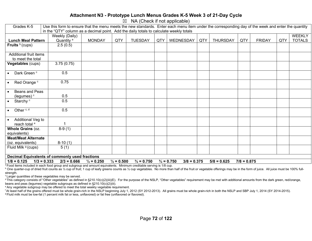## **Attachment N3 - Prototype Lunch Menus Grades K-5 Week 3 of 21-Day Cycle**

 $\boxtimes$  NA (Check if not applicable)

| Grades K-5                                                                                                                                                                                             |                                                                                                                                 | Use this form to ensure that the menu meets the new standards. Enter each menu item under the corresponding day of the week and enter the quantity<br>in the "QTY" column as a decimal point. Add the daily totals to calculate weekly totals |     |                |     |           |     |                 |     |               |     |               |  |
|--------------------------------------------------------------------------------------------------------------------------------------------------------------------------------------------------------|---------------------------------------------------------------------------------------------------------------------------------|-----------------------------------------------------------------------------------------------------------------------------------------------------------------------------------------------------------------------------------------------|-----|----------------|-----|-----------|-----|-----------------|-----|---------------|-----|---------------|--|
|                                                                                                                                                                                                        | Weekly (Daily)                                                                                                                  |                                                                                                                                                                                                                                               |     |                |     |           |     |                 |     |               |     | <b>WEEKLY</b> |  |
| <b>Lunch Meal Pattern</b>                                                                                                                                                                              | Quantity <sup>a</sup>                                                                                                           | <b>MONDAY</b>                                                                                                                                                                                                                                 | QTY | <b>TUESDAY</b> | QTY | WEDNESDAY | QTY | <b>THURSDAY</b> | QTY | <b>FRIDAY</b> | QTY | <b>TOTALS</b> |  |
| Fruits $b$ (cups)                                                                                                                                                                                      | 2.5(0.5)                                                                                                                        |                                                                                                                                                                                                                                               |     |                |     |           |     |                 |     |               |     |               |  |
| Additional fruit items                                                                                                                                                                                 |                                                                                                                                 |                                                                                                                                                                                                                                               |     |                |     |           |     |                 |     |               |     |               |  |
| to meet the total                                                                                                                                                                                      |                                                                                                                                 |                                                                                                                                                                                                                                               |     |                |     |           |     |                 |     |               |     |               |  |
| Vegetables (cups)                                                                                                                                                                                      | 3.75(0.75)                                                                                                                      |                                                                                                                                                                                                                                               |     |                |     |           |     |                 |     |               |     |               |  |
| Dark Green <sup>c</sup>                                                                                                                                                                                | 0.5                                                                                                                             |                                                                                                                                                                                                                                               |     |                |     |           |     |                 |     |               |     |               |  |
| Red Orange <sup>c</sup><br>$\bullet$                                                                                                                                                                   | 0.75                                                                                                                            |                                                                                                                                                                                                                                               |     |                |     |           |     |                 |     |               |     |               |  |
| Beans and Peas                                                                                                                                                                                         |                                                                                                                                 |                                                                                                                                                                                                                                               |     |                |     |           |     |                 |     |               |     |               |  |
| (legumes) $c$                                                                                                                                                                                          | 0.5                                                                                                                             |                                                                                                                                                                                                                                               |     |                |     |           |     |                 |     |               |     |               |  |
| Starchy <sup>c</sup><br>$\bullet$                                                                                                                                                                      | 0.5                                                                                                                             |                                                                                                                                                                                                                                               |     |                |     |           |     |                 |     |               |     |               |  |
| Other <sup>c, d</sup><br>$\bullet$                                                                                                                                                                     | 0.5                                                                                                                             |                                                                                                                                                                                                                                               |     |                |     |           |     |                 |     |               |     |               |  |
| Additional Veg to                                                                                                                                                                                      |                                                                                                                                 |                                                                                                                                                                                                                                               |     |                |     |           |     |                 |     |               |     |               |  |
| reach total <sup>e</sup>                                                                                                                                                                               | 1                                                                                                                               |                                                                                                                                                                                                                                               |     |                |     |           |     |                 |     |               |     |               |  |
| Whole Grains (oz.                                                                                                                                                                                      | $8-9(1)$                                                                                                                        |                                                                                                                                                                                                                                               |     |                |     |           |     |                 |     |               |     |               |  |
| equivalents)                                                                                                                                                                                           |                                                                                                                                 |                                                                                                                                                                                                                                               |     |                |     |           |     |                 |     |               |     |               |  |
| <b>Meat/Meat Alternate</b>                                                                                                                                                                             |                                                                                                                                 |                                                                                                                                                                                                                                               |     |                |     |           |     |                 |     |               |     |               |  |
| (oz. equivalents)                                                                                                                                                                                      | $8-10(1)$                                                                                                                       |                                                                                                                                                                                                                                               |     |                |     |           |     |                 |     |               |     |               |  |
| Fluid Milk <sup>9</sup> (cups)                                                                                                                                                                         | 5(1)                                                                                                                            |                                                                                                                                                                                                                                               |     |                |     |           |     |                 |     |               |     |               |  |
|                                                                                                                                                                                                        |                                                                                                                                 |                                                                                                                                                                                                                                               |     |                |     |           |     |                 |     |               |     |               |  |
|                                                                                                                                                                                                        | Decimal Equivalents of commonly used fractions                                                                                  |                                                                                                                                                                                                                                               |     |                |     |           |     |                 |     |               |     |               |  |
| $1/8 = 0.125$<br>$\frac{1}{2} = 0.500$<br>$\frac{3}{4}$ = 0.750<br>$1/3 = 0.333$<br>$2/3 = 0.666$<br>$\frac{1}{4}$ = 0.250<br>$\frac{3}{4}$ = 0.750<br>$3/8 = 0.375$<br>$5/8 = 0.625$<br>$7/8 = 0.875$ |                                                                                                                                 |                                                                                                                                                                                                                                               |     |                |     |           |     |                 |     |               |     |               |  |
|                                                                                                                                                                                                        | <sup>a</sup> Eage items included in each food group and subgroup and amount equivalents. Minimum creditable sensing is 1/8 cup- |                                                                                                                                                                                                                                               |     |                |     |           |     |                 |     |               |     |               |  |

a Food items included in each food group and subgroup and amount equivalents. Minimum creditable serving is 1/8 cup.

<sup>b</sup> One quarter-cup of dried fruit counts as 1/2 cup of fruit; 1 cup of leafy greens counts as 1/2 cup vegetables. No more than half of the fruit or vegetable offerings may be in the form of juice. All juice must be 100% f strength.

**CLarger quantities of these vegetables may be served.** 

<sup>d</sup> This category consists of "Other vegetables" as defined in §210.10(c)(2)(iii)(E). For the purpose of the NSLP, "Other vegetables" requirement may be met with additional amounts from the dark green, red/orange, beans and peas (legumes) vegetable subgroups as defined in §210.10(c)(2)(iii).

e Any vegetable subgroup may be offered to meet the total weekly vegetable requirement.

f At least half of the grains offered must be whole grain-rich in the NSLP beginning July 1, 2012 (SY 2012-2013). All grains must be whole grain-rich in both the NSLP and SBP July 1, 2014 (SY 2014-2015). g Fluid milk must be low-fat (1 percent milk fat or less, unflavored) or fat free (unflavored or flavored).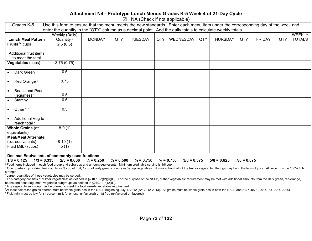### **Attachment N4 - Prototype Lunch Menus Grades K-5 Week 4 of 21-Day Cycle**

 $\boxtimes$  NA (Check if not applicable)

| Grades K-5                 | Use this form to ensure that the menu meets the new standards. Enter each menu item under the corresponding day of the week and<br>enter the quantity in the "QTY" column as a decimal point. Add the daily totals to calculate weekly totals |                       |                       |                       |     |                                        |     |                 |               |               |     |               |
|----------------------------|-----------------------------------------------------------------------------------------------------------------------------------------------------------------------------------------------------------------------------------------------|-----------------------|-----------------------|-----------------------|-----|----------------------------------------|-----|-----------------|---------------|---------------|-----|---------------|
|                            |                                                                                                                                                                                                                                               |                       |                       |                       |     |                                        |     |                 |               |               |     |               |
|                            | Weekly (Daily)                                                                                                                                                                                                                                |                       |                       |                       |     |                                        |     |                 |               |               |     | <b>WEEKLY</b> |
| <b>Lunch Meal Pattern</b>  | Quantity <sup>a</sup>                                                                                                                                                                                                                         | <b>MONDAY</b>         | QTY                   | <b>TUESDAY</b>        | QTY | WEDNESDAY                              | QTY | <b>THURSDAY</b> | QTY           | <b>FRIDAY</b> | QTY | <b>TOTALS</b> |
| Fruits $b$ (cups)          | 2.5(0.5)                                                                                                                                                                                                                                      |                       |                       |                       |     |                                        |     |                 |               |               |     |               |
| Additional fruit items     |                                                                                                                                                                                                                                               |                       |                       |                       |     |                                        |     |                 |               |               |     |               |
| to meet the total          |                                                                                                                                                                                                                                               |                       |                       |                       |     |                                        |     |                 |               |               |     |               |
| <b>Vegetables (cups)</b>   | 3.75(0.75)                                                                                                                                                                                                                                    |                       |                       |                       |     |                                        |     |                 |               |               |     |               |
| Dark Green <sup>c</sup>    | 0.5                                                                                                                                                                                                                                           |                       |                       |                       |     |                                        |     |                 |               |               |     |               |
| Red Orange <sup>c</sup>    | 0.75                                                                                                                                                                                                                                          |                       |                       |                       |     |                                        |     |                 |               |               |     |               |
| Beans and Peas             |                                                                                                                                                                                                                                               |                       |                       |                       |     |                                        |     |                 |               |               |     |               |
| (legumes) <sup>c</sup>     | 0.5                                                                                                                                                                                                                                           |                       |                       |                       |     |                                        |     |                 |               |               |     |               |
| Starchy <sup>c</sup>       | 0.5                                                                                                                                                                                                                                           |                       |                       |                       |     |                                        |     |                 |               |               |     |               |
| Other <sup>c, d</sup>      | 0.5                                                                                                                                                                                                                                           |                       |                       |                       |     |                                        |     |                 |               |               |     |               |
| Additional Veg to          |                                                                                                                                                                                                                                               |                       |                       |                       |     |                                        |     |                 |               |               |     |               |
| reach total <sup>e</sup>   |                                                                                                                                                                                                                                               |                       |                       |                       |     |                                        |     |                 |               |               |     |               |
| Whole Grains (oz.          | $8-9(1)$                                                                                                                                                                                                                                      |                       |                       |                       |     |                                        |     |                 |               |               |     |               |
| equivalents)               |                                                                                                                                                                                                                                               |                       |                       |                       |     |                                        |     |                 |               |               |     |               |
| <b>Meat/Meat Alternate</b> |                                                                                                                                                                                                                                               |                       |                       |                       |     |                                        |     |                 |               |               |     |               |
| (oz. equivalents)          | $8-10(1)$                                                                                                                                                                                                                                     |                       |                       |                       |     |                                        |     |                 |               |               |     |               |
| Fluid Milk $9$ (cups)      | 5(1)                                                                                                                                                                                                                                          |                       |                       |                       |     |                                        |     |                 |               |               |     |               |
|                            |                                                                                                                                                                                                                                               |                       |                       |                       |     |                                        |     |                 |               |               |     |               |
|                            | <b>Decimal Equivalents of commonly used fractions</b>                                                                                                                                                                                         |                       |                       |                       |     |                                        |     |                 |               |               |     |               |
| $1/8 = 0.125$              | $2/3 = 0.666$<br>$1/3 = 0.333$                                                                                                                                                                                                                | $\frac{1}{4}$ = 0.250 | $\frac{1}{2} = 0.500$ | $\frac{3}{4}$ = 0.750 |     | $\frac{3}{4}$ = 0.750<br>$3/8 = 0.375$ |     | $5/8 = 0.625$   | $7/8 = 0.875$ |               |     |               |
|                            | Enod items included in each food group and subgroup and amount equivalents. Minimum creditable serving is 1/8 cup                                                                                                                             |                       |                       |                       |     |                                        |     |                 |               |               |     |               |

a Food items included in each food group and subgroup and amount equivalents. Minimum creditable serving is 1/8 cup.

<sup>b</sup> One quarter-cup of dried fruit counts as 1/2 cup of fruit; 1 cup of leafy greens counts as 1/2 cup vegetables. No more than half of the fruit or vegetable offerings may be in the form of juice. All juice must be 100% f strength.

<sup>c</sup> Larger quantities of these vegetables may be served.

<sup>d</sup> This category consists of "Other vegetables" as defined in §210.10(c)(2)(iii)(E). For the purpose of the NSLP, "Other vegetables" requirement may be met with additional amounts from the dark green, red/orange, beans and peas (legumes) vegetable subgroups as defined in §210.10(c)(2)(iii).

e Any vegetable subgroup may be offered to meet the total weekly vegetable requirement.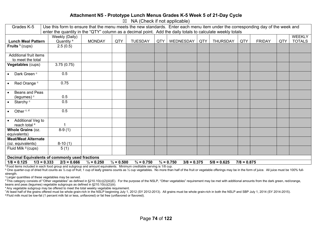#### **Attachment N5 - Prototype Lunch Menus Grades K-5 Week 5 of 21-Day Cycle**

 $\boxtimes$  NA (Check if not applicable)

| Grades K-5                     | Use this form to ensure that the menu meets the new standards. Enter each menu item under the corresponding day of the week and<br>enter the quantity in the "QTY" column as a decimal point. Add the daily totals to calculate weekly totals |                       |                       |                       |     |                                        |     |                 |               |               |     |               |
|--------------------------------|-----------------------------------------------------------------------------------------------------------------------------------------------------------------------------------------------------------------------------------------------|-----------------------|-----------------------|-----------------------|-----|----------------------------------------|-----|-----------------|---------------|---------------|-----|---------------|
|                                |                                                                                                                                                                                                                                               |                       |                       |                       |     |                                        |     |                 |               |               |     |               |
|                                | Weekly (Daily)                                                                                                                                                                                                                                |                       |                       |                       |     |                                        |     |                 |               |               |     | <b>WEEKLY</b> |
| <b>Lunch Meal Pattern</b>      | Quantity <sup>a</sup>                                                                                                                                                                                                                         | <b>MONDAY</b>         | QTY                   | <b>TUESDAY</b>        | QTY | <b>WEDNESDAY</b>                       | QTY | <b>THURSDAY</b> | QTY           | <b>FRIDAY</b> | QTY | <b>TOTALS</b> |
| Fruits $b$ (cups)              | 2.5(0.5)                                                                                                                                                                                                                                      |                       |                       |                       |     |                                        |     |                 |               |               |     |               |
| Additional fruit items         |                                                                                                                                                                                                                                               |                       |                       |                       |     |                                        |     |                 |               |               |     |               |
| to meet the total              |                                                                                                                                                                                                                                               |                       |                       |                       |     |                                        |     |                 |               |               |     |               |
| Vegetables (cups)              | 3.75(0.75)                                                                                                                                                                                                                                    |                       |                       |                       |     |                                        |     |                 |               |               |     |               |
| Dark Green <sup>c</sup>        | 0.5                                                                                                                                                                                                                                           |                       |                       |                       |     |                                        |     |                 |               |               |     |               |
| Red Orange <sup>c</sup>        | 0.75                                                                                                                                                                                                                                          |                       |                       |                       |     |                                        |     |                 |               |               |     |               |
| Beans and Peas                 |                                                                                                                                                                                                                                               |                       |                       |                       |     |                                        |     |                 |               |               |     |               |
| (legumes) <sup>c</sup>         | 0.5                                                                                                                                                                                                                                           |                       |                       |                       |     |                                        |     |                 |               |               |     |               |
| Starchy <sup>c</sup>           | 0.5                                                                                                                                                                                                                                           |                       |                       |                       |     |                                        |     |                 |               |               |     |               |
| Other <sup>c, d</sup>          | 0.5                                                                                                                                                                                                                                           |                       |                       |                       |     |                                        |     |                 |               |               |     |               |
| Additional Veg to              |                                                                                                                                                                                                                                               |                       |                       |                       |     |                                        |     |                 |               |               |     |               |
| reach total <sup>e</sup>       |                                                                                                                                                                                                                                               |                       |                       |                       |     |                                        |     |                 |               |               |     |               |
| Whole Grains (oz.              | $8-9(1)$                                                                                                                                                                                                                                      |                       |                       |                       |     |                                        |     |                 |               |               |     |               |
| equivalents)                   |                                                                                                                                                                                                                                               |                       |                       |                       |     |                                        |     |                 |               |               |     |               |
| <b>Meat/Meat Alternate</b>     |                                                                                                                                                                                                                                               |                       |                       |                       |     |                                        |     |                 |               |               |     |               |
| (oz. equivalents)              | $8-10(1)$                                                                                                                                                                                                                                     |                       |                       |                       |     |                                        |     |                 |               |               |     |               |
| Fluid Milk <sup>9</sup> (cups) | 5(1)                                                                                                                                                                                                                                          |                       |                       |                       |     |                                        |     |                 |               |               |     |               |
|                                |                                                                                                                                                                                                                                               |                       |                       |                       |     |                                        |     |                 |               |               |     |               |
|                                | <b>Decimal Equivalents of commonly used fractions</b>                                                                                                                                                                                         |                       |                       |                       |     |                                        |     |                 |               |               |     |               |
| $1/8 = 0.125$                  | $1/3 = 0.333$<br>$2/3 = 0.666$                                                                                                                                                                                                                | $\frac{1}{4}$ = 0.250 | $\frac{1}{2} = 0.500$ | $\frac{3}{4}$ = 0.750 |     | $\frac{3}{4}$ = 0.750<br>$3/8 = 0.375$ |     | $5/8 = 0.625$   | $7/8 = 0.875$ |               |     |               |
|                                | <sup>a</sup> Eagel items included in each food aroun and subgroup and amount equivalents. Minimum creditable sensing is 1/8 cup                                                                                                               |                       |                       |                       |     |                                        |     |                 |               |               |     |               |

a Food items included in each food group and subgroup and amount equivalents. Minimum creditable serving is 1/8 cup.

<sup>b</sup> One quarter-cup of dried fruit counts as 1/2 cup of fruit; 1 cup of leafy greens counts as 1/2 cup vegetables. No more than half of the fruit or vegetable offerings may be in the form of juice. All juice must be 100% f strength.

c Larger quantities of these vegetables may be served.

d This category consists of "Other vegetables" as defined in §210.10(c)(2)(iii)(E). For the purpose of the NSLP, "Other vegetables" requirement may be met with additional amounts from the dark green, red/orange, beans and peas (legumes) vegetable subgroups as defined in §210.10(c)(2)(iii).

e Any vegetable subgroup may be offered to meet the total weekly vegetable requirement.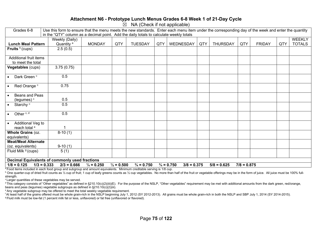#### **Attachment N6 - Prototype Lunch Menus Grades 6-8 Week 1 of 21-Day Cycle**

 $\overline{\boxtimes}$  NA (Check if not applicable)

| Grades 6-8                                                  | Use this form to ensure that the menu meets the new standards. Enter each menu item under the corresponding day of the week and enter the quantity<br>in the "QTY" column as a decimal point. Add the daily totals to calculate weekly totals |                       |                       |                       |     |                                        |     |                 |               |               |     |               |  |
|-------------------------------------------------------------|-----------------------------------------------------------------------------------------------------------------------------------------------------------------------------------------------------------------------------------------------|-----------------------|-----------------------|-----------------------|-----|----------------------------------------|-----|-----------------|---------------|---------------|-----|---------------|--|
|                                                             |                                                                                                                                                                                                                                               |                       |                       |                       |     |                                        |     |                 |               |               |     |               |  |
|                                                             | Weekly (Daily)                                                                                                                                                                                                                                |                       |                       |                       |     |                                        |     |                 |               |               |     | <b>WEEKLY</b> |  |
| <b>Lunch Meal Pattern</b>                                   | Quantity <sup>a</sup>                                                                                                                                                                                                                         | <b>MONDAY</b>         | QTY                   | <b>TUESDAY</b>        | QTY | WEDNESDAY                              | QTY | <b>THURSDAY</b> | QTY           | <b>FRIDAY</b> | QTY | <b>TOTALS</b> |  |
| Fruits $b$ (cups)                                           | 2.5(0.5)                                                                                                                                                                                                                                      |                       |                       |                       |     |                                        |     |                 |               |               |     |               |  |
|                                                             |                                                                                                                                                                                                                                               |                       |                       |                       |     |                                        |     |                 |               |               |     |               |  |
| Additional fruit items                                      |                                                                                                                                                                                                                                               |                       |                       |                       |     |                                        |     |                 |               |               |     |               |  |
| to meet the total                                           |                                                                                                                                                                                                                                               |                       |                       |                       |     |                                        |     |                 |               |               |     |               |  |
| Vegetables (cups)                                           | 3.75(0.75)                                                                                                                                                                                                                                    |                       |                       |                       |     |                                        |     |                 |               |               |     |               |  |
|                                                             |                                                                                                                                                                                                                                               |                       |                       |                       |     |                                        |     |                 |               |               |     |               |  |
| Dark Green <sup>c</sup><br>$\bullet$                        | 0.5                                                                                                                                                                                                                                           |                       |                       |                       |     |                                        |     |                 |               |               |     |               |  |
|                                                             |                                                                                                                                                                                                                                               |                       |                       |                       |     |                                        |     |                 |               |               |     |               |  |
| Red Orange c<br>$\bullet$                                   | 0.75                                                                                                                                                                                                                                          |                       |                       |                       |     |                                        |     |                 |               |               |     |               |  |
| Beans and Peas                                              |                                                                                                                                                                                                                                               |                       |                       |                       |     |                                        |     |                 |               |               |     |               |  |
|                                                             | 0.5                                                                                                                                                                                                                                           |                       |                       |                       |     |                                        |     |                 |               |               |     |               |  |
| (legumes) <sup>c</sup><br>Starchy <sup>c</sup><br>$\bullet$ | 0.5                                                                                                                                                                                                                                           |                       |                       |                       |     |                                        |     |                 |               |               |     |               |  |
|                                                             |                                                                                                                                                                                                                                               |                       |                       |                       |     |                                        |     |                 |               |               |     |               |  |
| Other <sup>c, d</sup><br>$\bullet$                          | 0.5                                                                                                                                                                                                                                           |                       |                       |                       |     |                                        |     |                 |               |               |     |               |  |
|                                                             |                                                                                                                                                                                                                                               |                       |                       |                       |     |                                        |     |                 |               |               |     |               |  |
| Additional Veg to<br>$\bullet$                              |                                                                                                                                                                                                                                               |                       |                       |                       |     |                                        |     |                 |               |               |     |               |  |
| reach total <sup>e</sup>                                    |                                                                                                                                                                                                                                               |                       |                       |                       |     |                                        |     |                 |               |               |     |               |  |
| Whole Grains (oz.                                           | $8-10(1)$                                                                                                                                                                                                                                     |                       |                       |                       |     |                                        |     |                 |               |               |     |               |  |
| equivalents)                                                |                                                                                                                                                                                                                                               |                       |                       |                       |     |                                        |     |                 |               |               |     |               |  |
| <b>Meat/Meat Alternate</b>                                  |                                                                                                                                                                                                                                               |                       |                       |                       |     |                                        |     |                 |               |               |     |               |  |
| (oz. equivalents)                                           | $9-10(1)$                                                                                                                                                                                                                                     |                       |                       |                       |     |                                        |     |                 |               |               |     |               |  |
| Fluid Milk <sup>9</sup> (cups)                              | 5(1)                                                                                                                                                                                                                                          |                       |                       |                       |     |                                        |     |                 |               |               |     |               |  |
|                                                             |                                                                                                                                                                                                                                               |                       |                       |                       |     |                                        |     |                 |               |               |     |               |  |
|                                                             | Decimal Equivalents of commonly used fractions                                                                                                                                                                                                |                       |                       |                       |     |                                        |     |                 |               |               |     |               |  |
| $1/8 = 0.125$                                               | $2/3 = 0.666$<br>$1/3 = 0.333$<br><sup>a</sup> Eood items included in each food aroun and subaroun and amount equivalents. Minimum creditable serving is 1/8 cup                                                                              | $\frac{1}{4}$ = 0.250 | $\frac{1}{2} = 0.500$ | $\frac{3}{4}$ = 0.750 |     | $\frac{3}{4}$ = 0.750<br>$3/8 = 0.375$ |     | $5/8 = 0.625$   | $7/8 = 0.875$ |               |     |               |  |

a Food items included in each food group and subgroup and amount equivalents. Minimum creditable serving is 1/8 cup.  $b$  One quarter-cup of dried fruit counts as ½ cup of fruit; 1 cup of leafy greens counts as ½ cup vegetables. No more than half of the fruit or vegetable offerings may be in the form of juice. All juice must be 100% full

strength.

c Larger quantities of these vegetables may be served.

 $d$  This category consists of "Other vegetables" as defined in §210.10(c)(2)(iii)(E). For the purpose of the NSLP, "Other vegetables" requirement may be met with additional amounts from the dark green, red/orange, beans and peas (legumes) vegetable subgroups as defined in §210.10(c)(2)(iii).

e Any vegetable subgroup may be offered to meet the total weekly vegetable requirement.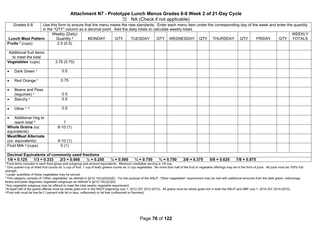#### **Attachment N7 - Prototype Lunch Menus Grades 6-8 Week 2 of 21-Day Cycle**

 $\boxtimes$  NA (Check if not applicable)

| Grades 6-8                           | Use this form to ensure that the menu meets the new standards. Enter each menu item under the corresponding day of the week and enter the quantity |                       |                       |                       |     |                                        |     |                 |               |               |     |               |
|--------------------------------------|----------------------------------------------------------------------------------------------------------------------------------------------------|-----------------------|-----------------------|-----------------------|-----|----------------------------------------|-----|-----------------|---------------|---------------|-----|---------------|
|                                      | in the "QTY" column as a decimal point. Add the daily totals to calculate weekly totals                                                            |                       |                       |                       |     |                                        |     |                 |               |               |     |               |
|                                      | Weekly (Daily)                                                                                                                                     |                       |                       |                       |     |                                        |     |                 |               |               |     | <b>WEEKLY</b> |
| <b>Lunch Meal Pattern</b>            | Quantity <sup>a</sup>                                                                                                                              | <b>MONDAY</b>         | QTY                   | <b>TUESDAY</b>        | QTY | WEDNESDAY                              | QTY | <b>THURSDAY</b> | QTY           | <b>FRIDAY</b> | QTY | <b>TOTALS</b> |
| Fruits $b$ (cups)                    | 2.5(0.5)                                                                                                                                           |                       |                       |                       |     |                                        |     |                 |               |               |     |               |
|                                      |                                                                                                                                                    |                       |                       |                       |     |                                        |     |                 |               |               |     |               |
| Additional fruit items               |                                                                                                                                                    |                       |                       |                       |     |                                        |     |                 |               |               |     |               |
| to meet the total                    |                                                                                                                                                    |                       |                       |                       |     |                                        |     |                 |               |               |     |               |
| Vegetables (cups)                    | 3.75(0.75)                                                                                                                                         |                       |                       |                       |     |                                        |     |                 |               |               |     |               |
|                                      |                                                                                                                                                    |                       |                       |                       |     |                                        |     |                 |               |               |     |               |
| Dark Green <sup>c</sup>              | 0.5                                                                                                                                                |                       |                       |                       |     |                                        |     |                 |               |               |     |               |
|                                      |                                                                                                                                                    |                       |                       |                       |     |                                        |     |                 |               |               |     |               |
| Red Orange <sup>c</sup><br>$\bullet$ | 0.75                                                                                                                                               |                       |                       |                       |     |                                        |     |                 |               |               |     |               |
|                                      |                                                                                                                                                    |                       |                       |                       |     |                                        |     |                 |               |               |     |               |
| Beans and Peas                       |                                                                                                                                                    |                       |                       |                       |     |                                        |     |                 |               |               |     |               |
| (legumes) <sup>c</sup>               | 0.5                                                                                                                                                |                       |                       |                       |     |                                        |     |                 |               |               |     |               |
| Starchy <sup>c</sup><br>$\bullet$    | 0.5                                                                                                                                                |                       |                       |                       |     |                                        |     |                 |               |               |     |               |
|                                      |                                                                                                                                                    |                       |                       |                       |     |                                        |     |                 |               |               |     |               |
| Other <sup>c, d</sup><br>$\bullet$   | 0.5                                                                                                                                                |                       |                       |                       |     |                                        |     |                 |               |               |     |               |
|                                      |                                                                                                                                                    |                       |                       |                       |     |                                        |     |                 |               |               |     |               |
| Additional Veg to                    |                                                                                                                                                    |                       |                       |                       |     |                                        |     |                 |               |               |     |               |
| reach total <sup>e</sup>             |                                                                                                                                                    |                       |                       |                       |     |                                        |     |                 |               |               |     |               |
| Whole Grains (oz.                    | $8-10(1)$                                                                                                                                          |                       |                       |                       |     |                                        |     |                 |               |               |     |               |
| equivalents)                         |                                                                                                                                                    |                       |                       |                       |     |                                        |     |                 |               |               |     |               |
| <b>Meat/Meat Alternate</b>           |                                                                                                                                                    |                       |                       |                       |     |                                        |     |                 |               |               |     |               |
| (oz. equivalents)                    | $9-10(1)$                                                                                                                                          |                       |                       |                       |     |                                        |     |                 |               |               |     |               |
| Fluid Milk <sup>9</sup> (cups)       | 5(1)                                                                                                                                               |                       |                       |                       |     |                                        |     |                 |               |               |     |               |
|                                      |                                                                                                                                                    |                       |                       |                       |     |                                        |     |                 |               |               |     |               |
|                                      | Decimal Equivalents of commonly used fractions                                                                                                     |                       |                       |                       |     |                                        |     |                 |               |               |     |               |
| $1/8 = 0.125$                        | $1/3 = 0.333$<br>$2/3 = 0.666$                                                                                                                     | $\frac{1}{4}$ = 0.250 | $\frac{1}{2} = 0.500$ | $\frac{3}{4}$ = 0.750 |     | $\frac{3}{4}$ = 0.750<br>$3/8 = 0.375$ |     | $5/8 = 0.625$   | $7/8 = 0.875$ |               |     |               |
|                                      |                                                                                                                                                    |                       |                       |                       |     |                                        |     |                 |               |               |     |               |

a Food items included in each food group and subgroup and amount equivalents. Minimum creditable serving is 1/8 cup.

<sup>b</sup> One quarter-cup of dried fruit counts as 1/2 cup of fruit; 1 cup of leafy greens counts as 1/2 cup vegetables. No more than half of the fruit or vegetable offerings may be in the form of juice. All juice must be 100% f strength.

<sup>c</sup> Larger quantities of these vegetables may be served.

<sup>d</sup> This category consists of "Other vegetables" as defined in §210.10(c)(2)(iii)(E). For the purpose of the NSLP, "Other vegetables" requirement may be met with additional amounts from the dark green, red/orange, beans and peas (legumes) vegetable subgroups as defined in §210.10(c)(2)(iii).

e Any vegetable subgroup may be offered to meet the total weekly vegetable requirement.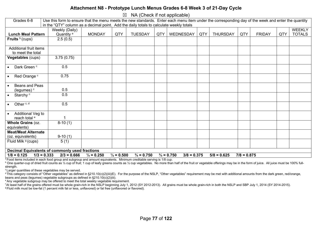#### **Attachment N8 - Prototype Lunch Menus Grades 6-8 Week 3 of 21-Day Cycle**

 $\boxtimes$  NA (Check if not applicable)

| Grades 6-8                                      |                                                                                         | Use this form to ensure that the menu meets the new standards. Enter each menu item under the corresponding day of the week and enter the quantity<br>in the "QTY" column as a decimal point. Add the daily totals to calculate weekly totals |                       |                       |     |                                        |     |                 |               |               |     |                                |  |  |
|-------------------------------------------------|-----------------------------------------------------------------------------------------|-----------------------------------------------------------------------------------------------------------------------------------------------------------------------------------------------------------------------------------------------|-----------------------|-----------------------|-----|----------------------------------------|-----|-----------------|---------------|---------------|-----|--------------------------------|--|--|
| <b>Lunch Meal Pattern</b>                       | Weekly (Daily)<br>Quantity <sup>a</sup>                                                 | <b>MONDAY</b>                                                                                                                                                                                                                                 | QTY                   | <b>TUESDAY</b>        | QTY | WEDNESDAY                              | QTY | <b>THURSDAY</b> | QTY           | <b>FRIDAY</b> | QTY | <b>WEEKLY</b><br><b>TOTALS</b> |  |  |
| Fruits $b$ (cups)                               | 2.5(0.5)                                                                                |                                                                                                                                                                                                                                               |                       |                       |     |                                        |     |                 |               |               |     |                                |  |  |
| Additional fruit items<br>to meet the total     |                                                                                         |                                                                                                                                                                                                                                               |                       |                       |     |                                        |     |                 |               |               |     |                                |  |  |
| Vegetables (cups)                               | 3.75(0.75)                                                                              |                                                                                                                                                                                                                                               |                       |                       |     |                                        |     |                 |               |               |     |                                |  |  |
| Dark Green <sup>c</sup>                         | 0.5                                                                                     |                                                                                                                                                                                                                                               |                       |                       |     |                                        |     |                 |               |               |     |                                |  |  |
| Red Orange c<br>$\bullet$                       | 0.75                                                                                    |                                                                                                                                                                                                                                               |                       |                       |     |                                        |     |                 |               |               |     |                                |  |  |
| Beans and Peas<br>(legumes) <sup>c</sup>        | 0.5                                                                                     |                                                                                                                                                                                                                                               |                       |                       |     |                                        |     |                 |               |               |     |                                |  |  |
| Starchy <sup>c</sup>                            | 0.5                                                                                     |                                                                                                                                                                                                                                               |                       |                       |     |                                        |     |                 |               |               |     |                                |  |  |
| Other <sup>c, d</sup>                           | 0.5                                                                                     |                                                                                                                                                                                                                                               |                       |                       |     |                                        |     |                 |               |               |     |                                |  |  |
| Additional Veg to<br>reach total <sup>e</sup>   |                                                                                         |                                                                                                                                                                                                                                               |                       |                       |     |                                        |     |                 |               |               |     |                                |  |  |
| Whole Grains (oz.<br>equivalents)               | $8-10(1)$                                                                               |                                                                                                                                                                                                                                               |                       |                       |     |                                        |     |                 |               |               |     |                                |  |  |
| <b>Meat/Meat Alternate</b><br>(oz. equivalents) | $9-10(1)$                                                                               |                                                                                                                                                                                                                                               |                       |                       |     |                                        |     |                 |               |               |     |                                |  |  |
| Fluid Milk <sup>9</sup> (cups)                  | 5(1)                                                                                    |                                                                                                                                                                                                                                               |                       |                       |     |                                        |     |                 |               |               |     |                                |  |  |
| $1/8 = 0.125$                                   | <b>Decimal Equivalents of commonly used fractions</b><br>$1/3 = 0.333$<br>$2/3 = 0.666$ | $\frac{1}{4}$ = 0.250                                                                                                                                                                                                                         | $\frac{1}{2} = 0.500$ | $\frac{3}{4}$ = 0.750 |     | $\frac{3}{4}$ = 0.750<br>$3/8 = 0.375$ |     | $5/8 = 0.625$   | $7/8 = 0.875$ |               |     |                                |  |  |
|                                                 |                                                                                         |                                                                                                                                                                                                                                               |                       |                       |     |                                        |     |                 |               |               |     |                                |  |  |

a Food items included in each food group and subgroup and amount equivalents. Minimum creditable serving is 1/8 cup.

<sup>b</sup> One quarter-cup of dried fruit counts as 1/2 cup of fruit; 1 cup of leafy greens counts as 1/2 cup vegetables. No more than half of the fruit or vegetable offerings may be in the form of juice. All juice must be 100% f strength.

c Larger quantities of these vegetables may be served.

<sup>d</sup> This category consists of "Other vegetables" as defined in §210.10(c)(2)(iii)(E). For the purpose of the NSLP, "Other vegetables" requirement may be met with additional amounts from the dark green, red/orange, beans and peas (legumes) vegetable subgroups as defined in §210.10(c)(2)(iii).

e Any vegetable subgroup may be offered to meet the total weekly vegetable requirement.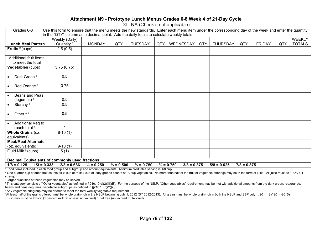#### **Attachment N9 - Prototype Lunch Menus Grades 6-8 Week 4 of 21-Day Cycle**

 $\overline{\boxtimes}$  NA (Check if not applicable)

| Grades 6-8                                                  | Use this form to ensure that the menu meets the new standards. Enter each menu item under the corresponding day of the week and enter the quantity<br>in the "QTY" column as a decimal point. Add the daily totals to calculate weekly totals |                       |                       |                       |     |                                        |     |                 |               |               |     |               |  |
|-------------------------------------------------------------|-----------------------------------------------------------------------------------------------------------------------------------------------------------------------------------------------------------------------------------------------|-----------------------|-----------------------|-----------------------|-----|----------------------------------------|-----|-----------------|---------------|---------------|-----|---------------|--|
|                                                             |                                                                                                                                                                                                                                               |                       |                       |                       |     |                                        |     |                 |               |               |     |               |  |
|                                                             | Weekly (Daily)                                                                                                                                                                                                                                |                       |                       |                       |     |                                        |     |                 |               |               |     | <b>WEEKLY</b> |  |
| <b>Lunch Meal Pattern</b>                                   | Quantity <sup>a</sup>                                                                                                                                                                                                                         | <b>MONDAY</b>         | QTY                   | <b>TUESDAY</b>        | QTY | WEDNESDAY                              | QTY | <b>THURSDAY</b> | QTY           | <b>FRIDAY</b> | QTY | <b>TOTALS</b> |  |
| Fruits $b$ (cups)                                           | 2.5(0.5)                                                                                                                                                                                                                                      |                       |                       |                       |     |                                        |     |                 |               |               |     |               |  |
|                                                             |                                                                                                                                                                                                                                               |                       |                       |                       |     |                                        |     |                 |               |               |     |               |  |
| Additional fruit items                                      |                                                                                                                                                                                                                                               |                       |                       |                       |     |                                        |     |                 |               |               |     |               |  |
| to meet the total                                           |                                                                                                                                                                                                                                               |                       |                       |                       |     |                                        |     |                 |               |               |     |               |  |
| Vegetables (cups)                                           | 3.75(0.75)                                                                                                                                                                                                                                    |                       |                       |                       |     |                                        |     |                 |               |               |     |               |  |
|                                                             |                                                                                                                                                                                                                                               |                       |                       |                       |     |                                        |     |                 |               |               |     |               |  |
| Dark Green <sup>c</sup><br>$\bullet$                        | 0.5                                                                                                                                                                                                                                           |                       |                       |                       |     |                                        |     |                 |               |               |     |               |  |
|                                                             |                                                                                                                                                                                                                                               |                       |                       |                       |     |                                        |     |                 |               |               |     |               |  |
| Red Orange c<br>$\bullet$                                   | 0.75                                                                                                                                                                                                                                          |                       |                       |                       |     |                                        |     |                 |               |               |     |               |  |
| Beans and Peas                                              |                                                                                                                                                                                                                                               |                       |                       |                       |     |                                        |     |                 |               |               |     |               |  |
|                                                             | 0.5                                                                                                                                                                                                                                           |                       |                       |                       |     |                                        |     |                 |               |               |     |               |  |
| (legumes) <sup>c</sup><br>Starchy <sup>c</sup><br>$\bullet$ | 0.5                                                                                                                                                                                                                                           |                       |                       |                       |     |                                        |     |                 |               |               |     |               |  |
|                                                             |                                                                                                                                                                                                                                               |                       |                       |                       |     |                                        |     |                 |               |               |     |               |  |
| Other <sup>c, d</sup><br>$\bullet$                          | 0.5                                                                                                                                                                                                                                           |                       |                       |                       |     |                                        |     |                 |               |               |     |               |  |
|                                                             |                                                                                                                                                                                                                                               |                       |                       |                       |     |                                        |     |                 |               |               |     |               |  |
| Additional Veg to<br>$\bullet$                              |                                                                                                                                                                                                                                               |                       |                       |                       |     |                                        |     |                 |               |               |     |               |  |
| reach total <sup>e</sup>                                    |                                                                                                                                                                                                                                               |                       |                       |                       |     |                                        |     |                 |               |               |     |               |  |
| Whole Grains (oz.                                           | $8-10(1)$                                                                                                                                                                                                                                     |                       |                       |                       |     |                                        |     |                 |               |               |     |               |  |
| equivalents)                                                |                                                                                                                                                                                                                                               |                       |                       |                       |     |                                        |     |                 |               |               |     |               |  |
| <b>Meat/Meat Alternate</b>                                  |                                                                                                                                                                                                                                               |                       |                       |                       |     |                                        |     |                 |               |               |     |               |  |
| (oz. equivalents)                                           | $9-10(1)$                                                                                                                                                                                                                                     |                       |                       |                       |     |                                        |     |                 |               |               |     |               |  |
| Fluid Milk <sup>9</sup> (cups)                              | 5(1)                                                                                                                                                                                                                                          |                       |                       |                       |     |                                        |     |                 |               |               |     |               |  |
|                                                             |                                                                                                                                                                                                                                               |                       |                       |                       |     |                                        |     |                 |               |               |     |               |  |
|                                                             | Decimal Equivalents of commonly used fractions                                                                                                                                                                                                |                       |                       |                       |     |                                        |     |                 |               |               |     |               |  |
| $1/8 = 0.125$                                               | $2/3 = 0.666$<br>$1/3 = 0.333$<br><sup>a</sup> Eood items included in each food aroun and subaroun and amount equivalents. Minimum creditable serving is 1/8 cup                                                                              | $\frac{1}{4}$ = 0.250 | $\frac{1}{2} = 0.500$ | $\frac{3}{4}$ = 0.750 |     | $\frac{3}{4}$ = 0.750<br>$3/8 = 0.375$ |     | $5/8 = 0.625$   | $7/8 = 0.875$ |               |     |               |  |

a Food items included in each food group and subgroup and amount equivalents. Minimum creditable serving is 1/8 cup.  $b$  One quarter-cup of dried fruit counts as ½ cup of fruit; 1 cup of leafy greens counts as ½ cup vegetables. No more than half of the fruit or vegetable offerings may be in the form of juice. All juice must be 100% full

strength.

c Larger quantities of these vegetables may be served.

 $d$  This category consists of "Other vegetables" as defined in §210.10(c)(2)(iii)(E). For the purpose of the NSLP, "Other vegetables" requirement may be met with additional amounts from the dark green, red/orange, beans and peas (legumes) vegetable subgroups as defined in §210.10(c)(2)(iii).

e Any vegetable subgroup may be offered to meet the total weekly vegetable requirement.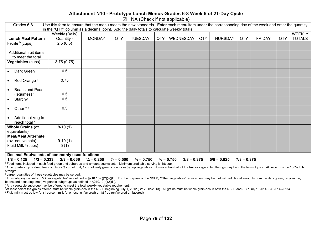#### **Attachment N10 - Prototype Lunch Menus Grades 6-8 Week 5 of 21-Day Cycle**

 $\boxtimes$  NA (Check if not applicable)

| Grades 6-8                     | Use this form to ensure that the menu meets the new standards. Enter each menu item under the corresponding day of the week and enter the quantity<br>in the "QTY" column as a decimal point. Add the daily totals to calculate weekly totals |                       |                       |                       |     |                                        |     |                 |               |               |     |               |  |
|--------------------------------|-----------------------------------------------------------------------------------------------------------------------------------------------------------------------------------------------------------------------------------------------|-----------------------|-----------------------|-----------------------|-----|----------------------------------------|-----|-----------------|---------------|---------------|-----|---------------|--|
|                                |                                                                                                                                                                                                                                               |                       |                       |                       |     |                                        |     |                 |               |               |     |               |  |
|                                | Weekly (Daily)                                                                                                                                                                                                                                |                       |                       |                       |     |                                        |     |                 |               |               |     | <b>WEEKLY</b> |  |
| <b>Lunch Meal Pattern</b>      | Quantity <sup>a</sup>                                                                                                                                                                                                                         | <b>MONDAY</b>         | QTY                   | <b>TUESDAY</b>        | QTY | WEDNESDAY                              | QTY | <b>THURSDAY</b> | QTY           | <b>FRIDAY</b> | QTY | <b>TOTALS</b> |  |
| Fruits $b$ (cups)              | 2.5(0.5)                                                                                                                                                                                                                                      |                       |                       |                       |     |                                        |     |                 |               |               |     |               |  |
|                                |                                                                                                                                                                                                                                               |                       |                       |                       |     |                                        |     |                 |               |               |     |               |  |
| Additional fruit items         |                                                                                                                                                                                                                                               |                       |                       |                       |     |                                        |     |                 |               |               |     |               |  |
| to meet the total              |                                                                                                                                                                                                                                               |                       |                       |                       |     |                                        |     |                 |               |               |     |               |  |
| Vegetables (cups)              | 3.75(0.75)                                                                                                                                                                                                                                    |                       |                       |                       |     |                                        |     |                 |               |               |     |               |  |
|                                |                                                                                                                                                                                                                                               |                       |                       |                       |     |                                        |     |                 |               |               |     |               |  |
| Dark Green <sup>c</sup>        | 0.5                                                                                                                                                                                                                                           |                       |                       |                       |     |                                        |     |                 |               |               |     |               |  |
|                                |                                                                                                                                                                                                                                               |                       |                       |                       |     |                                        |     |                 |               |               |     |               |  |
| Red Orange <sup>c</sup>        | 0.75                                                                                                                                                                                                                                          |                       |                       |                       |     |                                        |     |                 |               |               |     |               |  |
|                                |                                                                                                                                                                                                                                               |                       |                       |                       |     |                                        |     |                 |               |               |     |               |  |
| Beans and Peas                 |                                                                                                                                                                                                                                               |                       |                       |                       |     |                                        |     |                 |               |               |     |               |  |
| (legumes) <sup>c</sup>         | 0.5                                                                                                                                                                                                                                           |                       |                       |                       |     |                                        |     |                 |               |               |     |               |  |
| Starchy <sup>c</sup>           | 0.5                                                                                                                                                                                                                                           |                       |                       |                       |     |                                        |     |                 |               |               |     |               |  |
|                                |                                                                                                                                                                                                                                               |                       |                       |                       |     |                                        |     |                 |               |               |     |               |  |
| Other <sup>c, d</sup>          | 0.5                                                                                                                                                                                                                                           |                       |                       |                       |     |                                        |     |                 |               |               |     |               |  |
|                                |                                                                                                                                                                                                                                               |                       |                       |                       |     |                                        |     |                 |               |               |     |               |  |
| Additional Veg to              |                                                                                                                                                                                                                                               |                       |                       |                       |     |                                        |     |                 |               |               |     |               |  |
| reach total <sup>e</sup>       |                                                                                                                                                                                                                                               |                       |                       |                       |     |                                        |     |                 |               |               |     |               |  |
| Whole Grains (oz.              | $8-10(1)$                                                                                                                                                                                                                                     |                       |                       |                       |     |                                        |     |                 |               |               |     |               |  |
| equivalents)                   |                                                                                                                                                                                                                                               |                       |                       |                       |     |                                        |     |                 |               |               |     |               |  |
| <b>Meat/Meat Alternate</b>     |                                                                                                                                                                                                                                               |                       |                       |                       |     |                                        |     |                 |               |               |     |               |  |
| (oz. equivalents)              | $9-10(1)$                                                                                                                                                                                                                                     |                       |                       |                       |     |                                        |     |                 |               |               |     |               |  |
| Fluid Milk <sup>9</sup> (cups) | 5(1)                                                                                                                                                                                                                                          |                       |                       |                       |     |                                        |     |                 |               |               |     |               |  |
|                                |                                                                                                                                                                                                                                               |                       |                       |                       |     |                                        |     |                 |               |               |     |               |  |
|                                | Decimal Equivalents of commonly used fractions                                                                                                                                                                                                |                       |                       |                       |     |                                        |     |                 |               |               |     |               |  |
| $1/8 = 0.125$<br>$1/3 = 0.333$ | $2/3 = 0.666$                                                                                                                                                                                                                                 | $\frac{1}{4}$ = 0.250 | $\frac{1}{2} = 0.500$ | $\frac{3}{4}$ = 0.750 |     | $\frac{3}{4}$ = 0.750<br>$3/8 = 0.375$ |     | $5/8 = 0.625$   | $7/8 = 0.875$ |               |     |               |  |

a Food items included in each food group and subgroup and amount equivalents. Minimum creditable serving is 1/8 cup.

<sup>b</sup> One quarter-cup of dried fruit counts as 1/2 cup of fruit; 1 cup of leafy greens counts as 1/2 cup vegetables. No more than half of the fruit or vegetable offerings may be in the form of juice. All juice must be 100% f strength.

<sup>c</sup> Larger quantities of these vegetables may be served.

<sup>d</sup> This category consists of "Other vegetables" as defined in §210.10(c)(2)(iii)(E). For the purpose of the NSLP, "Other vegetables" requirement may be met with additional amounts from the dark green, red/orange, beans and peas (legumes) vegetable subgroups as defined in §210.10(c)(2)(iii).

e Any vegetable subgroup may be offered to meet the total weekly vegetable requirement.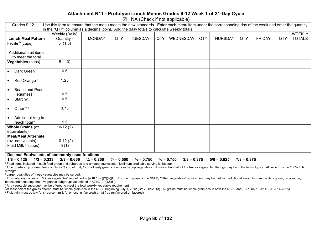#### **Attachment N11 - Prototype Lunch Menus Grades 9-12 Week 1 of 21-Day Cycle**

 $\boxtimes$  NA (Check if not applicable)

| Grades 9-12                    | Use this form to ensure that the menu meets the new standards. Enter each menu item under the corresponding day of the week and enter the quantity                                    |               |     |                |     |                  |     |                 |     |               |     |               |
|--------------------------------|---------------------------------------------------------------------------------------------------------------------------------------------------------------------------------------|---------------|-----|----------------|-----|------------------|-----|-----------------|-----|---------------|-----|---------------|
|                                | in the "QTY" column as a decimal point. Add the daily totals to calculate weekly totals                                                                                               |               |     |                |     |                  |     |                 |     |               |     |               |
|                                | Weekly (Daily)                                                                                                                                                                        |               |     |                |     |                  |     |                 |     |               |     | <b>WEEKLY</b> |
| <b>Lunch Meal Pattern</b>      | Quantity <sup>a</sup>                                                                                                                                                                 | <b>MONDAY</b> | QTY | <b>TUESDAY</b> | QTY | <b>WEDNESDAY</b> | QTY | <b>THURSDAY</b> | QTY | <b>FRIDAY</b> | QTY | <b>TOTALS</b> |
| Fruits $b$ (cups)              | 5(1.0)                                                                                                                                                                                |               |     |                |     |                  |     |                 |     |               |     |               |
|                                |                                                                                                                                                                                       |               |     |                |     |                  |     |                 |     |               |     |               |
| Additional fruit items         |                                                                                                                                                                                       |               |     |                |     |                  |     |                 |     |               |     |               |
| to meet the total              |                                                                                                                                                                                       |               |     |                |     |                  |     |                 |     |               |     |               |
| Vegetables (cups)              | 5(1.0)                                                                                                                                                                                |               |     |                |     |                  |     |                 |     |               |     |               |
|                                |                                                                                                                                                                                       |               |     |                |     |                  |     |                 |     |               |     |               |
| Dark Green <sup>c</sup>        | 0.5                                                                                                                                                                                   |               |     |                |     |                  |     |                 |     |               |     |               |
|                                |                                                                                                                                                                                       |               |     |                |     |                  |     |                 |     |               |     |               |
| Red Orange <sup>c</sup>        | 1.25                                                                                                                                                                                  |               |     |                |     |                  |     |                 |     |               |     |               |
|                                |                                                                                                                                                                                       |               |     |                |     |                  |     |                 |     |               |     |               |
| Beans and Peas                 |                                                                                                                                                                                       |               |     |                |     |                  |     |                 |     |               |     |               |
| (legumes) <sup>c</sup>         | 0.5                                                                                                                                                                                   |               |     |                |     |                  |     |                 |     |               |     |               |
| Starchy <sup>c</sup>           | 0.5                                                                                                                                                                                   |               |     |                |     |                  |     |                 |     |               |     |               |
|                                |                                                                                                                                                                                       |               |     |                |     |                  |     |                 |     |               |     |               |
| Other <sup>c, d</sup>          | 0.75                                                                                                                                                                                  |               |     |                |     |                  |     |                 |     |               |     |               |
|                                |                                                                                                                                                                                       |               |     |                |     |                  |     |                 |     |               |     |               |
| Additional Veg to              |                                                                                                                                                                                       |               |     |                |     |                  |     |                 |     |               |     |               |
| reach total <sup>e</sup>       | 1.5                                                                                                                                                                                   |               |     |                |     |                  |     |                 |     |               |     |               |
| Whole Grains (oz.              | $10-12(2)$                                                                                                                                                                            |               |     |                |     |                  |     |                 |     |               |     |               |
| equivalents)                   |                                                                                                                                                                                       |               |     |                |     |                  |     |                 |     |               |     |               |
| <b>Meat/Meat Alternate</b>     |                                                                                                                                                                                       |               |     |                |     |                  |     |                 |     |               |     |               |
| (oz. equivalents)              | $10-12(2)$                                                                                                                                                                            |               |     |                |     |                  |     |                 |     |               |     |               |
| Fluid Milk <sup>9</sup> (cups) | 5(1)                                                                                                                                                                                  |               |     |                |     |                  |     |                 |     |               |     |               |
|                                |                                                                                                                                                                                       |               |     |                |     |                  |     |                 |     |               |     |               |
|                                | <b>Decimal Equivalents of commonly used fractions</b>                                                                                                                                 |               |     |                |     |                  |     |                 |     |               |     |               |
| $1/8 = 0.125$                  | $\frac{3}{4}$ = 0.750<br>$\frac{3}{4}$ = 0.750<br>$1/3 = 0.333$<br>$2/3 = 0.666$<br>$\frac{1}{4}$ = 0.250<br>$\frac{1}{2} = 0.500$<br>$3/8 = 0.375$<br>$5/8 = 0.625$<br>$7/8 = 0.875$ |               |     |                |     |                  |     |                 |     |               |     |               |

a Food items included in each food group and subgroup and amount equivalents. Minimum creditable serving is 1/8 cup.

<sup>b</sup> One quarter-cup of dried fruit counts as 1/2 cup of fruit; 1 cup of leafy greens counts as 1/2 cup vegetables. No more than half of the fruit or vegetable offerings may be in the form of juice. All juice must be 100% f strength.

<sup>c</sup> Larger quantities of these vegetables may be served.

<sup>d</sup> This category consists of "Other vegetables" as defined in §210.10(c)(2)(iii)(E). For the purpose of the NSLP, "Other vegetables" requirement may be met with additional amounts from the dark green, red/orange, beans and peas (legumes) vegetable subgroups as defined in §210.10(c)(2)(iii).

e Any vegetable subgroup may be offered to meet the total weekly vegetable requirement.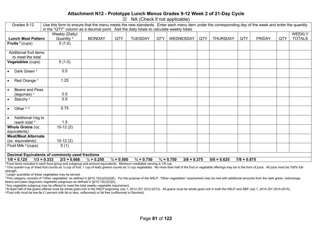#### **Attachment N12 - Prototype Lunch Menus Grades 9-12 Week 2 of 21-Day Cycle**

 $\boxtimes$  NA (Check if not applicable)

| Grades 9-12                                                                                                                                                                                            | Use this form to ensure that the menu meets the new standards. Enter each menu item under the corresponding day of the week and enter the quantity |               |     |                |     |           |     |                 |     |               |     |               |
|--------------------------------------------------------------------------------------------------------------------------------------------------------------------------------------------------------|----------------------------------------------------------------------------------------------------------------------------------------------------|---------------|-----|----------------|-----|-----------|-----|-----------------|-----|---------------|-----|---------------|
|                                                                                                                                                                                                        | in the "QTY" column as a decimal point. Add the daily totals to calculate weekly totals                                                            |               |     |                |     |           |     |                 |     |               |     |               |
|                                                                                                                                                                                                        | Weekly (Daily)                                                                                                                                     |               |     |                |     |           |     |                 |     |               |     | <b>WEEKLY</b> |
| <b>Lunch Meal Pattern</b>                                                                                                                                                                              | Quantity <sup>a</sup>                                                                                                                              | <b>MONDAY</b> | QTY | <b>TUESDAY</b> | QTY | WEDNESDAY | QTY | <b>THURSDAY</b> | QTY | <b>FRIDAY</b> | QTY | <b>TOTALS</b> |
| Fruits $b$ (cups)                                                                                                                                                                                      | 5(1.0)                                                                                                                                             |               |     |                |     |           |     |                 |     |               |     |               |
|                                                                                                                                                                                                        |                                                                                                                                                    |               |     |                |     |           |     |                 |     |               |     |               |
| Additional fruit items                                                                                                                                                                                 |                                                                                                                                                    |               |     |                |     |           |     |                 |     |               |     |               |
| to meet the total                                                                                                                                                                                      |                                                                                                                                                    |               |     |                |     |           |     |                 |     |               |     |               |
| Vegetables (cups)                                                                                                                                                                                      | 5(1.0)                                                                                                                                             |               |     |                |     |           |     |                 |     |               |     |               |
|                                                                                                                                                                                                        |                                                                                                                                                    |               |     |                |     |           |     |                 |     |               |     |               |
| Dark Green <sup>c</sup>                                                                                                                                                                                | 0.5                                                                                                                                                |               |     |                |     |           |     |                 |     |               |     |               |
|                                                                                                                                                                                                        |                                                                                                                                                    |               |     |                |     |           |     |                 |     |               |     |               |
| Red Orange <sup>c</sup>                                                                                                                                                                                | 1.25                                                                                                                                               |               |     |                |     |           |     |                 |     |               |     |               |
|                                                                                                                                                                                                        |                                                                                                                                                    |               |     |                |     |           |     |                 |     |               |     |               |
| Beans and Peas                                                                                                                                                                                         |                                                                                                                                                    |               |     |                |     |           |     |                 |     |               |     |               |
| (legumes) <sup>c</sup>                                                                                                                                                                                 | 0.5                                                                                                                                                |               |     |                |     |           |     |                 |     |               |     |               |
| Starchy <sup>c</sup>                                                                                                                                                                                   | 0.5                                                                                                                                                |               |     |                |     |           |     |                 |     |               |     |               |
|                                                                                                                                                                                                        |                                                                                                                                                    |               |     |                |     |           |     |                 |     |               |     |               |
| Other <sup>c, d</sup>                                                                                                                                                                                  | 0.75                                                                                                                                               |               |     |                |     |           |     |                 |     |               |     |               |
|                                                                                                                                                                                                        |                                                                                                                                                    |               |     |                |     |           |     |                 |     |               |     |               |
| Additional Veg to                                                                                                                                                                                      |                                                                                                                                                    |               |     |                |     |           |     |                 |     |               |     |               |
| reach total <sup>e</sup>                                                                                                                                                                               | 1.5                                                                                                                                                |               |     |                |     |           |     |                 |     |               |     |               |
| Whole Grains (oz.                                                                                                                                                                                      | $10-12(2)$                                                                                                                                         |               |     |                |     |           |     |                 |     |               |     |               |
| equivalents)                                                                                                                                                                                           |                                                                                                                                                    |               |     |                |     |           |     |                 |     |               |     |               |
| <b>Meat/Meat Alternate</b>                                                                                                                                                                             |                                                                                                                                                    |               |     |                |     |           |     |                 |     |               |     |               |
| (oz. equivalents)                                                                                                                                                                                      | $10-12(2)$                                                                                                                                         |               |     |                |     |           |     |                 |     |               |     |               |
| Fluid Milk <sup>9</sup> (cups)                                                                                                                                                                         | 5(1)                                                                                                                                               |               |     |                |     |           |     |                 |     |               |     |               |
|                                                                                                                                                                                                        |                                                                                                                                                    |               |     |                |     |           |     |                 |     |               |     |               |
|                                                                                                                                                                                                        | <b>Decimal Equivalents of commonly used fractions</b>                                                                                              |               |     |                |     |           |     |                 |     |               |     |               |
| $1/8 = 0.125$<br>$1/3 = 0.333$<br>$2/3 = 0.666$<br>$\frac{3}{4}$ = 0.750<br>$\frac{3}{4}$ = 0.750<br>$7/8 = 0.875$<br>$\frac{1}{4}$ = 0.250<br>$\frac{1}{2} = 0.500$<br>$3/8 = 0.375$<br>$5/8 = 0.625$ |                                                                                                                                                    |               |     |                |     |           |     |                 |     |               |     |               |

a Food items included in each food group and subgroup and amount equivalents. Minimum creditable serving is 1/8 cup.

<sup>b</sup> One quarter-cup of dried fruit counts as 1/2 cup of fruit; 1 cup of leafy greens counts as 1/2 cup vegetables. No more than half of the fruit or vegetable offerings may be in the form of juice. All juice must be 100% f strength.

<sup>c</sup> Larger quantities of these vegetables may be served.

<sup>d</sup> This category consists of "Other vegetables" as defined in §210.10(c)(2)(iii)(E). For the purpose of the NSLP, "Other vegetables" requirement may be met with additional amounts from the dark green, red/orange, beans and peas (legumes) vegetable subgroups as defined in §210.10(c)(2)(iii).

e Any vegetable subgroup may be offered to meet the total weekly vegetable requirement.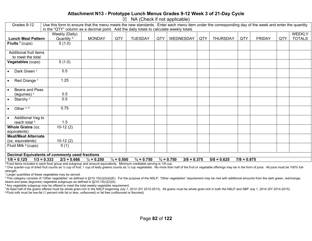#### **Attachment N13 - Prototype Lunch Menus Grades 9-12 Week 3 of 21-Day Cycle**

 $\boxtimes$  NA (Check if not applicable)

| Grades 9-12                                                                                                                                                                                            | Use this form to ensure that the menu meets the new standards. Enter each menu item under the corresponding day of the week and enter the quantity |               |     |                |     |           |     |                 |     |               |     |               |
|--------------------------------------------------------------------------------------------------------------------------------------------------------------------------------------------------------|----------------------------------------------------------------------------------------------------------------------------------------------------|---------------|-----|----------------|-----|-----------|-----|-----------------|-----|---------------|-----|---------------|
|                                                                                                                                                                                                        | in the "QTY" column as a decimal point. Add the daily totals to calculate weekly totals                                                            |               |     |                |     |           |     |                 |     |               |     |               |
|                                                                                                                                                                                                        | Weekly (Daily)                                                                                                                                     |               |     |                |     |           |     |                 |     |               |     | <b>WEEKLY</b> |
| <b>Lunch Meal Pattern</b>                                                                                                                                                                              | Quantity <sup>a</sup>                                                                                                                              | <b>MONDAY</b> | QTY | <b>TUESDAY</b> | QTY | WEDNESDAY | QTY | <b>THURSDAY</b> | QTY | <b>FRIDAY</b> | QTY | <b>TOTALS</b> |
| Fruits $b$ (cups)                                                                                                                                                                                      | 5(1.0)                                                                                                                                             |               |     |                |     |           |     |                 |     |               |     |               |
|                                                                                                                                                                                                        |                                                                                                                                                    |               |     |                |     |           |     |                 |     |               |     |               |
| Additional fruit items                                                                                                                                                                                 |                                                                                                                                                    |               |     |                |     |           |     |                 |     |               |     |               |
| to meet the total                                                                                                                                                                                      |                                                                                                                                                    |               |     |                |     |           |     |                 |     |               |     |               |
| Vegetables (cups)                                                                                                                                                                                      | 5(1.0)                                                                                                                                             |               |     |                |     |           |     |                 |     |               |     |               |
|                                                                                                                                                                                                        |                                                                                                                                                    |               |     |                |     |           |     |                 |     |               |     |               |
| Dark Green <sup>c</sup>                                                                                                                                                                                | 0.5                                                                                                                                                |               |     |                |     |           |     |                 |     |               |     |               |
|                                                                                                                                                                                                        |                                                                                                                                                    |               |     |                |     |           |     |                 |     |               |     |               |
| Red Orange <sup>c</sup>                                                                                                                                                                                | 1.25                                                                                                                                               |               |     |                |     |           |     |                 |     |               |     |               |
|                                                                                                                                                                                                        |                                                                                                                                                    |               |     |                |     |           |     |                 |     |               |     |               |
| Beans and Peas                                                                                                                                                                                         |                                                                                                                                                    |               |     |                |     |           |     |                 |     |               |     |               |
| (legumes) <sup>c</sup>                                                                                                                                                                                 | 0.5                                                                                                                                                |               |     |                |     |           |     |                 |     |               |     |               |
| Starchy <sup>c</sup>                                                                                                                                                                                   | 0.5                                                                                                                                                |               |     |                |     |           |     |                 |     |               |     |               |
|                                                                                                                                                                                                        |                                                                                                                                                    |               |     |                |     |           |     |                 |     |               |     |               |
| Other <sup>c, d</sup>                                                                                                                                                                                  | 0.75                                                                                                                                               |               |     |                |     |           |     |                 |     |               |     |               |
|                                                                                                                                                                                                        |                                                                                                                                                    |               |     |                |     |           |     |                 |     |               |     |               |
| Additional Veg to                                                                                                                                                                                      |                                                                                                                                                    |               |     |                |     |           |     |                 |     |               |     |               |
| reach total <sup>e</sup>                                                                                                                                                                               | 1.5                                                                                                                                                |               |     |                |     |           |     |                 |     |               |     |               |
| Whole Grains (oz.                                                                                                                                                                                      | $10-12(2)$                                                                                                                                         |               |     |                |     |           |     |                 |     |               |     |               |
| equivalents)                                                                                                                                                                                           |                                                                                                                                                    |               |     |                |     |           |     |                 |     |               |     |               |
| <b>Meat/Meat Alternate</b>                                                                                                                                                                             |                                                                                                                                                    |               |     |                |     |           |     |                 |     |               |     |               |
| (oz. equivalents)                                                                                                                                                                                      | $10-12(2)$                                                                                                                                         |               |     |                |     |           |     |                 |     |               |     |               |
| Fluid Milk <sup>9</sup> (cups)                                                                                                                                                                         | 5(1)                                                                                                                                               |               |     |                |     |           |     |                 |     |               |     |               |
|                                                                                                                                                                                                        |                                                                                                                                                    |               |     |                |     |           |     |                 |     |               |     |               |
|                                                                                                                                                                                                        | <b>Decimal Equivalents of commonly used fractions</b>                                                                                              |               |     |                |     |           |     |                 |     |               |     |               |
| $1/8 = 0.125$<br>$1/3 = 0.333$<br>$2/3 = 0.666$<br>$\frac{3}{4}$ = 0.750<br>$\frac{3}{4}$ = 0.750<br>$7/8 = 0.875$<br>$\frac{1}{4}$ = 0.250<br>$\frac{1}{2} = 0.500$<br>$3/8 = 0.375$<br>$5/8 = 0.625$ |                                                                                                                                                    |               |     |                |     |           |     |                 |     |               |     |               |

a Food items included in each food group and subgroup and amount equivalents. Minimum creditable serving is 1/8 cup.

<sup>b</sup> One quarter-cup of dried fruit counts as 1/2 cup of fruit; 1 cup of leafy greens counts as 1/2 cup vegetables. No more than half of the fruit or vegetable offerings may be in the form of juice. All juice must be 100% f strength.

<sup>c</sup> Larger quantities of these vegetables may be served.

<sup>d</sup> This category consists of "Other vegetables" as defined in §210.10(c)(2)(iii)(E). For the purpose of the NSLP, "Other vegetables" requirement may be met with additional amounts from the dark green, red/orange, beans and peas (legumes) vegetable subgroups as defined in §210.10(c)(2)(iii).

e Any vegetable subgroup may be offered to meet the total weekly vegetable requirement.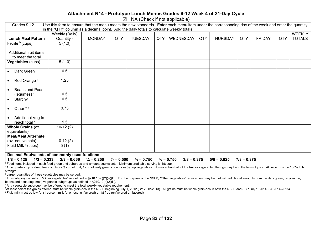#### **Attachment N14 - Prototype Lunch Menus Grades 9-12 Week 4 of 21-Day Cycle**

 $\boxtimes$  NA (Check if not applicable)

| Grades 9-12                    | Use this form to ensure that the menu meets the new standards. Enter each menu item under the corresponding day of the week and enter the quantity                                    |               |     |                |     |           |     |                 |     |               |     |               |
|--------------------------------|---------------------------------------------------------------------------------------------------------------------------------------------------------------------------------------|---------------|-----|----------------|-----|-----------|-----|-----------------|-----|---------------|-----|---------------|
|                                | in the "QTY" column as a decimal point. Add the daily totals to calculate weekly totals                                                                                               |               |     |                |     |           |     |                 |     |               |     |               |
|                                | Weekly (Daily)                                                                                                                                                                        |               |     |                |     |           |     |                 |     |               |     | <b>WEEKLY</b> |
| <b>Lunch Meal Pattern</b>      | Quantity <sup>a</sup>                                                                                                                                                                 | <b>MONDAY</b> | QTY | <b>TUESDAY</b> | QTY | WEDNESDAY | QTY | <b>THURSDAY</b> | QTY | <b>FRIDAY</b> | QTY | <b>TOTALS</b> |
| Fruits $b$ (cups)              | 5(1.0)                                                                                                                                                                                |               |     |                |     |           |     |                 |     |               |     |               |
|                                |                                                                                                                                                                                       |               |     |                |     |           |     |                 |     |               |     |               |
| Additional fruit items         |                                                                                                                                                                                       |               |     |                |     |           |     |                 |     |               |     |               |
| to meet the total              |                                                                                                                                                                                       |               |     |                |     |           |     |                 |     |               |     |               |
| Vegetables (cups)              | 5(1.0)                                                                                                                                                                                |               |     |                |     |           |     |                 |     |               |     |               |
|                                |                                                                                                                                                                                       |               |     |                |     |           |     |                 |     |               |     |               |
| Dark Green <sup>c</sup>        | 0.5                                                                                                                                                                                   |               |     |                |     |           |     |                 |     |               |     |               |
|                                |                                                                                                                                                                                       |               |     |                |     |           |     |                 |     |               |     |               |
| Red Orange <sup>c</sup>        | 1.25                                                                                                                                                                                  |               |     |                |     |           |     |                 |     |               |     |               |
|                                |                                                                                                                                                                                       |               |     |                |     |           |     |                 |     |               |     |               |
| Beans and Peas                 | 0.5                                                                                                                                                                                   |               |     |                |     |           |     |                 |     |               |     |               |
| (legumes) <sup>c</sup>         |                                                                                                                                                                                       |               |     |                |     |           |     |                 |     |               |     |               |
| Starchy <sup>c</sup>           | 0.5                                                                                                                                                                                   |               |     |                |     |           |     |                 |     |               |     |               |
| Other <sup>c, d</sup>          | 0.75                                                                                                                                                                                  |               |     |                |     |           |     |                 |     |               |     |               |
|                                |                                                                                                                                                                                       |               |     |                |     |           |     |                 |     |               |     |               |
| Additional Veg to              |                                                                                                                                                                                       |               |     |                |     |           |     |                 |     |               |     |               |
| reach total <sup>e</sup>       | 1.5                                                                                                                                                                                   |               |     |                |     |           |     |                 |     |               |     |               |
| Whole Grains (oz.              | $10-12(2)$                                                                                                                                                                            |               |     |                |     |           |     |                 |     |               |     |               |
| equivalents)                   |                                                                                                                                                                                       |               |     |                |     |           |     |                 |     |               |     |               |
| <b>Meat/Meat Alternate</b>     |                                                                                                                                                                                       |               |     |                |     |           |     |                 |     |               |     |               |
| (oz. equivalents)              | $10-12(2)$                                                                                                                                                                            |               |     |                |     |           |     |                 |     |               |     |               |
| Fluid Milk <sup>9</sup> (cups) | 5(1)                                                                                                                                                                                  |               |     |                |     |           |     |                 |     |               |     |               |
|                                |                                                                                                                                                                                       |               |     |                |     |           |     |                 |     |               |     |               |
|                                | <b>Decimal Equivalents of commonly used fractions</b>                                                                                                                                 |               |     |                |     |           |     |                 |     |               |     |               |
| $1/8 = 0.125$                  | $\frac{3}{4}$ = 0.750<br>$\frac{3}{4}$ = 0.750<br>$1/3 = 0.333$<br>$2/3 = 0.666$<br>$\frac{1}{4}$ = 0.250<br>$\frac{1}{2} = 0.500$<br>$3/8 = 0.375$<br>$5/8 = 0.625$<br>$7/8 = 0.875$ |               |     |                |     |           |     |                 |     |               |     |               |

a Food items included in each food group and subgroup and amount equivalents. Minimum creditable serving is 1/8 cup.

<sup>b</sup> One quarter-cup of dried fruit counts as 1/2 cup of fruit; 1 cup of leafy greens counts as 1/2 cup vegetables. No more than half of the fruit or vegetable offerings may be in the form of juice. All juice must be 100% f strength.

<sup>c</sup> Larger quantities of these vegetables may be served.

<sup>d</sup> This category consists of "Other vegetables" as defined in §210.10(c)(2)(iii)(E). For the purpose of the NSLP, "Other vegetables" requirement may be met with additional amounts from the dark green, red/orange, beans and peas (legumes) vegetable subgroups as defined in §210.10(c)(2)(iii).

e Any vegetable subgroup may be offered to meet the total weekly vegetable requirement.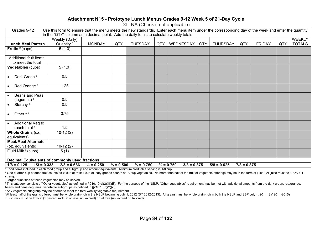#### **Attachment N15 - Prototype Lunch Menus Grades 9-12 Week 5 of 21-Day Cycle**

 $\overline{\boxtimes}$  NA (Check if not applicable)

| Grades 9-12                                                                                                         | Use this form to ensure that the menu meets the new standards. Enter each menu item under the corresponding day of the week and enter the quantity<br>in the "QTY" column as a decimal point. Add the daily totals to calculate weekly totals |                       |                       |                       |                       |     |                                        |     |                 |               |               |     |               |
|---------------------------------------------------------------------------------------------------------------------|-----------------------------------------------------------------------------------------------------------------------------------------------------------------------------------------------------------------------------------------------|-----------------------|-----------------------|-----------------------|-----------------------|-----|----------------------------------------|-----|-----------------|---------------|---------------|-----|---------------|
|                                                                                                                     |                                                                                                                                                                                                                                               |                       |                       |                       |                       |     |                                        |     |                 |               |               |     |               |
|                                                                                                                     |                                                                                                                                                                                                                                               | Weekly (Daily)        |                       |                       |                       |     |                                        |     |                 |               |               |     | WEEKLY        |
| <b>Lunch Meal Pattern</b>                                                                                           |                                                                                                                                                                                                                                               | Quantity <sup>a</sup> | <b>MONDAY</b>         | QTY                   | <b>TUESDAY</b>        | QTY | WEDNESDAY                              | QTY | <b>THURSDAY</b> | QTY           | <b>FRIDAY</b> | QTY | <b>TOTALS</b> |
| Fruits $b$ (cups)                                                                                                   |                                                                                                                                                                                                                                               | 5(1.0)                |                       |                       |                       |     |                                        |     |                 |               |               |     |               |
| Additional fruit items                                                                                              |                                                                                                                                                                                                                                               |                       |                       |                       |                       |     |                                        |     |                 |               |               |     |               |
| to meet the total                                                                                                   |                                                                                                                                                                                                                                               |                       |                       |                       |                       |     |                                        |     |                 |               |               |     |               |
| Vegetables (cups)                                                                                                   |                                                                                                                                                                                                                                               | 5(1.0)                |                       |                       |                       |     |                                        |     |                 |               |               |     |               |
| Dark Green <sup>c</sup>                                                                                             |                                                                                                                                                                                                                                               | 0.5                   |                       |                       |                       |     |                                        |     |                 |               |               |     |               |
| Red Orange <sup>c</sup>                                                                                             |                                                                                                                                                                                                                                               | 1.25                  |                       |                       |                       |     |                                        |     |                 |               |               |     |               |
| Beans and Peas<br>(legumes) <sup>c</sup>                                                                            |                                                                                                                                                                                                                                               | 0.5                   |                       |                       |                       |     |                                        |     |                 |               |               |     |               |
| Starchy <sup>c</sup>                                                                                                |                                                                                                                                                                                                                                               | 0.5                   |                       |                       |                       |     |                                        |     |                 |               |               |     |               |
| Other <sup>c, d</sup>                                                                                               |                                                                                                                                                                                                                                               | 0.75                  |                       |                       |                       |     |                                        |     |                 |               |               |     |               |
| Additional Veg to<br>reach total <sup>e</sup>                                                                       |                                                                                                                                                                                                                                               | 1.5                   |                       |                       |                       |     |                                        |     |                 |               |               |     |               |
| Whole Grains (oz.<br>equivalents)                                                                                   |                                                                                                                                                                                                                                               | $10-12(2)$            |                       |                       |                       |     |                                        |     |                 |               |               |     |               |
| <b>Meat/Meat Alternate</b>                                                                                          |                                                                                                                                                                                                                                               |                       |                       |                       |                       |     |                                        |     |                 |               |               |     |               |
| (oz. equivalents)                                                                                                   |                                                                                                                                                                                                                                               | $10-12(2)$            |                       |                       |                       |     |                                        |     |                 |               |               |     |               |
| Fluid Milk <sup>9</sup> (cups)                                                                                      |                                                                                                                                                                                                                                               | 5(1)                  |                       |                       |                       |     |                                        |     |                 |               |               |     |               |
| Decimal Equivalents of commonly used fractions                                                                      |                                                                                                                                                                                                                                               |                       |                       |                       |                       |     |                                        |     |                 |               |               |     |               |
| $1/8 = 0.125$                                                                                                       | $1/3 = 0.333$                                                                                                                                                                                                                                 | $2/3 = 0.666$         | $\frac{1}{4}$ = 0.250 | $\frac{1}{2} = 0.500$ | $\frac{3}{4}$ = 0.750 |     | $\frac{3}{4}$ = 0.750<br>$3/8 = 0.375$ |     | $5/8 = 0.625$   | $7/8 = 0.875$ |               |     |               |
| Prood items included in each food group and subgroup and amount equivalents. Minimum creditable serving is 1/8 cup. |                                                                                                                                                                                                                                               |                       |                       |                       |                       |     |                                        |     |                 |               |               |     |               |

 $^{\text{b}}$  One quarter-cup of dried fruit counts as ½ cup of fruit; 1 cup of leafy greens counts as ½ cup vegetables. No more than half of the fruit or vegetable offerings may be in the form of juice. All juice must be 100%

strength.

c Larger quantities of these vegetables may be served.

 $d$  This category consists of "Other vegetables" as defined in §210.10(c)(2)(iii)(E). For the purpose of the NSLP, "Other vegetables" requirement may be met with additional amounts from the dark green, red/orange, beans and peas (legumes) vegetable subgroups as defined in §210.10(c)(2)(iii).

e Any vegetable subgroup may be offered to meet the total weekly vegetable requirement.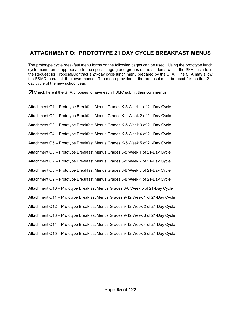### **ATTACHMENT O: PROTOTYPE 21 DAY CYCLE BREAKFAST MENUS**

The prototype cycle breakfast menu forms on the following pages can be used. Using the prototype lunch cycle menu forms appropriate to the specific age grade groups of the students within the SFA, include in the Request for Proposal/Contract a 21-day cycle lunch menu prepared by the SFA. The SFA may allow the FSMC to submit their own menus. The menu provided in the proposal must be used for the first 21 day cycle of the new school year.

 $\boxtimes$  Check here if the SFA chooses to have each FSMC submit their own menus

Attachment O1 – Prototype Breakfast Menus Grades K-5 Week 1 of 21-Day Cycle Attachment O2 – Prototype Breakfast Menus Grades K-4 Week 2 of 21-Day Cycle Attachment O3 – Prototype Breakfast Menus Grades K-5 Week 3 of 21-Day Cycle Attachment O4 – Prototype Breakfast Menus Grades K-5 Week 4 of 21-Day Cycle Attachment O5 – Prototype Breakfast Menus Grades K-5 Week 5 of 21-Day Cycle Attachment O6 – Prototype Breakfast Menus Grades 6-8 Week 1 of 21-Day Cycle Attachment O7 – Prototype Breakfast Menus Grades 6-8 Week 2 of 21-Day Cycle Attachment O8 – Prototype Breakfast Menus Grades 6-8 Week 3 of 21-Day Cycle Attachment O9 – Prototype Breakfast Menus Grades 6-8 Week 4 of 21-Day Cycle Attachment O10 – Prototype Breakfast Menus Grades 6-8 Week 5 of 21-Day Cycle Attachment O11 – Prototype Breakfast Menus Grades 9-12 Week 1 of 21-Day Cycle Attachment O12 – Prototype Breakfast Menus Grades 9-12 Week 2 of 21-Day Cycle Attachment O13 – Prototype Breakfast Menus Grades 9-12 Week 3 of 21-Day Cycle Attachment O14 – Prototype Breakfast Menus Grades 9-12 Week 4 of 21-Day Cycle Attachment O15 – Prototype Breakfast Menus Grades 9-12 Week 5 of 21-Day Cycle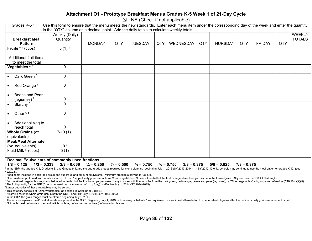#### **Attachment O1 - Prototype Breakfast Menus Grades K-5 Week 1 of 21-Day Cycle**

 $\boxtimes$  NA (Check if not applicable)

| Grades K-5 <sup>a</sup>                               | Use this form to ensure that the menu meets the new standards. Enter each menu item under the corresponding day of the week and enter the quantity |                       |                       |                       |     |                                        |     |                 |               |               |     |               |
|-------------------------------------------------------|----------------------------------------------------------------------------------------------------------------------------------------------------|-----------------------|-----------------------|-----------------------|-----|----------------------------------------|-----|-----------------|---------------|---------------|-----|---------------|
|                                                       | in the "QTY" column as a decimal point. Add the daily totals to calculate weekly totals                                                            |                       |                       |                       |     |                                        |     |                 |               |               |     |               |
|                                                       | Weekly (Daily)                                                                                                                                     |                       |                       |                       |     |                                        |     |                 |               |               |     | <b>WEEKLY</b> |
| <b>Breakfast Meal</b>                                 | Quantity <sup>b</sup>                                                                                                                              |                       |                       |                       |     |                                        |     |                 |               |               |     | <b>TOTALS</b> |
| <b>Pattern</b>                                        |                                                                                                                                                    | <b>MONDAY</b>         | QTY                   | <b>TUESDAY</b>        | QTY | WEDNESDAY                              | QTY | <b>THURSDAY</b> | QTY           | <b>FRIDAY</b> | QTY |               |
| Fruits $c, d$ (cups)                                  | $5(1)$ <sup>e</sup>                                                                                                                                |                       |                       |                       |     |                                        |     |                 |               |               |     |               |
|                                                       |                                                                                                                                                    |                       |                       |                       |     |                                        |     |                 |               |               |     |               |
| Additional fruit items                                |                                                                                                                                                    |                       |                       |                       |     |                                        |     |                 |               |               |     |               |
| to meet the total                                     |                                                                                                                                                    |                       |                       |                       |     |                                        |     |                 |               |               |     |               |
| Vegetables <sup>c, d</sup>                            | $\mathbf 0$                                                                                                                                        |                       |                       |                       |     |                                        |     |                 |               |               |     |               |
|                                                       |                                                                                                                                                    |                       |                       |                       |     |                                        |     |                 |               |               |     |               |
| Dark Green <sup>f</sup>                               | $\mathbf 0$                                                                                                                                        |                       |                       |                       |     |                                        |     |                 |               |               |     |               |
|                                                       |                                                                                                                                                    |                       |                       |                       |     |                                        |     |                 |               |               |     |               |
| Red Orange <sup>f</sup><br>$\bullet$                  | $\mathbf 0$                                                                                                                                        |                       |                       |                       |     |                                        |     |                 |               |               |     |               |
|                                                       |                                                                                                                                                    |                       |                       |                       |     |                                        |     |                 |               |               |     |               |
| Beans and Peas                                        |                                                                                                                                                    |                       |                       |                       |     |                                        |     |                 |               |               |     |               |
| (legumes) <sup>f</sup>                                | 0                                                                                                                                                  |                       |                       |                       |     |                                        |     |                 |               |               |     |               |
| Starchy <sup>f</sup><br>$\bullet$                     | $\mathbf 0$                                                                                                                                        |                       |                       |                       |     |                                        |     |                 |               |               |     |               |
|                                                       |                                                                                                                                                    |                       |                       |                       |     |                                        |     |                 |               |               |     |               |
| Other <sup>f, g</sup>                                 | $\mathbf 0$                                                                                                                                        |                       |                       |                       |     |                                        |     |                 |               |               |     |               |
|                                                       |                                                                                                                                                    |                       |                       |                       |     |                                        |     |                 |               |               |     |               |
| Additional Veg to<br>$\bullet$                        |                                                                                                                                                    |                       |                       |                       |     |                                        |     |                 |               |               |     |               |
| reach total                                           | $\mathbf 0$                                                                                                                                        |                       |                       |                       |     |                                        |     |                 |               |               |     |               |
| Whole Grains (oz.                                     | 7-10 $(1)^{i}$                                                                                                                                     |                       |                       |                       |     |                                        |     |                 |               |               |     |               |
| equivalents)                                          |                                                                                                                                                    |                       |                       |                       |     |                                        |     |                 |               |               |     |               |
| <b>Meat/Meat Alternate</b>                            |                                                                                                                                                    |                       |                       |                       |     |                                        |     |                 |               |               |     |               |
| (oz. equivalents)                                     | 0 <sup>j</sup>                                                                                                                                     |                       |                       |                       |     |                                        |     |                 |               |               |     |               |
| Fluid Milk <sup>k</sup> (cups)                        | 5(1)                                                                                                                                               |                       |                       |                       |     |                                        |     |                 |               |               |     |               |
|                                                       |                                                                                                                                                    |                       |                       |                       |     |                                        |     |                 |               |               |     |               |
| <b>Decimal Equivalents of commonly used fractions</b> |                                                                                                                                                    |                       |                       |                       |     |                                        |     |                 |               |               |     |               |
| $1/8 = 0.125$<br>$1/3 = 0.333$                        | $2/3 = 0.666$                                                                                                                                      | $\frac{1}{4}$ = 0.250 | $\frac{1}{2} = 0.500$ | $\frac{3}{4}$ = 0.750 |     | $\frac{3}{4}$ = 0.750<br>$3/8 = 0.375$ |     | $5/8 = 0.625$   | $7/8 = 0.875$ |               |     |               |

a In the SBP, the Grades K-5, Grades 6-8, and Grades 9-12 are the age-grade groups required for menu planning beginning July 1, 2013 (SY 2013-2014). In SY 2012-13 only, schools may continue to use the meal patter for grade §220.23).

b Food items included in each food group and subgroup and amount equivalents. Minimum creditable serving is 1/8 cup.

° One quarter-cup of dried fruit counts as 1/2 cup of fruit; 1 cup of leafy greens counts as 1/2 cup vegetables. No more than half of the fruit or vegetable offerings may be in the form of juice. All juice must be 100% ful

<sup>d</sup> For breakfast, vegetables may be substituted for fruits, but the first two cups per week of any such substitution must be from the dark green, red/orange, beans and peas (legumes), or "Other vegetables" subgroups as de e The fruit quantity for the SBP (5 cups per week and a minimum of 1 cup/day) is effective July 1, 2014 (SY 2014-2015).

f Larger quantities of these vegetables may be served.

<sup>9</sup> This category consists of "Other vegetables" as defined in §210.10(c)(2)(iii)(E).

h All grains must be whole grain-rich in both the NSLP and SBP July 1, 2014 (SY 2014-2015).

<sup>1</sup> In the SBP, the grain ranges must be offered beginning July 1, 2013.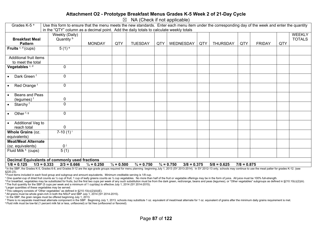#### **Attachment O2 - Prototype Breakfast Menus Grades K-5 Week 2 of 21-Day Cycle**

 $\boxtimes$  NA (Check if not applicable)

| Grades K-5 <sup>a</sup>                               | Use this form to ensure that the menu meets the new standards. Enter each menu item under the corresponding day of the week and enter the quantity |                       |                       |                       |     |                                        |     |                 |               |               |     |               |
|-------------------------------------------------------|----------------------------------------------------------------------------------------------------------------------------------------------------|-----------------------|-----------------------|-----------------------|-----|----------------------------------------|-----|-----------------|---------------|---------------|-----|---------------|
|                                                       | in the "QTY" column as a decimal point. Add the daily totals to calculate weekly totals                                                            |                       |                       |                       |     |                                        |     |                 |               |               |     |               |
|                                                       | Weekly (Daily)                                                                                                                                     |                       |                       |                       |     |                                        |     |                 |               |               |     | <b>WEEKLY</b> |
| <b>Breakfast Meal</b>                                 | Quantity <sup>b</sup>                                                                                                                              |                       |                       |                       |     |                                        |     |                 |               |               |     | <b>TOTALS</b> |
| <b>Pattern</b>                                        |                                                                                                                                                    | <b>MONDAY</b>         | QTY                   | <b>TUESDAY</b>        | QTY | WEDNESDAY                              | QTY | <b>THURSDAY</b> | QTY           | <b>FRIDAY</b> | QTY |               |
| Fruits $c, d$ (cups)                                  | $5(1)$ <sup>e</sup>                                                                                                                                |                       |                       |                       |     |                                        |     |                 |               |               |     |               |
|                                                       |                                                                                                                                                    |                       |                       |                       |     |                                        |     |                 |               |               |     |               |
| Additional fruit items                                |                                                                                                                                                    |                       |                       |                       |     |                                        |     |                 |               |               |     |               |
| to meet the total                                     |                                                                                                                                                    |                       |                       |                       |     |                                        |     |                 |               |               |     |               |
| Vegetables <sup>c, d</sup>                            | $\mathbf 0$                                                                                                                                        |                       |                       |                       |     |                                        |     |                 |               |               |     |               |
|                                                       |                                                                                                                                                    |                       |                       |                       |     |                                        |     |                 |               |               |     |               |
| Dark Green <sup>f</sup>                               | $\mathbf 0$                                                                                                                                        |                       |                       |                       |     |                                        |     |                 |               |               |     |               |
|                                                       |                                                                                                                                                    |                       |                       |                       |     |                                        |     |                 |               |               |     |               |
| Red Orange <sup>f</sup><br>$\bullet$                  | $\mathbf 0$                                                                                                                                        |                       |                       |                       |     |                                        |     |                 |               |               |     |               |
|                                                       |                                                                                                                                                    |                       |                       |                       |     |                                        |     |                 |               |               |     |               |
| Beans and Peas                                        |                                                                                                                                                    |                       |                       |                       |     |                                        |     |                 |               |               |     |               |
| (legumes) <sup>f</sup>                                | 0                                                                                                                                                  |                       |                       |                       |     |                                        |     |                 |               |               |     |               |
| Starchy <sup>f</sup><br>$\bullet$                     | $\mathbf 0$                                                                                                                                        |                       |                       |                       |     |                                        |     |                 |               |               |     |               |
|                                                       |                                                                                                                                                    |                       |                       |                       |     |                                        |     |                 |               |               |     |               |
| Other <sup>f, g</sup>                                 | $\mathbf 0$                                                                                                                                        |                       |                       |                       |     |                                        |     |                 |               |               |     |               |
|                                                       |                                                                                                                                                    |                       |                       |                       |     |                                        |     |                 |               |               |     |               |
| Additional Veg to<br>$\bullet$                        |                                                                                                                                                    |                       |                       |                       |     |                                        |     |                 |               |               |     |               |
| reach total                                           | $\mathbf 0$                                                                                                                                        |                       |                       |                       |     |                                        |     |                 |               |               |     |               |
| Whole Grains (oz.                                     | 7-10 $(1)^{i}$                                                                                                                                     |                       |                       |                       |     |                                        |     |                 |               |               |     |               |
| equivalents)                                          |                                                                                                                                                    |                       |                       |                       |     |                                        |     |                 |               |               |     |               |
| <b>Meat/Meat Alternate</b>                            |                                                                                                                                                    |                       |                       |                       |     |                                        |     |                 |               |               |     |               |
| (oz. equivalents)                                     | 0 <sup>j</sup>                                                                                                                                     |                       |                       |                       |     |                                        |     |                 |               |               |     |               |
| Fluid Milk <sup>k</sup> (cups)                        | 5(1)                                                                                                                                               |                       |                       |                       |     |                                        |     |                 |               |               |     |               |
|                                                       |                                                                                                                                                    |                       |                       |                       |     |                                        |     |                 |               |               |     |               |
| <b>Decimal Equivalents of commonly used fractions</b> |                                                                                                                                                    |                       |                       |                       |     |                                        |     |                 |               |               |     |               |
| $1/8 = 0.125$<br>$1/3 = 0.333$                        | $2/3 = 0.666$                                                                                                                                      | $\frac{1}{4}$ = 0.250 | $\frac{1}{2} = 0.500$ | $\frac{3}{4}$ = 0.750 |     | $\frac{3}{4}$ = 0.750<br>$3/8 = 0.375$ |     | $5/8 = 0.625$   | $7/8 = 0.875$ |               |     |               |

a In the SBP, the Grades K-5, Grades 6-8, and Grades 9-12 are the age-grade groups required for menu planning beginning July 1, 2013 (SY 2013-2014). In SY 2012-13 only, schools may continue to use the meal patter for grade §220.23).

b Food items included in each food group and subgroup and amount equivalents. Minimum creditable serving is 1/8 cup.

° One quarter-cup of dried fruit counts as 1/2 cup of fruit; 1 cup of leafy greens counts as 1/2 cup vegetables. No more than half of the fruit or vegetable offerings may be in the form of juice. All juice must be 100% ful

<sup>d</sup> For breakfast, vegetables may be substituted for fruits, but the first two cups per week of any such substitution must be from the dark green, red/orange, beans and peas (legumes), or "Other vegetables" subgroups as de e The fruit quantity for the SBP (5 cups per week and a minimum of 1 cup/day) is effective July 1, 2014 (SY 2014-2015).

f Larger quantities of these vegetables may be served.

<sup>9</sup> This category consists of "Other vegetables" as defined in §210.10(c)(2)(iii)(E).

h All grains must be whole grain-rich in both the NSLP and SBP July 1, 2014 (SY 2014-2015).

<sup>1</sup> In the SBP, the grain ranges must be offered beginning July 1, 2013.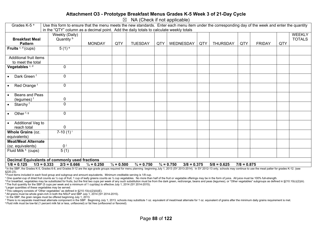#### **Attachment O3 - Prototype Breakfast Menus Grades K-5 Week 3 of 21-Day Cycle**

 $\boxtimes$  NA (Check if not applicable)

| Grades $K$ - $5^a$                             | Use this form to ensure that the menu meets the new standards. Enter each menu item under the corresponding day of the week and enter the quantity |                       |                       |                       |     |                                        |     |                 |               |               |     |               |
|------------------------------------------------|----------------------------------------------------------------------------------------------------------------------------------------------------|-----------------------|-----------------------|-----------------------|-----|----------------------------------------|-----|-----------------|---------------|---------------|-----|---------------|
|                                                | in the "QTY" column as a decimal point. Add the daily totals to calculate weekly totals                                                            |                       |                       |                       |     |                                        |     |                 |               |               |     |               |
|                                                | Weekly (Daily)                                                                                                                                     |                       |                       |                       |     |                                        |     |                 |               |               |     | <b>WEEKLY</b> |
| <b>Breakfast Meal</b>                          | Quantity <sup>b</sup>                                                                                                                              |                       |                       |                       |     |                                        |     |                 |               |               |     | <b>TOTALS</b> |
| <b>Pattern</b>                                 |                                                                                                                                                    | <b>MONDAY</b>         | QTY                   | <b>TUESDAY</b>        | QTY | <b>WEDNESDAY</b>                       | QTY | <b>THURSDAY</b> | QTY           | <b>FRIDAY</b> | QTY |               |
| Fruits $c, d$ (cups)                           | $5(1)$ <sup>e</sup>                                                                                                                                |                       |                       |                       |     |                                        |     |                 |               |               |     |               |
|                                                |                                                                                                                                                    |                       |                       |                       |     |                                        |     |                 |               |               |     |               |
| Additional fruit items                         |                                                                                                                                                    |                       |                       |                       |     |                                        |     |                 |               |               |     |               |
| to meet the total                              |                                                                                                                                                    |                       |                       |                       |     |                                        |     |                 |               |               |     |               |
| Vegetables <sup>c, d</sup>                     | $\mathbf 0$                                                                                                                                        |                       |                       |                       |     |                                        |     |                 |               |               |     |               |
|                                                |                                                                                                                                                    |                       |                       |                       |     |                                        |     |                 |               |               |     |               |
| Dark Green <sup>f</sup>                        | $\mathbf 0$                                                                                                                                        |                       |                       |                       |     |                                        |     |                 |               |               |     |               |
|                                                |                                                                                                                                                    |                       |                       |                       |     |                                        |     |                 |               |               |     |               |
| Red Orange <sup>f</sup><br>$\bullet$           | $\mathbf 0$                                                                                                                                        |                       |                       |                       |     |                                        |     |                 |               |               |     |               |
|                                                |                                                                                                                                                    |                       |                       |                       |     |                                        |     |                 |               |               |     |               |
| Beans and Peas                                 |                                                                                                                                                    |                       |                       |                       |     |                                        |     |                 |               |               |     |               |
| (legumes) <sup>f</sup>                         | 0                                                                                                                                                  |                       |                       |                       |     |                                        |     |                 |               |               |     |               |
| Starchy <sup>f</sup><br>$\bullet$              | $\mathbf 0$                                                                                                                                        |                       |                       |                       |     |                                        |     |                 |               |               |     |               |
|                                                |                                                                                                                                                    |                       |                       |                       |     |                                        |     |                 |               |               |     |               |
| Other <sup>f, g</sup>                          | $\mathbf 0$                                                                                                                                        |                       |                       |                       |     |                                        |     |                 |               |               |     |               |
|                                                |                                                                                                                                                    |                       |                       |                       |     |                                        |     |                 |               |               |     |               |
| Additional Veg to                              |                                                                                                                                                    |                       |                       |                       |     |                                        |     |                 |               |               |     |               |
| reach total                                    | $\mathbf 0$                                                                                                                                        |                       |                       |                       |     |                                        |     |                 |               |               |     |               |
| Whole Grains (oz.                              | 7-10 $(1)^{i}$                                                                                                                                     |                       |                       |                       |     |                                        |     |                 |               |               |     |               |
| equivalents)                                   |                                                                                                                                                    |                       |                       |                       |     |                                        |     |                 |               |               |     |               |
| <b>Meat/Meat Alternate</b>                     |                                                                                                                                                    |                       |                       |                       |     |                                        |     |                 |               |               |     |               |
| (oz. equivalents)                              | 0 <sup>j</sup>                                                                                                                                     |                       |                       |                       |     |                                        |     |                 |               |               |     |               |
| Fluid Milk <sup>k</sup> (cups)                 | 5(1)                                                                                                                                               |                       |                       |                       |     |                                        |     |                 |               |               |     |               |
|                                                |                                                                                                                                                    |                       |                       |                       |     |                                        |     |                 |               |               |     |               |
| Decimal Equivalents of commonly used fractions |                                                                                                                                                    |                       |                       |                       |     |                                        |     |                 |               |               |     |               |
| $1/8 = 0.125$<br>$1/3 = 0.333$                 | $2/3 = 0.666$                                                                                                                                      | $\frac{1}{4}$ = 0.250 | $\frac{1}{2} = 0.500$ | $\frac{3}{4}$ = 0.750 |     | $\frac{3}{4}$ = 0.750<br>$3/8 = 0.375$ |     | $5/8 = 0.625$   | $7/8 = 0.875$ |               |     |               |

a In the SBP, the Grades K-5, Grades 6-8, and Grades 9-12 are the age-grade groups required for menu planning beginning July 1, 2013 (SY 2013-2014). In SY 2012-13 only, schools may continue to use the meal patter for grade §220.23).

b Food items included in each food group and subgroup and amount equivalents. Minimum creditable serving is 1/8 cup.

° One quarter-cup of dried fruit counts as 1/2 cup of fruit; 1 cup of leafy greens counts as 1/2 cup vegetables. No more than half of the fruit or vegetable offerings may be in the form of juice. All juice must be 100% ful

<sup>d</sup> For breakfast, vegetables may be substituted for fruits, but the first two cups per week of any such substitution must be from the dark green, red/orange, beans and peas (legumes), or "Other vegetables" subgroups as de e The fruit quantity for the SBP (5 cups per week and a minimum of 1 cup/day) is effective July 1, 2014 (SY 2014-2015).

f Larger quantities of these vegetables may be served.

<sup>9</sup> This category consists of "Other vegetables" as defined in §210.10(c)(2)(iii)(E).

h All grains must be whole grain-rich in both the NSLP and SBP July 1, 2014 (SY 2014-2015).

<sup>1</sup> In the SBP, the grain ranges must be offered beginning July 1, 2013.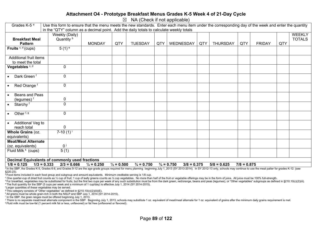#### **Attachment O4 - Prototype Breakfast Menus Grades K-5 Week 4 of 21-Day Cycle**

 $\boxtimes$  NA (Check if not applicable)

| Grades K-5 <sup>a</sup>                               | Use this form to ensure that the menu meets the new standards. Enter each menu item under the corresponding day of the week and enter the quantity |                       |                       |                       |     |                                        |     |                 |               |               |     |               |
|-------------------------------------------------------|----------------------------------------------------------------------------------------------------------------------------------------------------|-----------------------|-----------------------|-----------------------|-----|----------------------------------------|-----|-----------------|---------------|---------------|-----|---------------|
|                                                       | in the "QTY" column as a decimal point. Add the daily totals to calculate weekly totals                                                            |                       |                       |                       |     |                                        |     |                 |               |               |     |               |
|                                                       | Weekly (Daily)                                                                                                                                     |                       |                       |                       |     |                                        |     |                 |               |               |     | <b>WEEKLY</b> |
| <b>Breakfast Meal</b>                                 | Quantity <sup>b</sup>                                                                                                                              |                       |                       |                       |     |                                        |     |                 |               |               |     | <b>TOTALS</b> |
| <b>Pattern</b>                                        |                                                                                                                                                    | <b>MONDAY</b>         | QTY                   | <b>TUESDAY</b>        | QTY | WEDNESDAY                              | QTY | <b>THURSDAY</b> | QTY           | <b>FRIDAY</b> | QTY |               |
| Fruits $c, d$ (cups)                                  | $5(1)$ <sup>e</sup>                                                                                                                                |                       |                       |                       |     |                                        |     |                 |               |               |     |               |
|                                                       |                                                                                                                                                    |                       |                       |                       |     |                                        |     |                 |               |               |     |               |
| Additional fruit items                                |                                                                                                                                                    |                       |                       |                       |     |                                        |     |                 |               |               |     |               |
| to meet the total                                     |                                                                                                                                                    |                       |                       |                       |     |                                        |     |                 |               |               |     |               |
| Vegetables <sup>c, d</sup>                            | $\mathbf 0$                                                                                                                                        |                       |                       |                       |     |                                        |     |                 |               |               |     |               |
|                                                       |                                                                                                                                                    |                       |                       |                       |     |                                        |     |                 |               |               |     |               |
| Dark Green <sup>f</sup>                               | $\mathbf 0$                                                                                                                                        |                       |                       |                       |     |                                        |     |                 |               |               |     |               |
|                                                       |                                                                                                                                                    |                       |                       |                       |     |                                        |     |                 |               |               |     |               |
| Red Orange <sup>f</sup><br>$\bullet$                  | $\mathbf 0$                                                                                                                                        |                       |                       |                       |     |                                        |     |                 |               |               |     |               |
|                                                       |                                                                                                                                                    |                       |                       |                       |     |                                        |     |                 |               |               |     |               |
| Beans and Peas                                        |                                                                                                                                                    |                       |                       |                       |     |                                        |     |                 |               |               |     |               |
| (legumes) <sup>f</sup>                                | 0                                                                                                                                                  |                       |                       |                       |     |                                        |     |                 |               |               |     |               |
| Starchy <sup>f</sup><br>$\bullet$                     | $\mathbf 0$                                                                                                                                        |                       |                       |                       |     |                                        |     |                 |               |               |     |               |
|                                                       |                                                                                                                                                    |                       |                       |                       |     |                                        |     |                 |               |               |     |               |
| Other <sup>f, g</sup>                                 | $\mathbf 0$                                                                                                                                        |                       |                       |                       |     |                                        |     |                 |               |               |     |               |
|                                                       |                                                                                                                                                    |                       |                       |                       |     |                                        |     |                 |               |               |     |               |
| Additional Veg to<br>$\bullet$                        |                                                                                                                                                    |                       |                       |                       |     |                                        |     |                 |               |               |     |               |
| reach total                                           | $\mathbf 0$                                                                                                                                        |                       |                       |                       |     |                                        |     |                 |               |               |     |               |
| Whole Grains (oz.                                     | 7-10 $(1)^{i}$                                                                                                                                     |                       |                       |                       |     |                                        |     |                 |               |               |     |               |
| equivalents)                                          |                                                                                                                                                    |                       |                       |                       |     |                                        |     |                 |               |               |     |               |
| <b>Meat/Meat Alternate</b>                            |                                                                                                                                                    |                       |                       |                       |     |                                        |     |                 |               |               |     |               |
| (oz. equivalents)                                     | 0 <sup>j</sup>                                                                                                                                     |                       |                       |                       |     |                                        |     |                 |               |               |     |               |
| Fluid Milk <sup>k</sup> (cups)                        | 5(1)                                                                                                                                               |                       |                       |                       |     |                                        |     |                 |               |               |     |               |
|                                                       |                                                                                                                                                    |                       |                       |                       |     |                                        |     |                 |               |               |     |               |
| <b>Decimal Equivalents of commonly used fractions</b> |                                                                                                                                                    |                       |                       |                       |     |                                        |     |                 |               |               |     |               |
| $1/8 = 0.125$<br>$1/3 = 0.333$                        | $2/3 = 0.666$                                                                                                                                      | $\frac{1}{4}$ = 0.250 | $\frac{1}{2} = 0.500$ | $\frac{3}{4}$ = 0.750 |     | $\frac{3}{4}$ = 0.750<br>$3/8 = 0.375$ |     | $5/8 = 0.625$   | $7/8 = 0.875$ |               |     |               |

a In the SBP, the Grades K-5, Grades 6-8, and Grades 9-12 are the age-grade groups required for menu planning beginning July 1, 2013 (SY 2013-2014). In SY 2012-13 only, schools may continue to use the meal patter for grade §220.23).

 $\overline{b}$  Food items included in each food group and subgroup and amount equivalents. Minimum creditable serving is 1/8 cup.

° One quarter-cup of dried fruit counts as 1/2 cup of fruit; 1 cup of leafy greens counts as 1/2 cup vegetables. No more than half of the fruit or vegetable offerings may be in the form of juice. All juice must be 100% ful

<sup>d</sup> For breakfast, vegetables may be substituted for fruits, but the first two cups per week of any such substitution must be from the dark green, red/orange, beans and peas (legumes), or "Other vegetables" subgroups as de e The fruit quantity for the SBP (5 cups per week and a minimum of 1 cup/day) is effective July 1, 2014 (SY 2014-2015).

f Larger quantities of these vegetables may be served.

<sup>9</sup> This category consists of "Other vegetables" as defined in §210.10(c)(2)(iii)(E).

h All grains must be whole grain-rich in both the NSLP and SBP July 1, 2014 (SY 2014-2015).

<sup>1</sup> In the SBP, the grain ranges must be offered beginning July 1, 2013.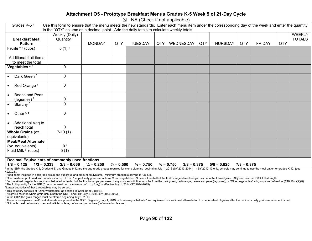#### **Attachment O5 - Prototype Breakfast Menus Grades K-5 Week 5 of 21-Day Cycle**

 $\boxtimes$  NA (Check if not applicable)

| Grades K-5 <sup>a</sup>              | Use this form to ensure that the menu meets the new standards. Enter each menu item under the corresponding day of the week and enter the quantity |                       |                       |                       |     |                                        |     |                 |               |               |     |               |
|--------------------------------------|----------------------------------------------------------------------------------------------------------------------------------------------------|-----------------------|-----------------------|-----------------------|-----|----------------------------------------|-----|-----------------|---------------|---------------|-----|---------------|
|                                      | in the "QTY" column as a decimal point. Add the daily totals to calculate weekly totals                                                            |                       |                       |                       |     |                                        |     |                 |               |               |     |               |
|                                      | Weekly (Daily)                                                                                                                                     |                       |                       |                       |     |                                        |     |                 |               |               |     | <b>WEEKLY</b> |
| <b>Breakfast Meal</b>                | Quantity b                                                                                                                                         |                       |                       |                       |     |                                        |     |                 |               |               |     | <b>TOTALS</b> |
| <b>Pattern</b>                       |                                                                                                                                                    | <b>MONDAY</b>         | QTY                   | <b>TUESDAY</b>        | QTY | WEDNESDAY                              | QTY | <b>THURSDAY</b> | QTY           | <b>FRIDAY</b> | QTY |               |
| Fruits $c, d$ (cups)                 | $5(1)$ <sup>e</sup>                                                                                                                                |                       |                       |                       |     |                                        |     |                 |               |               |     |               |
|                                      |                                                                                                                                                    |                       |                       |                       |     |                                        |     |                 |               |               |     |               |
| Additional fruit items               |                                                                                                                                                    |                       |                       |                       |     |                                        |     |                 |               |               |     |               |
| to meet the total                    |                                                                                                                                                    |                       |                       |                       |     |                                        |     |                 |               |               |     |               |
| Vegetables <sup>c, d</sup>           | $\mathbf 0$                                                                                                                                        |                       |                       |                       |     |                                        |     |                 |               |               |     |               |
| Dark Green <sup>f</sup>              | $\mathbf 0$                                                                                                                                        |                       |                       |                       |     |                                        |     |                 |               |               |     |               |
| Red Orange <sup>f</sup><br>$\bullet$ | $\mathbf 0$                                                                                                                                        |                       |                       |                       |     |                                        |     |                 |               |               |     |               |
| Beans and Peas                       |                                                                                                                                                    |                       |                       |                       |     |                                        |     |                 |               |               |     |               |
| (legumes) <sup>f</sup>               | 0                                                                                                                                                  |                       |                       |                       |     |                                        |     |                 |               |               |     |               |
| Starchy <sup>f</sup><br>$\bullet$    | $\mathbf 0$                                                                                                                                        |                       |                       |                       |     |                                        |     |                 |               |               |     |               |
| Other <sup>f, g</sup>                | $\mathbf 0$                                                                                                                                        |                       |                       |                       |     |                                        |     |                 |               |               |     |               |
| Additional Veg to                    |                                                                                                                                                    |                       |                       |                       |     |                                        |     |                 |               |               |     |               |
| reach total                          | $\mathbf 0$                                                                                                                                        |                       |                       |                       |     |                                        |     |                 |               |               |     |               |
| Whole Grains (oz.                    | 7-10 $(1)^{i}$                                                                                                                                     |                       |                       |                       |     |                                        |     |                 |               |               |     |               |
| equivalents)                         |                                                                                                                                                    |                       |                       |                       |     |                                        |     |                 |               |               |     |               |
| <b>Meat/Meat Alternate</b>           |                                                                                                                                                    |                       |                       |                       |     |                                        |     |                 |               |               |     |               |
| (oz. equivalents)                    | 0 <sup>j</sup>                                                                                                                                     |                       |                       |                       |     |                                        |     |                 |               |               |     |               |
| Fluid Milk <sup>k</sup> (cups)       | 5(1)                                                                                                                                               |                       |                       |                       |     |                                        |     |                 |               |               |     |               |
|                                      |                                                                                                                                                    |                       |                       |                       |     |                                        |     |                 |               |               |     |               |
|                                      | <b>Decimal Equivalents of commonly used fractions</b>                                                                                              |                       |                       |                       |     |                                        |     |                 |               |               |     |               |
| $1/8 = 0.125$                        | $1/3 = 0.333$<br>$2/3 = 0.666$                                                                                                                     | $\frac{1}{4}$ = 0.250 | $\frac{1}{2} = 0.500$ | $\frac{3}{4}$ = 0.750 |     | $\frac{3}{4}$ = 0.750<br>$3/8 = 0.375$ |     | $5/8 = 0.625$   | $7/8 = 0.875$ |               |     |               |

a In the SBP, the Grades K-5, Grades 6-8, and Grades 9-12 are the age-grade groups required for menu planning beginning July 1, 2013 (SY 2013-2014). In SY 2012-13 only, schools may continue to use the meal patter for grade §220.23).

b Food items included in each food group and subgroup and amount equivalents. Minimum creditable serving is 1/8 cup.

° One quarter-cup of dried fruit counts as 1/2 cup of fruit; 1 cup of leafy greens counts as 1/2 cup vegetables. No more than half of the fruit or vegetable offerings may be in the form of juice. All juice must be 100% ful

<sup>d</sup> For breakfast, vegetables may be substituted for fruits, but the first two cups per week of any such substitution must be from the dark green, red/orange, beans and peas (legumes), or "Other vegetables" subgroups as de e The fruit quantity for the SBP (5 cups per week and a minimum of 1 cup/day) is effective July 1, 2014 (SY 2014-2015).

f Larger quantities of these vegetables may be served.

<sup>9</sup> This category consists of "Other vegetables" as defined in §210.10(c)(2)(iii)(E).

h All grains must be whole grain-rich in both the NSLP and SBP July 1, 2014 (SY 2014-2015).

<sup>1</sup> In the SBP, the grain ranges must be offered beginning July 1, 2013.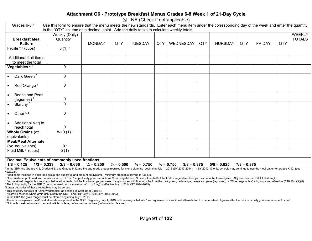#### **Attachment O6 - Prototype Breakfast Menus Grades 6-8 Week 1 of 21-Day Cycle**

 $\boxtimes$  NA (Check if not applicable)

| Grades 6-8 <sup>a</sup>                               | Use this form to ensure that the menu meets the new standards. Enter each menu item under the corresponding day of the week and enter the quantity |                       |                       |                       |     |                                        |     |                 |               |               |     |               |
|-------------------------------------------------------|----------------------------------------------------------------------------------------------------------------------------------------------------|-----------------------|-----------------------|-----------------------|-----|----------------------------------------|-----|-----------------|---------------|---------------|-----|---------------|
|                                                       | in the "QTY" column as a decimal point. Add the daily totals to calculate weekly totals                                                            |                       |                       |                       |     |                                        |     |                 |               |               |     |               |
|                                                       | Weekly (Daily)                                                                                                                                     |                       |                       |                       |     |                                        |     |                 |               |               |     | <b>WEEKLY</b> |
| <b>Breakfast Meal</b>                                 | Quantity <sup>b</sup>                                                                                                                              |                       |                       |                       |     |                                        |     |                 |               |               |     | <b>TOTALS</b> |
| <b>Pattern</b>                                        |                                                                                                                                                    | <b>MONDAY</b>         | QTY                   | <b>TUESDAY</b>        | QTY | WEDNESDAY                              | QTY | <b>THURSDAY</b> | QTY           | <b>FRIDAY</b> | QTY |               |
| Fruits $c, d$ (cups)                                  | $5(1)$ <sup>e</sup>                                                                                                                                |                       |                       |                       |     |                                        |     |                 |               |               |     |               |
|                                                       |                                                                                                                                                    |                       |                       |                       |     |                                        |     |                 |               |               |     |               |
| Additional fruit items                                |                                                                                                                                                    |                       |                       |                       |     |                                        |     |                 |               |               |     |               |
| to meet the total                                     |                                                                                                                                                    |                       |                       |                       |     |                                        |     |                 |               |               |     |               |
| Vegetables <sup>c, d</sup>                            | $\mathbf 0$                                                                                                                                        |                       |                       |                       |     |                                        |     |                 |               |               |     |               |
|                                                       |                                                                                                                                                    |                       |                       |                       |     |                                        |     |                 |               |               |     |               |
| Dark Green <sup>f</sup>                               | $\mathbf 0$                                                                                                                                        |                       |                       |                       |     |                                        |     |                 |               |               |     |               |
|                                                       |                                                                                                                                                    |                       |                       |                       |     |                                        |     |                 |               |               |     |               |
| Red Orange <sup>f</sup><br>$\bullet$                  | $\mathbf 0$                                                                                                                                        |                       |                       |                       |     |                                        |     |                 |               |               |     |               |
|                                                       |                                                                                                                                                    |                       |                       |                       |     |                                        |     |                 |               |               |     |               |
| Beans and Peas                                        |                                                                                                                                                    |                       |                       |                       |     |                                        |     |                 |               |               |     |               |
| (legumes) <sup>f</sup>                                | 0                                                                                                                                                  |                       |                       |                       |     |                                        |     |                 |               |               |     |               |
| Starchy <sup>f</sup><br>$\bullet$                     | $\mathbf 0$                                                                                                                                        |                       |                       |                       |     |                                        |     |                 |               |               |     |               |
|                                                       |                                                                                                                                                    |                       |                       |                       |     |                                        |     |                 |               |               |     |               |
| Other <sup>f, g</sup>                                 | $\mathbf 0$                                                                                                                                        |                       |                       |                       |     |                                        |     |                 |               |               |     |               |
|                                                       |                                                                                                                                                    |                       |                       |                       |     |                                        |     |                 |               |               |     |               |
| Additional Veg to<br>$\bullet$                        |                                                                                                                                                    |                       |                       |                       |     |                                        |     |                 |               |               |     |               |
| reach total                                           | 0                                                                                                                                                  |                       |                       |                       |     |                                        |     |                 |               |               |     |               |
| Whole Grains (oz.                                     | $8-10(1)^{i}$                                                                                                                                      |                       |                       |                       |     |                                        |     |                 |               |               |     |               |
| equivalents)                                          |                                                                                                                                                    |                       |                       |                       |     |                                        |     |                 |               |               |     |               |
| <b>Meat/Meat Alternate</b>                            |                                                                                                                                                    |                       |                       |                       |     |                                        |     |                 |               |               |     |               |
| (oz. equivalents)                                     | 0 <sup>j</sup>                                                                                                                                     |                       |                       |                       |     |                                        |     |                 |               |               |     |               |
| Fluid Milk <sup>k</sup> (cups)                        | 5(1)                                                                                                                                               |                       |                       |                       |     |                                        |     |                 |               |               |     |               |
|                                                       |                                                                                                                                                    |                       |                       |                       |     |                                        |     |                 |               |               |     |               |
| <b>Decimal Equivalents of commonly used fractions</b> |                                                                                                                                                    |                       |                       |                       |     |                                        |     |                 |               |               |     |               |
| $1/8 = 0.125$<br>$1/3 = 0.333$                        | $2/3 = 0.666$                                                                                                                                      | $\frac{1}{4}$ = 0.250 | $\frac{1}{2} = 0.500$ | $\frac{3}{4}$ = 0.750 |     | $\frac{3}{4}$ = 0.750<br>$3/8 = 0.375$ |     | $5/8 = 0.625$   | $7/8 = 0.875$ |               |     |               |

a In the SBP, the Grades K-5, Grades 6-8, and Grades 9-12 are the age-grade groups required for menu planning beginning July 1, 2013 (SY 2013-2014). In SY 2012-13 only, schools may continue to use the meal patter for grade §220.23).

b Food items included in each food group and subgroup and amount equivalents. Minimum creditable serving is 1/8 cup.

° One quarter-cup of dried fruit counts as 1/2 cup of fruit; 1 cup of leafy greens counts as 1/2 cup vegetables. No more than half of the fruit or vegetable offerings may be in the form of juice. All juice must be 100% ful

<sup>d</sup> For breakfast, vegetables may be substituted for fruits, but the first two cups per week of any such substitution must be from the dark green, red/orange, beans and peas (legumes), or "Other vegetables" subgroups as de e The fruit quantity for the SBP (5 cups per week and a minimum of 1 cup/day) is effective July 1, 2014 (SY 2014-2015).

f Larger quantities of these vegetables may be served.

<sup>9</sup> This category consists of "Other vegetables" as defined in §210.10(c)(2)(iii)(E).

h All grains must be whole grain-rich in both the NSLP and SBP July 1, 2014 (SY 2014-2015).

<sup>1</sup> In the SBP, the grain ranges must be offered beginning July 1, 2013.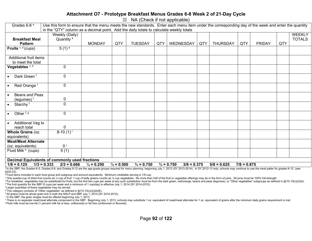#### **Attachment O7 - Prototype Breakfast Menus Grades 6-8 Week 2 of 21-Day Cycle**

 $\boxtimes$  NA (Check if not applicable)

| Grades 6-8 <sup>a</sup>                               | Use this form to ensure that the menu meets the new standards. Enter each menu item under the corresponding day of the week and enter the quantity |                       |                       |                       |     |                                        |     |                 |               |               |     |               |
|-------------------------------------------------------|----------------------------------------------------------------------------------------------------------------------------------------------------|-----------------------|-----------------------|-----------------------|-----|----------------------------------------|-----|-----------------|---------------|---------------|-----|---------------|
|                                                       | in the "QTY" column as a decimal point. Add the daily totals to calculate weekly totals                                                            |                       |                       |                       |     |                                        |     |                 |               |               |     |               |
|                                                       | Weekly (Daily)                                                                                                                                     |                       |                       |                       |     |                                        |     |                 |               |               |     | <b>WEEKLY</b> |
| <b>Breakfast Meal</b>                                 | Quantity <sup>b</sup>                                                                                                                              |                       |                       |                       |     |                                        |     |                 |               |               |     | <b>TOTALS</b> |
| <b>Pattern</b>                                        |                                                                                                                                                    | <b>MONDAY</b>         | QTY                   | <b>TUESDAY</b>        | QTY | WEDNESDAY                              | QTY | <b>THURSDAY</b> | QTY           | <b>FRIDAY</b> | QTY |               |
| Fruits $c, d$ (cups)                                  | $5(1)$ <sup>e</sup>                                                                                                                                |                       |                       |                       |     |                                        |     |                 |               |               |     |               |
|                                                       |                                                                                                                                                    |                       |                       |                       |     |                                        |     |                 |               |               |     |               |
| Additional fruit items                                |                                                                                                                                                    |                       |                       |                       |     |                                        |     |                 |               |               |     |               |
| to meet the total                                     |                                                                                                                                                    |                       |                       |                       |     |                                        |     |                 |               |               |     |               |
| Vegetables <sup>c, d</sup>                            | $\mathbf 0$                                                                                                                                        |                       |                       |                       |     |                                        |     |                 |               |               |     |               |
|                                                       |                                                                                                                                                    |                       |                       |                       |     |                                        |     |                 |               |               |     |               |
| Dark Green <sup>f</sup>                               | $\mathbf 0$                                                                                                                                        |                       |                       |                       |     |                                        |     |                 |               |               |     |               |
|                                                       |                                                                                                                                                    |                       |                       |                       |     |                                        |     |                 |               |               |     |               |
| Red Orange <sup>f</sup><br>$\bullet$                  | $\mathbf 0$                                                                                                                                        |                       |                       |                       |     |                                        |     |                 |               |               |     |               |
|                                                       |                                                                                                                                                    |                       |                       |                       |     |                                        |     |                 |               |               |     |               |
| Beans and Peas                                        |                                                                                                                                                    |                       |                       |                       |     |                                        |     |                 |               |               |     |               |
| (legumes) <sup>f</sup>                                | 0                                                                                                                                                  |                       |                       |                       |     |                                        |     |                 |               |               |     |               |
| Starchy <sup>f</sup><br>$\bullet$                     | $\mathbf 0$                                                                                                                                        |                       |                       |                       |     |                                        |     |                 |               |               |     |               |
|                                                       |                                                                                                                                                    |                       |                       |                       |     |                                        |     |                 |               |               |     |               |
| Other <sup>f, g</sup>                                 | $\mathbf 0$                                                                                                                                        |                       |                       |                       |     |                                        |     |                 |               |               |     |               |
|                                                       |                                                                                                                                                    |                       |                       |                       |     |                                        |     |                 |               |               |     |               |
| Additional Veg to<br>$\bullet$                        |                                                                                                                                                    |                       |                       |                       |     |                                        |     |                 |               |               |     |               |
| reach total                                           | 0                                                                                                                                                  |                       |                       |                       |     |                                        |     |                 |               |               |     |               |
| Whole Grains (oz.                                     | $8-10(1)^{i}$                                                                                                                                      |                       |                       |                       |     |                                        |     |                 |               |               |     |               |
| equivalents)                                          |                                                                                                                                                    |                       |                       |                       |     |                                        |     |                 |               |               |     |               |
| <b>Meat/Meat Alternate</b>                            |                                                                                                                                                    |                       |                       |                       |     |                                        |     |                 |               |               |     |               |
| (oz. equivalents)                                     | 0 <sup>j</sup>                                                                                                                                     |                       |                       |                       |     |                                        |     |                 |               |               |     |               |
| Fluid Milk <sup>k</sup> (cups)                        | 5(1)                                                                                                                                               |                       |                       |                       |     |                                        |     |                 |               |               |     |               |
|                                                       |                                                                                                                                                    |                       |                       |                       |     |                                        |     |                 |               |               |     |               |
| <b>Decimal Equivalents of commonly used fractions</b> |                                                                                                                                                    |                       |                       |                       |     |                                        |     |                 |               |               |     |               |
| $1/8 = 0.125$<br>$1/3 = 0.333$                        | $2/3 = 0.666$                                                                                                                                      | $\frac{1}{4}$ = 0.250 | $\frac{1}{2} = 0.500$ | $\frac{3}{4}$ = 0.750 |     | $\frac{3}{4}$ = 0.750<br>$3/8 = 0.375$ |     | $5/8 = 0.625$   | $7/8 = 0.875$ |               |     |               |

a In the SBP, the Grades K-5, Grades 6-8, and Grades 9-12 are the age-grade groups required for menu planning beginning July 1, 2013 (SY 2013-2014). In SY 2012-13 only, schools may continue to use the meal patter for grade §220.23).

b Food items included in each food group and subgroup and amount equivalents. Minimum creditable serving is 1/8 cup.

° One quarter-cup of dried fruit counts as 1/2 cup of fruit; 1 cup of leafy greens counts as 1/2 cup vegetables. No more than half of the fruit or vegetable offerings may be in the form of juice. All juice must be 100% ful

<sup>d</sup> For breakfast, vegetables may be substituted for fruits, but the first two cups per week of any such substitution must be from the dark green, red/orange, beans and peas (legumes), or "Other vegetables" subgroups as de e The fruit quantity for the SBP (5 cups per week and a minimum of 1 cup/day) is effective July 1, 2014 (SY 2014-2015).

f Larger quantities of these vegetables may be served.

<sup>9</sup> This category consists of "Other vegetables" as defined in §210.10(c)(2)(iii)(E).

h All grains must be whole grain-rich in both the NSLP and SBP July 1, 2014 (SY 2014-2015).

<sup>1</sup> In the SBP, the grain ranges must be offered beginning July 1, 2013.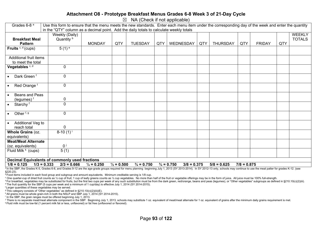#### **Attachment O8 - Prototype Breakfast Menus Grades 6-8 Week 3 of 21-Day Cycle**

 $\boxtimes$  NA (Check if not applicable)

| Grades 6-8 <sup>a</sup>                               | Use this form to ensure that the menu meets the new standards. Enter each menu item under the corresponding day of the week and enter the quantity |                       |                       |                       |     |                                        |     |                 |               |               |     |               |
|-------------------------------------------------------|----------------------------------------------------------------------------------------------------------------------------------------------------|-----------------------|-----------------------|-----------------------|-----|----------------------------------------|-----|-----------------|---------------|---------------|-----|---------------|
|                                                       | in the "QTY" column as a decimal point. Add the daily totals to calculate weekly totals                                                            |                       |                       |                       |     |                                        |     |                 |               |               |     |               |
|                                                       | Weekly (Daily)                                                                                                                                     |                       |                       |                       |     |                                        |     |                 |               |               |     | <b>WEEKLY</b> |
| <b>Breakfast Meal</b>                                 | Quantity <sup>b</sup>                                                                                                                              |                       |                       |                       |     |                                        |     |                 |               |               |     | <b>TOTALS</b> |
| <b>Pattern</b>                                        |                                                                                                                                                    | <b>MONDAY</b>         | QTY                   | <b>TUESDAY</b>        | QTY | WEDNESDAY                              | QTY | <b>THURSDAY</b> | QTY           | <b>FRIDAY</b> | QTY |               |
| Fruits $c, d$ (cups)                                  | $5(1)$ <sup>e</sup>                                                                                                                                |                       |                       |                       |     |                                        |     |                 |               |               |     |               |
|                                                       |                                                                                                                                                    |                       |                       |                       |     |                                        |     |                 |               |               |     |               |
| Additional fruit items                                |                                                                                                                                                    |                       |                       |                       |     |                                        |     |                 |               |               |     |               |
| to meet the total                                     |                                                                                                                                                    |                       |                       |                       |     |                                        |     |                 |               |               |     |               |
| Vegetables <sup>c, d</sup>                            | $\mathbf 0$                                                                                                                                        |                       |                       |                       |     |                                        |     |                 |               |               |     |               |
|                                                       |                                                                                                                                                    |                       |                       |                       |     |                                        |     |                 |               |               |     |               |
| Dark Green <sup>f</sup>                               | $\mathbf 0$                                                                                                                                        |                       |                       |                       |     |                                        |     |                 |               |               |     |               |
|                                                       |                                                                                                                                                    |                       |                       |                       |     |                                        |     |                 |               |               |     |               |
| Red Orange <sup>f</sup><br>$\bullet$                  | $\mathbf 0$                                                                                                                                        |                       |                       |                       |     |                                        |     |                 |               |               |     |               |
|                                                       |                                                                                                                                                    |                       |                       |                       |     |                                        |     |                 |               |               |     |               |
| Beans and Peas                                        |                                                                                                                                                    |                       |                       |                       |     |                                        |     |                 |               |               |     |               |
| (legumes) <sup>f</sup>                                | 0                                                                                                                                                  |                       |                       |                       |     |                                        |     |                 |               |               |     |               |
| Starchy <sup>f</sup><br>$\bullet$                     | $\mathbf 0$                                                                                                                                        |                       |                       |                       |     |                                        |     |                 |               |               |     |               |
|                                                       |                                                                                                                                                    |                       |                       |                       |     |                                        |     |                 |               |               |     |               |
| Other <sup>f, g</sup>                                 | $\mathbf 0$                                                                                                                                        |                       |                       |                       |     |                                        |     |                 |               |               |     |               |
|                                                       |                                                                                                                                                    |                       |                       |                       |     |                                        |     |                 |               |               |     |               |
| Additional Veg to<br>$\bullet$                        |                                                                                                                                                    |                       |                       |                       |     |                                        |     |                 |               |               |     |               |
| reach total                                           | 0                                                                                                                                                  |                       |                       |                       |     |                                        |     |                 |               |               |     |               |
| Whole Grains (oz.                                     | $8-10(1)^{i}$                                                                                                                                      |                       |                       |                       |     |                                        |     |                 |               |               |     |               |
| equivalents)                                          |                                                                                                                                                    |                       |                       |                       |     |                                        |     |                 |               |               |     |               |
| <b>Meat/Meat Alternate</b>                            |                                                                                                                                                    |                       |                       |                       |     |                                        |     |                 |               |               |     |               |
| (oz. equivalents)                                     | 0 <sup>j</sup>                                                                                                                                     |                       |                       |                       |     |                                        |     |                 |               |               |     |               |
| Fluid Milk <sup>k</sup> (cups)                        | 5(1)                                                                                                                                               |                       |                       |                       |     |                                        |     |                 |               |               |     |               |
|                                                       |                                                                                                                                                    |                       |                       |                       |     |                                        |     |                 |               |               |     |               |
| <b>Decimal Equivalents of commonly used fractions</b> |                                                                                                                                                    |                       |                       |                       |     |                                        |     |                 |               |               |     |               |
| $1/8 = 0.125$<br>$1/3 = 0.333$                        | $2/3 = 0.666$                                                                                                                                      | $\frac{1}{4}$ = 0.250 | $\frac{1}{2} = 0.500$ | $\frac{3}{4}$ = 0.750 |     | $\frac{3}{4}$ = 0.750<br>$3/8 = 0.375$ |     | $5/8 = 0.625$   | $7/8 = 0.875$ |               |     |               |

a In the SBP, the Grades K-5, Grades 6-8, and Grades 9-12 are the age-grade groups required for menu planning beginning July 1, 2013 (SY 2013-2014). In SY 2012-13 only, schools may continue to use the meal patter for grade §220.23).

b Food items included in each food group and subgroup and amount equivalents. Minimum creditable serving is 1/8 cup.

° One quarter-cup of dried fruit counts as 1/2 cup of fruit; 1 cup of leafy greens counts as 1/2 cup vegetables. No more than half of the fruit or vegetable offerings may be in the form of juice. All juice must be 100% ful

<sup>d</sup> For breakfast, vegetables may be substituted for fruits, but the first two cups per week of any such substitution must be from the dark green, red/orange, beans and peas (legumes), or "Other vegetables" subgroups as de e The fruit quantity for the SBP (5 cups per week and a minimum of 1 cup/day) is effective July 1, 2014 (SY 2014-2015).

f Larger quantities of these vegetables may be served.

<sup>9</sup> This category consists of "Other vegetables" as defined in §210.10(c)(2)(iii)(E).

h All grains must be whole grain-rich in both the NSLP and SBP July 1, 2014 (SY 2014-2015).

<sup>1</sup> In the SBP, the grain ranges must be offered beginning July 1, 2013.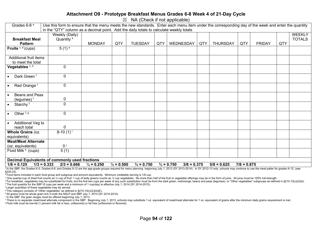#### **Attachment O9 - Prototype Breakfast Menus Grades 6-8 Week 4 of 21-Day Cycle**

 $\boxtimes$  NA (Check if not applicable)

| Grades 6-8 <sup>a</sup>                               | Use this form to ensure that the menu meets the new standards. Enter each menu item under the corresponding day of the week and enter the quantity |                       |                       |                       |     |                                        |     |                 |               |               |     |               |
|-------------------------------------------------------|----------------------------------------------------------------------------------------------------------------------------------------------------|-----------------------|-----------------------|-----------------------|-----|----------------------------------------|-----|-----------------|---------------|---------------|-----|---------------|
|                                                       | in the "QTY" column as a decimal point. Add the daily totals to calculate weekly totals                                                            |                       |                       |                       |     |                                        |     |                 |               |               |     |               |
|                                                       | Weekly (Daily)                                                                                                                                     |                       |                       |                       |     |                                        |     |                 |               |               |     | <b>WEEKLY</b> |
| <b>Breakfast Meal</b>                                 | Quantity <sup>b</sup>                                                                                                                              |                       |                       |                       |     |                                        |     |                 |               |               |     | <b>TOTALS</b> |
| <b>Pattern</b>                                        |                                                                                                                                                    | <b>MONDAY</b>         | QTY                   | <b>TUESDAY</b>        | QTY | WEDNESDAY                              | QTY | <b>THURSDAY</b> | QTY           | <b>FRIDAY</b> | QTY |               |
| Fruits $c, d$ (cups)                                  | $5(1)$ <sup>e</sup>                                                                                                                                |                       |                       |                       |     |                                        |     |                 |               |               |     |               |
|                                                       |                                                                                                                                                    |                       |                       |                       |     |                                        |     |                 |               |               |     |               |
| Additional fruit items                                |                                                                                                                                                    |                       |                       |                       |     |                                        |     |                 |               |               |     |               |
| to meet the total                                     |                                                                                                                                                    |                       |                       |                       |     |                                        |     |                 |               |               |     |               |
| Vegetables <sup>c, d</sup>                            | $\mathbf 0$                                                                                                                                        |                       |                       |                       |     |                                        |     |                 |               |               |     |               |
|                                                       |                                                                                                                                                    |                       |                       |                       |     |                                        |     |                 |               |               |     |               |
| Dark Green <sup>f</sup>                               | $\mathbf 0$                                                                                                                                        |                       |                       |                       |     |                                        |     |                 |               |               |     |               |
|                                                       |                                                                                                                                                    |                       |                       |                       |     |                                        |     |                 |               |               |     |               |
| Red Orange <sup>f</sup><br>$\bullet$                  | $\mathbf 0$                                                                                                                                        |                       |                       |                       |     |                                        |     |                 |               |               |     |               |
|                                                       |                                                                                                                                                    |                       |                       |                       |     |                                        |     |                 |               |               |     |               |
| Beans and Peas                                        |                                                                                                                                                    |                       |                       |                       |     |                                        |     |                 |               |               |     |               |
| (legumes) <sup>f</sup>                                | 0                                                                                                                                                  |                       |                       |                       |     |                                        |     |                 |               |               |     |               |
| Starchy <sup>f</sup><br>$\bullet$                     | $\mathbf 0$                                                                                                                                        |                       |                       |                       |     |                                        |     |                 |               |               |     |               |
|                                                       |                                                                                                                                                    |                       |                       |                       |     |                                        |     |                 |               |               |     |               |
| Other <sup>f, g</sup>                                 | $\mathbf 0$                                                                                                                                        |                       |                       |                       |     |                                        |     |                 |               |               |     |               |
|                                                       |                                                                                                                                                    |                       |                       |                       |     |                                        |     |                 |               |               |     |               |
| Additional Veg to<br>$\bullet$                        |                                                                                                                                                    |                       |                       |                       |     |                                        |     |                 |               |               |     |               |
| reach total                                           | 0                                                                                                                                                  |                       |                       |                       |     |                                        |     |                 |               |               |     |               |
| Whole Grains (oz.                                     | $8-10(1)^{i}$                                                                                                                                      |                       |                       |                       |     |                                        |     |                 |               |               |     |               |
| equivalents)                                          |                                                                                                                                                    |                       |                       |                       |     |                                        |     |                 |               |               |     |               |
| <b>Meat/Meat Alternate</b>                            |                                                                                                                                                    |                       |                       |                       |     |                                        |     |                 |               |               |     |               |
| (oz. equivalents)                                     | 0 <sup>j</sup>                                                                                                                                     |                       |                       |                       |     |                                        |     |                 |               |               |     |               |
| Fluid Milk <sup>k</sup> (cups)                        | 5(1)                                                                                                                                               |                       |                       |                       |     |                                        |     |                 |               |               |     |               |
|                                                       |                                                                                                                                                    |                       |                       |                       |     |                                        |     |                 |               |               |     |               |
| <b>Decimal Equivalents of commonly used fractions</b> |                                                                                                                                                    |                       |                       |                       |     |                                        |     |                 |               |               |     |               |
| $1/8 = 0.125$<br>$1/3 = 0.333$                        | $2/3 = 0.666$                                                                                                                                      | $\frac{1}{4}$ = 0.250 | $\frac{1}{2} = 0.500$ | $\frac{3}{4}$ = 0.750 |     | $\frac{3}{4}$ = 0.750<br>$3/8 = 0.375$ |     | $5/8 = 0.625$   | $7/8 = 0.875$ |               |     |               |

a In the SBP, the Grades K-5, Grades 6-8, and Grades 9-12 are the age-grade groups required for menu planning beginning July 1, 2013 (SY 2013-2014). In SY 2012-13 only, schools may continue to use the meal patter for grade §220.23).

b Food items included in each food group and subgroup and amount equivalents. Minimum creditable serving is 1/8 cup.

° One quarter-cup of dried fruit counts as 1/2 cup of fruit; 1 cup of leafy greens counts as 1/2 cup vegetables. No more than half of the fruit or vegetable offerings may be in the form of juice. All juice must be 100% ful

<sup>d</sup> For breakfast, vegetables may be substituted for fruits, but the first two cups per week of any such substitution must be from the dark green, red/orange, beans and peas (legumes), or "Other vegetables" subgroups as de e The fruit quantity for the SBP (5 cups per week and a minimum of 1 cup/day) is effective July 1, 2014 (SY 2014-2015).

f Larger quantities of these vegetables may be served.

<sup>9</sup> This category consists of "Other vegetables" as defined in §210.10(c)(2)(iii)(E).

h All grains must be whole grain-rich in both the NSLP and SBP July 1, 2014 (SY 2014-2015).

<sup>1</sup> In the SBP, the grain ranges must be offered beginning July 1, 2013.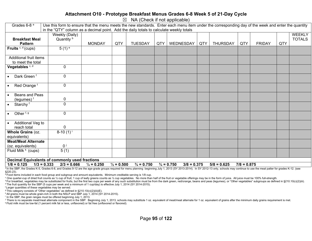#### **Attachment O10 - Prototype Breakfast Menus Grades 6-8 Week 5 of 21-Day Cycle**

 $\boxtimes$  NA (Check if not applicable)

| Grades $6-8$ <sup>a</sup>            | Use this form to ensure that the menu meets the new standards. Enter each menu item under the corresponding day of the week and enter the quantity |                       |                       |                       |     |                                        |            |                 |               |               |     |               |
|--------------------------------------|----------------------------------------------------------------------------------------------------------------------------------------------------|-----------------------|-----------------------|-----------------------|-----|----------------------------------------|------------|-----------------|---------------|---------------|-----|---------------|
|                                      | in the "QTY" column as a decimal point. Add the daily totals to calculate weekly totals                                                            |                       |                       |                       |     |                                        |            |                 |               |               |     |               |
|                                      | Weekly (Daily)                                                                                                                                     |                       |                       |                       |     |                                        |            |                 |               |               |     | WEEKLY        |
| <b>Breakfast Meal</b>                | Quantity <sup>b</sup>                                                                                                                              |                       |                       |                       |     |                                        |            |                 |               |               |     | <b>TOTALS</b> |
| <b>Pattern</b>                       |                                                                                                                                                    | <b>MONDAY</b>         | QTY                   | <b>TUESDAY</b>        | QTY | WEDNESDAY                              | <b>QTY</b> | <b>THURSDAY</b> | QTY           | <b>FRIDAY</b> | QTY |               |
| Fruits $c, d$ (cups)                 | $5(1)$ <sup>e</sup>                                                                                                                                |                       |                       |                       |     |                                        |            |                 |               |               |     |               |
|                                      |                                                                                                                                                    |                       |                       |                       |     |                                        |            |                 |               |               |     |               |
| Additional fruit items               |                                                                                                                                                    |                       |                       |                       |     |                                        |            |                 |               |               |     |               |
| to meet the total                    |                                                                                                                                                    |                       |                       |                       |     |                                        |            |                 |               |               |     |               |
| Vegetables <sup>c, d</sup>           | $\mathbf 0$                                                                                                                                        |                       |                       |                       |     |                                        |            |                 |               |               |     |               |
| Dark Green <sup>f</sup>              | $\mathbf 0$                                                                                                                                        |                       |                       |                       |     |                                        |            |                 |               |               |     |               |
| Red Orange <sup>f</sup><br>$\bullet$ | $\pmb{0}$                                                                                                                                          |                       |                       |                       |     |                                        |            |                 |               |               |     |               |
| Beans and Peas                       | 0                                                                                                                                                  |                       |                       |                       |     |                                        |            |                 |               |               |     |               |
| (legumes) <sup>f</sup>               |                                                                                                                                                    |                       |                       |                       |     |                                        |            |                 |               |               |     |               |
| Starchy <sup>f</sup>                 | $\mathbf 0$                                                                                                                                        |                       |                       |                       |     |                                        |            |                 |               |               |     |               |
| Other <sup>f, g</sup>                | $\pmb{0}$                                                                                                                                          |                       |                       |                       |     |                                        |            |                 |               |               |     |               |
| Additional Veg to                    |                                                                                                                                                    |                       |                       |                       |     |                                        |            |                 |               |               |     |               |
| reach total                          | $\pmb{0}$                                                                                                                                          |                       |                       |                       |     |                                        |            |                 |               |               |     |               |
| Whole Grains (oz.                    | $8-10(1)^{i}$                                                                                                                                      |                       |                       |                       |     |                                        |            |                 |               |               |     |               |
| equivalents)                         |                                                                                                                                                    |                       |                       |                       |     |                                        |            |                 |               |               |     |               |
| <b>Meat/Meat Alternate</b>           |                                                                                                                                                    |                       |                       |                       |     |                                        |            |                 |               |               |     |               |
| (oz. equivalents)                    | 0 <sup>j</sup>                                                                                                                                     |                       |                       |                       |     |                                        |            |                 |               |               |     |               |
| Fluid Milk <sup>k</sup> (cups)       | 5(1)                                                                                                                                               |                       |                       |                       |     |                                        |            |                 |               |               |     |               |
|                                      |                                                                                                                                                    |                       |                       |                       |     |                                        |            |                 |               |               |     |               |
|                                      | <b>Decimal Equivalents of commonly used fractions</b>                                                                                              |                       |                       |                       |     |                                        |            |                 |               |               |     |               |
| $1/8 = 0.125$                        | $1/3 = 0.333$<br>$2/3 = 0.666$                                                                                                                     | $\frac{1}{4}$ = 0.250 | $\frac{1}{2} = 0.500$ | $\frac{3}{4}$ = 0.750 |     | $\frac{3}{4}$ = 0.750<br>$3/8 = 0.375$ |            | $5/8 = 0.625$   | $7/8 = 0.875$ |               |     |               |

a In the SBP, the Grades K-5, Grades 6-8, and Grades 9-12 are the age-grade groups required for menu planning beginning July 1, 2013 (SY 2013-2014). In SY 2012-13 only, schools may continue to use the meal patter for grade §220.23).

b Food items included in each food group and subgroup and amount equivalents. Minimum creditable serving is 1/8 cup.

° One quarter-cup of dried fruit counts as 1/2 cup of fruit; 1 cup of leafy greens counts as 1/2 cup vegetables. No more than half of the fruit or vegetable offerings may be in the form of juice. All juice must be 100% ful

<sup>d</sup> For breakfast, vegetables may be substituted for fruits, but the first two cups per week of any such substitution must be from the dark green, red/orange, beans and peas (legumes), or "Other vegetables" subgroups as de e The fruit quantity for the SBP (5 cups per week and a minimum of 1 cup/day) is effective July 1, 2014 (SY 2014-2015).

f Larger quantities of these vegetables may be served.

<sup>9</sup> This category consists of "Other vegetables" as defined in §210.10(c)(2)(iii)(E).

h All grains must be whole grain-rich in both the NSLP and SBP July 1, 2014 (SY 2014-2015).

<sup>1</sup> In the SBP, the grain ranges must be offered beginning July 1, 2013.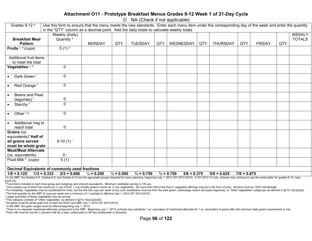#### **Attachment O11 - Prototype Breakfast Menus Grades 9-12 Week 1 of 21-Day Cycle**

 $\boxtimes$  NA (Check if not applicable)

| Grades 9-12 <sup>a</sup>                                                                                                                                                                                                                                                  | Use this form to ensure that the menu meets the new standards. Enter each menu item under the corresponding day of the week and enter the quantity |                       |                       |                       |     |                                        |     |                 |               |               |     |               |
|---------------------------------------------------------------------------------------------------------------------------------------------------------------------------------------------------------------------------------------------------------------------------|----------------------------------------------------------------------------------------------------------------------------------------------------|-----------------------|-----------------------|-----------------------|-----|----------------------------------------|-----|-----------------|---------------|---------------|-----|---------------|
|                                                                                                                                                                                                                                                                           | in the "QTY" column as a decimal point. Add the daily totals to calculate weekly totals                                                            |                       |                       |                       |     |                                        |     |                 |               |               |     |               |
|                                                                                                                                                                                                                                                                           | Weekly (Daily)                                                                                                                                     |                       |                       |                       |     |                                        |     |                 |               |               |     | <b>WEEKLY</b> |
| <b>Breakfast Meal</b>                                                                                                                                                                                                                                                     | Quantity <sup>b</sup>                                                                                                                              |                       |                       |                       |     |                                        |     |                 |               |               |     | <b>TOTALS</b> |
| <b>Pattern</b>                                                                                                                                                                                                                                                            |                                                                                                                                                    | <b>MONDAY</b>         | QTY                   | <b>TUESDAY</b>        | QTY | WEDNESDAY                              | QTY | <b>THURSDAY</b> | QTY           | <b>FRIDAY</b> | QTY |               |
| Fruits $c, d$ (cups)                                                                                                                                                                                                                                                      | $5(1)$ <sup>e</sup>                                                                                                                                |                       |                       |                       |     |                                        |     |                 |               |               |     |               |
| Additional fruit items                                                                                                                                                                                                                                                    |                                                                                                                                                    |                       |                       |                       |     |                                        |     |                 |               |               |     |               |
| to meet the total                                                                                                                                                                                                                                                         |                                                                                                                                                    |                       |                       |                       |     |                                        |     |                 |               |               |     |               |
| Vegetables <sup>c, d</sup>                                                                                                                                                                                                                                                | $\mathbf 0$                                                                                                                                        |                       |                       |                       |     |                                        |     |                 |               |               |     |               |
| Dark Green <sup>f</sup><br>$\bullet$                                                                                                                                                                                                                                      | $\mathbf 0$                                                                                                                                        |                       |                       |                       |     |                                        |     |                 |               |               |     |               |
| Red Orange <sup>f</sup><br>$\bullet$                                                                                                                                                                                                                                      | $\mathbf 0$                                                                                                                                        |                       |                       |                       |     |                                        |     |                 |               |               |     |               |
| Beans and Peas<br>$\bullet$<br>(legumes) $f$                                                                                                                                                                                                                              | 0                                                                                                                                                  |                       |                       |                       |     |                                        |     |                 |               |               |     |               |
| Starchy <sup>f</sup><br>$\bullet$                                                                                                                                                                                                                                         | $\overline{0}$                                                                                                                                     |                       |                       |                       |     |                                        |     |                 |               |               |     |               |
|                                                                                                                                                                                                                                                                           |                                                                                                                                                    |                       |                       |                       |     |                                        |     |                 |               |               |     |               |
| Other $f, g$<br>$\bullet$                                                                                                                                                                                                                                                 | $\mathbf 0$                                                                                                                                        |                       |                       |                       |     |                                        |     |                 |               |               |     |               |
| Additional Veg to<br>$\bullet$                                                                                                                                                                                                                                            |                                                                                                                                                    |                       |                       |                       |     |                                        |     |                 |               |               |     |               |
| reach total                                                                                                                                                                                                                                                               | $\pmb{0}$                                                                                                                                          |                       |                       |                       |     |                                        |     |                 |               |               |     |               |
| Grains (oz.                                                                                                                                                                                                                                                               |                                                                                                                                                    |                       |                       |                       |     |                                        |     |                 |               |               |     |               |
| equivalents) <sup>h</sup> Half of                                                                                                                                                                                                                                         |                                                                                                                                                    |                       |                       |                       |     |                                        |     |                 |               |               |     |               |
| all grains served                                                                                                                                                                                                                                                         | 9-10 $(1)^{i}$                                                                                                                                     |                       |                       |                       |     |                                        |     |                 |               |               |     |               |
| must be whole grain                                                                                                                                                                                                                                                       |                                                                                                                                                    |                       |                       |                       |     |                                        |     |                 |               |               |     |               |
| <b>Meat/Meat Alternate</b>                                                                                                                                                                                                                                                |                                                                                                                                                    |                       |                       |                       |     |                                        |     |                 |               |               |     |               |
| (oz. equivalents)                                                                                                                                                                                                                                                         | $0^{\mathrm{j}}$                                                                                                                                   |                       |                       |                       |     |                                        |     |                 |               |               |     |               |
| Fluid Milk <sup>k</sup> (cups)                                                                                                                                                                                                                                            | 5(1)                                                                                                                                               |                       |                       |                       |     |                                        |     |                 |               |               |     |               |
|                                                                                                                                                                                                                                                                           |                                                                                                                                                    |                       |                       |                       |     |                                        |     |                 |               |               |     |               |
|                                                                                                                                                                                                                                                                           | Decimal Equivalents of commonly used fractions                                                                                                     |                       |                       |                       |     |                                        |     |                 |               |               |     |               |
| $1/8 = 0.125$<br>$1/3 = 0.333$<br><sup>a</sup> In the SRP the Grades K-5, Grades 6-8, and Grades 9-12 are the age-grade groups required for menu planning, beginning, luly 1, 2013 (SY 2013-2014). In SY 2012-13 only, schools may continue to use the meal natter for gr | $2/3 = 0.666$                                                                                                                                      | $\frac{1}{4}$ = 0.250 | $\frac{1}{2} = 0.500$ | $\frac{3}{4}$ = 0.750 |     | $\frac{3}{4}$ = 0.750<br>$3/8 = 0.375$ |     | $5/8 = 0.625$   | $7/8 = 0.875$ |               |     |               |

<sup>a</sup> In the SBP, the Grades K-5, Grades 6-8, and Grades 9-12 are the age-grade groups required for menu planning beginning July 1, 2013 (SY 2013-2014). In SY 2012-13 only, schools may continue to use the meal patter for gra §220.23).

<sup>b</sup> Food items included in each food group and subgroup and amount equivalents. Minimum creditable serving is 1/8 cup.

° One quarter-cup of dried fruit counts as 1/2 cup of fruit; 1 cup of leafy greens counts as 1/2 cup vegetables. No more than half of the fruit or vegetable offerings may be in the form of juice. All juice must be 100% ful

<sup>d</sup> For breakfast, vegetables may be substituted for fruits, but the first two cups per week of any such substitution must be from the dark green, red/orange, beans and peas (legumes), or "Other vegetables" subgroups as de e The fruit quantity for the SBP (5 cups per week and a minimum of 1 cup/day) is effective July 1, 2014 (SY 2014-2015).

f Larger quantities of these vegetables may be served.

g This category consists of "Other vegetables" as defined in §210.10(c)(2)(iii)(E).

h All grains must be whole grain-rich in both the NSLP and SBP July 1, 2014 (SY 2014-2015).

<sup>1</sup> In the SBP, the grain ranges must be offered beginning July 1, 2013.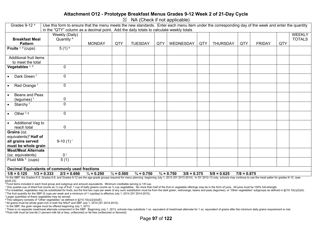#### **Attachment O12 - Prototype Breakfast Menus Grades 9-12 Week 2 of 21-Day Cycle**

 $\boxtimes$  NA (Check if not applicable)

| Grades 9-12 <sup>a</sup>             | Use this form to ensure that the menu meets the new standards. Enter each menu item under the corresponding day of the week and enter the quantity                                                                                      |                       |                       |                       |     |                                        |     |                 |               |               |     |               |
|--------------------------------------|-----------------------------------------------------------------------------------------------------------------------------------------------------------------------------------------------------------------------------------------|-----------------------|-----------------------|-----------------------|-----|----------------------------------------|-----|-----------------|---------------|---------------|-----|---------------|
|                                      | in the "QTY" column as a decimal point. Add the daily totals to calculate weekly totals                                                                                                                                                 |                       |                       |                       |     |                                        |     |                 |               |               |     |               |
|                                      | Weekly (Daily)                                                                                                                                                                                                                          |                       |                       |                       |     |                                        |     |                 |               |               |     | <b>WEEKLY</b> |
| <b>Breakfast Meal</b>                | Quantity b                                                                                                                                                                                                                              |                       |                       |                       |     |                                        |     |                 |               |               |     | <b>TOTALS</b> |
| <b>Pattern</b>                       |                                                                                                                                                                                                                                         | <b>MONDAY</b>         | QTY                   | <b>TUESDAY</b>        | QTY | WEDNESDAY                              | QTY | <b>THURSDAY</b> | QTY           | <b>FRIDAY</b> | QTY |               |
| Fruits $c, d$ (cups)                 | $5(1)$ <sup>e</sup>                                                                                                                                                                                                                     |                       |                       |                       |     |                                        |     |                 |               |               |     |               |
|                                      |                                                                                                                                                                                                                                         |                       |                       |                       |     |                                        |     |                 |               |               |     |               |
| Additional fruit items               |                                                                                                                                                                                                                                         |                       |                       |                       |     |                                        |     |                 |               |               |     |               |
| to meet the total                    |                                                                                                                                                                                                                                         |                       |                       |                       |     |                                        |     |                 |               |               |     |               |
| Vegetables <sup>c, d</sup>           | $\mathbf 0$                                                                                                                                                                                                                             |                       |                       |                       |     |                                        |     |                 |               |               |     |               |
| Dark Green <sup>f</sup><br>$\bullet$ | $\mathbf 0$                                                                                                                                                                                                                             |                       |                       |                       |     |                                        |     |                 |               |               |     |               |
|                                      |                                                                                                                                                                                                                                         |                       |                       |                       |     |                                        |     |                 |               |               |     |               |
| Red Orange <sup>f</sup><br>$\bullet$ | $\mathbf 0$                                                                                                                                                                                                                             |                       |                       |                       |     |                                        |     |                 |               |               |     |               |
| Beans and Peas<br>$\bullet$          |                                                                                                                                                                                                                                         |                       |                       |                       |     |                                        |     |                 |               |               |     |               |
| (legumes) <sup>f</sup>               | 0                                                                                                                                                                                                                                       |                       |                       |                       |     |                                        |     |                 |               |               |     |               |
| Starchy <sup>f</sup><br>$\bullet$    | $\mathbf 0$                                                                                                                                                                                                                             |                       |                       |                       |     |                                        |     |                 |               |               |     |               |
|                                      |                                                                                                                                                                                                                                         |                       |                       |                       |     |                                        |     |                 |               |               |     |               |
| Other <sup>f, g</sup><br>$\bullet$   | $\mathbf 0$                                                                                                                                                                                                                             |                       |                       |                       |     |                                        |     |                 |               |               |     |               |
| Additional Veg to<br>$\bullet$       |                                                                                                                                                                                                                                         |                       |                       |                       |     |                                        |     |                 |               |               |     |               |
| reach total                          | 0                                                                                                                                                                                                                                       |                       |                       |                       |     |                                        |     |                 |               |               |     |               |
| Grains (oz.                          |                                                                                                                                                                                                                                         |                       |                       |                       |     |                                        |     |                 |               |               |     |               |
| equivalents) <sup>h</sup> Half of    |                                                                                                                                                                                                                                         |                       |                       |                       |     |                                        |     |                 |               |               |     |               |
| all grains served                    | 9-10 $(1)^{i}$                                                                                                                                                                                                                          |                       |                       |                       |     |                                        |     |                 |               |               |     |               |
| must be whole grain                  |                                                                                                                                                                                                                                         |                       |                       |                       |     |                                        |     |                 |               |               |     |               |
| <b>Meat/Meat Alternate</b>           |                                                                                                                                                                                                                                         |                       |                       |                       |     |                                        |     |                 |               |               |     |               |
| (oz. equivalents)                    | $0^{\mathrm{j}}$                                                                                                                                                                                                                        |                       |                       |                       |     |                                        |     |                 |               |               |     |               |
| Fluid Milk <sup>k</sup> (cups)       | 5(1)                                                                                                                                                                                                                                    |                       |                       |                       |     |                                        |     |                 |               |               |     |               |
|                                      |                                                                                                                                                                                                                                         |                       |                       |                       |     |                                        |     |                 |               |               |     |               |
|                                      | Decimal Equivalents of commonly used fractions                                                                                                                                                                                          |                       |                       |                       |     |                                        |     |                 |               |               |     |               |
| $1/8 = 0.125$                        | $1/3 = 0.333$<br>$2/3 = 0.666$                                                                                                                                                                                                          | $\frac{1}{4}$ = 0.250 | $\frac{1}{2} = 0.500$ | $\frac{3}{4}$ = 0.750 |     | $\frac{3}{4}$ = 0.750<br>$3/8 = 0.375$ |     | $5/8 = 0.625$   | $7/8 = 0.875$ |               |     |               |
|                                      | <sup>a</sup> In the SRP the Grades K-5, Grades 6-8, and Grades 9-12 are the age-grade groups required for menu planning, beginning, luly 1, 2013 (SY 2013-2014). In SY 2012-13 only, schools may continue to use the meal natter for gr |                       |                       |                       |     |                                        |     |                 |               |               |     |               |

<sup>a</sup> In the SBP, the Grades K-5, Grades 6-8, and Grades 9-12 are the age-grade groups required for menu planning beginning July 1, 2013 (SY 2013-2014). In SY 2012-13 only, schools may continue to use the meal patter for gra §220.23).

<sup>b</sup> Food items included in each food group and subgroup and amount equivalents. Minimum creditable serving is 1/8 cup.

° One quarter-cup of dried fruit counts as 1/2 cup of fruit; 1 cup of leafy greens counts as 1/2 cup vegetables. No more than half of the fruit or vegetable offerings may be in the form of juice. All juice must be 100% ful

<sup>d</sup> For breakfast, vegetables may be substituted for fruits, but the first two cups per week of any such substitution must be from the dark green, red/orange, beans and peas (legumes), or "Other vegetables" subgroups as de e The fruit quantity for the SBP (5 cups per week and a minimum of 1 cup/day) is effective July 1, 2014 (SY 2014-2015).

f Larger quantities of these vegetables may be served.

g This category consists of "Other vegetables" as defined in §210.10(c)(2)(iii)(E).

h All grains must be whole grain-rich in both the NSLP and SBP July 1, 2014 (SY 2014-2015).

<sup>1</sup> In the SBP, the grain ranges must be offered beginning July 1, 2013.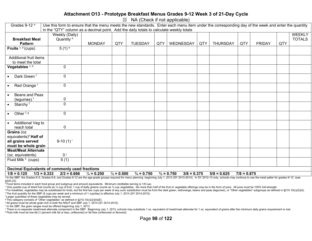#### **Attachment O13 - Prototype Breakfast Menus Grades 9-12 Week 3 of 21-Day Cycle**

 $\boxtimes$  NA (Check if not applicable)

| Grades 9-12 <sup>a</sup><br>Use this form to ensure that the menu meets the new standards. Enter each menu item under the corresponding day of the week and enter the quantity |                                                                                                                                                                                                                                                                           |                       |                       |                       |     |                                        |     |                 |               |               |     |               |
|--------------------------------------------------------------------------------------------------------------------------------------------------------------------------------|---------------------------------------------------------------------------------------------------------------------------------------------------------------------------------------------------------------------------------------------------------------------------|-----------------------|-----------------------|-----------------------|-----|----------------------------------------|-----|-----------------|---------------|---------------|-----|---------------|
|                                                                                                                                                                                | in the "QTY" column as a decimal point. Add the daily totals to calculate weekly totals                                                                                                                                                                                   |                       |                       |                       |     |                                        |     |                 |               |               |     |               |
|                                                                                                                                                                                | Weekly (Daily)                                                                                                                                                                                                                                                            |                       |                       |                       |     |                                        |     |                 |               |               |     | <b>WEEKLY</b> |
| <b>Breakfast Meal</b>                                                                                                                                                          | Quantity <sup>b</sup>                                                                                                                                                                                                                                                     |                       |                       |                       |     |                                        |     |                 |               |               |     | <b>TOTALS</b> |
| <b>Pattern</b>                                                                                                                                                                 |                                                                                                                                                                                                                                                                           | <b>MONDAY</b>         | QTY                   | <b>TUESDAY</b>        | QTY | WEDNESDAY                              | QTY | <b>THURSDAY</b> | QTY           | <b>FRIDAY</b> | QTY |               |
| Fruits $c, d$ (cups)                                                                                                                                                           | $5(1)$ <sup>e</sup>                                                                                                                                                                                                                                                       |                       |                       |                       |     |                                        |     |                 |               |               |     |               |
| Additional fruit items                                                                                                                                                         |                                                                                                                                                                                                                                                                           |                       |                       |                       |     |                                        |     |                 |               |               |     |               |
| to meet the total                                                                                                                                                              |                                                                                                                                                                                                                                                                           |                       |                       |                       |     |                                        |     |                 |               |               |     |               |
| Vegetables <sup>c, d</sup>                                                                                                                                                     | $\mathbf 0$                                                                                                                                                                                                                                                               |                       |                       |                       |     |                                        |     |                 |               |               |     |               |
| Dark Green <sup>f</sup><br>$\bullet$                                                                                                                                           | $\mathbf 0$                                                                                                                                                                                                                                                               |                       |                       |                       |     |                                        |     |                 |               |               |     |               |
| Red Orange <sup>f</sup><br>$\bullet$                                                                                                                                           | $\mathbf 0$                                                                                                                                                                                                                                                               |                       |                       |                       |     |                                        |     |                 |               |               |     |               |
| Beans and Peas<br>$\bullet$<br>(legumes) $f$                                                                                                                                   | 0                                                                                                                                                                                                                                                                         |                       |                       |                       |     |                                        |     |                 |               |               |     |               |
| Starchy <sup>f</sup><br>$\bullet$                                                                                                                                              | $\overline{0}$                                                                                                                                                                                                                                                            |                       |                       |                       |     |                                        |     |                 |               |               |     |               |
|                                                                                                                                                                                |                                                                                                                                                                                                                                                                           |                       |                       |                       |     |                                        |     |                 |               |               |     |               |
| Other $f, g$<br>$\bullet$                                                                                                                                                      | $\mathbf 0$                                                                                                                                                                                                                                                               |                       |                       |                       |     |                                        |     |                 |               |               |     |               |
| Additional Veg to<br>$\bullet$                                                                                                                                                 |                                                                                                                                                                                                                                                                           |                       |                       |                       |     |                                        |     |                 |               |               |     |               |
| reach total                                                                                                                                                                    | $\pmb{0}$                                                                                                                                                                                                                                                                 |                       |                       |                       |     |                                        |     |                 |               |               |     |               |
| Grains (oz.                                                                                                                                                                    |                                                                                                                                                                                                                                                                           |                       |                       |                       |     |                                        |     |                 |               |               |     |               |
| equivalents) <sup>h</sup> Half of                                                                                                                                              |                                                                                                                                                                                                                                                                           |                       |                       |                       |     |                                        |     |                 |               |               |     |               |
| all grains served                                                                                                                                                              | 9-10 $(1)^{i}$                                                                                                                                                                                                                                                            |                       |                       |                       |     |                                        |     |                 |               |               |     |               |
| must be whole grain                                                                                                                                                            |                                                                                                                                                                                                                                                                           |                       |                       |                       |     |                                        |     |                 |               |               |     |               |
| <b>Meat/Meat Alternate</b>                                                                                                                                                     |                                                                                                                                                                                                                                                                           |                       |                       |                       |     |                                        |     |                 |               |               |     |               |
| (oz. equivalents)                                                                                                                                                              | $0^{\mathrm{j}}$                                                                                                                                                                                                                                                          |                       |                       |                       |     |                                        |     |                 |               |               |     |               |
| Fluid Milk <sup>k</sup> (cups)                                                                                                                                                 | 5(1)                                                                                                                                                                                                                                                                      |                       |                       |                       |     |                                        |     |                 |               |               |     |               |
|                                                                                                                                                                                |                                                                                                                                                                                                                                                                           |                       |                       |                       |     |                                        |     |                 |               |               |     |               |
|                                                                                                                                                                                | Decimal Equivalents of commonly used fractions                                                                                                                                                                                                                            |                       |                       |                       |     |                                        |     |                 |               |               |     |               |
| $1/8 = 0.125$                                                                                                                                                                  | $1/3 = 0.333$<br>$2/3 = 0.666$<br><sup>a</sup> In the SRP the Grades K-5, Grades 6-8, and Grades 9-12 are the age-grade groups required for menu planning, beginning, luly 1, 2013 (SY 2013-2014). In SY 2012-13 only, schools may continue to use the meal natter for gr | $\frac{1}{4}$ = 0.250 | $\frac{1}{2} = 0.500$ | $\frac{3}{4}$ = 0.750 |     | $\frac{3}{4}$ = 0.750<br>$3/8 = 0.375$ |     | $5/8 = 0.625$   | $7/8 = 0.875$ |               |     |               |

<sup>a</sup> In the SBP, the Grades K-5, Grades 6-8, and Grades 9-12 are the age-grade groups required for menu planning beginning July 1, 2013 (SY 2013-2014). In SY 2012-13 only, schools may continue to use the meal patter for gra §220.23).

<sup>b</sup> Food items included in each food group and subgroup and amount equivalents. Minimum creditable serving is 1/8 cup.

° One quarter-cup of dried fruit counts as 1/2 cup of fruit; 1 cup of leafy greens counts as 1/2 cup vegetables. No more than half of the fruit or vegetable offerings may be in the form of juice. All juice must be 100% ful

<sup>d</sup> For breakfast, vegetables may be substituted for fruits, but the first two cups per week of any such substitution must be from the dark green, red/orange, beans and peas (legumes), or "Other vegetables" subgroups as de e The fruit quantity for the SBP (5 cups per week and a minimum of 1 cup/day) is effective July 1, 2014 (SY 2014-2015).

f Larger quantities of these vegetables may be served.

g This category consists of "Other vegetables" as defined in §210.10(c)(2)(iii)(E).

h All grains must be whole grain-rich in both the NSLP and SBP July 1, 2014 (SY 2014-2015).

<sup>1</sup> In the SBP, the grain ranges must be offered beginning July 1, 2013.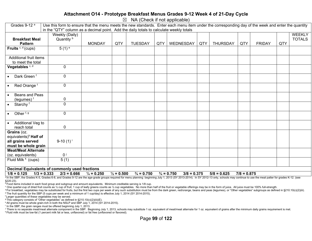#### **Attachment O14 - Prototype Breakfast Menus Grades 9-12 Week 4 of 21-Day Cycle**

 $\boxtimes$  NA (Check if not applicable)

| Grades 9-12 <sup>a</sup><br>Use this form to ensure that the menu meets the new standards. Enter each menu item under the corresponding day of the week and enter the quantity |                                                                                                                                                                                                                                                                           |                       |                       |                       |     |                                        |     |                 |               |               |     |               |
|--------------------------------------------------------------------------------------------------------------------------------------------------------------------------------|---------------------------------------------------------------------------------------------------------------------------------------------------------------------------------------------------------------------------------------------------------------------------|-----------------------|-----------------------|-----------------------|-----|----------------------------------------|-----|-----------------|---------------|---------------|-----|---------------|
|                                                                                                                                                                                | in the "QTY" column as a decimal point. Add the daily totals to calculate weekly totals                                                                                                                                                                                   |                       |                       |                       |     |                                        |     |                 |               |               |     |               |
|                                                                                                                                                                                | Weekly (Daily)                                                                                                                                                                                                                                                            |                       |                       |                       |     |                                        |     |                 |               |               |     | <b>WEEKLY</b> |
| <b>Breakfast Meal</b>                                                                                                                                                          | Quantity <sup>b</sup>                                                                                                                                                                                                                                                     |                       |                       |                       |     |                                        |     |                 |               |               |     | <b>TOTALS</b> |
| <b>Pattern</b>                                                                                                                                                                 |                                                                                                                                                                                                                                                                           | <b>MONDAY</b>         | QTY                   | <b>TUESDAY</b>        | QTY | WEDNESDAY                              | QTY | <b>THURSDAY</b> | QTY           | <b>FRIDAY</b> | QTY |               |
| Fruits $c, d$ (cups)                                                                                                                                                           | $5(1)$ <sup>e</sup>                                                                                                                                                                                                                                                       |                       |                       |                       |     |                                        |     |                 |               |               |     |               |
| Additional fruit items                                                                                                                                                         |                                                                                                                                                                                                                                                                           |                       |                       |                       |     |                                        |     |                 |               |               |     |               |
| to meet the total                                                                                                                                                              |                                                                                                                                                                                                                                                                           |                       |                       |                       |     |                                        |     |                 |               |               |     |               |
| Vegetables <sup>c, d</sup>                                                                                                                                                     | $\mathbf 0$                                                                                                                                                                                                                                                               |                       |                       |                       |     |                                        |     |                 |               |               |     |               |
| Dark Green <sup>f</sup><br>$\bullet$                                                                                                                                           | $\mathbf 0$                                                                                                                                                                                                                                                               |                       |                       |                       |     |                                        |     |                 |               |               |     |               |
| Red Orange <sup>f</sup><br>$\bullet$                                                                                                                                           | $\mathbf 0$                                                                                                                                                                                                                                                               |                       |                       |                       |     |                                        |     |                 |               |               |     |               |
| Beans and Peas<br>$\bullet$<br>(legumes) $f$                                                                                                                                   | 0                                                                                                                                                                                                                                                                         |                       |                       |                       |     |                                        |     |                 |               |               |     |               |
| Starchy <sup>f</sup><br>$\bullet$                                                                                                                                              | $\overline{0}$                                                                                                                                                                                                                                                            |                       |                       |                       |     |                                        |     |                 |               |               |     |               |
|                                                                                                                                                                                |                                                                                                                                                                                                                                                                           |                       |                       |                       |     |                                        |     |                 |               |               |     |               |
| Other $f, g$<br>$\bullet$                                                                                                                                                      | $\mathbf 0$                                                                                                                                                                                                                                                               |                       |                       |                       |     |                                        |     |                 |               |               |     |               |
| Additional Veg to<br>$\bullet$                                                                                                                                                 |                                                                                                                                                                                                                                                                           |                       |                       |                       |     |                                        |     |                 |               |               |     |               |
| reach total                                                                                                                                                                    | $\pmb{0}$                                                                                                                                                                                                                                                                 |                       |                       |                       |     |                                        |     |                 |               |               |     |               |
| Grains (oz.                                                                                                                                                                    |                                                                                                                                                                                                                                                                           |                       |                       |                       |     |                                        |     |                 |               |               |     |               |
| equivalents) <sup>h</sup> Half of                                                                                                                                              |                                                                                                                                                                                                                                                                           |                       |                       |                       |     |                                        |     |                 |               |               |     |               |
| all grains served                                                                                                                                                              | 9-10 $(1)^{i}$                                                                                                                                                                                                                                                            |                       |                       |                       |     |                                        |     |                 |               |               |     |               |
| must be whole grain                                                                                                                                                            |                                                                                                                                                                                                                                                                           |                       |                       |                       |     |                                        |     |                 |               |               |     |               |
| <b>Meat/Meat Alternate</b>                                                                                                                                                     |                                                                                                                                                                                                                                                                           |                       |                       |                       |     |                                        |     |                 |               |               |     |               |
| (oz. equivalents)                                                                                                                                                              | $0^{\mathrm{j}}$                                                                                                                                                                                                                                                          |                       |                       |                       |     |                                        |     |                 |               |               |     |               |
| Fluid Milk <sup>k</sup> (cups)                                                                                                                                                 | 5(1)                                                                                                                                                                                                                                                                      |                       |                       |                       |     |                                        |     |                 |               |               |     |               |
|                                                                                                                                                                                |                                                                                                                                                                                                                                                                           |                       |                       |                       |     |                                        |     |                 |               |               |     |               |
|                                                                                                                                                                                | Decimal Equivalents of commonly used fractions                                                                                                                                                                                                                            |                       |                       |                       |     |                                        |     |                 |               |               |     |               |
| $1/8 = 0.125$                                                                                                                                                                  | $1/3 = 0.333$<br>$2/3 = 0.666$<br><sup>a</sup> In the SRP the Grades K-5, Grades 6-8, and Grades 9-12 are the age-grade groups required for menu planning, beginning, luly 1, 2013 (SY 2013-2014). In SY 2012-13 only, schools may continue to use the meal natter for gr | $\frac{1}{4}$ = 0.250 | $\frac{1}{2} = 0.500$ | $\frac{3}{4}$ = 0.750 |     | $\frac{3}{4}$ = 0.750<br>$3/8 = 0.375$ |     | $5/8 = 0.625$   | $7/8 = 0.875$ |               |     |               |

<sup>a</sup> In the SBP, the Grades K-5, Grades 6-8, and Grades 9-12 are the age-grade groups required for menu planning beginning July 1, 2013 (SY 2013-2014). In SY 2012-13 only, schools may continue to use the meal patter for gra §220.23).

<sup>b</sup> Food items included in each food group and subgroup and amount equivalents. Minimum creditable serving is 1/8 cup.

° One quarter-cup of dried fruit counts as 1/2 cup of fruit; 1 cup of leafy greens counts as 1/2 cup vegetables. No more than half of the fruit or vegetable offerings may be in the form of juice. All juice must be 100% ful

<sup>d</sup> For breakfast, vegetables may be substituted for fruits, but the first two cups per week of any such substitution must be from the dark green, red/orange, beans and peas (legumes), or "Other vegetables" subgroups as de e The fruit quantity for the SBP (5 cups per week and a minimum of 1 cup/day) is effective July 1, 2014 (SY 2014-2015).

f Larger quantities of these vegetables may be served.

g This category consists of "Other vegetables" as defined in §210.10(c)(2)(iii)(E).

h All grains must be whole grain-rich in both the NSLP and SBP July 1, 2014 (SY 2014-2015).

<sup>1</sup> In the SBP, the grain ranges must be offered beginning July 1, 2013.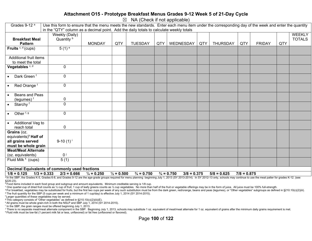#### **Attachment O15 - Prototype Breakfast Menus Grades 9-12 Week 5 of 21-Day Cycle**

 $\boxtimes$  NA (Check if not applicable)

| Grades 9-12 <sup>a</sup><br>Use this form to ensure that the menu meets the new standards. Enter each menu item under the corresponding day of the week and enter the quantity                                                 |                        |                       |                       |                       |     |                                        |     |                 |                          |               |     |               |
|--------------------------------------------------------------------------------------------------------------------------------------------------------------------------------------------------------------------------------|------------------------|-----------------------|-----------------------|-----------------------|-----|----------------------------------------|-----|-----------------|--------------------------|---------------|-----|---------------|
| in the "QTY" column as a decimal point. Add the daily totals to calculate weekly totals                                                                                                                                        |                        |                       |                       |                       |     |                                        |     |                 |                          |               |     |               |
|                                                                                                                                                                                                                                | Weekly (Daily)         |                       |                       |                       |     |                                        |     |                 |                          |               |     | <b>WEEKLY</b> |
| <b>Breakfast Meal</b>                                                                                                                                                                                                          | Quantity <sup>b</sup>  |                       |                       |                       |     |                                        |     |                 |                          |               |     | <b>TOTALS</b> |
| <b>Pattern</b>                                                                                                                                                                                                                 |                        | <b>MONDAY</b>         | QTY                   | <b>TUESDAY</b>        | QTY | WEDNESDAY                              | QTY | <b>THURSDAY</b> | QTY                      | <b>FRIDAY</b> | QTY |               |
| Fruits $c, d$ (cups)                                                                                                                                                                                                           | $5(1)$ <sup>e</sup>    |                       |                       |                       |     |                                        |     |                 |                          |               |     |               |
| Additional fruit items                                                                                                                                                                                                         |                        |                       |                       |                       |     |                                        |     |                 |                          |               |     |               |
| to meet the total                                                                                                                                                                                                              |                        |                       |                       |                       |     |                                        |     |                 |                          |               |     |               |
| Vegetables <sup>c, d</sup>                                                                                                                                                                                                     | $\mathbf 0$            |                       |                       |                       |     |                                        |     |                 |                          |               |     |               |
| Dark Green <sup>f</sup>                                                                                                                                                                                                        | $\mathbf 0$            |                       |                       |                       |     |                                        |     |                 |                          |               |     |               |
| Red Orange <sup>f</sup>                                                                                                                                                                                                        | $\pmb{0}$              |                       |                       |                       |     |                                        |     |                 |                          |               |     |               |
| Beans and Peas                                                                                                                                                                                                                 |                        |                       |                       |                       |     |                                        |     |                 |                          |               |     |               |
| (legumes) f                                                                                                                                                                                                                    | 0                      |                       |                       |                       |     |                                        |     |                 |                          |               |     |               |
| Starchy <sup>f</sup>                                                                                                                                                                                                           | $\mathbf 0$            |                       |                       |                       |     |                                        |     |                 |                          |               |     |               |
| Other <sup>f, g</sup><br>$\bullet$                                                                                                                                                                                             | $\mathbf 0$            |                       |                       |                       |     |                                        |     |                 |                          |               |     |               |
| Additional Veg to                                                                                                                                                                                                              |                        |                       |                       |                       |     |                                        |     |                 |                          |               |     |               |
| reach total                                                                                                                                                                                                                    | $\pmb{0}$              |                       |                       |                       |     |                                        |     |                 |                          |               |     |               |
| Grains (oz.                                                                                                                                                                                                                    |                        |                       |                       |                       |     |                                        |     |                 |                          |               |     |               |
| equivalents) <sup>h</sup> Half of                                                                                                                                                                                              |                        |                       |                       |                       |     |                                        |     |                 |                          |               |     |               |
| all grains served                                                                                                                                                                                                              | $9-10(1)$ <sup>i</sup> |                       |                       |                       |     |                                        |     |                 |                          |               |     |               |
| must be whole grain                                                                                                                                                                                                            |                        |                       |                       |                       |     |                                        |     |                 |                          |               |     |               |
| <b>Meat/Meat Alternate</b>                                                                                                                                                                                                     |                        |                       |                       |                       |     |                                        |     |                 |                          |               |     |               |
| (oz. equivalents)                                                                                                                                                                                                              | 0 <sup>j</sup>         |                       |                       |                       |     |                                        |     |                 |                          |               |     |               |
| Fluid Milk <sup>k</sup> (cups)                                                                                                                                                                                                 | 5(1)                   |                       |                       |                       |     |                                        |     |                 |                          |               |     |               |
| <b>Decimal Equivalents of commonly used fractions</b>                                                                                                                                                                          |                        |                       |                       |                       |     |                                        |     |                 |                          |               |     |               |
| $1/8 = 0.125$<br>$1/3 = 0.333$                                                                                                                                                                                                 | $2/3 = 0.666$          | $\frac{1}{4} = 0.250$ | $\frac{1}{2} = 0.500$ | $\frac{3}{4}$ = 0.750 |     | $\frac{3}{4}$ = 0.750<br>$3/8 = 0.375$ |     | $5/8 = 0.625$   | $\overline{7/8} = 0.875$ |               |     |               |
| a In the SBP, the Grades K-5, Grades 6-8, and Grades 9-12 are the age-grade groups required for menu planning beginning July 1, 2013 (SY 2013-2014). In SY 2012-13 only, schools may continue to use the meal patter for grade |                        |                       |                       |                       |     |                                        |     |                 |                          |               |     |               |

§220.23).

<sup>b</sup> Food items included in each food group and subgroup and amount equivalents. Minimum creditable serving is 1/8 cup.

° One quarter-cup of dried fruit counts as 1/2 cup of fruit; 1 cup of leafy greens counts as 1/2 cup vegetables. No more than half of the fruit or vegetable offerings may be in the form of juice. All juice must be 100% ful

<sup>d</sup> For breakfast, vegetables may be substituted for fruits, but the first two cups per week of any such substitution must be from the dark green, red/orange, beans and peas (legumes), or "Other vegetables" subgroups as de e The fruit quantity for the SBP (5 cups per week and a minimum of 1 cup/day) is effective July 1, 2014 (SY 2014-2015).

f Larger quantities of these vegetables may be served.

g This category consists of "Other vegetables" as defined in §210.10(c)(2)(iii)(E).

h All grains must be whole grain-rich in both the NSLP and SBP July 1, 2014 (SY 2014-2015).

<sup>1</sup> In the SBP, the grain ranges must be offered beginning July 1, 2013.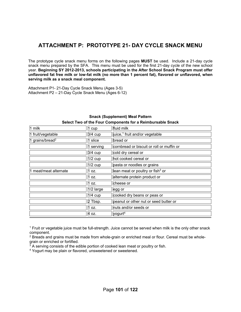### **ATTACHMENT P: PROTOTYPE 21- DAY CYCLE SNACK MENU**

The prototype cycle snack menu forms on the following pages **MUST** be used. Include a 21-day cycle snack menu prepared by the SFA. This menu must be used for the first 21-day cycle of the new school year. **Beginning SY 2012-2013, schools participating in the After School Snack Program must offer unflavored fat free milk or low-fat milk (no more than 1 percent fat), flavored or unflavored, when serving milk as a snack meal component.** 

Attachment P1- 21-Day Cycle Snack Menu (Ages 3-5) Attachment P2 – 21-Day Cycle Snack Menu (Ages 6-12)

| 1 milk                         | 1 cup     | fluid milk                                   |
|--------------------------------|-----------|----------------------------------------------|
| 1 fruit/vegetable              | 3/4 cup   | juice, <sup>1</sup> fruit and/or vegetable   |
| 1 grains/bread <sup>2</sup>    | 1 slice   | bread or                                     |
|                                | 1 serving | cornbread or biscuit or roll or muffin or    |
|                                | 3/4 cup   | cold dry cereal or                           |
|                                | $1/2$ cup | hot cooked cereal or                         |
|                                | $1/2$ cup | pasta or noodles or grains                   |
| 1 meat/meat alternate<br>1 oz. |           | lean meat or poultry or fish <sup>3</sup> or |
|                                | 1 oz.     | alternate protein product or                 |
|                                | 1 oz.     | cheese or                                    |
|                                | 1/2 large | egg or                                       |
|                                | $1/4$ cup | cooked dry beans or peas or                  |
|                                | 2 Tbsp.   | peanut or other nut or seed butter or        |
|                                | 1 oz.     | nuts and/or seeds or                         |
|                                | 4 oz.     | yogurt <sup>4</sup>                          |

#### **Snack (Supplement) Meal Pattern**

| Select Two of the Four Components for a Reimbursable Snack |
|------------------------------------------------------------|
|                                                            |

1 Fruit or vegetable juice must be full-strength. Juice cannot be served when milk is the only other snack component.

<sup>2</sup> Breads and grains must be made from whole-grain or enriched meal or flour. Cereal must be wholegrain or enriched or fortified.

 $3\overline{3}$  A serving consists of the edible portion of cooked lean meat or poultry or fish.

4 Yogurt may be plain or flavored, unsweetened or sweetened.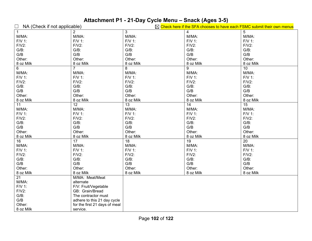# **Attachment P1 - 21-Day Cycle Menu – Snack (Ages 3-5)**

| $\Box$<br>NA (Check if not applicable) |                               |                 | $\boxtimes$ Check here if the SFA chooses to have each FSMC submit their own menus |                 |  |  |
|----------------------------------------|-------------------------------|-----------------|------------------------------------------------------------------------------------|-----------------|--|--|
| $\overline{1}$                         | $\overline{2}$                | 3               | 4                                                                                  | 5               |  |  |
| M/MA:                                  | M/MA:                         | M/MA:           | M/MA:                                                                              | M/MA:           |  |  |
| F/V 1:                                 | FN 1:                         | FN 1:           | FN 1:                                                                              | FN 1:           |  |  |
| $F/V2$ :                               | $F/V2$ :                      | $F/V2$ :        | $F/V2$ :                                                                           | $F/V2$ :        |  |  |
| $G/B$ :                                | $G/B$ :                       | $G/B$ :         | $G/B$ :                                                                            | $G/B$ :         |  |  |
| G/B                                    | G/B                           | G/B             | G/B                                                                                | G/B             |  |  |
| Other:                                 | Other:                        | Other:          | Other:                                                                             | Other:          |  |  |
| 8 oz Milk                              | 8 oz Milk                     | 8 oz Milk       | 8 oz Milk                                                                          | 8 oz Milk       |  |  |
| $6\phantom{1}$                         | $\overline{7}$                | 8               | 9                                                                                  | 10              |  |  |
| M/MA:                                  | M/MA:                         | M/MA:           | M/MA:                                                                              | M/MA:           |  |  |
| F/V 1:                                 | F/V 1:                        | FN 1:           | FN 1:                                                                              | FN 1:           |  |  |
| $F/V2$ :                               | $F/V2$ :                      | $F/V2$ :        | $F/V2$ :                                                                           | $F/V2$ :        |  |  |
| $G/B$ :                                | $G/B$ :                       | $G/B$ :         | $G/B$ :                                                                            | $G/B$ :         |  |  |
| $\mathsf{G/B}$                         | G/B                           | G/B             | G/B                                                                                | G/B             |  |  |
| Other:                                 | Other:                        | Other:          | Other:                                                                             | Other:          |  |  |
| 8 oz Milk                              | 8 oz Milk                     | 8 oz Milk       | 8 oz Milk                                                                          | 8 oz Milk       |  |  |
| 11                                     | 12                            | $\overline{13}$ | $\overline{14}$                                                                    | $\overline{15}$ |  |  |
| M/MA:                                  | M/MA:                         | M/MA:           | M/MA:                                                                              | M/MA:           |  |  |
| F/V 1:                                 | FN 1:                         | F/V 1:          | FN 1:                                                                              | F/V 1:          |  |  |
| $F/V2$ :                               | $F/V2$ :                      | $F/V2$ :        | $F/V2$ :                                                                           | $F/V2$ :        |  |  |
| $G/B$ :                                | $G/B$ :                       | $G/B$ :         | $G/B$ :                                                                            | $G/B$ :         |  |  |
| G/B                                    | G/B                           | G/B             | G/B                                                                                | G/B             |  |  |
| Other:                                 | Other:                        | Other:          | Other:                                                                             | Other:          |  |  |
| 8 oz Milk                              | 8 oz Milk                     | 8 oz Milk       | 8 oz Milk                                                                          | 8 oz Milk       |  |  |
| 16                                     | $\overline{17}$               | $\overline{18}$ | $\overline{19}$                                                                    | $\overline{20}$ |  |  |
| M/MA:                                  | M/MA:                         | M/MA:           | M/MA:                                                                              | M/MA:           |  |  |
| F/V 1:                                 | FN 1:                         | FN 1:           | FN 1:                                                                              | FN 1:           |  |  |
| $F/V2$ :                               | $F/V2$ :                      | $F/V2$ :        | $F/V2$ :                                                                           | $F/V2$ :        |  |  |
| $G/B$ :                                | $G/B$ :                       | $G/B$ :         | $G/B$ :                                                                            | $G/B$ :         |  |  |
| G/B                                    | G/B                           | G/B             | G/B                                                                                | G/B             |  |  |
| Other:                                 | Other:                        | Other:          | Other:                                                                             | Other:          |  |  |
| 8 oz Milk                              | 8 oz Milk                     | 8 oz Milk       | 8 oz Milk                                                                          | 8 oz Milk       |  |  |
| 21                                     | M/MA: Meat/Meat               |                 |                                                                                    |                 |  |  |
| M/MA:                                  | alternate                     |                 |                                                                                    |                 |  |  |
| F/V 1:                                 | F/V: Fruit/Vegetable          |                 |                                                                                    |                 |  |  |
| $F/V2$ :                               | GB: Grain/Bread               |                 |                                                                                    |                 |  |  |
| $G/B$ :                                | The contractor must           |                 |                                                                                    |                 |  |  |
| G/B                                    | adhere to this 21 day cycle   |                 |                                                                                    |                 |  |  |
| Other:                                 | for the first 21 days of meal |                 |                                                                                    |                 |  |  |
| 8 oz Milk                              | service.                      |                 |                                                                                    |                 |  |  |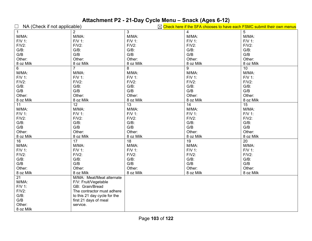# **Attachment P2 - 21-Day Cycle Menu – Snack (Ages 6-12)**

| $\Box$<br>NA (Check if not applicable) |                              |                 | $\boxtimes$ Check here if the SFA chooses to have each FSMC submit their own menus |                 |  |  |  |
|----------------------------------------|------------------------------|-----------------|------------------------------------------------------------------------------------|-----------------|--|--|--|
| $\overline{1}$                         | $\overline{2}$               | 3               | 4                                                                                  | 5               |  |  |  |
| M/MA:                                  | M/MA:                        | M/MA:           | M/MA:                                                                              | M/MA:           |  |  |  |
| F/V 1:                                 | FN 1:                        | F/V 1:          | FN 1:                                                                              | F/V 1:          |  |  |  |
| $F/V2$ :                               | $F/V2$ :                     | $F/V2$ :        | $F/V2$ :                                                                           | $F/V2$ :        |  |  |  |
| $G/B$ :                                | $G/B$ :                      | $G/B$ :         | $G/B$ :                                                                            | $G/B$ :         |  |  |  |
| G/B                                    | G/B                          | G/B             | G/B                                                                                | G/B             |  |  |  |
| Other:                                 | Other:                       | Other:          | Other:                                                                             | Other:          |  |  |  |
| 8 oz Milk                              | 8 oz Milk                    | 8 oz Milk       | 8 oz Milk                                                                          | 8 oz Milk       |  |  |  |
| 6                                      | 7                            | 8               | 9                                                                                  | 10              |  |  |  |
| M/MA:                                  | M/MA:                        | M/MA:           | M/MA:                                                                              | M/MA:           |  |  |  |
| F/V 1:                                 | $F/V$ 1:                     | $F/V$ 1:        | FN 1:                                                                              | F/V 1:          |  |  |  |
| $F/V2$ :                               | $F/V2$ :                     | $F/V2$ :        | $F/V2$ :                                                                           | $F/V2$ :        |  |  |  |
| $G/B$ :                                | $G/B$ :                      | $G/B$ :         | G/B:                                                                               | $G/B$ :         |  |  |  |
| G/B                                    | G/B                          | G/B             | G/B                                                                                | G/B             |  |  |  |
| Other:                                 | Other:                       | Other:          | Other:                                                                             | Other:          |  |  |  |
| 8 oz Milk                              | 8 oz Milk                    | 8 oz Milk       | 8 oz Milk                                                                          | 8 oz Milk       |  |  |  |
| $\overline{11}$                        | $\overline{12}$              | $\overline{13}$ | $\overline{14}$                                                                    | $\overline{15}$ |  |  |  |
| M/MA:                                  | M/MA:                        | M/MA:           | M/MA:                                                                              | M/MA:           |  |  |  |
| FN 1:                                  | FN 1:                        | FN 1:           | FN 1:                                                                              | F/V 1:          |  |  |  |
| $F/V2$ :                               | $F/V2$ :                     | $F/V2$ :        | $F/V2$ :                                                                           | $F/V2$ :        |  |  |  |
| $G/B$ :                                | $G/B$ :                      | $G/B$ :         | $G/B$ :                                                                            | $G/B$ :         |  |  |  |
| G/B                                    | G/B                          | G/B             | G/B                                                                                | G/B             |  |  |  |
| Other:                                 | Other:                       | Other:          | Other:                                                                             | Other:          |  |  |  |
| 8 oz Milk                              | 8 oz Milk                    | 8 oz Milk       | 8 oz Milk                                                                          | 8 oz Milk       |  |  |  |
| 16                                     | $\overline{17}$              | 18              | $\overline{19}$                                                                    | $\overline{20}$ |  |  |  |
| M/MA:                                  | M/MA:                        | M/MA:           | M/MA:                                                                              | M/MA:           |  |  |  |
| F/V 1:                                 | $F/V$ 1:                     | FN 1:           | FN 1:                                                                              | F/V 1:          |  |  |  |
| $F/V2$ :                               | $F/V2$ :                     | $F/V2$ :        | $F/V2$ :                                                                           | $F/V2$ :        |  |  |  |
| $G/B$ :                                | $G/B$ :                      | $G/B$ :         | $G/B$ :                                                                            | $G/B$ :         |  |  |  |
| G/B                                    | G/B                          | G/B             | G/B                                                                                | G/B             |  |  |  |
| Other:                                 | Other:                       | Other:          | Other:                                                                             | Other:          |  |  |  |
| 8 oz Milk                              | 8 oz Milk                    | 8 oz Milk       | 8 oz Milk                                                                          | 8 oz Milk       |  |  |  |
| $\overline{21}$                        | M/MA: Meat/Meat alternate    |                 |                                                                                    |                 |  |  |  |
| M/MA:                                  | F/V: Fruit/Vegetable         |                 |                                                                                    |                 |  |  |  |
| F/V 1:                                 | GB: Grain/Bread              |                 |                                                                                    |                 |  |  |  |
| $F/V2$ :                               | The contractor must adhere   |                 |                                                                                    |                 |  |  |  |
| $G/B$ :                                | to this 21 day cycle for the |                 |                                                                                    |                 |  |  |  |
| G/B                                    | first 21 days of meal        |                 |                                                                                    |                 |  |  |  |
| Other:                                 | service.                     |                 |                                                                                    |                 |  |  |  |
| 8 oz Milk                              |                              |                 |                                                                                    |                 |  |  |  |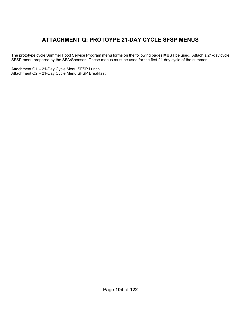## **ATTACHMENT Q: PROTOYPE 21-DAY CYCLE SFSP MENUS**

The prototype cycle Summer Food Service Program menu forms on the following pages **MUST** be used. Attach a 21-day cycle SFSP menu prepared by the SFA/Sponsor. These menus must be used for the first 21-day cycle of the summer.

Attachment Q1 – 21-Day Cycle Menu SFSP Lunch Attachment Q2 – 21-Day Cycle Menu SFSP Breakfast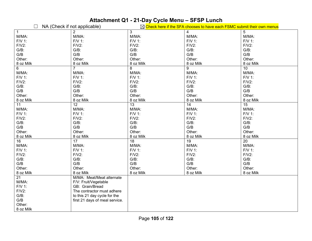# **Attachment Q1 - 21-Day Cycle Menu – SFSP Lunch**

|                 | NA (Check if not applicable)   |                 | $\boxtimes$ Check here if the SFA chooses to have each FSMC submit their own menus |                 |
|-----------------|--------------------------------|-----------------|------------------------------------------------------------------------------------|-----------------|
| $\overline{1}$  | 2                              | 3               | 4                                                                                  | 5               |
| M/MA:           | M/MA:                          | M/MA:           | M/MA:                                                                              | M/MA:           |
| F/V 1:          | FN 1:                          | FN 1:           | FN 1:                                                                              | FN 1:           |
| $F/V2$ :        | $F/V2$ :                       | $F/V2$ :        | $F/V2$ :                                                                           | $F/V2$ :        |
| $G/B$ :         | $G/B$ :                        | $G/B$ :         | $G/B$ :                                                                            | $G/B$ :         |
| G/B             | G/B                            | G/B             | G/B                                                                                | G/B             |
| Other:          | Other:                         | Other:          | Other:                                                                             | Other:          |
| 8 oz Milk       | 8 oz Milk                      | 8 oz Milk       | 8 oz Milk                                                                          | 8 oz Milk       |
| 6               | $\overline{7}$                 | 8               | 9                                                                                  | 10              |
| M/MA:           | M/MA:                          | M/MA:           | M/MA:                                                                              | M/MA:           |
| F/V 1:          | $F/V$ 1:                       | F/V 1:          | FN 1:                                                                              | FN 1:           |
| $F/V2$ :        | $F/V2$ :                       | $F/V2$ :        | $F/V2$ :                                                                           | $F/V2$ :        |
| $G/B$ :         | $G/B$ :                        | $G/B$ :         | $G/B$ :                                                                            | $G/B$ :         |
| G/B             | G/B                            | G/B             | G/B                                                                                | G/B             |
| Other:          | Other:                         | Other:          | Other:                                                                             | Other:          |
| 8 oz Milk       | 8 oz Milk                      | 8 oz Milk       | 8 oz Milk                                                                          | 8 oz Milk       |
| $\overline{11}$ | $\overline{12}$                | $\overline{13}$ | $\overline{14}$                                                                    | $\overline{15}$ |
| M/MA:           | M/MA:                          | M/MA:           | M/MA:                                                                              | M/MA:           |
| $F/V$ 1:        | FN 1:                          | F/V 1:          | FN 1:                                                                              | FN 1:           |
| $F/V2$ :        | $F/V2$ :                       | $F/V2$ :        | $F/V2$ :                                                                           | $F/V2$ :        |
| $G/B$ :         | $G/B$ :                        | $G/B$ :         | $G/B$ :                                                                            | $G/B$ :         |
| G/B             | G/B                            | G/B             | G/B                                                                                | G/B             |
| Other:          | Other:                         | Other:          | Other:                                                                             | Other:          |
| 8 oz Milk       | 8 oz Milk                      | 8 oz Milk       | 8 oz Milk                                                                          | 8 oz Milk       |
| 16              | $\overline{17}$                | 18              | $\overline{19}$                                                                    | $\overline{20}$ |
| M/MA:           | M/MA:                          | M/MA:           | M/MA:                                                                              | M/MA:           |
| F/V 1:          | FN 1:                          | F/V 1:          | FN 1:                                                                              | FN 1:           |
| $F/V2$ :        | $F/V2$ :                       | $F/V2$ :        | $F/V2$ :                                                                           | $F/V2$ :        |
| $G/B$ :         | $G/B$ :                        | $G/B$ :         | $G/B$ :                                                                            | $G/B$ :         |
| G/B             | G/B                            | G/B             | G/B                                                                                | G/B             |
| Other:          | Other:                         | Other:          | Other:                                                                             | Other:          |
| 8 oz Milk       | 8 oz Milk                      | 8 oz Milk       | 8 oz Milk                                                                          | 8 oz Milk       |
| $\overline{21}$ | M/MA: Meat/Meat alternate      |                 |                                                                                    |                 |
| M/MA:           | F/V: Fruit/Vegetable           |                 |                                                                                    |                 |
| F/V 1:          | GB: Grain/Bread                |                 |                                                                                    |                 |
| $F/V2$ :        | The contractor must adhere     |                 |                                                                                    |                 |
| $G/B$ :         | to this 21 day cycle for the   |                 |                                                                                    |                 |
| G/B             | first 21 days of meal service. |                 |                                                                                    |                 |
| Other:          |                                |                 |                                                                                    |                 |
| 8 oz Milk       |                                |                 |                                                                                    |                 |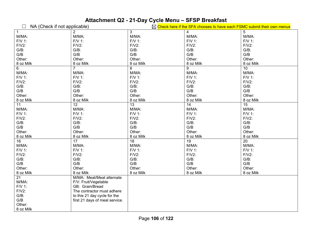# **Attachment Q2 - 21-Day Cycle Menu – SFSP Breakfast**

| $\Box$<br>NA (Check if not applicable) |                                |                 | $\boxtimes$ Check here if the SFA chooses to have each FSMC submit their own menus |                 |  |  |
|----------------------------------------|--------------------------------|-----------------|------------------------------------------------------------------------------------|-----------------|--|--|
| $\mathbf{1}$                           | $\overline{2}$                 | 3               | 4                                                                                  | 5               |  |  |
| M/MA:                                  | M/MA:                          | M/MA:           | M/MA:                                                                              | M/MA:           |  |  |
| F/V 1:                                 | F/V 1:                         | FN 1:           | $F/V$ 1:                                                                           | FN 1:           |  |  |
| $F/V2$ :                               | $F/V2$ :                       | $F/V2$ :        | $F/V2$ :                                                                           | $F/V2$ :        |  |  |
| $G/B$ :                                | $G/B$ :                        | $G/B$ :         | $G/B$ :                                                                            | $G/B$ :         |  |  |
| $\mathsf{G/B}$                         | G/B                            | G/B             | G/B                                                                                | G/B             |  |  |
| Other:                                 | Other:                         | Other:          | Other:                                                                             | Other:          |  |  |
| 8 oz Milk                              | 8 oz Milk                      | 8 oz Milk       | 8 oz Milk                                                                          | 8 oz Milk       |  |  |
| $6\phantom{a}$                         | $\overline{7}$                 | 8               | 9                                                                                  | 10 <sup>1</sup> |  |  |
| M/MA:                                  | M/MA:                          | M/MA:           | M/MA:                                                                              | M/MA:           |  |  |
| F/V 1:                                 | FN 1:                          | FN 1:           | FN 1:                                                                              | FN 1:           |  |  |
| $F/V2$ :                               | $F/V2$ :                       | $F/V2$ :        | $F/V2$ :                                                                           | $F/V2$ :        |  |  |
| $G/B$ :                                | $G/B$ :                        | $G/B$ :         | $G/B$ :                                                                            | $G/B$ :         |  |  |
| G/B                                    | G/B                            | G/B             | G/B                                                                                | G/B             |  |  |
| Other:                                 | Other:                         | Other:          | Other:                                                                             | Other:          |  |  |
| 8 oz Milk                              | 8 oz Milk                      | 8 oz Milk       | 8 oz Milk                                                                          | 8 oz Milk       |  |  |
| 11                                     | $\overline{12}$                | $\overline{13}$ | $\overline{14}$                                                                    | 15              |  |  |
| M/MA:                                  | M/MA:                          | M/MA:           | M/MA:                                                                              | M/MA:           |  |  |
| F/V 1:                                 | FN 1:                          | FN 1:           | FN 1:                                                                              | FN 1:           |  |  |
| $F/V2$ :                               | $F/V2$ :                       | $F/V2$ :        | $F/V2$ :                                                                           | $F/V2$ :        |  |  |
| $G/B$ :                                | $G/B$ :                        | $G/B$ :         | $G/B$ :                                                                            | $G/B$ :         |  |  |
| $\mathsf{G/B}$                         | G/B                            | G/B             | G/B                                                                                | G/B             |  |  |
| Other:                                 | Other:                         | Other:          | Other:                                                                             | Other:          |  |  |
| 8 oz Milk                              | 8 oz Milk                      | 8 oz Milk       | 8 oz Milk                                                                          | 8 oz Milk       |  |  |
| 16                                     | $\overline{17}$                | $\overline{18}$ | $\overline{19}$                                                                    | $\overline{20}$ |  |  |
| M/MA:                                  | M/MA:                          | M/MA:           | M/MA:                                                                              | M/MA:           |  |  |
| F/V 1:                                 | FN 1:                          | FN 1:           | FN 1:                                                                              | FN 1:           |  |  |
| $F/V2$ :                               | $F/V2$ :                       | $F/V2$ :        | $F/V2$ :                                                                           | $F/V2$ :        |  |  |
| $G/B$ :                                | $G/B$ :                        | $G/B$ :         | $G/B$ :                                                                            | $G/B$ :         |  |  |
| G/B                                    | G/B                            | G/B             | G/B                                                                                | G/B             |  |  |
| Other:                                 | Other:                         | Other:          | Other:                                                                             | Other:          |  |  |
| 8 oz Milk                              | 8 oz Milk                      | 8 oz Milk       | 8 oz Milk                                                                          | 8 oz Milk       |  |  |
| 21                                     | M/MA: Meat/Meat alternate      |                 |                                                                                    |                 |  |  |
| M/MA:                                  | F/V: Fruit/Vegetable           |                 |                                                                                    |                 |  |  |
| F/V 1:                                 | GB: Grain/Bread                |                 |                                                                                    |                 |  |  |
| $F/V2$ :                               | The contractor must adhere     |                 |                                                                                    |                 |  |  |
| $G/B$ :                                | to this 21 day cycle for the   |                 |                                                                                    |                 |  |  |
| G/B                                    | first 21 days of meal service. |                 |                                                                                    |                 |  |  |
| Other:                                 |                                |                 |                                                                                    |                 |  |  |
| 8 oz Milk                              |                                |                 |                                                                                    |                 |  |  |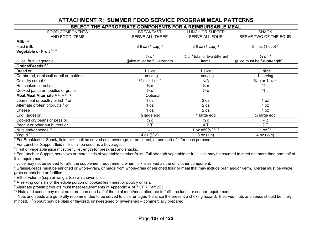### **ATTACHMENT R: SUMMER FOOD SERVICE PROGRAM MEAL PATTERNS**

| SELECT THE APPROPRIATE COMPONENTS FOR A REIMBURSABLE MEAL |                                        |                                                      |                               |  |  |  |  |  |
|-----------------------------------------------------------|----------------------------------------|------------------------------------------------------|-------------------------------|--|--|--|--|--|
| <b>FOOD COMPONENTS</b>                                    | <b>BREAKFAST</b>                       | <b>LUNCH OR SUPPER</b>                               | <b>SNACK</b>                  |  |  |  |  |  |
| AND FOOD ITEMS                                            | SERVE ALL THREE                        | <b>SERVE ALL FOUR</b>                                | SERVE TWO OF THE FOUR         |  |  |  |  |  |
| Milk $1,2$                                                |                                        |                                                      |                               |  |  |  |  |  |
| Fluid milk                                                | 8 fl oz $(1 \text{ cup})$ <sup>1</sup> | 8 fl oz $(1 \text{ cup})^2$                          | 8 fl oz $(1 \text{ cup})^1$   |  |  |  |  |  |
| Vegetable or Fruit 3,4,5                                  |                                        |                                                      |                               |  |  |  |  |  |
|                                                           | $\frac{1}{2}c^3$                       | $\frac{3}{4}$ c $\frac{4}{4}$ total of two different | $\frac{3}{4}$ C $^{3, 4}$     |  |  |  |  |  |
| Juice, fruit, vegetable                                   | (juice must be full-strength           | items                                                | (juice must be full-strength) |  |  |  |  |  |
| Grains/Breads <sup>6,7</sup>                              |                                        |                                                      |                               |  |  |  |  |  |
| Bread or                                                  | 1 slice                                | slice                                                | l slice                       |  |  |  |  |  |
| Cornbread, or biscuit or roll or muffin or                | serving                                | serving                                              | serving                       |  |  |  |  |  |
| Cold dry cereal 7                                         | $\frac{3}{4}$ c or 1 oz $\frac{7}{4}$  | N/A                                                  | $\frac{3}{4}$ c or 1 oz $^7$  |  |  |  |  |  |
| Hot cooked cereal or                                      | $\frac{1}{2}c$                         | $\frac{1}{2}c$                                       | $\frac{1}{2}c$                |  |  |  |  |  |
| Cooked pasta or noodles or grains                         | $\frac{1}{2}c$                         | $\frac{1}{2}c$                                       | $\frac{1}{2}c$                |  |  |  |  |  |
| Meat/Meat Alternate 8, 9, 10, 11, 12                      | Optional                               |                                                      |                               |  |  |  |  |  |
| Lean meat or poultry or fish <sup>8</sup> or              | 1 oz                                   | 2 oz                                                 | 1 oz                          |  |  |  |  |  |
| Alternate protein products <sup>9</sup> or                | 1 oz                                   | 2 oz                                                 | 0Z                            |  |  |  |  |  |
| Cheese                                                    | 1 oz                                   | 2 oz                                                 | 1 oz                          |  |  |  |  |  |
| Egg (large) or                                            | $\frac{1}{2}$ large egg                | large egg                                            | $\frac{1}{2}$ large egg       |  |  |  |  |  |
| Cooked dry beans or peas or                               | $\frac{1}{4}$ C                        | $\frac{1}{2}c$                                       | $\frac{1}{4}$ C               |  |  |  |  |  |
| Peanut or other nut butters or                            | 2T                                     | 4 T                                                  | 2T                            |  |  |  |  |  |
| Nuts and/or seeds 11                                      | ---                                    | $oz = 50\%$ $\frac{10, 11}{ }$                       | 1 oz $1\overline{1}$          |  |  |  |  |  |
| Yogurt $12$                                               | 4 oz $(\frac{1}{2}c)$                  | 8 oz (1 c)                                           | 4 oz $(\frac{1}{2}c)$         |  |  |  |  |  |

<sup>1</sup> For Breakfast or Snack, fluid milk shall be served as a beverage, or on cereal, or use part of it for each purpose.

2 For Lunch or Supper, fluid milk shall be used as a beverage.

<sup>3</sup> Fruit or vegetable juice must be full-strength for breakfast and snacks.

<sup>4</sup> For Lunch or Supper, serve two or more kinds of vegetables and/or fruits, Full strength vegetable or fruit juice may be counted to meet not more than one-half of this requirement

 $^5$  Juice may not be served to fulfill the supplement requirement, when milk is served as the only other component.

 $^6$  Grains/Breads must be enriched or whole-grain, or made from whole-grain or enriched flour or meal that may include bran and/or germ. Cereal must be whole grain or enriched or fortified.

 $7$  Either volume (cup) or weight (oz) whichever is less.

<sup>8</sup> A serving consists of the edible portion of cooked lean meat or poultry or fish.

<sup>9</sup> Alternate protein products must meet requirements of Appendix A of 7 CFR Part 225.

<sup>10</sup> Nuts and seeds may meet no more than one-half of the total meat/meat alternate to fulfill the lunch or supper requirement.

 $^{11}$  Nuts and seeds are generally recommended to be served to children ages 1-3 since the present a choking hazard. If served, nuts and seeds should be finely minced. <sup>12</sup> Yogurt may be plain or flavored, unsweetened or sweetened – commercially prepared.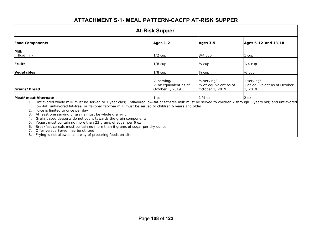### **ATTACHMENT S-1- MEAL PATTERN-CACFP AT-RISK SUPPER**

| <b>At-Risk Supper</b>                                                                                                                                                                                                                                                                          |                                                                                    |                                                                                    |                                                   |  |  |  |  |  |
|------------------------------------------------------------------------------------------------------------------------------------------------------------------------------------------------------------------------------------------------------------------------------------------------|------------------------------------------------------------------------------------|------------------------------------------------------------------------------------|---------------------------------------------------|--|--|--|--|--|
| <b>Food Components</b>                                                                                                                                                                                                                                                                         | Ages $1-2$                                                                         | <b>Ages 3-5</b>                                                                    | Ages 6-12 and 13-18                               |  |  |  |  |  |
| Milk<br>fluid milk                                                                                                                                                                                                                                                                             | $1/2$ cup                                                                          | $3/4$ cup                                                                          | l cup                                             |  |  |  |  |  |
| Fruits                                                                                                                                                                                                                                                                                         | $1/8$ cup                                                                          | $\frac{1}{4}$ cup                                                                  | $1/4$ cup                                         |  |  |  |  |  |
| Vegetables                                                                                                                                                                                                                                                                                     | $1/8$ cup                                                                          | 1⁄4 cup                                                                            | $\frac{1}{2}$ cup                                 |  |  |  |  |  |
| Grains/Bread                                                                                                                                                                                                                                                                                   | 1/ <sub>2</sub> serving/<br>1/ <sub>2</sub> oz equivalent as of<br>October 1, 2019 | 1/ <sub>2</sub> serving/<br>1/ <sub>2</sub> oz equivalent as of<br>October 1, 2019 | serving/<br>oz equivalent as of October<br>, 2019 |  |  |  |  |  |
| Meat/meat Alternate<br>Unflavored whole milk must be served to 1 year olds; unflavored low-fat or fat-free milk must be served to children 2 through 5 years old; and unflavored<br>1.<br>low-fat, unflavored fat-free, or flavored fat-free milk must be served to children 6 years and older | 1 oz                                                                               | 1 ½ oz                                                                             | $2$ oz                                            |  |  |  |  |  |

- 2. Juice is limited to once per day
- 3. At least one serving of grains must be whole grain-rich
- 4. Grain-based desserts do not count towards the grain components
- 5. Yogurt must contain no more than 23 grams of sugar per 6 oz
- 6. Breakfast cereals must contain no more than 6 grams of sugar per dry ounce
- 7. Offer versus Serve may be utilized
- 8. Frying is not allowed as a way of preparing foods on-site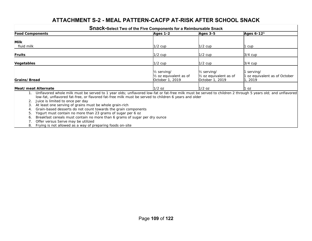### **ATTACHMENT S-2 - MEAL PATTERN-CACFP AT-RISK AFTER SCHOOL SNACK**

|                                                                                                                                                                                                                                                                                                                                                                                                                                                                                                                                                                                                                          | <b>Snack-Select Two of the Five Components for a Reimbursable Snack</b>            |                                                                                    |                                                    |
|--------------------------------------------------------------------------------------------------------------------------------------------------------------------------------------------------------------------------------------------------------------------------------------------------------------------------------------------------------------------------------------------------------------------------------------------------------------------------------------------------------------------------------------------------------------------------------------------------------------------------|------------------------------------------------------------------------------------|------------------------------------------------------------------------------------|----------------------------------------------------|
| <b>Food Components</b>                                                                                                                                                                                                                                                                                                                                                                                                                                                                                                                                                                                                   | <b>Ages 1-2</b>                                                                    | $Ages$ 3-5                                                                         | Ages 6-12 <sup>1</sup>                             |
| <b>Milk</b>                                                                                                                                                                                                                                                                                                                                                                                                                                                                                                                                                                                                              |                                                                                    |                                                                                    |                                                    |
| fluid milk                                                                                                                                                                                                                                                                                                                                                                                                                                                                                                                                                                                                               | $1/2$ cup                                                                          | $1/2$ cup                                                                          | cup                                                |
| <b>Fruits</b>                                                                                                                                                                                                                                                                                                                                                                                                                                                                                                                                                                                                            | $1/2$ cup                                                                          | $1/2$ cup                                                                          | $3/4$ cup                                          |
| Vegetables                                                                                                                                                                                                                                                                                                                                                                                                                                                                                                                                                                                                               | $1/2$ cup                                                                          | $1/2$ cup                                                                          | $3/4$ cup                                          |
| Grains/Bread                                                                                                                                                                                                                                                                                                                                                                                                                                                                                                                                                                                                             | 1/ <sub>2</sub> serving/<br>1/ <sub>2</sub> oz equivalent as of<br>October 1, 2019 | 1/ <sub>2</sub> serving/<br>1/ <sub>2</sub> oz equivalent as of<br>October 1, 2019 | serving/<br>oz equivalent as of October<br>l, 2019 |
| Meat/meat Alternate                                                                                                                                                                                                                                                                                                                                                                                                                                                                                                                                                                                                      | $1/2$ oz                                                                           | $1/2$ oz                                                                           | l oz                                               |
| Unflavored whole milk must be served to 1 year olds; unflavored low-fat or fat-free milk must be served to children 2 through 5 years old; and unflavored<br>low-fat, unflavored fat-free, or flavored fat-free milk must be served to children 6 years and older<br>Juice is limited to once per day<br>At least one serving of grains must be whole grain-rich<br>3.<br>Grain-based desserts do not count towards the grain components<br>Yogurt must contain no more than 23 grams of sugar per 6 oz<br>5.<br>Breakfast cereals must contain no more than 6 grams of sugar per dry ounce<br>6.<br>$\bigcap_{i=1}^{n}$ |                                                                                    |                                                                                    |                                                    |

- 7. Offer versus Serve may be utilized
- 8. Frying is not allowed as a way of preparing foods on-site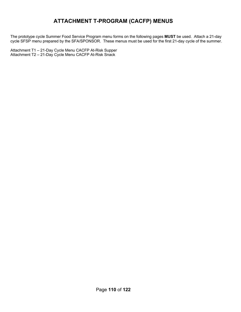## **ATTACHMENT T-PROGRAM (CACFP) MENUS**

 The prototype cycle Summer Food Service Program menu forms on the following pages **MUST** be used. Attach a 21-day cycle SFSP menu prepared by the SFA/SPONSOR. These menus must be used for the first 21-day cycle of the summer.

 Attachment T1 – 21-Day Cycle Menu CACFP At-Risk Supper Attachment T2 – 21-Day Cycle Menu CACFP At-Risk Snack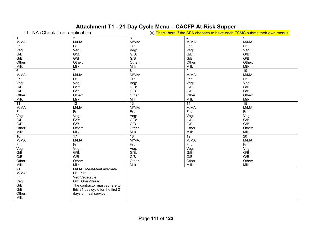# **Attachment T1 - 21-Day Cycle Menu – CACFP At-Risk Supper**

| NA (Check if not applicable) |                                    |                 | $\boxtimes$ Check here if the SFA chooses to have each FSMC submit their own menus |                 |
|------------------------------|------------------------------------|-----------------|------------------------------------------------------------------------------------|-----------------|
| $\mathbf{1}$                 | 2                                  | 3               | 4                                                                                  | 5               |
| M/MA:                        | M/MA:                              | M/MA:           | M/MA:                                                                              | M/MA:           |
| $Fr$ :                       | Fr:                                | Fr:             | Fr:                                                                                | Fr:             |
| Veg:                         | Veg:                               | Veg:            | Veg:                                                                               | Veg:            |
| $G/B$ :                      | $G/B$ :                            | $G/B$ :         | $G/B$ :                                                                            | $G/B$ :         |
| G/B                          | G/B                                | G/B             | G/B                                                                                | G/B             |
| Other:                       | Other:                             | Other:          | Other:                                                                             | Other:          |
| Milk                         | Milk                               | Milk            | Milk                                                                               | Milk            |
| 6                            | $\overline{7}$                     | 8               | $\overline{9}$                                                                     | 10              |
| M/MA:                        | M/MA:                              | M/MA:           | M/MA:                                                                              | M/MA:           |
| $Fr$ :                       | $Fr$ :                             | $Fr$ :          | Fr:                                                                                | Fr:             |
| Veg:                         | Veg:                               | Veg:            | Veg:                                                                               | Veg:            |
|                              |                                    |                 |                                                                                    |                 |
| G/B:                         | $G/B$ :                            | $G/B$ :         | $G/B$ :                                                                            | G/B:            |
| G/B                          | G/B                                | G/B             | G/B                                                                                | $\mathsf{G/B}$  |
| Other:                       | Other:                             | Other:          | Other:                                                                             | Other:          |
| Milk                         | Milk                               | Milk            | Milk                                                                               | Milk            |
| 11                           | $\overline{12}$                    | $\overline{13}$ | $\overline{14}$                                                                    | $\overline{15}$ |
| M/MA:                        | M/MA:                              | M/MA:           | M/MA:                                                                              | M/MA:           |
| $Fr$ :                       | $Fr$ :                             | Fr:             | Fr:                                                                                | Fr:             |
| Veg:                         | Veg:                               | Veg:            | Veg:                                                                               | Veg:            |
| $G/B$ :                      | $G/B$ :                            | $G/B$ :         | $G/B$ :                                                                            | G/B:            |
| G/B                          | G/B                                | G/B             | G/B                                                                                | G/B             |
| Other:                       | Other:                             | Other:          | Other:                                                                             | Other:          |
| Milk                         | Milk                               | Milk            | Milk                                                                               | Milk            |
| $\overline{16}$              | 17                                 | $\overline{18}$ | 19                                                                                 | 20              |
| M/MA:                        | M/MA:                              | M/MA:           | M/MA:                                                                              | M/MA:           |
| $Fr$ :                       | $Fr$ :                             | Fr:             | Fr:                                                                                | Fr:             |
| Veg:                         | Veg:                               | Veg:            | Veg:                                                                               | Veg:            |
| G/B:                         | $G/B$ :                            | $G/B$ :         | $G/B$ :                                                                            | $G/B$ :         |
| G/B                          | G/B                                | G/B             | G/B                                                                                | G/B             |
| Other:                       | Other:                             | Other:          | Other:                                                                             | Other:          |
| Milk                         | Milk                               | Milk            | Milk                                                                               | Milk            |
| $\overline{21}$              | M/MA: Meat/Meat alternate          |                 |                                                                                    |                 |
| M/MA:                        | Fr: Fruit                          |                 |                                                                                    |                 |
| $Fr$ :                       | Veg:Vegetable                      |                 |                                                                                    |                 |
| Veg:                         | GB: Grain/Bread                    |                 |                                                                                    |                 |
| $G/\overline{B}$ :           | The contractor must adhere to      |                 |                                                                                    |                 |
| G/B                          |                                    |                 |                                                                                    |                 |
|                              | this 21 day cycle for the first 21 |                 |                                                                                    |                 |
| Other:                       | days of meal service.              |                 |                                                                                    |                 |
| Milk                         |                                    |                 |                                                                                    |                 |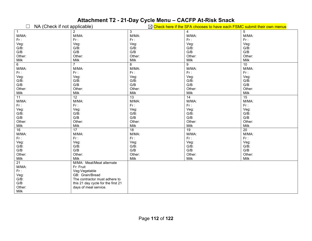# **Attachment T2 - 21-Day Cycle Menu – CACFP At-Risk Snack**

| NA (Check if not applicable) |                                    |         | $\boxtimes$ Check here if the SFA chooses to have each FSMC submit their own menus |             |
|------------------------------|------------------------------------|---------|------------------------------------------------------------------------------------|-------------|
| $\mathbf{1}$                 | $\overline{2}$                     | 3       | 4                                                                                  | $\,$ 5 $\,$ |
| M/MA:                        | M/MA:                              | M/MA:   | M/MA:                                                                              | M/MA:       |
| $Fr$ :                       | $Fr$ :                             | $Fr$ :  | $Fr$ :                                                                             | Fr:         |
| Veg:                         | Veg:                               | Veg:    | Veg:                                                                               | Veg:        |
| $G/B$ :                      | $G/B$ :                            | $G/B$ : | $G/B$ :                                                                            | $G/B$ :     |
| G/B                          | G/B                                | G/B     | G/B                                                                                | G/B         |
| Other:                       | Other:                             | Other:  | Other:                                                                             | Other:      |
| Milk                         | Milk                               | Milk    | Milk                                                                               | Milk        |
| 6                            | $\overline{7}$                     | 8       | 9                                                                                  | 10          |
| M/MA:                        | M/MA:                              | M/MA:   | M/MA:                                                                              | M/MA:       |
| $Fr$ :                       | $Fr$ :                             | $Fr$ :  | Fr:                                                                                | Fr:         |
| Veg:                         | Veg:                               | Veg:    | Veg:                                                                               | Veg:        |
| $G/B$ :                      | $G/B$ :                            | $G/B$ : | G/B:                                                                               | $G/B$ :     |
| G/B                          | G/B                                | G/B     | G/B                                                                                | G/B         |
| Other:                       | Other:                             | Other:  | Other:                                                                             | Other:      |
| Milk                         | Milk                               | Milk    | Milk                                                                               | Milk        |
| 11                           | 12                                 | 13      | $\overline{14}$                                                                    | 15          |
| M/MA:                        | M/MA:                              | M/MA:   | M/MA:                                                                              | M/MA:       |
| $Fr$ :                       | $Fr$ :                             | $Fr$ :  | Fr:                                                                                | Fr:         |
| Veg:                         | Veg:                               | Veg:    | Veg:                                                                               | Veg:        |
| $G/\overline{B}$ :           | $G/B$ :                            | $G/B$ : | $G/B$ :                                                                            | G/B:        |
| G/B                          | G/B                                | G/B     | G/B                                                                                | G/B         |
| Other:                       | Other:                             | Other:  | Other:                                                                             | Other:      |
| Milk                         | Milk                               | Milk    | Milk                                                                               | Milk        |
| 16                           | 17                                 | 18      | 19                                                                                 | 20          |
| M/MA:                        | M/MA:                              | M/MA:   | M/MA:                                                                              | M/MA:       |
| $Fr$ :                       | $Fr$ :                             | $Fr$ :  | Fr:                                                                                | Fr:         |
| Veg:                         | Veg:                               | Veg:    | Veg:                                                                               | Veg:        |
| $G/\overline{B}$ :           | $G/B$ :                            | $G/B$ : | G/B:                                                                               | $G/B$ :     |
| G/B                          | G/B                                | G/B     | G/B                                                                                | G/B         |
| Other:                       | Other:                             | Other:  | Other:                                                                             | Other:      |
| Milk                         | Milk                               | Milk    | Milk                                                                               | Milk        |
| 21                           | M/MA: Meat/Meat alternate          |         |                                                                                    |             |
| M/MA:                        | Fr: Fruit                          |         |                                                                                    |             |
| $Fr$ :                       | Veg:Vegetable                      |         |                                                                                    |             |
| Veg:                         | GB: Grain/Bread                    |         |                                                                                    |             |
| $G/\breve{B}$ :              | The contractor must adhere to      |         |                                                                                    |             |
| G/B                          | this 21 day cycle for the first 21 |         |                                                                                    |             |
| Other:                       | days of meal service.              |         |                                                                                    |             |
| Milk                         |                                    |         |                                                                                    |             |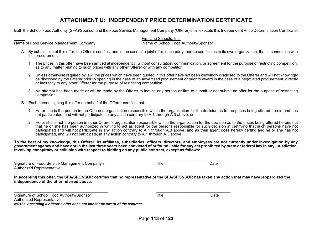## **ATTACHMENT U: INDEPENDENT PRICE DETERMINATION CERTIFICATE**

Both the School Food Authority (SFA)/Sponsor and the Food Service Management Company (Offerer) shall execute this Independent Price Determination Certificate.

Name of Food Service Management Company Name of School Food Authority/Sponsor

FirstLine Schools, Inc.

- A. By submission of this offer, the Offerer certifies, and in the case of a joint offer, each party thereto certifies as to its own organization, that in connection with this procurement:
	- 1. The prices in this offer have been arrived at independently, without consultation, communication, or agreement for the purpose of restricting competition, as to any matter relating to such prices with any other Offerer or with any competitor.
	- 2. Unless otherwise required by law, the prices which have been quoted in this offer have not been knowingly disclosed to the Offerer and will not knowingly be disclosed by the Offerer prior to opening in the case of an advertised procurement or prior to award in the case of a negotiated procurement, directly or indirectly to any other Offerer for the purpose of restricting competition.
	- 3. No attempt has been made or will be made by the Offerer to induce any person or firm to submit or not submit an offer for the purpose of restricting competition.
- B. Each person signing this offer on behalf of the Offerer certifies that:
	- 1. He or she is the person in the Offerer's organization responsible within the organization for the decision as to the prices being offered herein and has not participated, and will not participate, in any action contrary to A.1 through A.3 above; or
	- 2. He or she is not the person in other Offerer's organization responsible within the organization for the decision as to the prices being offered herein, but that he or she has been authorized in writing to act as agent for the persons responsible for such decision in certifying that such persons have not participated and will not participate in any action contrary to A.1 through A.3 above, and as their agent does hereby certify; and he or she has not participated, and will not participate, in any action contrary to A.1 through A.3 above.

**To the best of my knowledge, this Offerer, its affiliates, subsidiaries, officers, directors, and employees are not currently under investigation by any government agency and have not in the last three years been convicted of or found liable for any act prohibited by state or federal law in any jurisdiction, involving conspiracy or collusion with respect to bidding on any public contract, except as follows:** 

\_\_\_\_\_\_\_\_\_\_\_\_\_\_\_\_\_\_\_\_\_\_\_\_\_\_\_\_\_\_\_\_\_\_\_\_\_\_\_\_\_\_\_ \_\_\_\_\_\_\_\_\_\_\_\_\_\_\_\_\_\_\_\_\_\_\_\_\_\_\_\_\_\_\_\_\_\_ Signature of Food Service Management Company's Title Title Title Date Authorized Representative

**In accepting this offer, the SFA/SPONSOR certifies that no representative of the SFA/SPONSOR has taken any action that may have jeopardized the independence of the offer referred above.** 

| Signature of School Food Authority/Sponsor                                   | Title | Date |
|------------------------------------------------------------------------------|-------|------|
| Authorized Representative                                                    |       |      |
| NOTE: Accepting a offerer's offer does not constitute award of the contract. |       |      |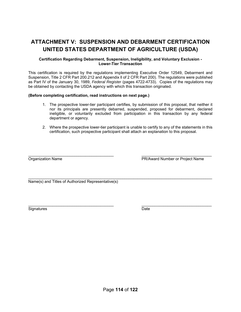## **ATTACHMENT V: SUSPENSION AND DEBARMENT CERTIFICATION UNITED STATES DEPARTMENT OF AGRICULTURE (USDA)**

#### **Certification Regarding Debarment, Suspension, Ineligibility, and Voluntary Exclusion - Lower-Tier Transaction**

This certification is required by the regulations implementing Executive Order 12549, Debarment and Suspension, Title 2 CFR Part 200.212 and Appendix ll of 2 CFR Part 200). The regulations were published as Part IV of the January 30, 1989, *Federal Register* (pages 4722-4733). Copies of the regulations may be obtained by contacting the USDA agency with which this transaction originated.

#### **(Before completing certification, read instructions on next page.)**

- 1. The prospective lower-tier participant certifies, by submission of this proposal, that neither it nor its principals are presently debarred, suspended, proposed for debarment, declared ineligible, or voluntarily excluded from participation in this transaction by any federal department or agency.
- 2. Where the prospective lower-tier participant is unable to certify to any of the statements in this certification, such prospective participant shall attach an explanation to this proposal.

 $\_$  , and the set of the set of the set of the set of the set of the set of the set of the set of the set of the set of the set of the set of the set of the set of the set of the set of the set of the set of the set of th

 $\_$  . The contribution of the contribution of  $\mathcal{L}_\mathbf{z}$  , and the contribution of the contribution of  $\mathcal{L}_\mathbf{z}$ Organization Name PR/Award Number or Project Name

Name(s) and Titles of Authorized Representative(s)

 $\_$  , and the contribution of the contribution of  $\mathcal{L}_\mathbf{z}$  , and the contribution of the contribution of  $\mathcal{L}_\mathbf{z}$ Signatures Date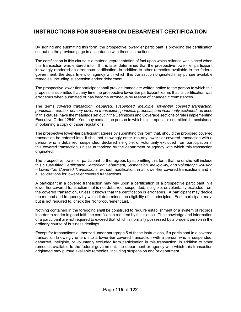## **INSTRUCTIONS FOR SUSPENSION DEBARMENT CERTIFICATION**

By signing and submitting this form, the prospective lower-tier participant is providing the certification set out on the previous page in accordance with these instructions.

The certification in this clause is a material representation of fact upon which reliance was placed when this transaction was entered into. If it is later determined that the prospective lower-tier participant knowingly rendered an erroneous certification, in addition to other remedies available to the federal government, the department or agency with which this transaction originated may pursue available remedies, including suspension and/or debarment.

The prospective lower-tier participant shall provide immediate written notice to the person to which this proposal is submitted if at any time the prospective lower-tier participant learns that its certification was erroneous when submitted or has become erroneous by reason of changed circumstances.

The terms *covered transaction, debarred, suspended, ineligible, lower-tier covered transaction, participant, person, primary covered transaction, principal, proposal, and voluntarily excluded,* as used in this clause, have the meanings set out in the Definitions and Coverage sections of rules implementing Executive Order 12549. You may contact the person to which this proposal is submitted for assistance in obtaining a copy of those regulations.

The prospective lower-tier participant agrees by submitting this form that, should the proposed covered transaction be entered into, it shall not knowingly enter into any lower-tier covered transaction with a person who is debarred, suspended, declared ineligible, or voluntarily excluded from participation in this covered transaction, unless authorized by the department or agency with which this transaction originated.

The prospective lower-tier participant further agrees by submitting this form that he or she will include this clause titled *Certification Regarding Debarment, Suspension, Ineligibility, and Voluntary Exclusion – Lower-Tier Covered Transactions, w*ithout modification, in all lower-tier covered transactions and in all solicitations for lower-tier covered transactions.

A participant in a covered transaction may rely upon a certification of a prospective participant in a lower-tier covered transaction that is not debarred, suspended, ineligible, or voluntarily excluded from the covered transaction, unless it knows that the certification is erroneous. A participant may decide the method and frequency by which it determines the eligibility of its principles. Each participant may, but is not required to, check the Nonprocurement List.

Nothing contained in the foregoing shall be construed to require establishment of a system of records in order to render in good faith the certification required by this clause. The knowledge and information of a participant are not required to exceed that which is normally possessed by a prudent person in the ordinary course of business dealings.

Except for transactions authorized under paragraph 5 of these instructions, if a participant in a covered transaction knowingly enters into a lower-tier covered transaction with a person who is suspended, debarred, ineligible, or voluntarily excluded from participation in this transaction, in addition to other remedies available to the federal government, the department or agency with which this transaction originated may pursue available remedies, including suspension and/or debarment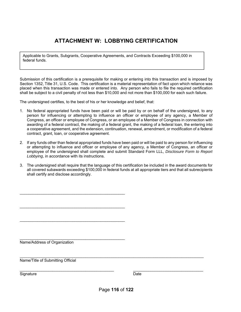## **ATTACHMENT W: LOBBYING CERTIFICATION**

Applicable to Grants, Subgrants, Cooperative Agreements, and Contracts Exceeding \$100,000 in federal funds.

Submission of this certification is a prerequisite for making or entering into this transaction and is imposed by Section 1352, Title 31, U.S. Code. This certification is a material representation of fact upon which reliance was placed when this transaction was made or entered into. Any person who fails to file the required certification shall be subject to a civil penalty of not less than \$10,000 and not more than \$100,000 for each such failure.

The undersigned certifies, to the best of his or her knowledge and belief, that:

\_\_\_\_\_\_\_\_\_\_\_\_\_\_\_\_\_\_\_\_\_\_\_\_\_\_\_\_\_\_\_\_\_\_\_\_\_\_\_\_\_\_\_\_\_\_\_\_

\_\_\_\_\_\_\_\_\_\_\_\_\_\_\_\_\_\_\_\_\_\_\_\_\_\_\_\_\_\_\_\_\_\_\_\_\_\_\_\_\_\_\_\_\_\_\_\_

\_\_\_\_\_\_\_\_\_\_\_\_\_\_\_\_\_\_\_\_\_\_\_\_\_\_\_\_\_\_\_\_\_\_\_\_\_\_\_\_\_\_\_\_\_\_\_\_

\_\_\_\_\_\_\_\_\_\_\_\_\_\_\_\_\_\_\_\_\_\_\_\_\_\_\_\_\_\_\_\_\_\_\_\_\_\_\_\_\_\_\_\_\_\_\_\_

- 1. No federal appropriated funds have been paid or will be paid by or on behalf of the undersigned, to any person for influencing or attempting to influence an officer or employee of any agency, a Member of Congress, an officer or employee of Congress, or an employee of a Member of Congress in connection with awarding of a federal contract, the making of a federal grant, the making of a federal loan, the entering into a cooperative agreement, and the extension, continuation, renewal, amendment, or modification of a federal contract, grant, loan, or cooperative agreement.
- 2. If any funds other than federal appropriated funds have been paid or will be paid to any person for influencing or attempting to influence and officer or employee of any agency, a Member of Congress, an officer or employee of the undersigned shall complete and submit Standard Form LLL, *Disclosure Form to Report Lobbying*, in accordance with its instructions.
- 3. The undersigned shall require that the language of this certification be included in the award documents for all covered subawards exceeding \$100,000 in federal funds at all appropriate tiers and that all subrecipients shall certify and disclose accordingly.

Name/Address of Organization

\_\_\_\_\_\_\_\_\_\_\_\_\_\_\_\_\_\_\_\_\_\_\_\_\_\_\_\_\_\_\_\_\_\_\_\_\_\_\_\_\_\_\_\_\_\_\_\_\_\_\_\_\_\_\_\_\_\_\_\_\_\_\_\_\_\_\_\_\_\_\_\_\_\_\_\_\_\_\_\_\_\_\_\_ Name/Title of Submitting Official

Signature Date **Date** 

\_\_\_\_\_\_\_\_\_\_\_\_\_\_\_\_\_\_\_\_\_\_\_\_\_\_\_\_\_\_\_\_\_\_\_\_\_\_\_\_\_\_\_ \_\_\_\_\_\_\_\_\_\_\_\_\_\_\_\_\_\_\_\_\_\_\_\_\_\_\_\_\_\_\_\_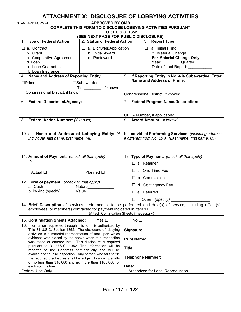## **ATTACHMENT X: DISCLOSURE OF LOBBYING ACTIVITIES**

| STANDARD FORM –LLL                                                                                                                                                                                                                                                                                                         | <b>APPROVED BY OMB</b>                                               |                                   |                                                                                                                                       |  |
|----------------------------------------------------------------------------------------------------------------------------------------------------------------------------------------------------------------------------------------------------------------------------------------------------------------------------|----------------------------------------------------------------------|-----------------------------------|---------------------------------------------------------------------------------------------------------------------------------------|--|
|                                                                                                                                                                                                                                                                                                                            | TO 31 U.S.C. 1352                                                    |                                   | COMPLETE THIS FORM TO DISCLOSE LOBBYING ACTIVITIES PURSUANT                                                                           |  |
| 1. Type of Federal Action                                                                                                                                                                                                                                                                                                  | (SEE NEXT PAGE FOR PUBLIC DISCLOSURE)<br>2. Status of Federal Action |                                   | 3. Report Type                                                                                                                        |  |
| $\Box$ a. Contract<br>b. Grant<br>c. Cooperative Agreement<br>d. Loan<br>e. Loan Guarantee<br>f. Loan Insurance                                                                                                                                                                                                            | $\Box$ a. Bid/Offer/Application<br>b. Initial Award<br>c. Postaward  |                                   | $\Box$ a. Initial Filing<br>b. Material Change<br>For Material Change Only:<br>Year: Quarter: _______<br>Date of Last Report: _______ |  |
| 4. Name and Address of Reporting Entity:                                                                                                                                                                                                                                                                                   |                                                                      |                                   | 5. If Reporting Entity in No. 4 is Subawardee, Enter                                                                                  |  |
| $\Box$ Prime<br>Congressional District, if known: __________                                                                                                                                                                                                                                                               | $\square$ Subawardee<br>Tier_________, if known                      |                                   | <b>Name and Address of Prime:</b><br>Congressional District, if known: __________                                                     |  |
| 6. Federal Department/Agency:                                                                                                                                                                                                                                                                                              |                                                                      |                                   | 7. Federal Program Name/Description:                                                                                                  |  |
| 8. Federal Action Number: (if known)                                                                                                                                                                                                                                                                                       |                                                                      |                                   | CFDA Number, if applicable:<br>9. Award Amount: (if known)                                                                            |  |
| 10. a. Name and Address of Lobbying Entity: (if<br>individual, last name, first name, MI)                                                                                                                                                                                                                                  |                                                                      |                                   | b. Individual Performing Services: (including address<br>if different from No. 10 a) (Last name, first name, MI)                      |  |
| 11. Amount of Payment: (check all that apply)                                                                                                                                                                                                                                                                              |                                                                      |                                   | 13. Type of Payment: (check all that apply)                                                                                           |  |
| S and the set of the set of the set of the set of the set of the set of the set of the set of the set of the set of the set of the set of the set of the set of the set of the set of the set of the set of the set of the set                                                                                             |                                                                      |                                   | $\Box$ a. Retainer                                                                                                                    |  |
| Actual $\square$                                                                                                                                                                                                                                                                                                           | Planned $\square$                                                    |                                   | $\Box$ b. One-Time Fee<br>$\Box$ c. Commission                                                                                        |  |
| 12. Form of payment: (check all that apply)                                                                                                                                                                                                                                                                                |                                                                      |                                   |                                                                                                                                       |  |
| a. Cash<br>Nature______________                                                                                                                                                                                                                                                                                            |                                                                      | $\Box$ d. Contingency Fee         |                                                                                                                                       |  |
|                                                                                                                                                                                                                                                                                                                            | b. In-kind (specify) Value                                           |                                   | $\Box$ e. Deferred                                                                                                                    |  |
|                                                                                                                                                                                                                                                                                                                            |                                                                      |                                   | $\Box$ f. Other: (specify) ________                                                                                                   |  |
| employees, or members) contracted for payment indicated in Item 11.                                                                                                                                                                                                                                                        | (Attach Continuation Sheets if necessary)                            |                                   | 14. Brief Description of services performed or to be performed and date(s) of service, including officer(s),                          |  |
| 15. Continuation Sheets Attached:                                                                                                                                                                                                                                                                                          | Yes $\Box$                                                           | No $\square$                      |                                                                                                                                       |  |
| 16. Information requested through this form is authorized by<br>Title 31 U.S.C. Section 1352. The disclosure of lobbying<br>activities is a material representation of fact upon which<br>evidence was placed by the above when this transaction<br>was made or entered into. This disclosure is required                  |                                                                      |                                   |                                                                                                                                       |  |
| pursuant to 31 U.S.C. 1352. The information will be<br>reported to the Congress semiannually and will be<br>available for public inspection. Any person who fails to file<br>the required disclosures shall be subject to a civil penalty<br>of no less than \$10,000 and no more than \$100,000 for<br>each such failure. |                                                                      | Date:                             | Telephone Number: ____________________________                                                                                        |  |
| Federal Use Only                                                                                                                                                                                                                                                                                                           |                                                                      | Authorized for Local Reproduction |                                                                                                                                       |  |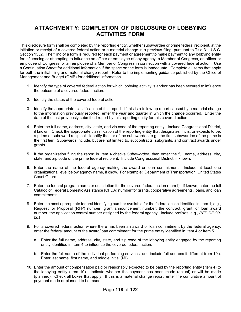### **ATTACHMENT Y: COMPLETION OF DISCLOSURE OF LOBBYING ACTIVITIES FORM**

This disclosure form shall be completed by the reporting entity, whether subawardee or prime federal recipient, at the initiation or receipt of a covered federal action or a material change in a previous filing, pursuant to Title 31 U.S.C. Section 1352. The filing of a form is required for each payment or agreement to make payment to any lobbying entity for influencing or attempting to influence an officer or employee of any agency, a Member of Congress, an officer or employee of Congress, or an employee of a Member of Congress in connection with a covered federal action. Use a Continuation Sheet for additional information if the space on the form is inadequate. Complete all items that apply for both the initial filing and material change report. Refer to the implementing guidance published by the Office of Management and Budget (OMB) for additional information.

- 1. Identify the type of covered federal action for which lobbying activity is and/or has been secured to influence the outcome of a covered federal action.
- 2. Identify the status of the covered federal action.
- 3. Identify the appropriate classification of this report. If this is a follow-up report caused by a material change to the information previously reported, enter the year and quarter in which the change occurred. Enter the date of the last previously submitted report by this reporting entity for this covered action.
- 4. Enter the full name, address, city, state, and zip code of the reporting entity. Include Congressional District, if known. Check the appropriate classification of the reporting entity that designates if it is, or expects to be, a prime or subaward recipient. Identify the tier of the subawardee, e.g., the first subawardee of the prime is the first tier. Subawards include, but are not limited to, subcontracts, subgrants, and contract awards under grants.
- 5. If the organization filing the report in Item 4 checks *Subawardee*, then enter the full name, address, city, state, and zip code of the prime federal recipient. Include Congressional District, if known.
- 6. Enter the name of the federal agency making the award or loan commitment. Include at least one organizational level below agency name, if know. For example: Department of Transportation, United States Coast Guard.
- 7. Enter the federal program name or description for the covered federal action (Item1). If known, enter the full Catalog of Federal Domestic Assistance (CFDA) number for grants, cooperative agreements, loans, and loan commitments.
- 8. Enter the most appropriate federal identifying number available for the federal action identified in Item 1; e.g., Request for Proposal (RFP) number; grant announcement number; the contract, grant, or loan award number; the application control number assigned by the federal agency. Include prefixes; e.g., *RFP-DE-90- 001.*
- 9. For a covered federal action where there has been an award or loan commitment by the federal agency, enter the federal amount of the award/loan commitment for the prime entity identified in Item 4 or Item 5.
	- a. Enter the full name, address, city, state, and zip code of the lobbying entity engaged by the reporting entity identified in Item 4 to influence the covered federal action.
	- b. Enter the full name of the individual performing services, and include full address if different from 10a. Enter last name, first name, and middle initial (MI).
- 10. Enter the amount of compensation paid or reasonably expected to be paid by the reporting entity (Item 4) to the lobbying entity (Item 10). Indicate whether the payment has been made (actual) or will be made (planned). Check all boxes that apply. If this is a material change report, enter the cumulative amount of payment made or planned to be made.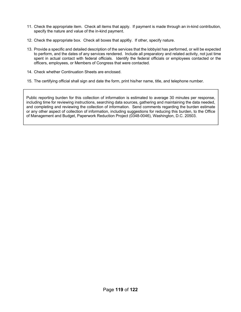- 11. Check the appropriate item. Check all items that apply. If payment is made through an in-kind contribution, specify the nature and value of the in-kind payment.
- 12. Check the appropriate box. Check all boxes that appl6y. If other, specify nature.
- 13. Provide a specific and detailed description of the services that the lobbyist has performed, or will be expected to perform, and the dates of any services rendered. Include all preparatory and related activity, not just time spent in actual contact with federal officials. Identify the federal officials or employees contacted or the officers, employees, or Members of Congress that were contacted.
- 14. Check whether Continuation Sheets are enclosed.
- 15. The certifying official shall sign and date the form, print his/her name, title, and telephone number.

Public reporting burden for this collection of information is estimated to average 30 minutes per response, including time for reviewing instructions, searching data sources, gathering and maintaining the data needed, and completing and reviewing the collection of information. Send comments regarding the burden estimate or any other aspect of collection of information, including suggestions for reducing this burden, to the Office of Management and Budget, Paperwork Reduction Project (0348-0046), Washington, D.C. 20503.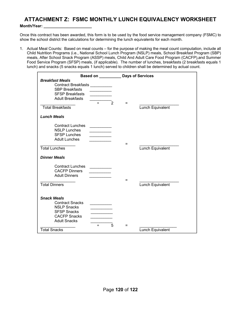## **ATTACHMENT Z: FSMC MONTHLY LUNCH EQUIVALENCY WORKSHEET**

#### **Month/Year: \_\_\_\_\_\_\_\_\_\_\_\_\_\_\_\_\_\_\_\_\_\_**

Once this contract has been awarded, this form is to be used by the food service management company (FSMC) to show the school district the calculations for determining the lunch equivalents for each month.

1. Actual Meal Counts: Based on meal counts – for the purpose of making the meal count computation, include all Child Nutrition Programs (i.e., National School Lunch Program (NSLP) meals, School Breakfast Program (SBP) meals, After School Snack Program (ASSP) meals, Child And Adult Care Food Program (CACFP),and Summer Food Service Program (SFSP) meals, (if applicable). The number of lunches, breakfasts (2 breakfasts equals 1 lunch) and snacks (5 snacks equals 1 lunch) served to children shall be determined by actual count.

|                                                                                                                                                                                         | Based on <b>Exercise Service</b>                       |          | <b>Days of Services</b> |
|-----------------------------------------------------------------------------------------------------------------------------------------------------------------------------------------|--------------------------------------------------------|----------|-------------------------|
| <b>Breakfast Meals</b><br>Contract Breakfasts __________<br><b>SBP Breakfasts</b><br><b>SFSP Breakfasts</b><br><b>Adult Breakfasts</b><br><b>Total Breakfasts</b><br><b>Lunch Meals</b> | $\div$<br>$\overline{2}$                               | $=$      | Lunch Equivalent        |
|                                                                                                                                                                                         |                                                        |          |                         |
| <b>Contract Lunches</b><br><b>NSLP Lunches</b><br><b>SFSP Lunches</b><br><b>Adult Lunches</b><br><b>Total Lunches</b><br><b>Dinner Meals</b>                                            | $\mathcal{L} = \mathcal{L} \times \mathcal{L}$         | $\equiv$ | Lunch Equivalent        |
| <b>Contract Lunches</b><br><b>CACFP Dinners</b><br><b>Adult Dinners</b><br><b>Total Dinners</b>                                                                                         | the company of the company                             | =        | Lunch Equivalent        |
| <b>Snack Meals</b><br><b>Contract Snacks</b><br><b>NSLP Snacks</b><br><b>SFSP Snacks</b><br><b>CACFP Snacks</b><br><b>Adult Snacks</b><br><b>Total Snacks</b>                           | <b>Contract Contract</b><br>$\sim$ 100 $\mu$<br>÷<br>5 | =        | Lunch Equivalent        |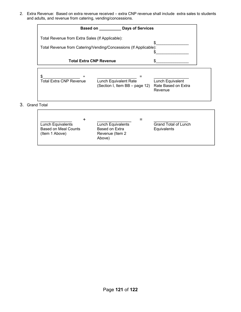2. Extra Revenue: Based on extra revenue received – extra CNP revenue shall include extra sales to students and adults, and revenue from catering, vending/concessions.

|                    |                                                 | Based on <b>Days</b> of Services                                 |                                                    |
|--------------------|-------------------------------------------------|------------------------------------------------------------------|----------------------------------------------------|
|                    | Total Revenue from Extra Sales (If Applicable): |                                                                  | \$.                                                |
|                    |                                                 | Total Revenue from Catering/Vending/Concessions (If Applicable): |                                                    |
|                    | <b>Total Extra CNP Revenue</b>                  |                                                                  |                                                    |
| \$                 | ÷<br><b>Total Extra CNP Revenue</b>             | Lunch Equivalent Rate<br>(Section I, Item BB - page 12)          | Lunch Equivalent<br>Rate Based on Extra<br>Revenue |
| <b>Grand Total</b> |                                                 |                                                                  |                                                    |

|                             |                   | ⋍                           |
|-----------------------------|-------------------|-----------------------------|
| Lunch Equivalents           | Lunch Equivalents | <b>Grand Total of Lunch</b> |
| <b>Based on Meal Counts</b> | Based on Extra    | Equivalents                 |
| (Item 1 Above)              | Revenue (Item 2)  |                             |
|                             | Above)            |                             |
|                             |                   |                             |